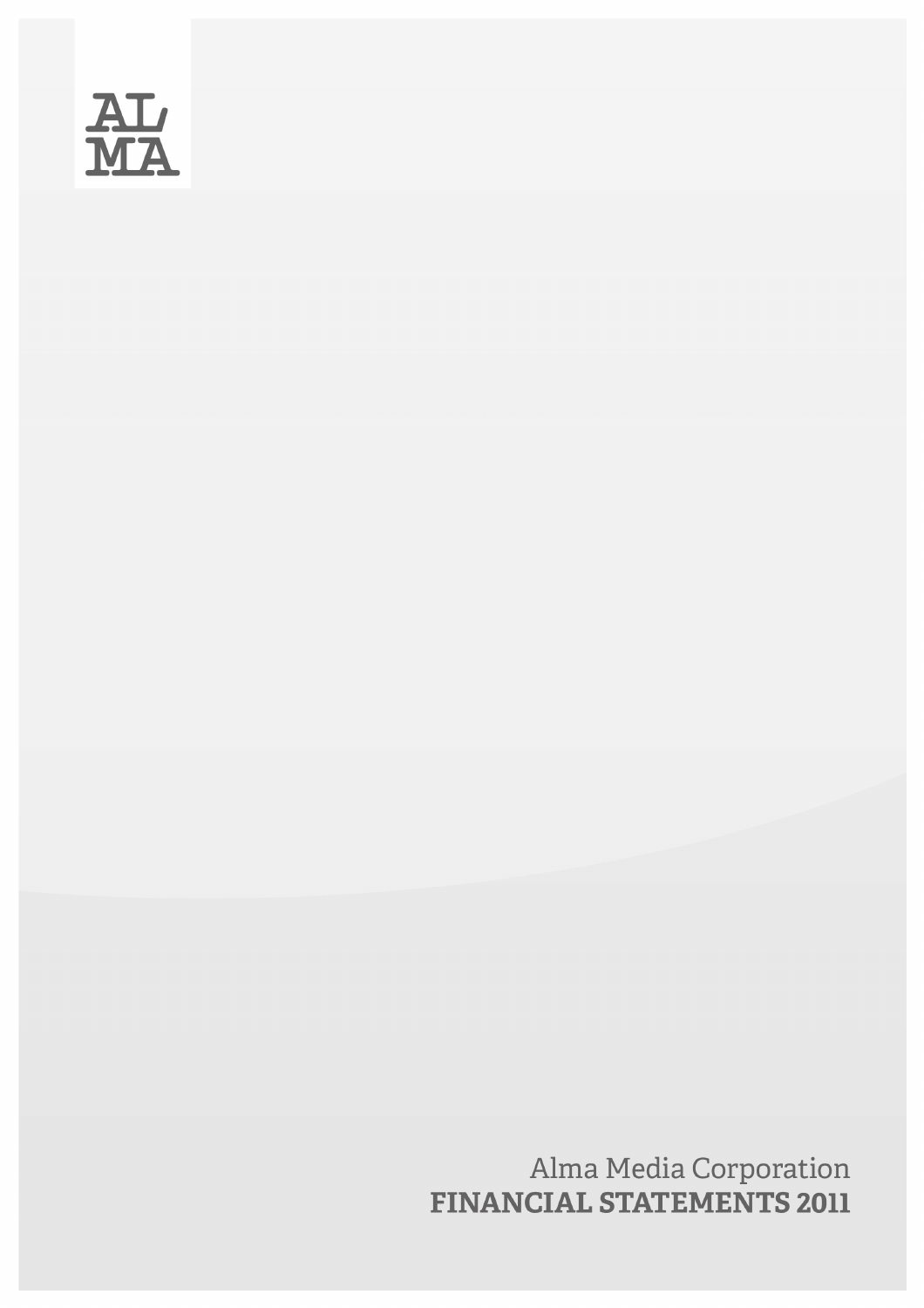

Alma Media Corporation<br>FINANCIAL STATEMENTS 2011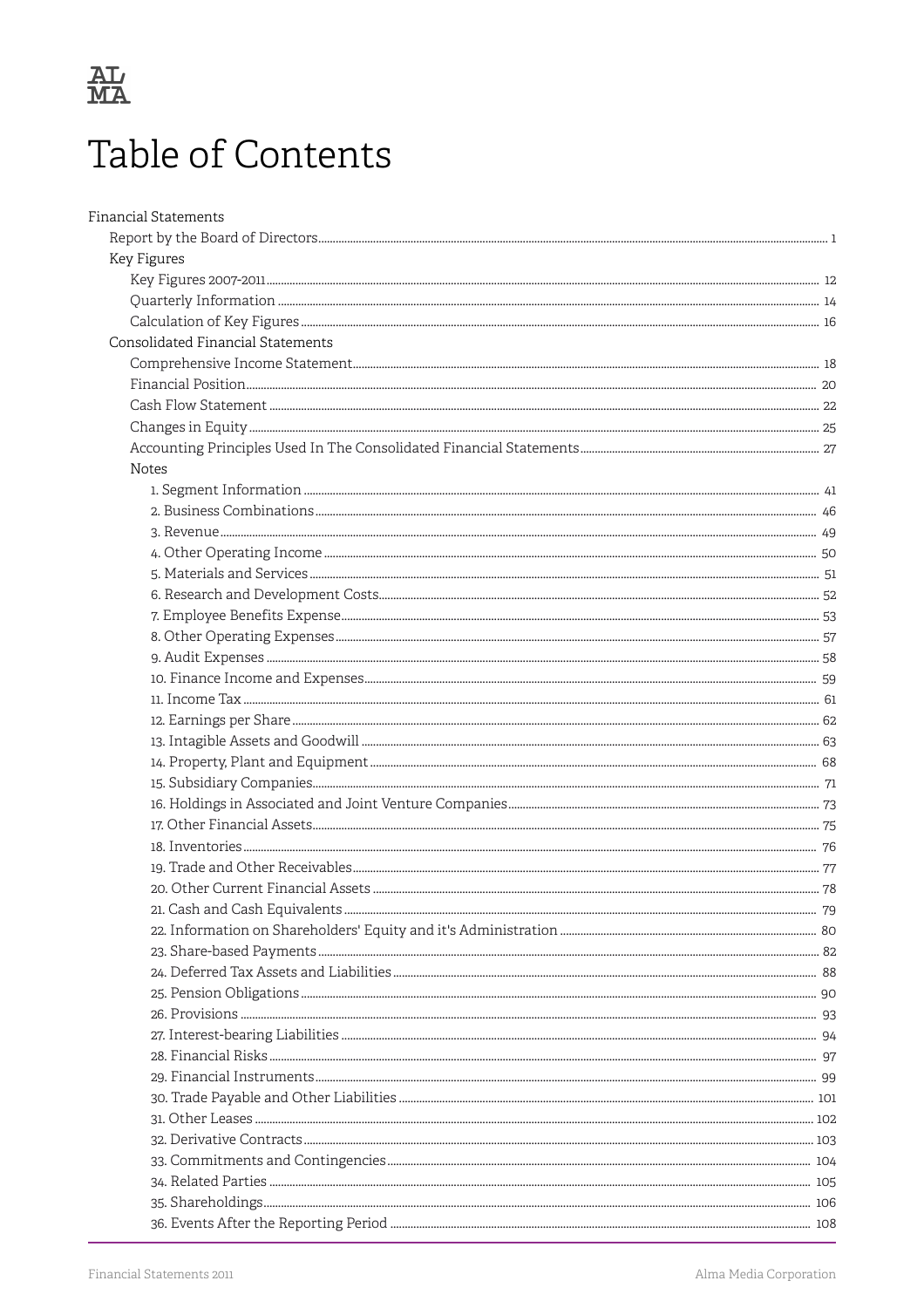

## Table of Contents

| <b>Financial Statements</b>       |  |
|-----------------------------------|--|
|                                   |  |
| Key Figures                       |  |
|                                   |  |
|                                   |  |
|                                   |  |
| Consolidated Financial Statements |  |
|                                   |  |
|                                   |  |
|                                   |  |
|                                   |  |
|                                   |  |
| Notes                             |  |
|                                   |  |
|                                   |  |
|                                   |  |
|                                   |  |
|                                   |  |
|                                   |  |
|                                   |  |
|                                   |  |
|                                   |  |
|                                   |  |
|                                   |  |
|                                   |  |
|                                   |  |
|                                   |  |
|                                   |  |
|                                   |  |
|                                   |  |
|                                   |  |
|                                   |  |
|                                   |  |
|                                   |  |
|                                   |  |
|                                   |  |
|                                   |  |
|                                   |  |
|                                   |  |
|                                   |  |
|                                   |  |
|                                   |  |
|                                   |  |
|                                   |  |
|                                   |  |
|                                   |  |
|                                   |  |
|                                   |  |
|                                   |  |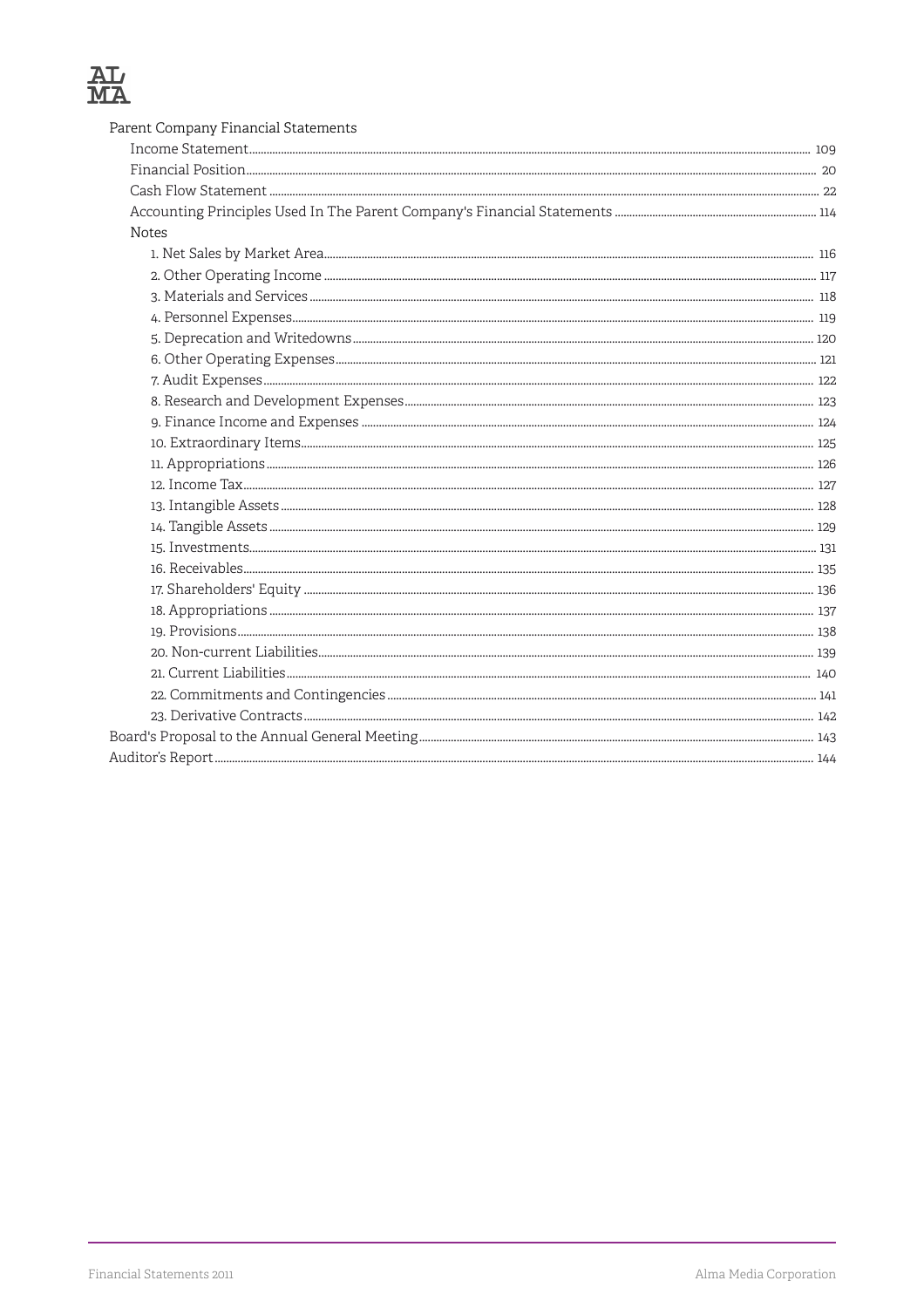| Parent Company Financial Statements |  |
|-------------------------------------|--|
|                                     |  |
|                                     |  |
|                                     |  |
|                                     |  |
| <b>Notes</b>                        |  |
|                                     |  |
|                                     |  |
|                                     |  |
|                                     |  |
|                                     |  |
|                                     |  |
|                                     |  |
|                                     |  |
|                                     |  |
|                                     |  |
|                                     |  |
|                                     |  |
|                                     |  |
|                                     |  |
|                                     |  |
|                                     |  |
|                                     |  |
|                                     |  |
|                                     |  |
|                                     |  |
|                                     |  |
|                                     |  |
|                                     |  |
|                                     |  |
|                                     |  |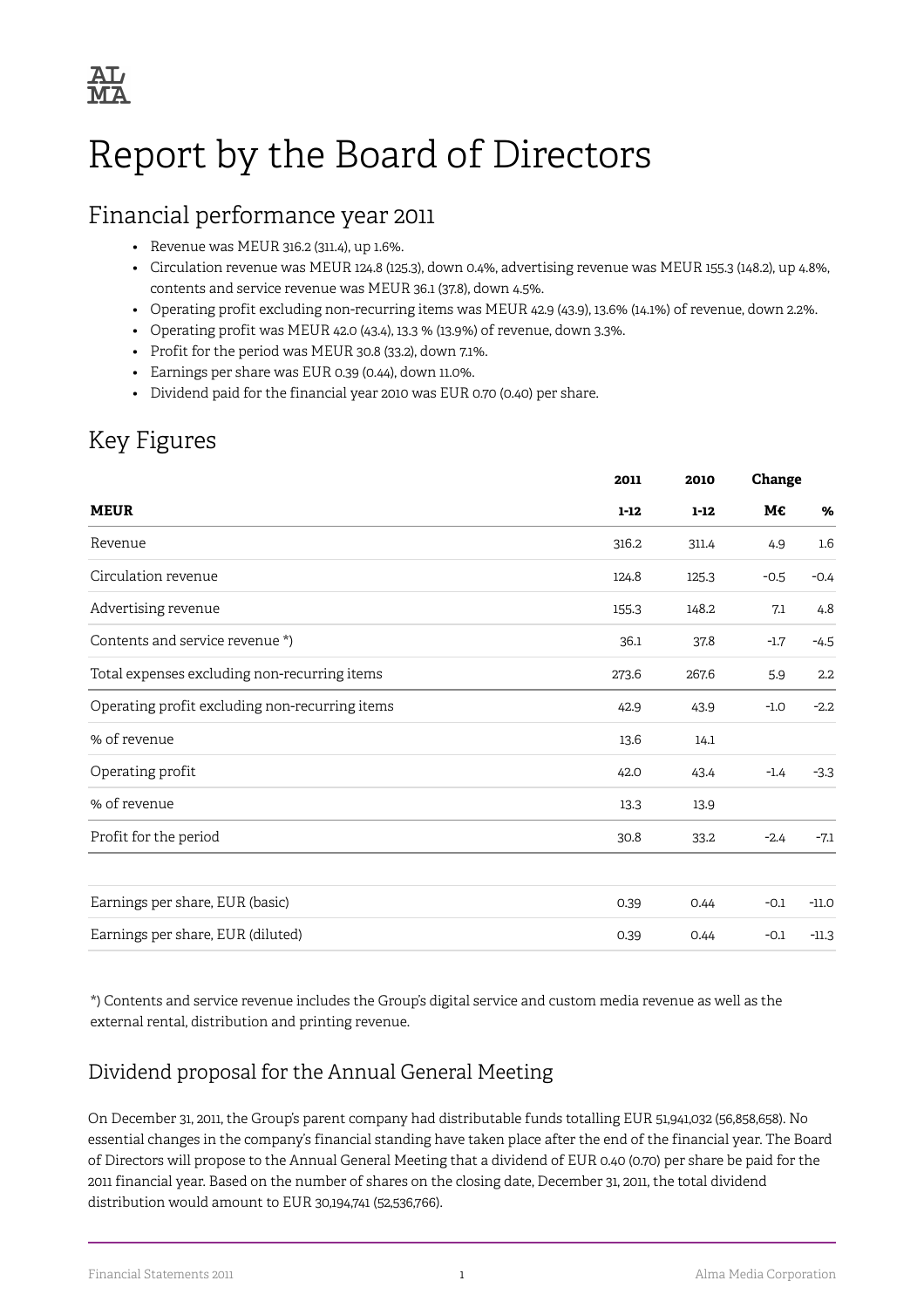

## <span id="page-3-0"></span>Report by the Board of Directors

### Financial performance year 2011

- Revenue was MEUR 316.2 (311.4), up 1.6%.
- Circulation revenue was MEUR 124.8 (125.3), down 0.4%, advertising revenue was MEUR 155.3 (148.2), up 4.8%, contents and service revenue was MEUR 36.1 (37.8), down 4.5%.
- Operating profit excluding non-recurring items was MEUR 42.9 (43.9), 13.6% (14.1%) of revenue, down 2.2%.
- Operating profit was MEUR 42.0 (43.4), 13.3 % (13.9%) of revenue, down 3.3%.
- Profit for the period was MEUR 30.8 (33.2), down 7.1%.
- Earnings per share was EUR 0.39 (0.44), down 11.0%.
- Dividend paid for the financial year 2010 was EUR 0.70 (0.40) per share.

### Key Figures

|                                                |          | 2010     | Change |                  |
|------------------------------------------------|----------|----------|--------|------------------|
| <b>MEUR</b>                                    | $1 - 12$ | $1 - 12$ | М€     | %                |
| Revenue                                        | 316.2    | 311.4    | 4.9    | $1.6\phantom{0}$ |
| Circulation revenue                            | 124.8    | 125.3    | $-0.5$ | $-0.4$           |
| Advertising revenue                            | 155.3    | 148.2    | 7.1    | 4.8              |
| Contents and service revenue *)                | 36.1     | 37.8     | $-1.7$ | $-4.5$           |
| Total expenses excluding non-recurring items   | 273.6    | 267.6    | 5.9    | 2.2              |
| Operating profit excluding non-recurring items | 42.9     | 43.9     | $-1.0$ | $-2.2$           |
| % of revenue                                   | 13.6     | 14.1     |        |                  |
| Operating profit                               | 42.0     | 43.4     | $-1.4$ | $-3.3$           |
| % of revenue                                   | 13.3     | 13.9     |        |                  |
| Profit for the period                          | 30.8     | 33.2     | $-2.4$ | $-7.1$           |
|                                                |          |          |        |                  |
| Earnings per share, EUR (basic)                | 0.39     | 0.44     | $-0.1$ | $-11.0$          |
| Earnings per share, EUR (diluted)              | 0.39     | 0.44     | $-0.1$ | $-11.3$          |

\*) Contents and service revenue includes the Group's digital service and custom media revenue as well as the external rental, distribution and printing revenue.

#### Dividend proposal for the Annual General Meeting

On December 31, 2011, the Group's parent company had distributable funds totalling EUR 51,941,032 (56,858,658). No essential changes in the company's financial standing have taken place after the end of the financial year. The Board of Directors will propose to the Annual General Meeting that a dividend of EUR 0.40 (0.70) per share be paid for the 2011 financial year. Based on the number of shares on the closing date, December 31, 2011, the total dividend distribution would amount to EUR 30,194,741 (52,536,766).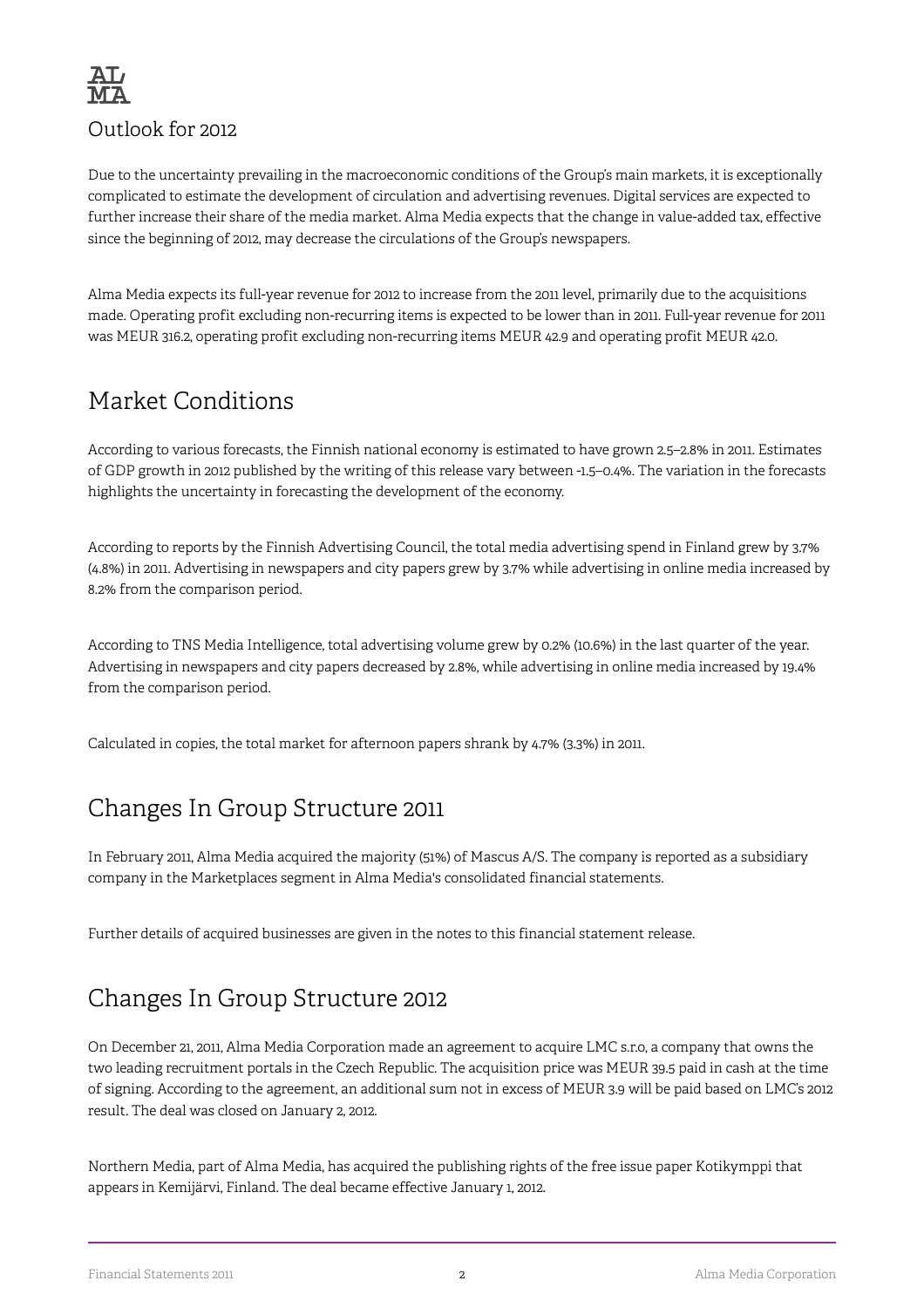

Due to the uncertainty prevailing in the macroeconomic conditions of the Group's main markets, it is exceptionally complicated to estimate the development of circulation and advertising revenues. Digital services are expected to further increase their share of the media market. Alma Media expects that the change in value-added tax, effective since the beginning of 2012, may decrease the circulations of the Group's newspapers.

Alma Media expects its full-year revenue for 2012 to increase from the 2011 level, primarily due to the acquisitions made. Operating profit excluding non-recurring items is expected to be lower than in 2011. Full-year revenue for 2011 was MEUR 316.2, operating profit excluding non-recurring items MEUR 42.9 and operating profit MEUR 42.0.

## Market Conditions

According to various forecasts, the Finnish national economy is estimated to have grown 2.5–2.8% in 2011. Estimates of GDP growth in 2012 published by the writing of this release vary between -1.5–0.4%. The variation in the forecasts highlights the uncertainty in forecasting the development of the economy.

According to reports by the Finnish Advertising Council, the total media advertising spend in Finland grew by 3.7% (4.8%) in 2011. Advertising in newspapers and city papers grew by 3.7% while advertising in online media increased by 8.2% from the comparison period.

According to TNS Media Intelligence, total advertising volume grew by 0.2% (10.6%) in the last quarter of the year. Advertising in newspapers and city papers decreased by 2.8%, while advertising in online media increased by 19.4% from the comparison period.

Calculated in copies, the total market for afternoon papers shrank by 4.7% (3.3%) in 2011.

## Changes In Group Structure 2011

In February 2011, Alma Media acquired the majority (51%) of Mascus A/S. The company is reported as a subsidiary company in the Marketplaces segment in Alma Media's consolidated financial statements.

Further details of acquired businesses are given in the notes to this financial statement release.

## Changes In Group Structure 2012

On December 21, 2011, Alma Media Corporation made an agreement to acquire LMC s.r.o, a company that owns the two leading recruitment portals in the Czech Republic. The acquisition price was MEUR 39.5 paid in cash at the time of signing. According to the agreement, an additional sum not in excess of MEUR 3.9 will be paid based on LMC's 2012 result. The deal was closed on January 2, 2012.

Northern Media, part of Alma Media, has acquired the publishing rights of the free issue paper Kotikymppi that appears in Kemijärvi, Finland. The deal became effective January 1, 2012.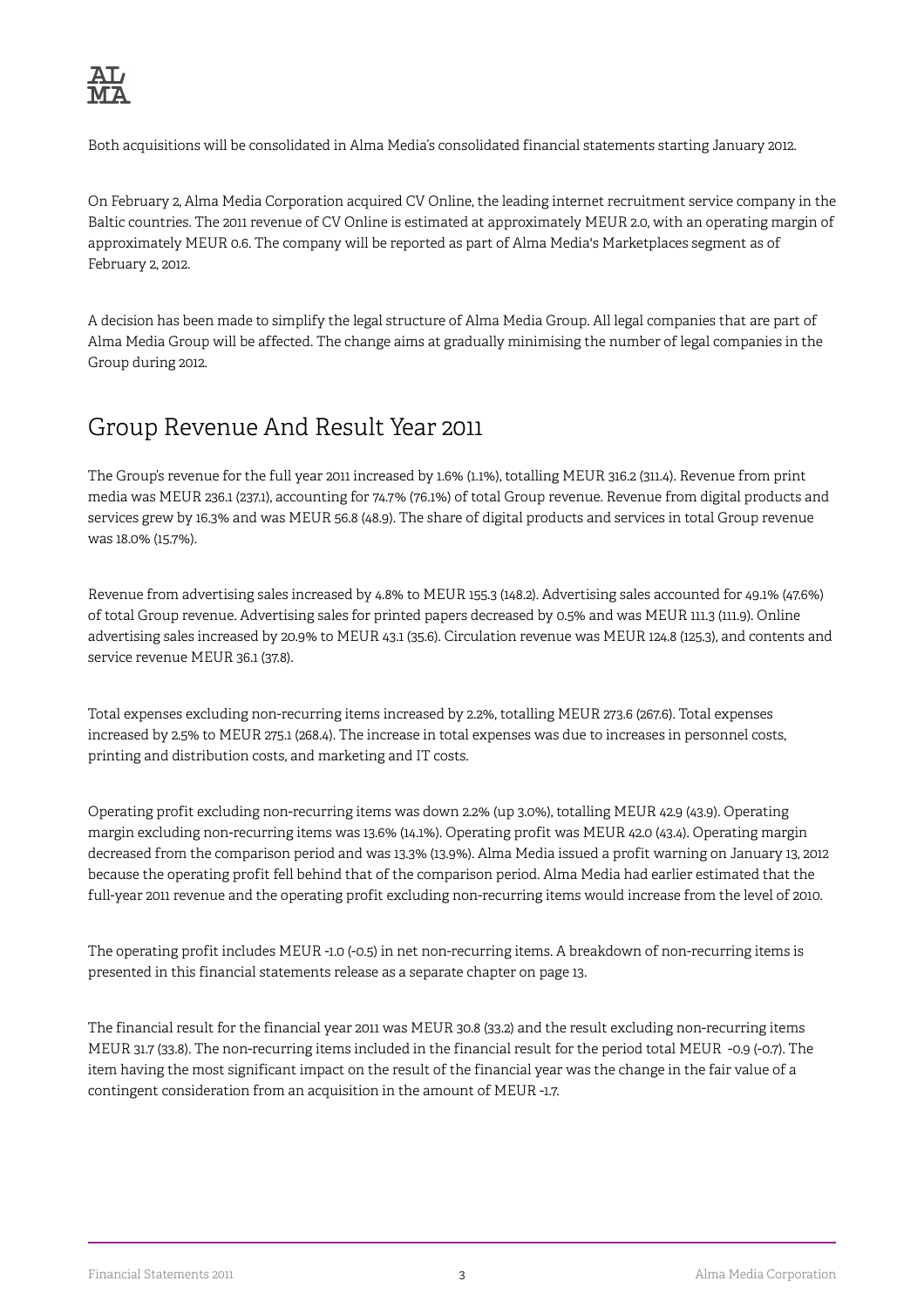

Both acquisitions will be consolidated in Alma Media's consolidated financial statements starting January 2012.

On February 2, Alma Media Corporation acquired CV Online, the leading internet recruitment service company in the Baltic countries. The 2011 revenue of CV Online is estimated at approximately MEUR 2.0, with an operating margin of approximately MEUR 0.6. The company will be reported as part of Alma Media's Marketplaces segment as of February 2, 2012.

A decision has been made to simplify the legal structure of Alma Media Group. All legal companies that are part of Alma Media Group will be affected. The change aims at gradually minimising the number of legal companies in the Group during 2012.

### Group Revenue And Result Year 2011

The Group's revenue for the full year 2011 increased by 1.6% (1.1%), totalling MEUR 316.2 (311.4). Revenue from print media was MEUR 236.1 (237.1), accounting for 74.7% (76.1%) of total Group revenue. Revenue from digital products and services grew by 16.3% and was MEUR 56.8 (48.9). The share of digital products and services in total Group revenue was 18.0% (15.7%).

Revenue from advertising sales increased by 4.8% to MEUR 155.3 (148.2). Advertising sales accounted for 49.1% (47.6%) of total Group revenue. Advertising sales for printed papers decreased by 0.5% and was MEUR 111.3 (111.9). Online advertising sales increased by 20.9% to MEUR 43.1 (35.6). Circulation revenue was MEUR 124.8 (125.3), and contents and service revenue MEUR 36.1 (37.8).

Total expenses excluding non-recurring items increased by 2.2%, totalling MEUR 273.6 (267.6). Total expenses increased by 2.5% to MEUR 275.1 (268.4). The increase in total expenses was due to increases in personnel costs, printing and distribution costs, and marketing and IT costs.

Operating profit excluding non-recurring items was down 2.2% (up 3.0%), totalling MEUR 42.9 (43.9). Operating margin excluding non-recurring items was 13.6% (14.1%). Operating profit was MEUR 42.0 (43.4). Operating margin decreased from the comparison period and was 13.3% (13.9%). Alma Media issued a profit warning on January 13, 2012 because the operating profit fell behind that of the comparison period. Alma Media had earlier estimated that the full-year 2011 revenue and the operating profit excluding non-recurring items would increase from the level of 2010.

The operating profit includes MEUR -1.0 (-0.5) in net non-recurring items. A breakdown of non-recurring items is presented in this financial statements release as a separate chapter on page 13.

The financial result for the financial year 2011 was MEUR 30.8 (33.2) and the result excluding non-recurring items MEUR 31.7 (33.8). The non-recurring items included in the financial result for the period total MEUR -0.9 (-0.7). The item having the most significant impact on the result of the financial year was the change in the fair value of a contingent consideration from an acquisition in the amount of MEUR -1.7.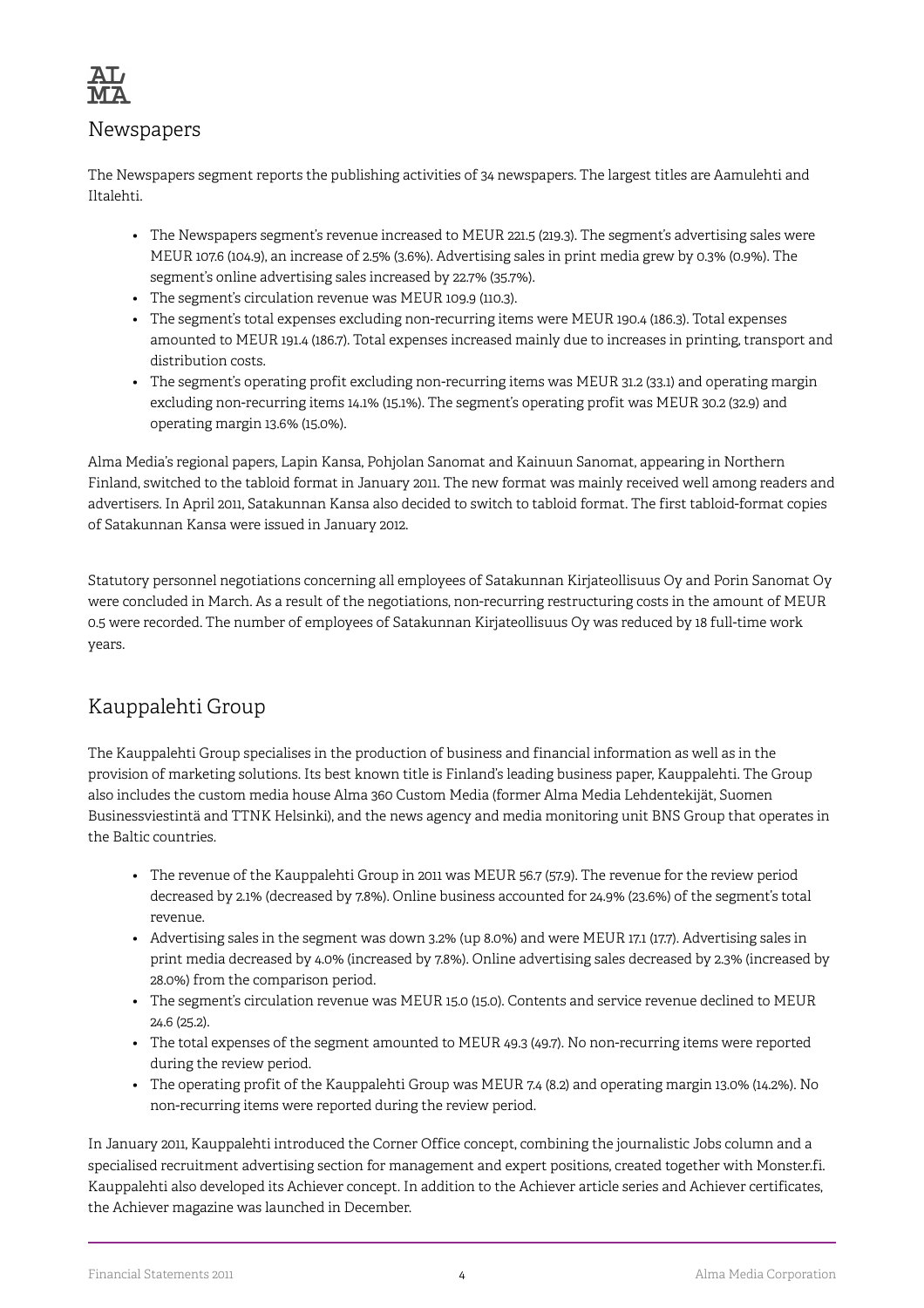

#### Newspapers

The Newspapers segment reports the publishing activities of 34 newspapers. The largest titles are Aamulehti and Iltalehti.

- The Newspapers segment's revenue increased to MEUR 221.5 (219.3). The segment's advertising sales were MEUR 107.6 (104.9), an increase of 2.5% (3.6%). Advertising sales in print media grew by 0.3% (0.9%). The segment's online advertising sales increased by 22.7% (35.7%).
- The segment's circulation revenue was MEUR 109.9 (110.3).
- The segment's total expenses excluding non-recurring items were MEUR 190.4 (186.3). Total expenses amounted to MEUR 191.4 (186.7). Total expenses increased mainly due to increases in printing, transport and distribution costs.
- The segment's operating profit excluding non-recurring items was MEUR 31.2 (33.1) and operating margin excluding non-recurring items 14.1% (15.1%). The segment's operating profit was MEUR 30.2 (32.9) and operating margin 13.6% (15.0%).

Alma Media's regional papers, Lapin Kansa, Pohjolan Sanomat and Kainuun Sanomat, appearing in Northern Finland, switched to the tabloid format in January 2011. The new format was mainly received well among readers and advertisers. In April 2011, Satakunnan Kansa also decided to switch to tabloid format. The first tabloid-format copies of Satakunnan Kansa were issued in January 2012.

Statutory personnel negotiations concerning all employees of Satakunnan Kirjateollisuus Oy and Porin Sanomat Oy were concluded in March. As a result of the negotiations, non-recurring restructuring costs in the amount of MEUR 0.5 were recorded. The number of employees of Satakunnan Kirjateollisuus Oy was reduced by 18 full-time work years.

### Kauppalehti Group

The Kauppalehti Group specialises in the production of business and financial information as well as in the provision of marketing solutions. Its best known title is Finland's leading business paper, Kauppalehti. The Group also includes the custom media house Alma 360 Custom Media (former Alma Media Lehdentekijät, Suomen Businessviestintä and TTNK Helsinki), and the news agency and media monitoring unit BNS Group that operates in the Baltic countries.

- The revenue of the Kauppalehti Group in 2011 was MEUR 56.7 (57.9). The revenue for the review period decreased by 2.1% (decreased by 7.8%). Online business accounted for 24.9% (23.6%) of the segment's total revenue.
- Advertising sales in the segment was down 3.2% (up 8.0%) and were MEUR 17.1 (17.7). Advertising sales in print media decreased by 4.0% (increased by 7.8%). Online advertising sales decreased by 2.3% (increased by 28.0%) from the comparison period.
- The segment's circulation revenue was MEUR 15.0 (15.0). Contents and service revenue declined to MEUR 24.6 (25.2).
- The total expenses of the segment amounted to MEUR 49.3 (49.7). No non-recurring items were reported during the review period.
- The operating profit of the Kauppalehti Group was MEUR 7.4 (8.2) and operating margin 13.0% (14.2%). No non-recurring items were reported during the review period.

In January 2011, Kauppalehti introduced the Corner Office concept, combining the journalistic Jobs column and a specialised recruitment advertising section for management and expert positions, created together with Monster.fi. Kauppalehti also developed its Achiever concept. In addition to the Achiever article series and Achiever certificates, the Achiever magazine was launched in December.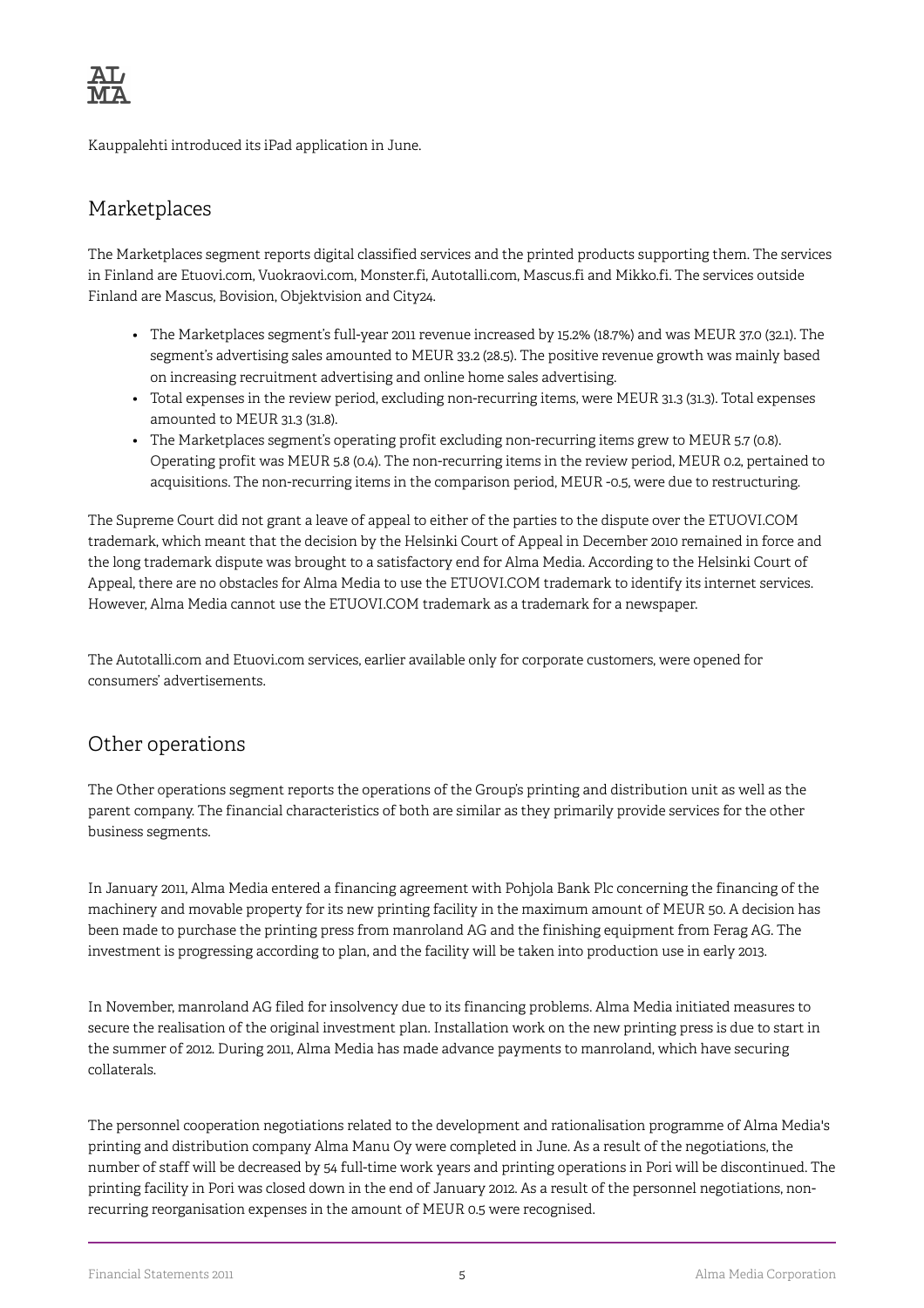

Kauppalehti introduced its iPad application in June.

#### Marketplaces

The Marketplaces segment reports digital classified services and the printed products supporting them. The services in Finland are Etuovi.com, Vuokraovi.com, Monster.fi, Autotalli.com, Mascus.fi and Mikko.fi. The services outside Finland are Mascus, Bovision, Objektvision and City24.

- The Marketplaces segment's full-year 2011 revenue increased by 15.2% (18.7%) and was MEUR 37.0 (32.1). The segment's advertising sales amounted to MEUR 33.2 (28.5). The positive revenue growth was mainly based on increasing recruitment advertising and online home sales advertising.
- Total expenses in the review period, excluding non-recurring items, were MEUR 31.3 (31.3). Total expenses amounted to MEUR 31.3 (31.8).
- The Marketplaces segment's operating profit excluding non-recurring items grew to MEUR 5.7 (0.8). Operating profit was MEUR 5.8 (0.4). The non-recurring items in the review period, MEUR 0.2, pertained to acquisitions. The non-recurring items in the comparison period, MEUR -0.5, were due to restructuring.

The Supreme Court did not grant a leave of appeal to either of the parties to the dispute over the ETUOVI.COM trademark, which meant that the decision by the Helsinki Court of Appeal in December 2010 remained in force and the long trademark dispute was brought to a satisfactory end for Alma Media. According to the Helsinki Court of Appeal, there are no obstacles for Alma Media to use the ETUOVI.COM trademark to identify its internet services. However, Alma Media cannot use the ETUOVI.COM trademark as a trademark for a newspaper.

The Autotalli.com and Etuovi.com services, earlier available only for corporate customers, were opened for consumers' advertisements.

#### Other operations

The Other operations segment reports the operations of the Group's printing and distribution unit as well as the parent company. The financial characteristics of both are similar as they primarily provide services for the other business segments.

In January 2011, Alma Media entered a financing agreement with Pohjola Bank Plc concerning the financing of the machinery and movable property for its new printing facility in the maximum amount of MEUR 50. A decision has been made to purchase the printing press from manroland AG and the finishing equipment from Ferag AG. The investment is progressing according to plan, and the facility will be taken into production use in early 2013.

In November, manroland AG filed for insolvency due to its financing problems. Alma Media initiated measures to secure the realisation of the original investment plan. Installation work on the new printing press is due to start in the summer of 2012. During 2011, Alma Media has made advance payments to manroland, which have securing collaterals.

The personnel cooperation negotiations related to the development and rationalisation programme of Alma Media's printing and distribution company Alma Manu Oy were completed in June. As a result of the negotiations, the number of staff will be decreased by 54 full-time work years and printing operations in Pori will be discontinued. The printing facility in Pori was closed down in the end of January 2012. As a result of the personnel negotiations, nonrecurring reorganisation expenses in the amount of MEUR 0.5 were recognised.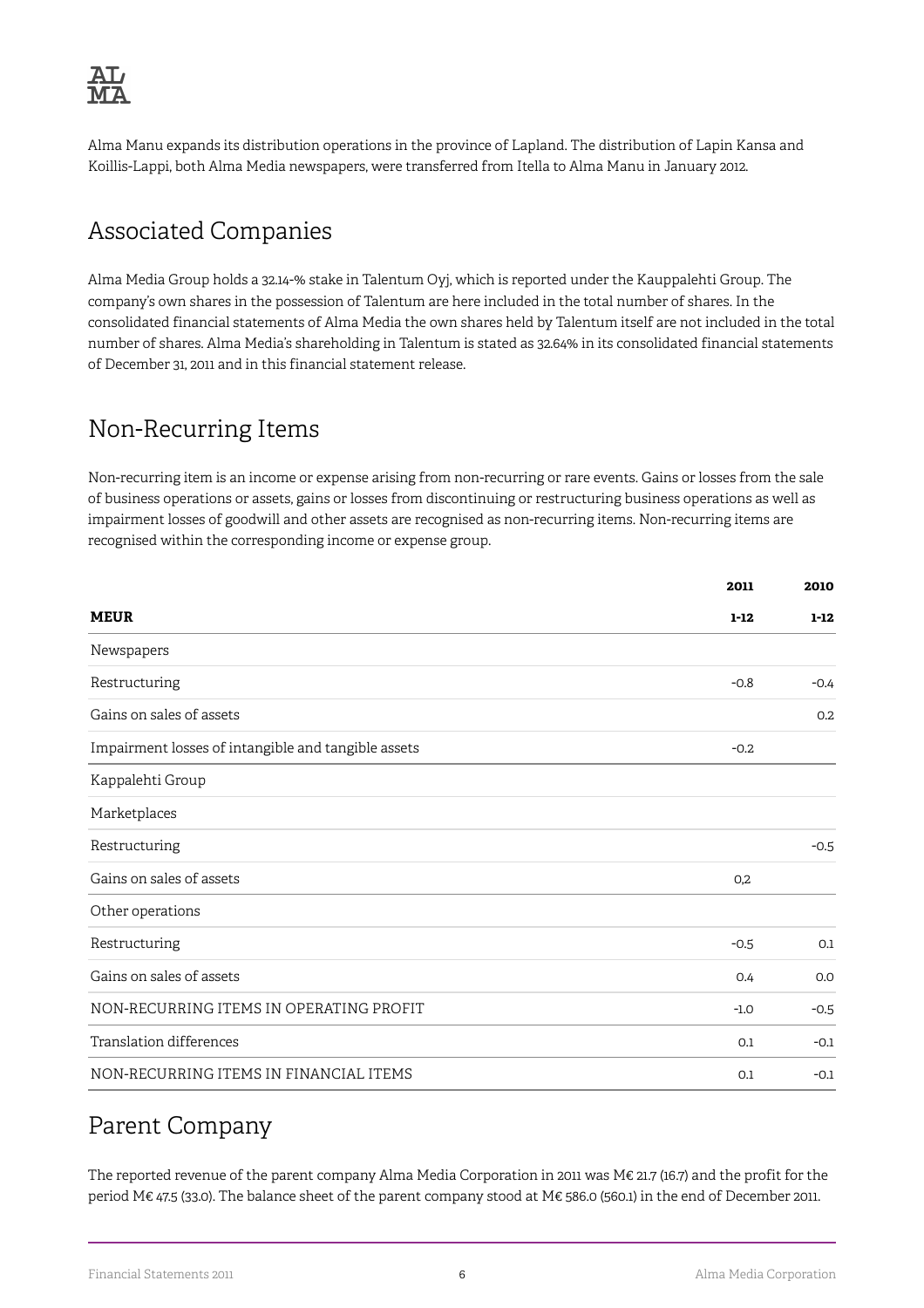

Alma Manu expands its distribution operations in the province of Lapland. The distribution of Lapin Kansa and Koillis-Lappi, both Alma Media newspapers, were transferred from Itella to Alma Manu in January 2012.

## Associated Companies

Alma Media Group holds a 32.14-% stake in Talentum Oyj, which is reported under the Kauppalehti Group. The company's own shares in the possession of Talentum are here included in the total number of shares. In the consolidated financial statements of Alma Media the own shares held by Talentum itself are not included in the total number of shares. Alma Media's shareholding in Talentum is stated as 32.64% in its consolidated financial statements of December 31, 2011 and in this financial statement release.

## Non-Recurring Items

Non-recurring item is an income or expense arising from non-recurring or rare events. Gains or losses from the sale of business operations or assets, gains or losses from discontinuing or restructuring business operations as well as impairment losses of goodwill and other assets are recognised as non-recurring items. Non-recurring items are recognised within the corresponding income or expense group.

|                                                     | 2011     | 2010     |
|-----------------------------------------------------|----------|----------|
| <b>MEUR</b>                                         | $1 - 12$ | $1 - 12$ |
| Newspapers                                          |          |          |
| Restructuring                                       | $-0.8$   | $-0.4$   |
| Gains on sales of assets                            |          | 0.2      |
| Impairment losses of intangible and tangible assets | $-0.2$   |          |
| Kappalehti Group                                    |          |          |
| Marketplaces                                        |          |          |
| Restructuring                                       |          | $-0.5$   |
| Gains on sales of assets                            | 0,2      |          |
| Other operations                                    |          |          |
| Restructuring                                       | $-0.5$   | 0.1      |
| Gains on sales of assets                            | 0.4      | 0.0      |
| NON-RECURRING ITEMS IN OPERATING PROFIT             | $-1.0$   | $-0.5$   |
| Translation differences                             | 0.1      | $-0.1$   |
| NON-RECURRING ITEMS IN FINANCIAL ITEMS              | 0.1      | $-0.1$   |

### Parent Company

The reported revenue of the parent company Alma Media Corporation in 2011 was M€ 21.7 (16.7) and the profit for the period M€ 47.5 (33.0). The balance sheet of the parent company stood at M€ 586.0 (560.1) in the end of December 2011.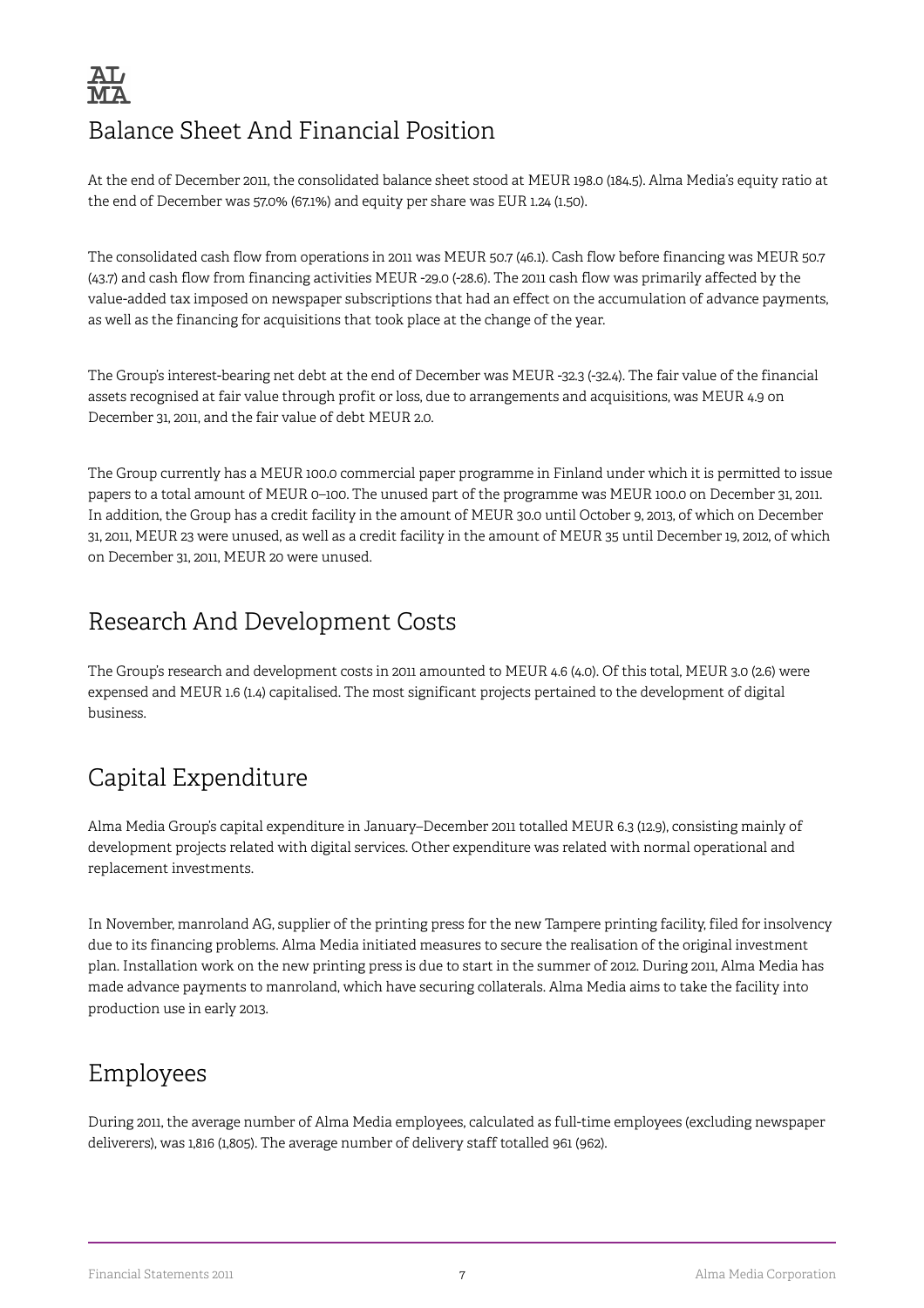# Balance Sheet And Financial Position

At the end of December 2011, the consolidated balance sheet stood at MEUR 198.0 (184.5). Alma Media's equity ratio at the end of December was 57.0% (67.1%) and equity per share was EUR 1.24 (1.50).

The consolidated cash flow from operations in 2011 was MEUR 50.7 (46.1). Cash flow before financing was MEUR 50.7 (43.7) and cash flow from financing activities MEUR -29.0 (-28.6). The 2011 cash flow was primarily affected by the value-added tax imposed on newspaper subscriptions that had an effect on the accumulation of advance payments, as well as the financing for acquisitions that took place at the change of the year.

The Group's interest-bearing net debt at the end of December was MEUR -32.3 (-32.4). The fair value of the financial assets recognised at fair value through profit or loss, due to arrangements and acquisitions, was MEUR 4.9 on December 31, 2011, and the fair value of debt MEUR 2.0.

The Group currently has a MEUR 100.0 commercial paper programme in Finland under which it is permitted to issue papers to a total amount of MEUR 0–100. The unused part of the programme was MEUR 100.0 on December 31, 2011. In addition, the Group has a credit facility in the amount of MEUR 30.0 until October 9, 2013, of which on December 31, 2011, MEUR 23 were unused, as well as a credit facility in the amount of MEUR 35 until December 19, 2012, of which on December 31, 2011, MEUR 20 were unused.

## Research And Development Costs

The Group's research and development costs in 2011 amounted to MEUR 4.6 (4.0). Of this total, MEUR 3.0 (2.6) were expensed and MEUR 1.6 (1.4) capitalised. The most significant projects pertained to the development of digital business.

## Capital Expenditure

Alma Media Group's capital expenditure in January–December 2011 totalled MEUR 6.3 (12.9), consisting mainly of development projects related with digital services. Other expenditure was related with normal operational and replacement investments.

In November, manroland AG, supplier of the printing press for the new Tampere printing facility, filed for insolvency due to its financing problems. Alma Media initiated measures to secure the realisation of the original investment plan. Installation work on the new printing press is due to start in the summer of 2012. During 2011, Alma Media has made advance payments to manroland, which have securing collaterals. Alma Media aims to take the facility into production use in early 2013.

## Employees

During 2011, the average number of Alma Media employees, calculated as full-time employees (excluding newspaper deliverers), was 1,816 (1,805). The average number of delivery staff totalled 961 (962).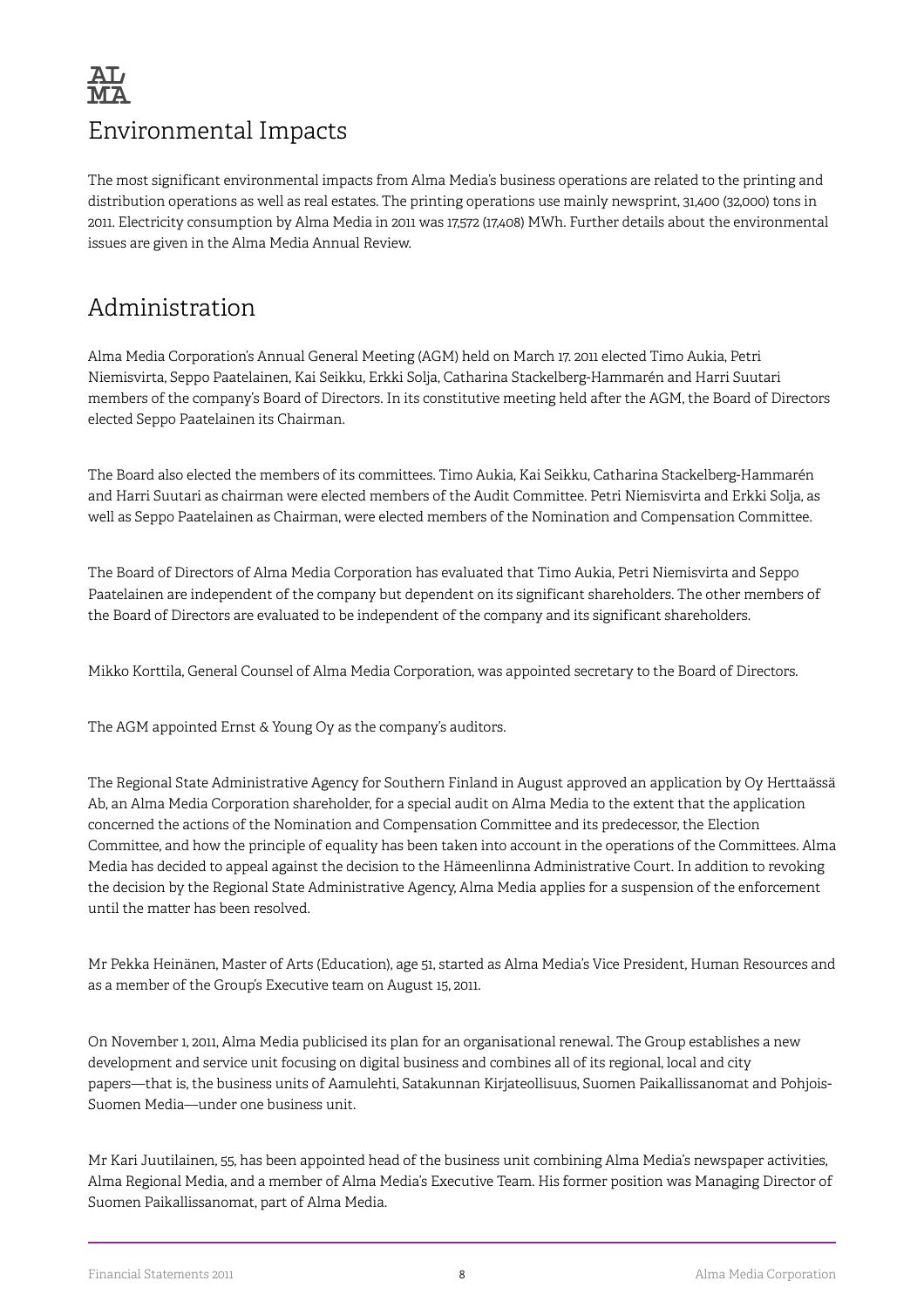

### Environmental Impacts

The most significant environmental impacts from Alma Media's business operations are related to the printing and distribution operations as well as real estates. The printing operations use mainly newsprint, 31,400 (32,000) tons in 2011. Electricity consumption by Alma Media in 2011 was 17,572 (17,408) MWh. Further details about the environmental issues are given in the Alma Media Annual Review.

### Administration

Alma Media Corporation's Annual General Meeting (AGM) held on March 17. 2011 elected Timo Aukia, Petri Niemisvirta, Seppo Paatelainen, Kai Seikku, Erkki Solja, Catharina Stackelberg-Hammarén and Harri Suutari members of the company's Board of Directors. In its constitutive meeting held after the AGM, the Board of Directors elected Seppo Paatelainen its Chairman.

The Board also elected the members of its committees. Timo Aukia, Kai Seikku, Catharina Stackelberg-Hammarén and Harri Suutari as chairman were elected members of the Audit Committee. Petri Niemisvirta and Erkki Solja, as well as Seppo Paatelainen as Chairman, were elected members of the Nomination and Compensation Committee.

The Board of Directors of Alma Media Corporation has evaluated that Timo Aukia, Petri Niemisvirta and Seppo Paatelainen are independent of the company but dependent on its significant shareholders. The other members of the Board of Directors are evaluated to be independent of the company and its significant shareholders.

Mikko Korttila, General Counsel of Alma Media Corporation, was appointed secretary to the Board of Directors.

The AGM appointed Ernst & Young Oy as the company's auditors.

The Regional State Administrative Agency for Southern Finland in August approved an application by Oy Herttaässä Ab, an Alma Media Corporation shareholder, for a special audit on Alma Media to the extent that the application concerned the actions of the Nomination and Compensation Committee and its predecessor, the Election Committee, and how the principle of equality has been taken into account in the operations of the Committees. Alma Media has decided to appeal against the decision to the Hämeenlinna Administrative Court. In addition to revoking the decision by the Regional State Administrative Agency, Alma Media applies for a suspension of the enforcement until the matter has been resolved.

Mr Pekka Heinänen, Master of Arts (Education), age 51, started as Alma Media's Vice President, Human Resources and as a member of the Group's Executive team on August 15, 2011.

On November 1, 2011, Alma Media publicised its plan for an organisational renewal. The Group establishes a new development and service unit focusing on digital business and combines all of its regional, local and city papers—that is, the business units of Aamulehti, Satakunnan Kirjateollisuus, Suomen Paikallissanomat and Pohjois-Suomen Media—under one business unit.

Mr Kari Juutilainen, 55, has been appointed head of the business unit combining Alma Media's newspaper activities, Alma Regional Media, and a member of Alma Media's Executive Team. His former position was Managing Director of Suomen Paikallissanomat, part of Alma Media.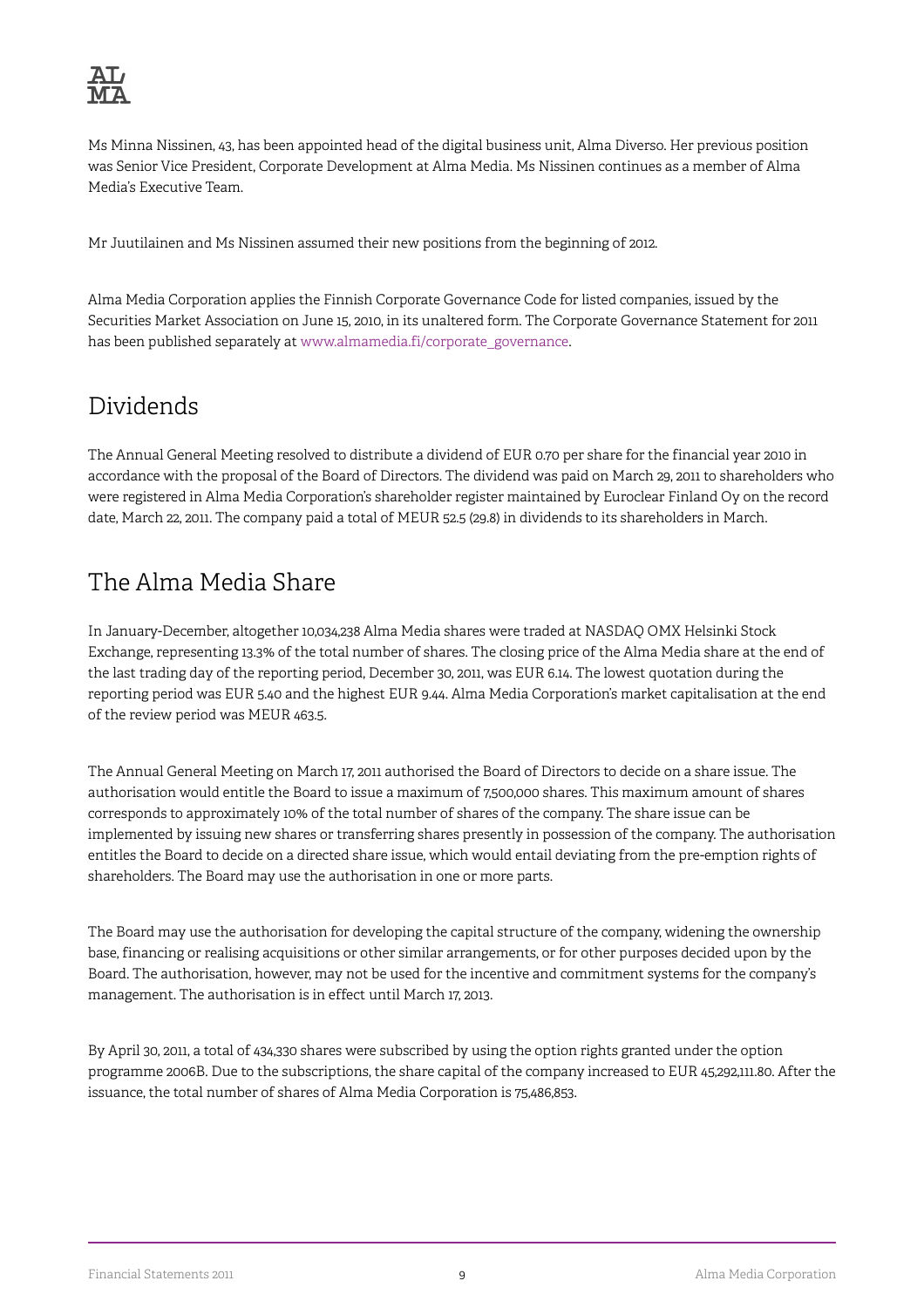Ms Minna Nissinen, 43, has been appointed head of the digital business unit, Alma Diverso. Her previous position was Senior Vice President, Corporate Development at Alma Media. Ms Nissinen continues as a member of Alma Media's Executive Team.

Mr Juutilainen and Ms Nissinen assumed their new positions from the beginning of 2012.

Alma Media Corporation applies the Finnish Corporate Governance Code for listed companies, issued by the Securities Market Association on June 15, 2010, in its unaltered form. The Corporate Governance Statement for 2011 has been published separately at [www.almamedia.fi/corporate\\_governance](http://www.almamedia.fi/corporate_governance).

## Dividends

The Annual General Meeting resolved to distribute a dividend of EUR 0.70 per share for the financial year 2010 in accordance with the proposal of the Board of Directors. The dividend was paid on March 29, 2011 to shareholders who were registered in Alma Media Corporation's shareholder register maintained by Euroclear Finland Oy on the record date, March 22, 2011. The company paid a total of MEUR 52.5 (29.8) in dividends to its shareholders in March.

## The Alma Media Share

In January-December, altogether 10,034,238 Alma Media shares were traded at NASDAQ OMX Helsinki Stock Exchange, representing 13.3% of the total number of shares. The closing price of the Alma Media share at the end of the last trading day of the reporting period, December 30, 2011, was EUR 6.14. The lowest quotation during the reporting period was EUR 5.40 and the highest EUR 9.44. Alma Media Corporation's market capitalisation at the end of the review period was MEUR 463.5.

The Annual General Meeting on March 17, 2011 authorised the Board of Directors to decide on a share issue. The authorisation would entitle the Board to issue a maximum of 7,500,000 shares. This maximum amount of shares corresponds to approximately 10% of the total number of shares of the company. The share issue can be implemented by issuing new shares or transferring shares presently in possession of the company. The authorisation entitles the Board to decide on a directed share issue, which would entail deviating from the pre-emption rights of shareholders. The Board may use the authorisation in one or more parts.

The Board may use the authorisation for developing the capital structure of the company, widening the ownership base, financing or realising acquisitions or other similar arrangements, or for other purposes decided upon by the Board. The authorisation, however, may not be used for the incentive and commitment systems for the company's management. The authorisation is in effect until March 17, 2013.

By April 30, 2011, a total of 434,330 shares were subscribed by using the option rights granted under the option programme 2006B. Due to the subscriptions, the share capital of the company increased to EUR 45,292,111.80. After the issuance, the total number of shares of Alma Media Corporation is 75,486,853.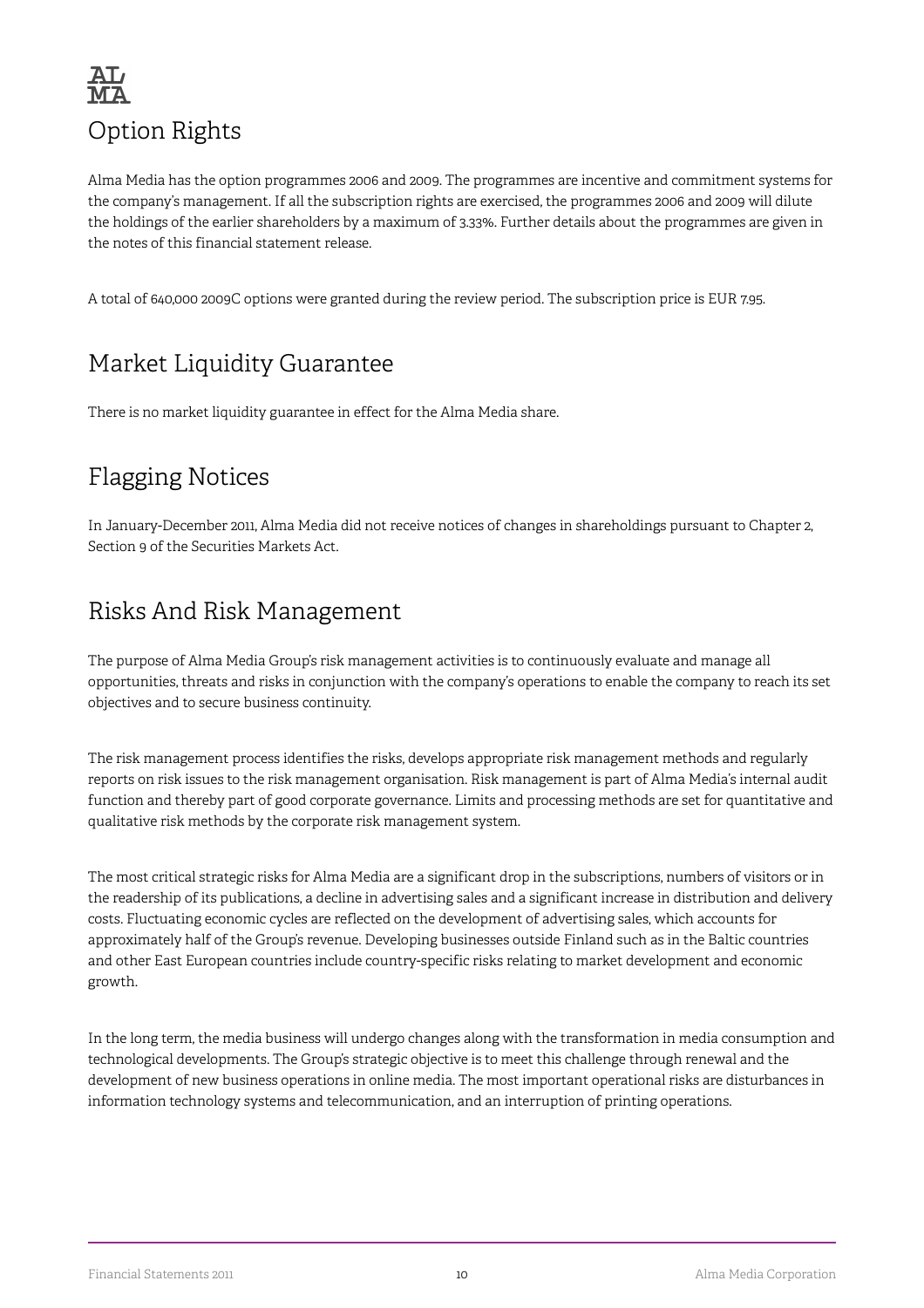

Alma Media has the option programmes 2006 and 2009. The programmes are incentive and commitment systems for the company's management. If all the subscription rights are exercised, the programmes 2006 and 2009 will dilute the holdings of the earlier shareholders by a maximum of 3.33%. Further details about the programmes are given in the notes of this financial statement release.

A total of 640,000 2009C options were granted during the review period. The subscription price is EUR 7.95.

## Market Liquidity Guarantee

There is no market liquidity guarantee in effect for the Alma Media share.

## Flagging Notices

In January-December 2011, Alma Media did not receive notices of changes in shareholdings pursuant to Chapter 2, Section 9 of the Securities Markets Act.

## Risks And Risk Management

The purpose of Alma Media Group's risk management activities is to continuously evaluate and manage all opportunities, threats and risks in conjunction with the company's operations to enable the company to reach its set objectives and to secure business continuity.

The risk management process identifies the risks, develops appropriate risk management methods and regularly reports on risk issues to the risk management organisation. Risk management is part of Alma Media's internal audit function and thereby part of good corporate governance. Limits and processing methods are set for quantitative and qualitative risk methods by the corporate risk management system.

The most critical strategic risks for Alma Media are a significant drop in the subscriptions, numbers of visitors or in the readership of its publications, a decline in advertising sales and a significant increase in distribution and delivery costs. Fluctuating economic cycles are reflected on the development of advertising sales, which accounts for approximately half of the Group's revenue. Developing businesses outside Finland such as in the Baltic countries and other East European countries include country-specific risks relating to market development and economic growth.

In the long term, the media business will undergo changes along with the transformation in media consumption and technological developments. The Group's strategic objective is to meet this challenge through renewal and the development of new business operations in online media. The most important operational risks are disturbances in information technology systems and telecommunication, and an interruption of printing operations.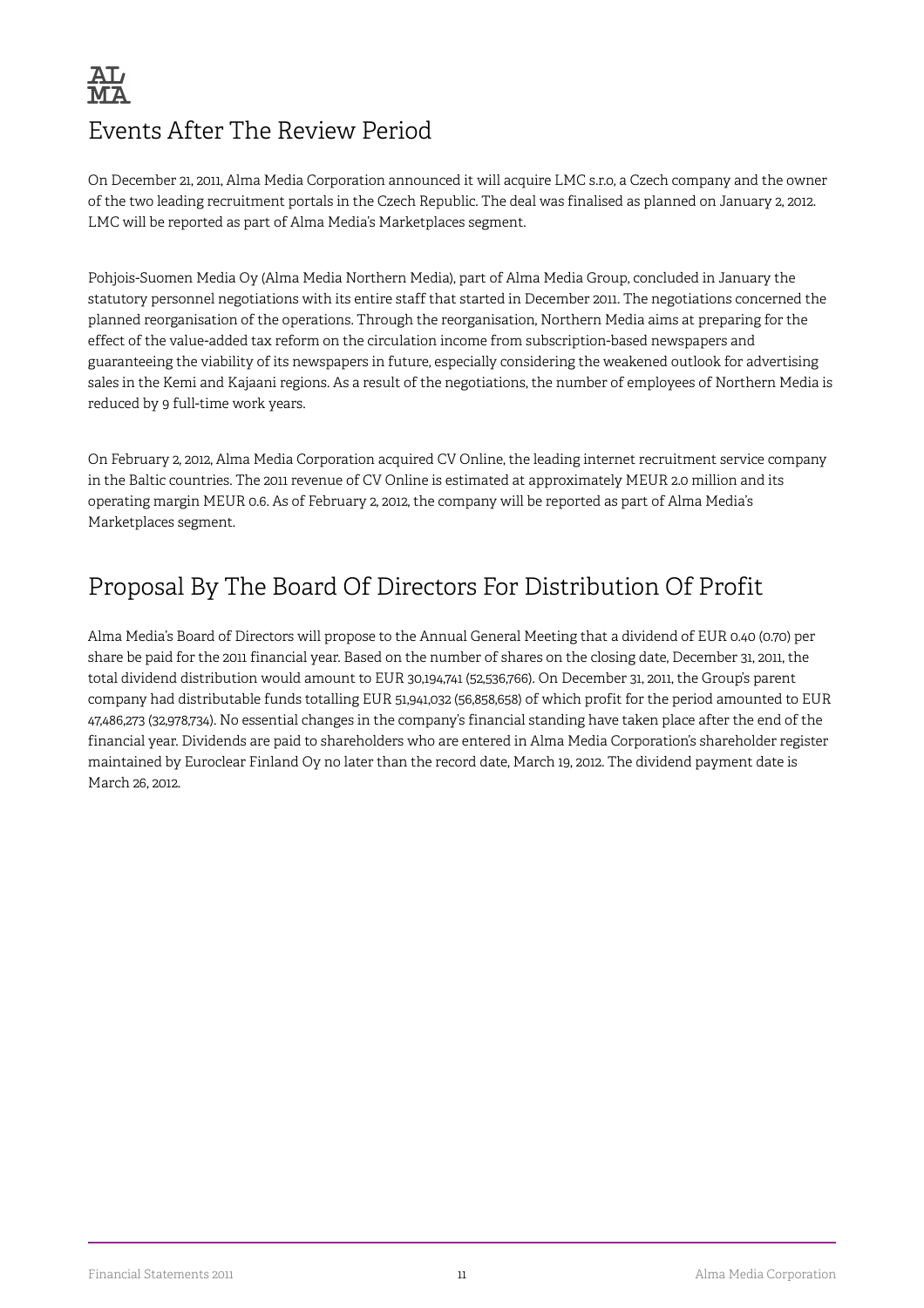

## Events After The Review Period

On December 21, 2011, Alma Media Corporation announced it will acquire LMC s.r.o, a Czech company and the owner of the two leading recruitment portals in the Czech Republic. The deal was finalised as planned on January 2, 2012. LMC will be reported as part of Alma Media's Marketplaces segment.

Pohjois-Suomen Media Oy (Alma Media Northern Media), part of Alma Media Group, concluded in January the statutory personnel negotiations with its entire staff that started in December 2011. The negotiations concerned the planned reorganisation of the operations. Through the reorganisation, Northern Media aims at preparing for the effect of the value-added tax reform on the circulation income from subscription-based newspapers and guaranteeing the viability of its newspapers in future, especially considering the weakened outlook for advertising sales in the Kemi and Kajaani regions. As a result of the negotiations, the number of employees of Northern Media is reduced by 9 full-time work years.

On February 2, 2012, Alma Media Corporation acquired CV Online, the leading internet recruitment service company in the Baltic countries. The 2011 revenue of CV Online is estimated at approximately MEUR 2.0 million and its operating margin MEUR 0.6. As of February 2, 2012, the company will be reported as part of Alma Media's Marketplaces segment.

## Proposal By The Board Of Directors For Distribution Of Profit

Alma Media's Board of Directors will propose to the Annual General Meeting that a dividend of EUR 0.40 (0.70) per share be paid for the 2011 financial year. Based on the number of shares on the closing date, December 31, 2011, the total dividend distribution would amount to EUR 30,194,741 (52,536,766). On December 31, 2011, the Group's parent company had distributable funds totalling EUR 51,941,032 (56,858,658) of which profit for the period amounted to EUR 47,486,273 (32,978,734). No essential changes in the company's financial standing have taken place after the end of the financial year. Dividends are paid to shareholders who are entered in Alma Media Corporation's shareholder register maintained by Euroclear Finland Oy no later than the record date, March 19, 2012. The dividend payment date is March 26, 2012.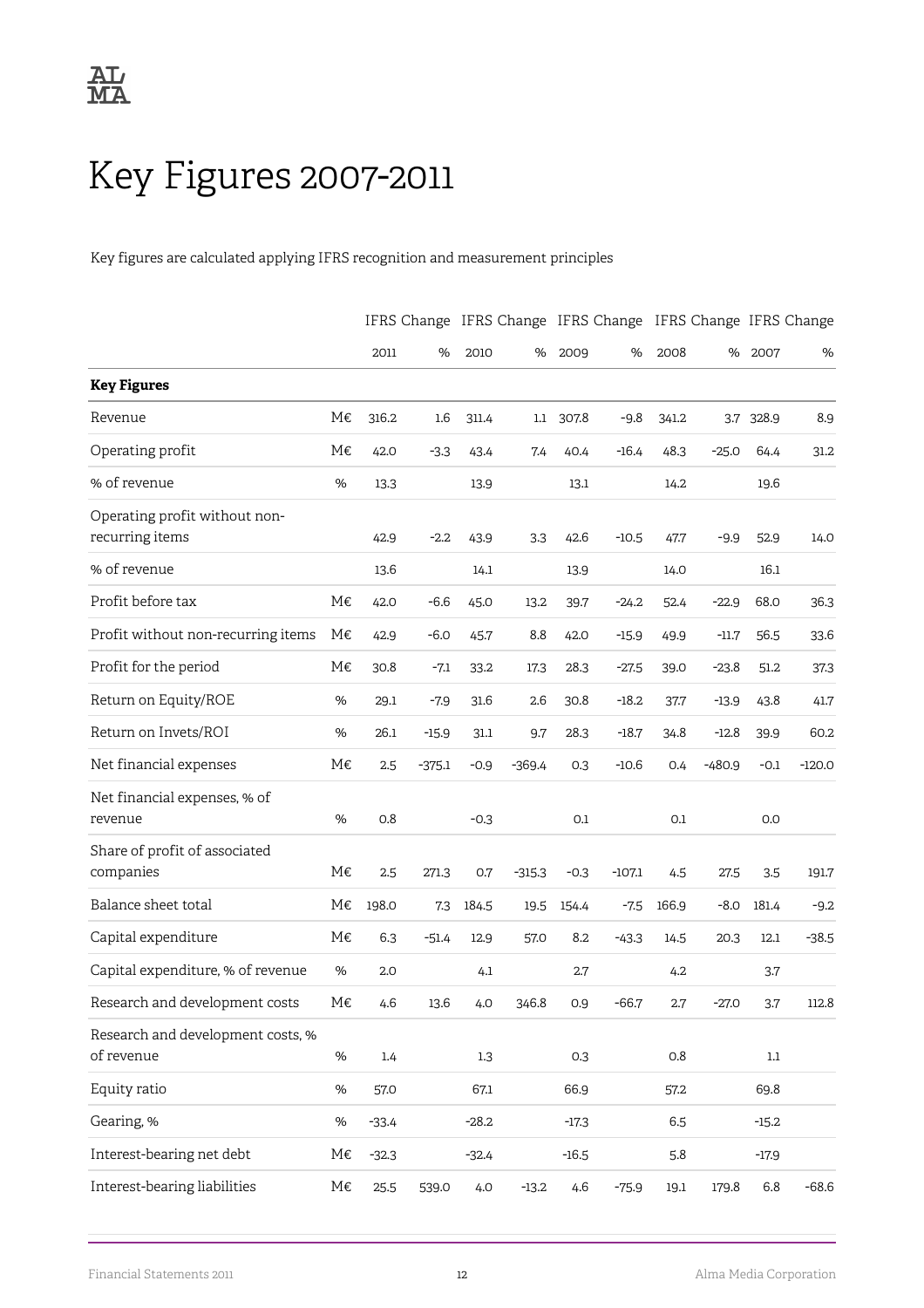## <span id="page-14-0"></span>Key Figures 2007-2011

Key figures are calculated applying IFRS recognition and measurement principles

|                                                  |      |         |          |         |          |         |          |         |          |         | IFRS Change IFRS Change IFRS Change IFRS Change IFRS Change |
|--------------------------------------------------|------|---------|----------|---------|----------|---------|----------|---------|----------|---------|-------------------------------------------------------------|
|                                                  |      | 2011    | %        | 2010    | %        | 2009    | %        | 2008    | %        | 2007    | %                                                           |
| <b>Key Figures</b>                               |      |         |          |         |          |         |          |         |          |         |                                                             |
| Revenue                                          | М€   | 316.2   | 1.6      | 311.4   | 1.1      | 307.8   | $-9.8$   | 341.2   | 3.7      | 328.9   | 8.9                                                         |
| Operating profit                                 | М€   | 42.0    | $-3.3$   | 43.4    | 7.4      | 40.4    | $-16.4$  | 48.3    | $-25.0$  | 64.4    | 31.2                                                        |
| % of revenue                                     | %    | 13.3    |          | 13.9    |          | 13.1    |          | 14.2    |          | 19.6    |                                                             |
| Operating profit without non-<br>recurring items |      | 42.9    | $-2.2$   | 43.9    | 3.3      | 42.6    | $-10.5$  | 47.7    | $-9.9$   | 52.9    | 14.0                                                        |
| % of revenue                                     |      | 13.6    |          | 14.1    |          | 13.9    |          | 14.0    |          | 16.1    |                                                             |
| Profit before tax                                | М€   | 42.0    | $-6.6$   | 45.0    | 13.2     | 39.7    | $-24.2$  | 52.4    | $-22.9$  | 68.0    | 36.3                                                        |
| Profit without non-recurring items               | М€   | 42.9    | $-6.0$   | 45.7    | 8.8      | 42.0    | $-15.9$  | 49.9    | $-11.7$  | 56.5    | 33.6                                                        |
| Profit for the period                            | М€   | 30.8    | $-7.1$   | 33.2    | 17.3     | 28.3    | $-27.5$  | 39.0    | $-23.8$  | 51.2    | 37.3                                                        |
| Return on Equity/ROE                             | %    | 29.1    | $-7.9$   | 31.6    | 2.6      | 30.8    | $-18.2$  | 37.7    | $-13.9$  | 43.8    | 41.7                                                        |
| Return on Invets/ROI                             | %    | 26.1    | $-15.9$  | 31.1    | 9.7      | 28.3    | $-18.7$  | 34.8    | $-12.8$  | 39.9    | 60.2                                                        |
| Net financial expenses                           | М€   | 2.5     | $-375.1$ | $-0.9$  | $-369.4$ | 0.3     | $-10.6$  | 0.4     | $-480.9$ | $-0.1$  | $-120.0$                                                    |
| Net financial expenses, % of<br>revenue          | %    | 0.8     |          | $-0.3$  |          | 0.1     |          | 0.1     |          | 0.0     |                                                             |
| Share of profit of associated<br>companies       | М€   | 2.5     | 271.3    | 0.7     | $-315.3$ | $-0.3$  | $-107.1$ | 4.5     | 27.5     | 3.5     | 191.7                                                       |
| Balance sheet total                              | М€   | 198.0   | 7.3      | 184.5   | 19.5     | 154.4   | $-7.5$   | 166.9   | $-8.0$   | 181.4   | $-9.2$                                                      |
| Capital expenditure                              | M€   | 6.3     | $-51.4$  | 12.9    | 57.0     | 8.2     | $-43.3$  | 14.5    | 20.3     | 12.1    | $-38.5$                                                     |
| Capital expenditure, % of revenue                | %    | 2.0     |          | 4.1     |          | 2.7     |          | 4.2     |          | 3.7     |                                                             |
| Research and development costs                   | M€   | 4.6     | 13.6     | 4.0     | 346.8    | 0.9     | $-66.7$  | 2.7     | $-27.0$  | 3.7     | 112.8                                                       |
| Research and development costs, %<br>of revenue  | $\%$ | 1.4     |          | 1.3     |          | 0.3     |          | $0.8\,$ |          | 1.1     |                                                             |
| Equity ratio                                     | $\%$ | 57.0    |          | 67.1    |          | 66.9    |          | 57.2    |          | 69.8    |                                                             |
| Gearing, %                                       | $\%$ | $-33.4$ |          | $-28.2$ |          | $-17.3$ |          | 6.5     |          | $-15.2$ |                                                             |
| Interest-bearing net debt                        | M€   | $-32.3$ |          | $-32.4$ |          | $-16.5$ |          | 5.8     |          | $-17.9$ |                                                             |
| Interest-bearing liabilities                     | M€   | 25.5    | 539.0    | 4.0     | $-13.2$  | 4.6     | $-75.9$  | 19.1    | 179.8    | 6.8     | $-68.6$                                                     |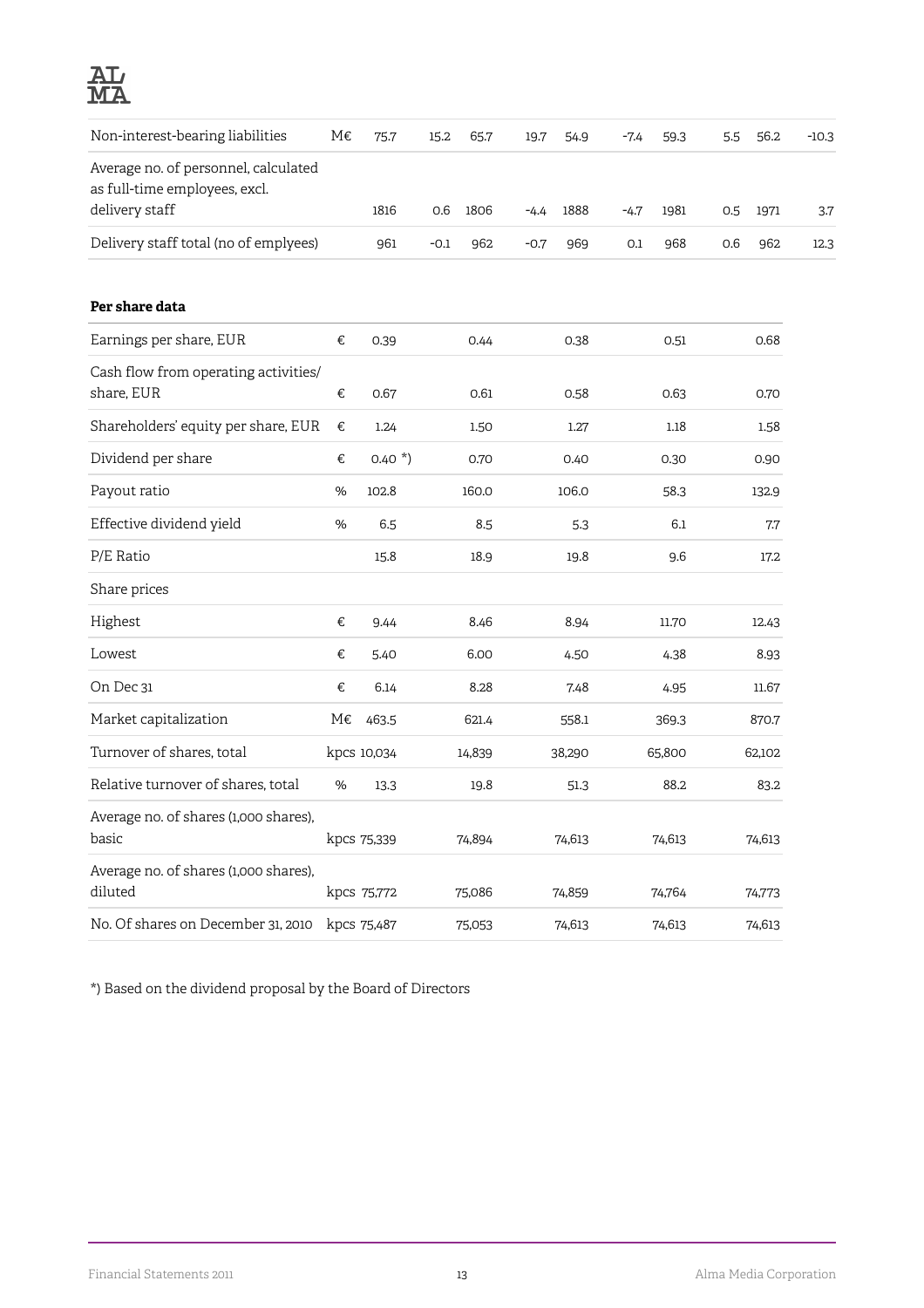

| Non-interest-bearing liabilities                                                        | M€   | 75.7        | 15.2   | 65.7   | 19.7   | 54.9   | $-7.4$ | 59.3   | 5.5 | 56.2   | $-10.3$ |
|-----------------------------------------------------------------------------------------|------|-------------|--------|--------|--------|--------|--------|--------|-----|--------|---------|
| Average no. of personnel, calculated<br>as full-time employees, excl.<br>delivery staff |      |             |        |        |        |        |        |        |     |        |         |
|                                                                                         |      | 1816        | 0.6    | 1806   | $-4.4$ | 1888   | $-4.7$ | 1981   | 0.5 | 1971   | 3.7     |
| Delivery staff total (no of emplyees)                                                   |      | 961         | $-0.1$ | 962    | $-0.7$ | 969    | 0.1    | 968    | 0.6 | 962    | 12.3    |
| Per share data                                                                          |      |             |        |        |        |        |        |        |     |        |         |
| Earnings per share, EUR                                                                 | €    | 0.39        |        | 0.44   |        | 0.38   |        | 0.51   |     | 0.68   |         |
| Cash flow from operating activities/<br>share, EUR                                      | €    | 0.67        |        | 0.61   |        | 0.58   |        | 0.63   |     | 0.70   |         |
| Shareholders' equity per share, EUR                                                     | €    | 1.24        |        | 1.50   |        | 1.27   |        | 1.18   |     | 1.58   |         |
| Dividend per share                                                                      | €    | $0.40*$     |        | 0.70   |        | 0.40   |        | 0.30   |     | 0.90   |         |
| Payout ratio                                                                            | %    | 102.8       |        | 160.0  |        | 106.0  |        | 58.3   |     | 132.9  |         |
| Effective dividend yield                                                                | $\%$ | 6.5         |        | 8.5    |        | 5.3    |        | 6.1    |     | 7.7    |         |
| P/E Ratio                                                                               |      | 15.8        |        | 18.9   |        | 19.8   |        | 9.6    |     | 17.2   |         |
| Share prices                                                                            |      |             |        |        |        |        |        |        |     |        |         |
| Highest                                                                                 | €    | 9.44        |        | 8.46   |        | 8.94   |        | 11.70  |     | 12.43  |         |
| Lowest                                                                                  | €    | 5.40        |        | 6.00   |        | 4.50   |        | 4.38   |     | 8.93   |         |
| On Dec 31                                                                               | €    | 6.14        |        | 8.28   |        | 7.48   |        | 4.95   |     | 11.67  |         |
| Market capitalization                                                                   | М€   | 463.5       |        | 621.4  |        | 558.1  |        | 369.3  |     | 870.7  |         |
| Turnover of shares, total                                                               |      | kpcs 10,034 |        | 14,839 |        | 38,290 |        | 65,800 |     | 62,102 |         |
| Relative turnover of shares, total                                                      | $\%$ | 13.3        |        | 19.8   |        | 51.3   |        | 88.2   |     | 83.2   |         |
| Average no. of shares (1,000 shares),<br>basic                                          |      | kpcs 75,339 |        | 74,894 |        | 74,613 |        | 74,613 |     | 74,613 |         |
| Average no. of shares (1,000 shares),<br>diluted                                        |      | kpcs 75,772 |        | 75,086 |        | 74,859 |        | 74,764 |     | 74,773 |         |
| No. Of shares on December 31, 2010                                                      |      | kpcs 75,487 |        | 75,053 |        | 74,613 |        | 74,613 |     | 74,613 |         |

\*) Based on the dividend proposal by the Board of Directors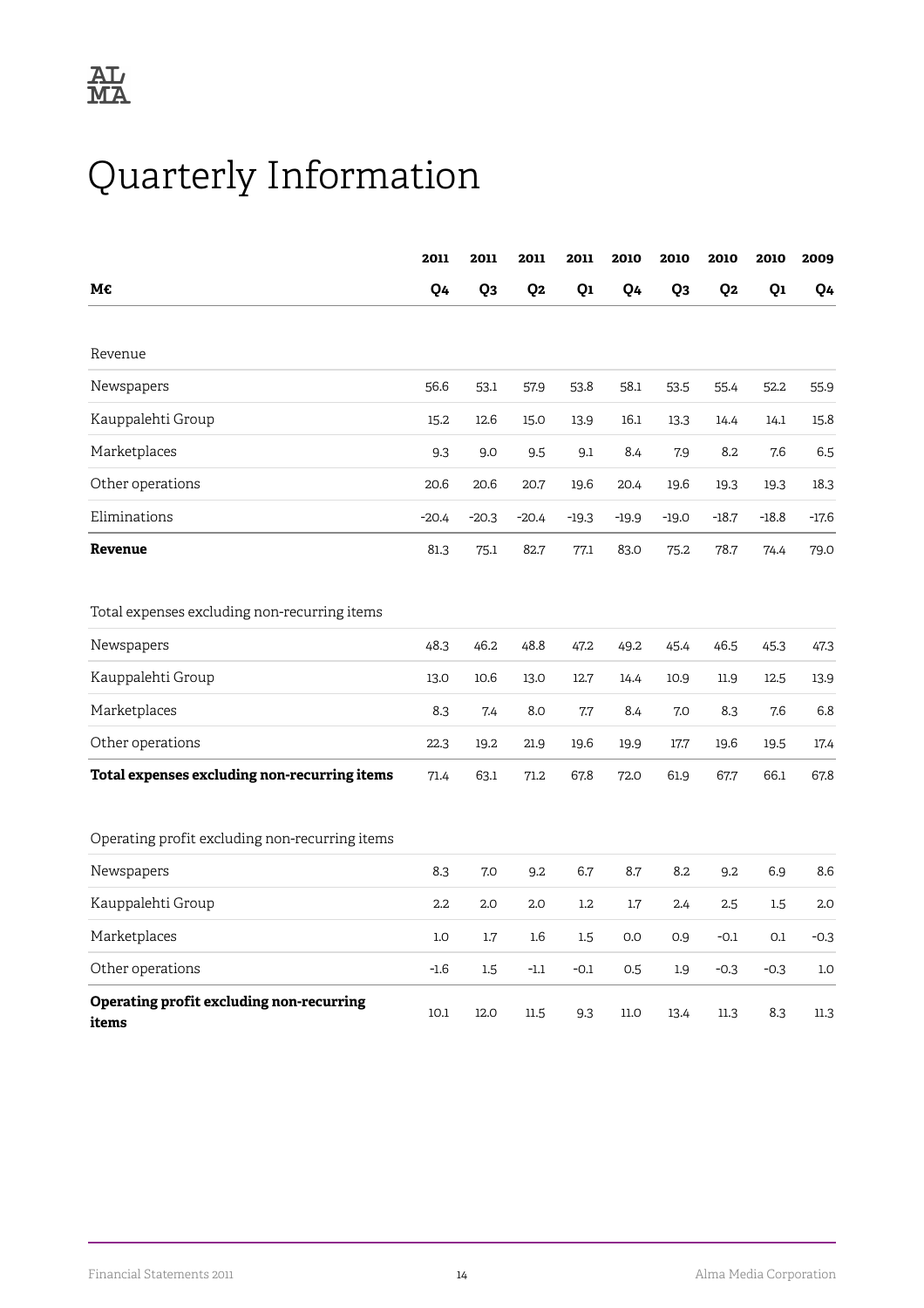## <span id="page-16-0"></span>Quarterly Information

|                                                   | 2011    | 2011           | 2011             | 2011    | 2010    | 2010           | 2010           | 2010    | 2009    |
|---------------------------------------------------|---------|----------------|------------------|---------|---------|----------------|----------------|---------|---------|
| М€                                                | Q4      | Q <sub>3</sub> | Q <sub>2</sub>   | Q1      | Q4      | Q <sub>3</sub> | Q <sub>2</sub> | Q1      | Q4      |
|                                                   |         |                |                  |         |         |                |                |         |         |
| Revenue                                           |         |                |                  |         |         |                |                |         |         |
| Newspapers                                        | 56.6    | 53.1           | 57.9             | 53.8    | 58.1    | 53.5           | 55.4           | 52.2    | 55.9    |
| Kauppalehti Group                                 | 15.2    | 12.6           | 15.0             | 13.9    | 16.1    | 13.3           | 14.4           | 14.1    | 15.8    |
| Marketplaces                                      | 9.3     | 9.0            | 9.5              | 9.1     | 8.4     | 7.9            | 8.2            | 7.6     | 6.5     |
| Other operations                                  | 20.6    | 20.6           | 20.7             | 19.6    | 20.4    | 19.6           | 19.3           | 19.3    | 18.3    |
| Eliminations                                      | $-20.4$ | $-20.3$        | $-20.4$          | $-19.3$ | $-19.9$ | $-19.0$        | $-18.7$        | $-18.8$ | $-17.6$ |
| Revenue                                           | 81.3    | 75.1           | 82.7             | 77.1    | 83.0    | 75.2           | 78.7           | 74.4    | 79.0    |
|                                                   |         |                |                  |         |         |                |                |         |         |
| Total expenses excluding non-recurring items      |         |                |                  |         |         |                |                |         |         |
| Newspapers                                        | 48.3    | 46.2           | 48.8             | 47.2    | 49.2    | 45.4           | 46.5           | 45.3    | 47.3    |
| Kauppalehti Group                                 | 13.0    | 10.6           | 13.0             | 12.7    | 14.4    | 10.9           | 11.9           | 12.5    | 13.9    |
| Marketplaces                                      | 8.3     | 7.4            | 8.0              | 7.7     | 8.4     | 7.0            | 8.3            | 7.6     | 6.8     |
| Other operations                                  | 22.3    | 19.2           | 21.9             | 19.6    | 19.9    | 17.7           | 19.6           | 19.5    | 17.4    |
| Total expenses excluding non-recurring items      | 71.4    | 63.1           | 71.2             | 67.8    | 72.0    | 61.9           | 67.7           | 66.1    | 67.8    |
|                                                   |         |                |                  |         |         |                |                |         |         |
| Operating profit excluding non-recurring items    |         |                |                  |         |         |                |                |         |         |
| Newspapers                                        | 8.3     | 7.0            | 9.2              | 6.7     | 8.7     | 8.2            | 9.2            | 6.9     | 8.6     |
| Kauppalehti Group                                 | 2.2     | 2.0            | 2.0              | 1.2     | 1.7     | 2.4            | 2.5            | 1.5     | 2.0     |
| Marketplaces                                      | 1.0     | 1.7            | $1.6\phantom{0}$ | 1.5     | 0.0     | 0.9            | $-0.1$         | 0.1     | $-0.3$  |
| Other operations                                  | $-1.6$  | 1.5            | $-1.1$           | $-0.1$  | 0.5     | 1.9            | $-0.3$         | $-0.3$  | 1.0     |
| Operating profit excluding non-recurring<br>items | 10.1    | 12.0           | 11.5             | 9.3     | 11.0    | 13.4           | 11.3           | 8.3     | 11.3    |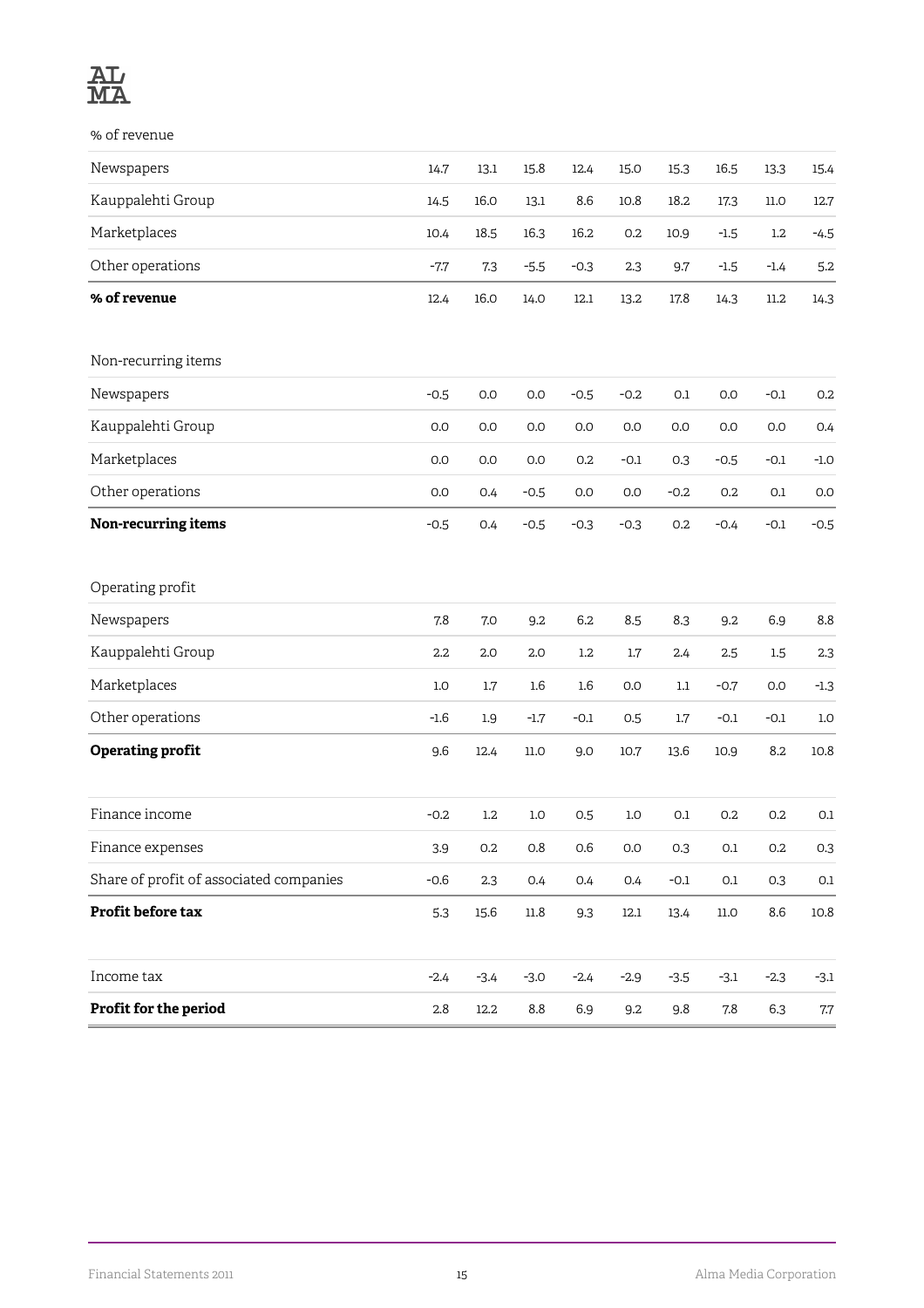

% of revenue

| Newspapers                              | 14.7    | 13.1    | 15.8             | 12.4    | 15.0   | 15.3    | 16.5     | 13.3    | 15.4     |
|-----------------------------------------|---------|---------|------------------|---------|--------|---------|----------|---------|----------|
| Kauppalehti Group                       | 14.5    | 16.0    | 13.1             | 8.6     | 10.8   | 18.2    | 17.3     | $11.0$  | 12.7     |
| Marketplaces                            | 10.4    | 18.5    | 16.3             | 16.2    | 0.2    | 10.9    | $-1.5$   | $1.2\,$ | $-4.5$   |
| Other operations                        | $-7.7$  | 7.3     | $-5.5$           | $-0.3$  | 2.3    | 9.7     | $-1.5$   | $-1.4$  | 5.2      |
| % of revenue                            | 12.4    | 16.0    | 14.0             | 12.1    | 13.2   | 17.8    | 14.3     | 11.2    | 14.3     |
| Non-recurring items                     |         |         |                  |         |        |         |          |         |          |
| Newspapers                              | $-0.5$  | 0.0     | 0.0              | $-0.5$  | $-0.2$ | 0.1     | 0.0      | $-0.1$  | 0.2      |
| Kauppalehti Group                       | 0.0     | 0.0     | 0.0              | 0.0     | 0.0    | 0.0     | 0.0      | 0.0     | 0.4      |
| Marketplaces                            | 0.0     | 0.0     | 0.0              | 0.2     | $-0.1$ | 0.3     | $-0.5$   | $-0.1$  | $-1.0$   |
| Other operations                        | 0.0     | 0.4     | $-0.5$           | 0.0     | 0.0    | $-0.2$  | 0.2      | 0.1     | 0.0      |
| Non-recurring items                     | $-0.5$  | 0.4     | $-0.5$           | $-0.3$  | $-0.3$ | 0.2     | $-0.4$   | $-0.1$  | $-0.5$   |
| Operating profit                        |         |         |                  |         |        |         |          |         |          |
| Newspapers                              | 7.8     | 7.0     | 9.2              | 6.2     | 8.5    | 8.3     | 9.2      | 6.9     | 8.8      |
| Kauppalehti Group                       | 2.2     | 2.0     | 2.0              | $1.2\,$ | 1.7    | 2.4     | 2.5      | 1.5     | 2.3      |
| Marketplaces                            | $1.0\,$ | $1.7\,$ | $1.6\phantom{0}$ | $1.6\,$ | 0.0    | $1.1\,$ | $-0.7$   | 0.0     | $-1.3$   |
| Other operations                        | $-1.6$  | 1.9     | $-1.7$           | $-0.1$  | 0.5    | 1.7     | $-0.1$   | $-0.1$  | $1.0\,$  |
| <b>Operating profit</b>                 | 9.6     | 12.4    | 11.0             | 9.0     | 10.7   | 13.6    | 10.9     | 8.2     | 10.8     |
| Finance income                          | $-0.2$  | $1.2\,$ | 1.0              | 0.5     | 1.0    | 0.1     | 0.2      | 0.2     | 0.1      |
| Finance expenses                        | 3.9     | $0.2\,$ | $0.8\,$          | 0.6     | 0.0    | 0.3     | $0.1\,$  | 0.2     | 0.3      |
| Share of profit of associated companies | $-0.6$  | $2.3\,$ | 0.4              | 0.4     | 0.4    | $-0.1$  | $0.1\,$  | 0.3     | $0.1\,$  |
| Profit before tax                       | 5.3     | 15.6    | 11.8             | 9.3     | 12.1   | 13.4    | $11.0\,$ | 8.6     | $10.8\,$ |
| Income tax                              | $-2.4$  | $-3.4$  | $-3.0$           | $-2.4$  | $-2.9$ | $-3.5$  | $-3.1$   | $-2.3$  | $-3.1$   |
| Profit for the period                   | $2.8\,$ | 12.2    | $8.8\,$          | 6.9     | 9.2    | 9.8     | $7.8\,$  | 6.3     | $7.7\,$  |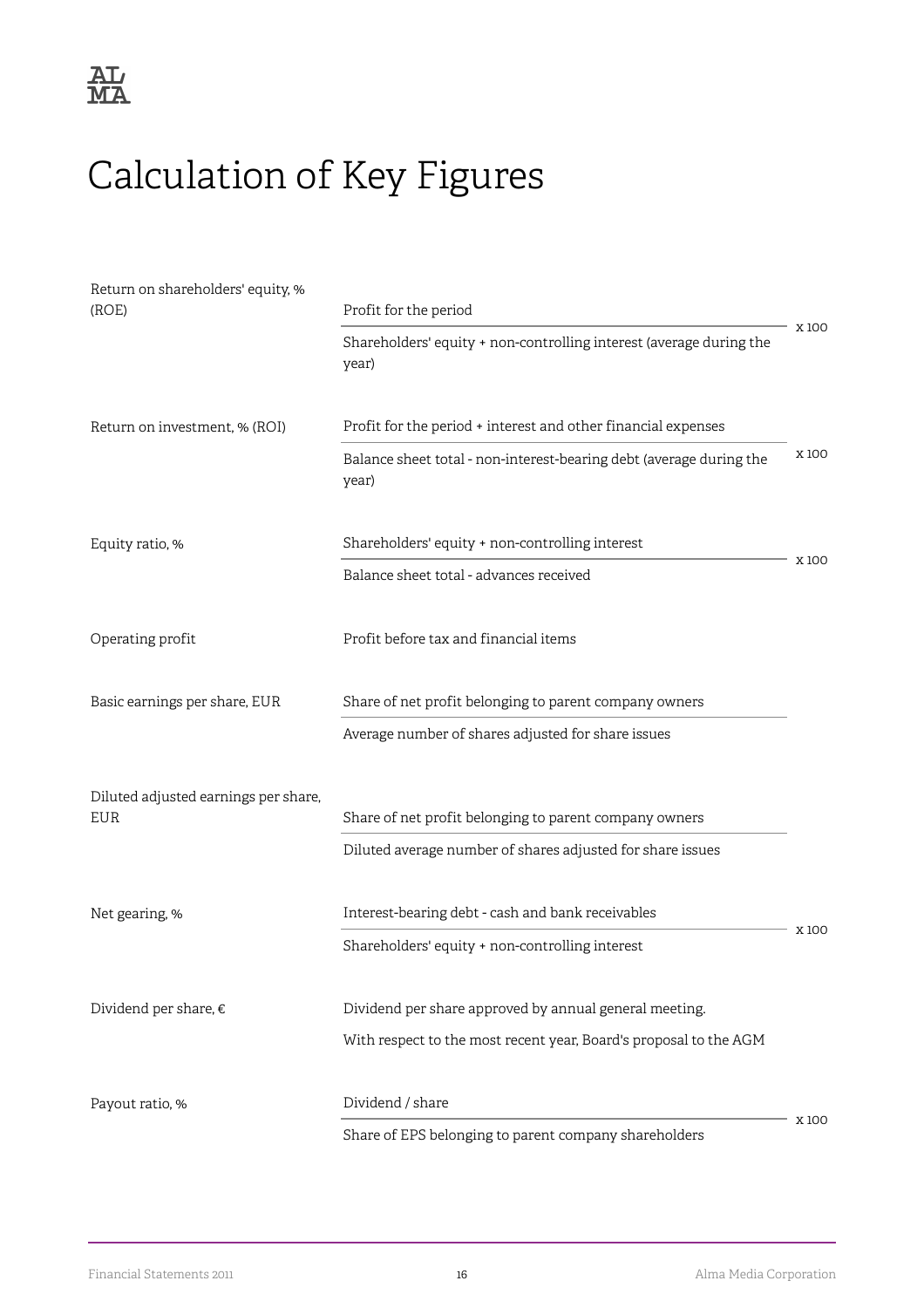

## <span id="page-18-0"></span>Calculation of Key Figures

| Return on shareholders' equity, %<br>(ROE)  | Profit for the period                                                        |       |
|---------------------------------------------|------------------------------------------------------------------------------|-------|
|                                             | Shareholders' equity + non-controlling interest (average during the<br>year) | X100  |
| Return on investment, % (ROI)               | Profit for the period + interest and other financial expenses                |       |
|                                             | Balance sheet total - non-interest-bearing debt (average during the<br>year) | X100  |
| Equity ratio, %                             | Shareholders' equity + non-controlling interest                              |       |
|                                             | Balance sheet total - advances received                                      | X 100 |
| Operating profit                            | Profit before tax and financial items                                        |       |
| Basic earnings per share, EUR               | Share of net profit belonging to parent company owners                       |       |
|                                             | Average number of shares adjusted for share issues                           |       |
| Diluted adjusted earnings per share,<br>EUR | Share of net profit belonging to parent company owners                       |       |
|                                             | Diluted average number of shares adjusted for share issues                   |       |
| Net gearing, %                              | Interest-bearing debt - cash and bank receivables                            | X 100 |
|                                             | Shareholders' equity + non-controlling interest                              |       |
| Dividend per share, €                       | Dividend per share approved by annual general meeting.                       |       |
|                                             | With respect to the most recent year, Board's proposal to the AGM            |       |
| Payout ratio, %                             | Dividend / share                                                             |       |
|                                             | Share of EPS belonging to parent company shareholders                        | X 100 |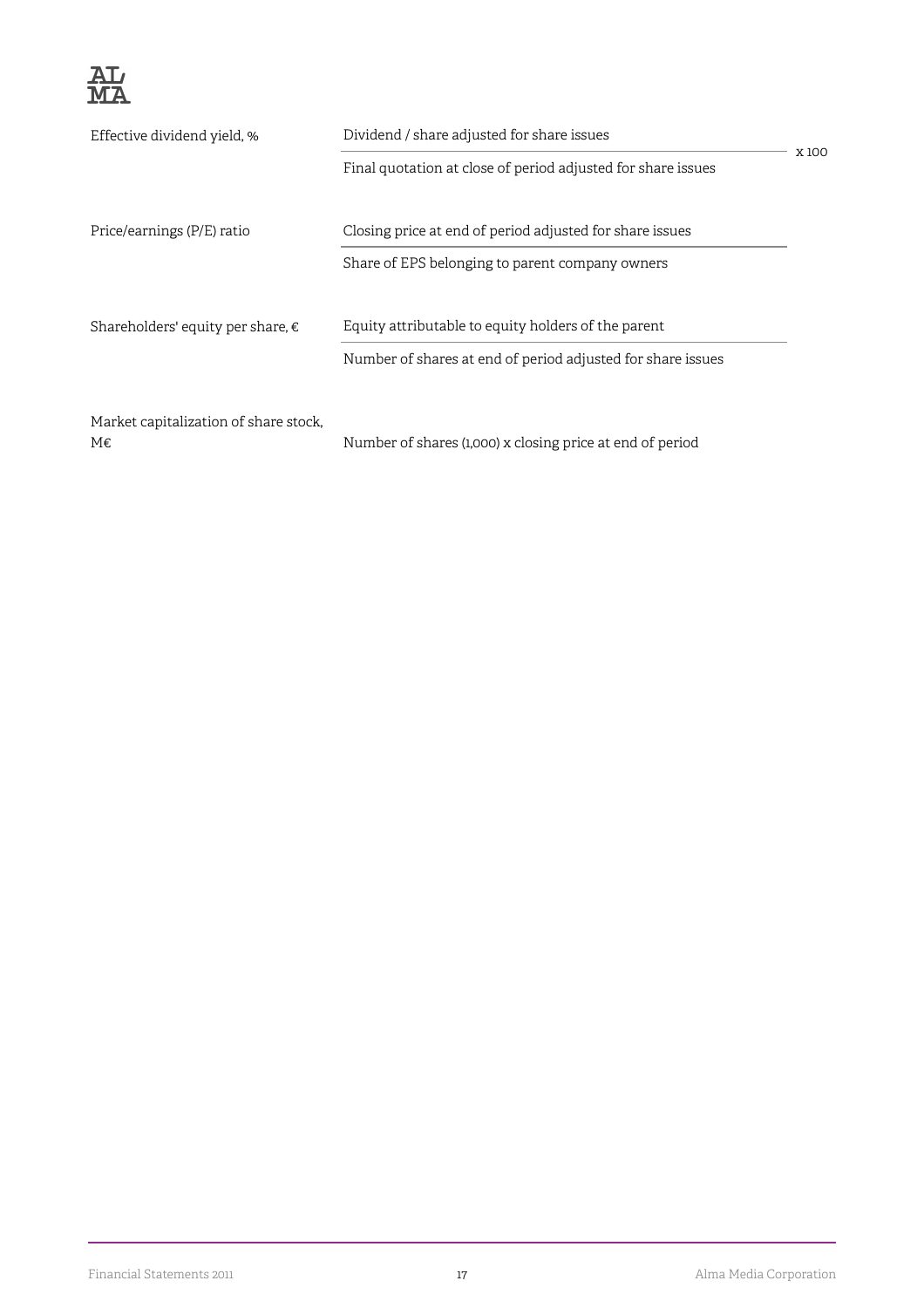

| Effective dividend yield, %           |                                                              |      |
|---------------------------------------|--------------------------------------------------------------|------|
|                                       | Final quotation at close of period adjusted for share issues | X100 |
| Price/earnings (P/E) ratio            | Closing price at end of period adjusted for share issues     |      |
|                                       | Share of EPS belonging to parent company owners              |      |
| Shareholders' equity per share, €     | Equity attributable to equity holders of the parent          |      |
|                                       | Number of shares at end of period adjusted for share issues  |      |
| Market capitalization of share stock, |                                                              |      |
| M€                                    | Number of shares (1,000) x closing price at end of period    |      |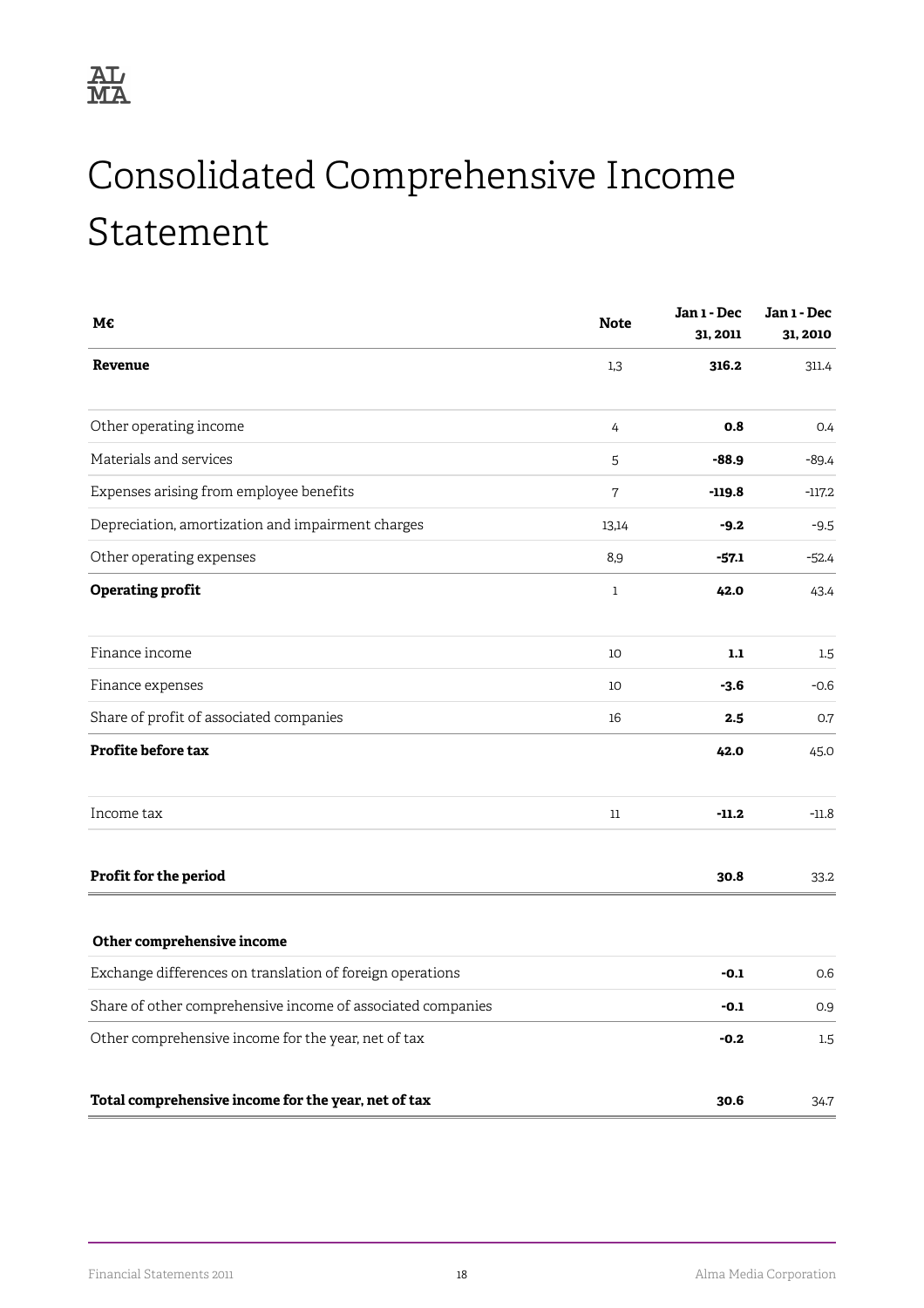## <span id="page-20-0"></span>Consolidated Comprehensive Income Statement

| M€                                                          | <b>Note</b>  | Jan 1 - Dec<br>31, 2011 | Jan 1 - Dec<br>31, 2010 |
|-------------------------------------------------------------|--------------|-------------------------|-------------------------|
| Revenue                                                     | 1,3          | 316.2                   | 311.4                   |
| Other operating income                                      | 4            | 0.8                     | 0.4                     |
| Materials and services                                      | 5            | -88.9                   | $-89.4$                 |
| Expenses arising from employee benefits                     | $\mathbf 7$  | $-119.8$                | $-117.2$                |
| Depreciation, amortization and impairment charges           | 13,14        | $-9.2$                  | $-9.5$                  |
| Other operating expenses                                    | 8,9          | -57.1                   | $-52.4$                 |
| <b>Operating profit</b>                                     | $\mathbf{1}$ | 42.0                    | 43.4                    |
| Finance income                                              | 10           | 1.1                     | 1.5                     |
| Finance expenses                                            | 10           | $-3.6$                  | $-0.6$                  |
| Share of profit of associated companies                     | 16           | 2.5                     | 0.7                     |
| Profite before tax                                          |              | 42.0                    | 45.0                    |
| Income tax                                                  | 11           | $-11.2$                 | $-11.8$                 |
| Profit for the period                                       |              | 30.8                    | 33.2                    |
| Other comprehensive income                                  |              |                         |                         |
| Exchange differences on translation of foreign operations   |              | $-0.1$                  | 0.6                     |
| Share of other comprehensive income of associated companies |              | $-0.1$                  | 0.9                     |
| Other comprehensive income for the year, net of tax         |              | $-0.2$                  | 1.5                     |
| Total comprehensive income for the year, net of tax         |              | 30.6                    | 34.7                    |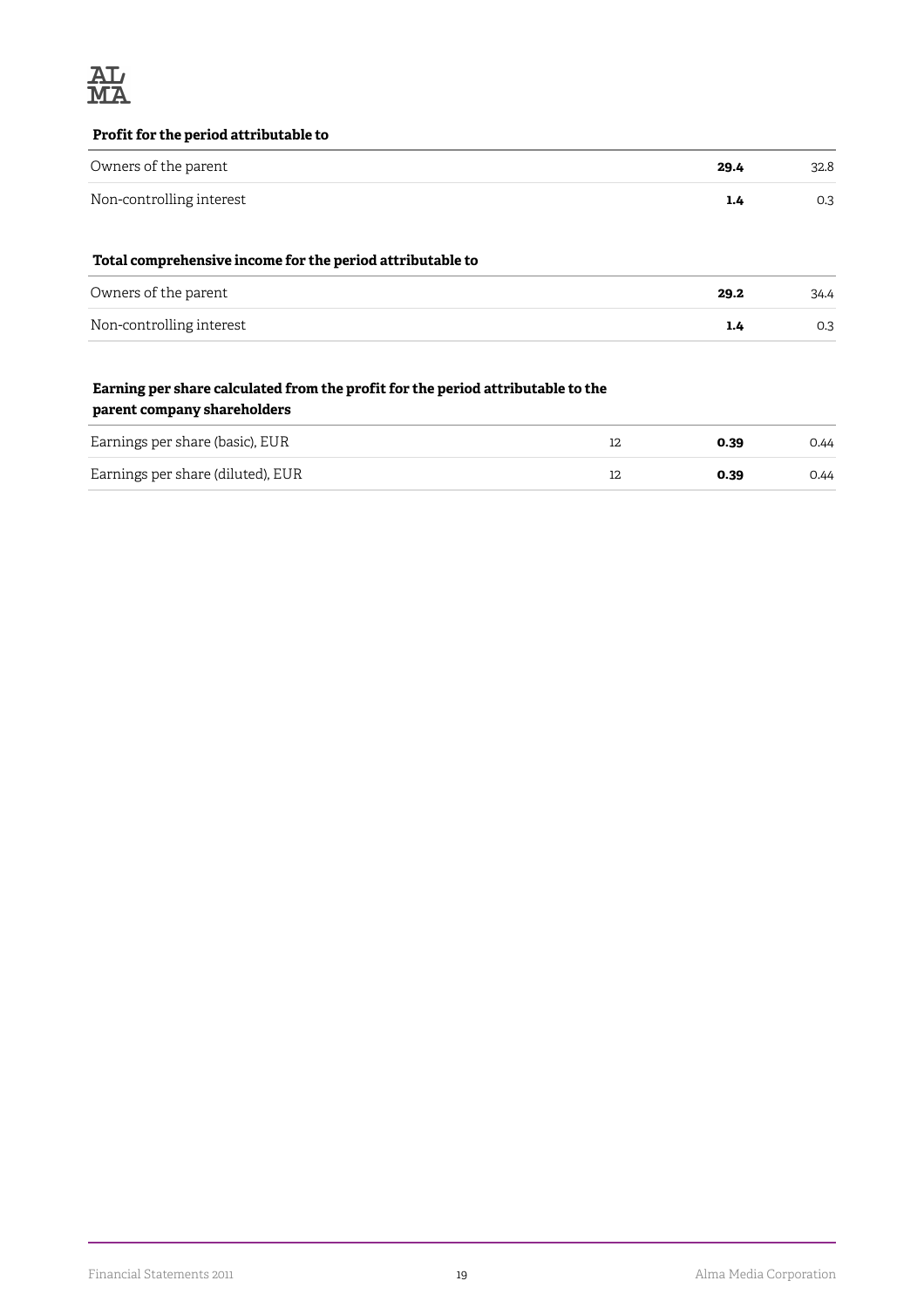

#### **Profit for the period attributable to**

| Owners of the parent                                      | 29.4 | 32.8 |
|-----------------------------------------------------------|------|------|
| Non-controlling interest                                  | 1.4  | 0.3  |
| Total comprehensive income for the period attributable to |      |      |

| Owners of the parent     | 29.2 | 34.4 |
|--------------------------|------|------|
| Non-controlling interest | 1.4  | 0.3  |

#### **Earning per share calculated from the profit for the period attributable to the parent company shareholders**

| Earnings per share (basic), EUR   | 0.39 | 0.44 |
|-----------------------------------|------|------|
| Earnings per share (diluted), EUR | 0.39 | 0.44 |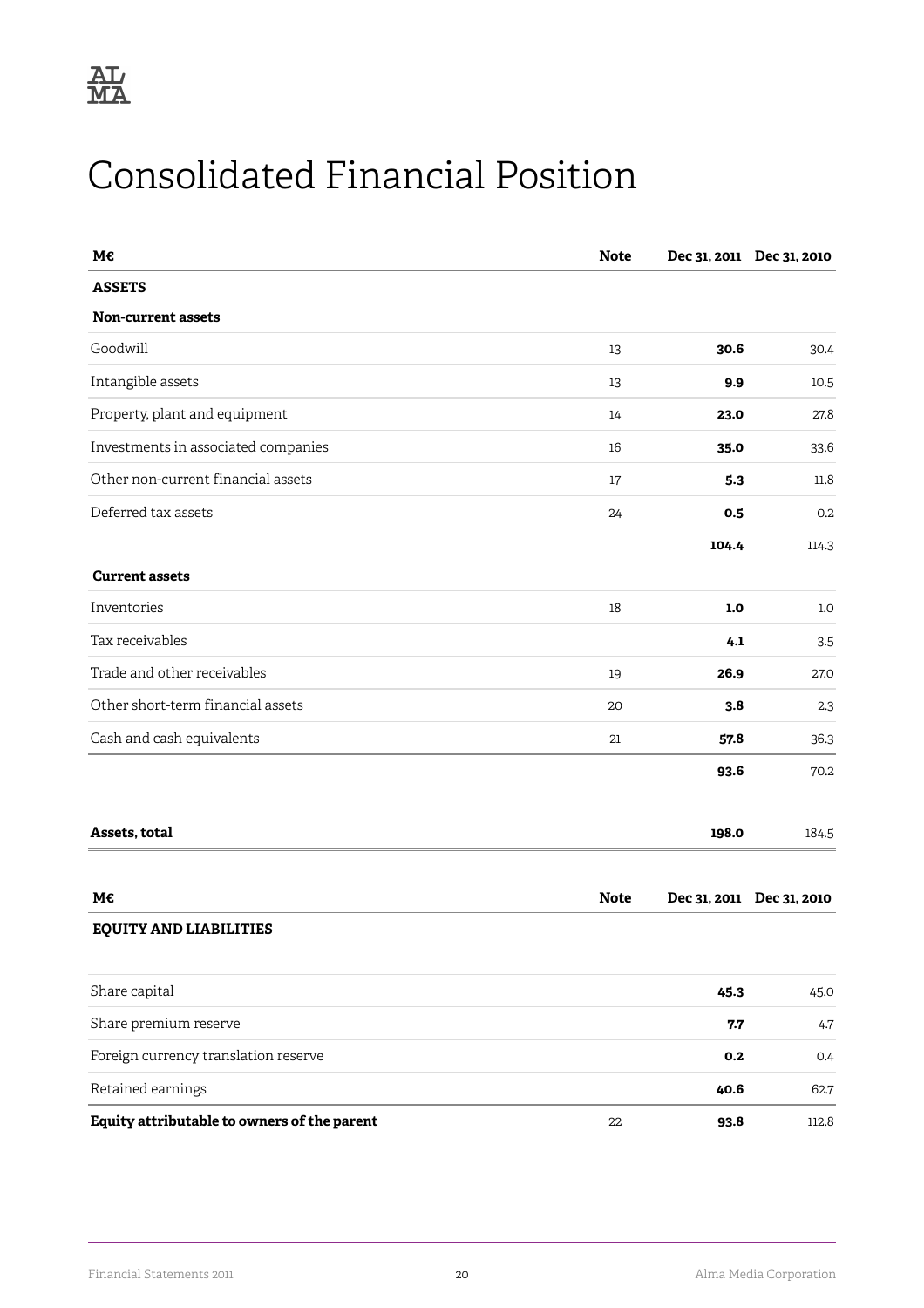## <span id="page-22-0"></span>Consolidated Financial Position

| М€                                          | <b>Note</b> |       | Dec 31, 2011 Dec 31, 2010 |
|---------------------------------------------|-------------|-------|---------------------------|
| <b>ASSETS</b>                               |             |       |                           |
| Non-current assets                          |             |       |                           |
| Goodwill                                    | 13          | 30.6  | 30.4                      |
| Intangible assets                           | 13          | 9.9   | 10.5                      |
| Property, plant and equipment               | 14          | 23.0  | 27.8                      |
| Investments in associated companies         | 16          | 35.0  | 33.6                      |
| Other non-current financial assets          | 17          | 5.3   | 11.8                      |
| Deferred tax assets                         | 24          | 0.5   | 0.2                       |
|                                             |             | 104.4 | 114.3                     |
| <b>Current assets</b>                       |             |       |                           |
| Inventories                                 | 18          | 1.0   | 1.0                       |
| Tax receivables                             |             | 4.1   | 3.5                       |
| Trade and other receivables                 | 19          | 26.9  | 27.0                      |
| Other short-term financial assets           | 20          | 3.8   | 2.3                       |
| Cash and cash equivalents                   | 21          | 57.8  | 36.3                      |
|                                             |             | 93.6  | 70.2                      |
| Assets, total                               |             | 198.0 | 184.5                     |
| M€                                          | <b>Note</b> |       | Dec 31, 2011 Dec 31, 2010 |
| <b>EQUITY AND LIABILITIES</b>               |             |       |                           |
| Share capital                               |             | 45.3  | 45.0                      |
| Share premium reserve                       |             | 7.7   | 4.7                       |
| Foreign currency translation reserve        |             | 0.2   | 0.4                       |
| Retained earnings                           |             | 40.6  | 62.7                      |
| Equity attributable to owners of the parent | 22          | 93.8  | 112.8                     |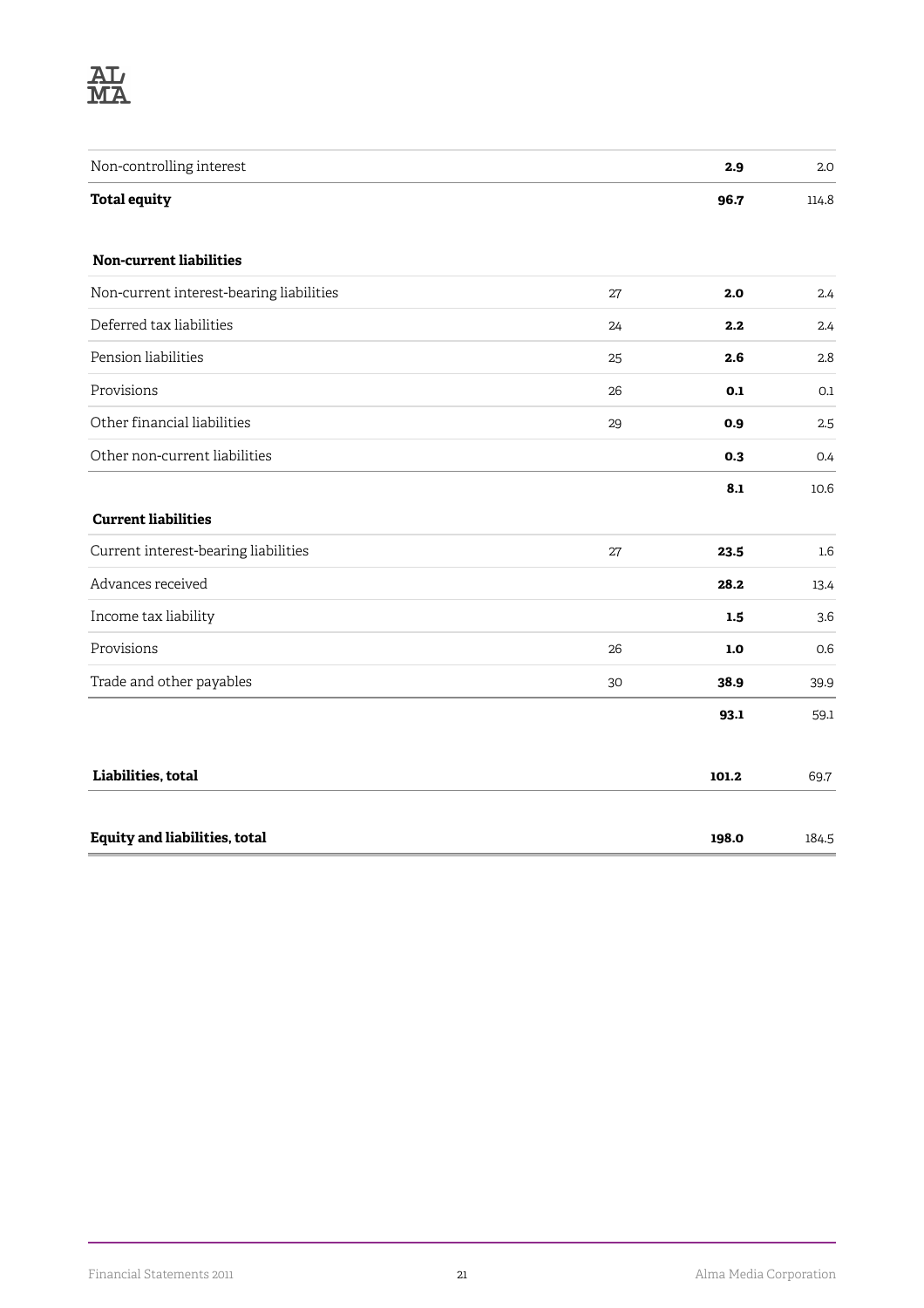

| Non-controlling interest                 |    | 2.9     | 2.0              |
|------------------------------------------|----|---------|------------------|
| <b>Total equity</b>                      |    | 96.7    | 114.8            |
| Non-current liabilities                  |    |         |                  |
| Non-current interest-bearing liabilities | 27 | 2.0     | 2.4              |
| Deferred tax liabilities                 | 24 | 2.2     | 2.4              |
| Pension liabilities                      | 25 | 2.6     | 2.8              |
| Provisions                               | 26 | 0.1     | 0.1              |
| Other financial liabilities              | 29 | 0.9     | 2.5              |
| Other non-current liabilities            |    | 0.3     | 0.4              |
|                                          |    | 8.1     | 10.6             |
| <b>Current liabilities</b>               |    |         |                  |
| Current interest-bearing liabilities     | 27 | 23.5    | $1.6\phantom{0}$ |
| Advances received                        |    | 28.2    | 13.4             |
| Income tax liability                     |    | 1.5     | 3.6              |
| Provisions                               | 26 | $1.0\,$ | 0.6              |
| Trade and other payables                 | 30 | 38.9    | 39.9             |
|                                          |    | 93.1    | 59.1             |
| Liabilities, total                       |    | 101.2   | 69.7             |
| <b>Equity and liabilities, total</b>     |    | 198.0   | 184.5            |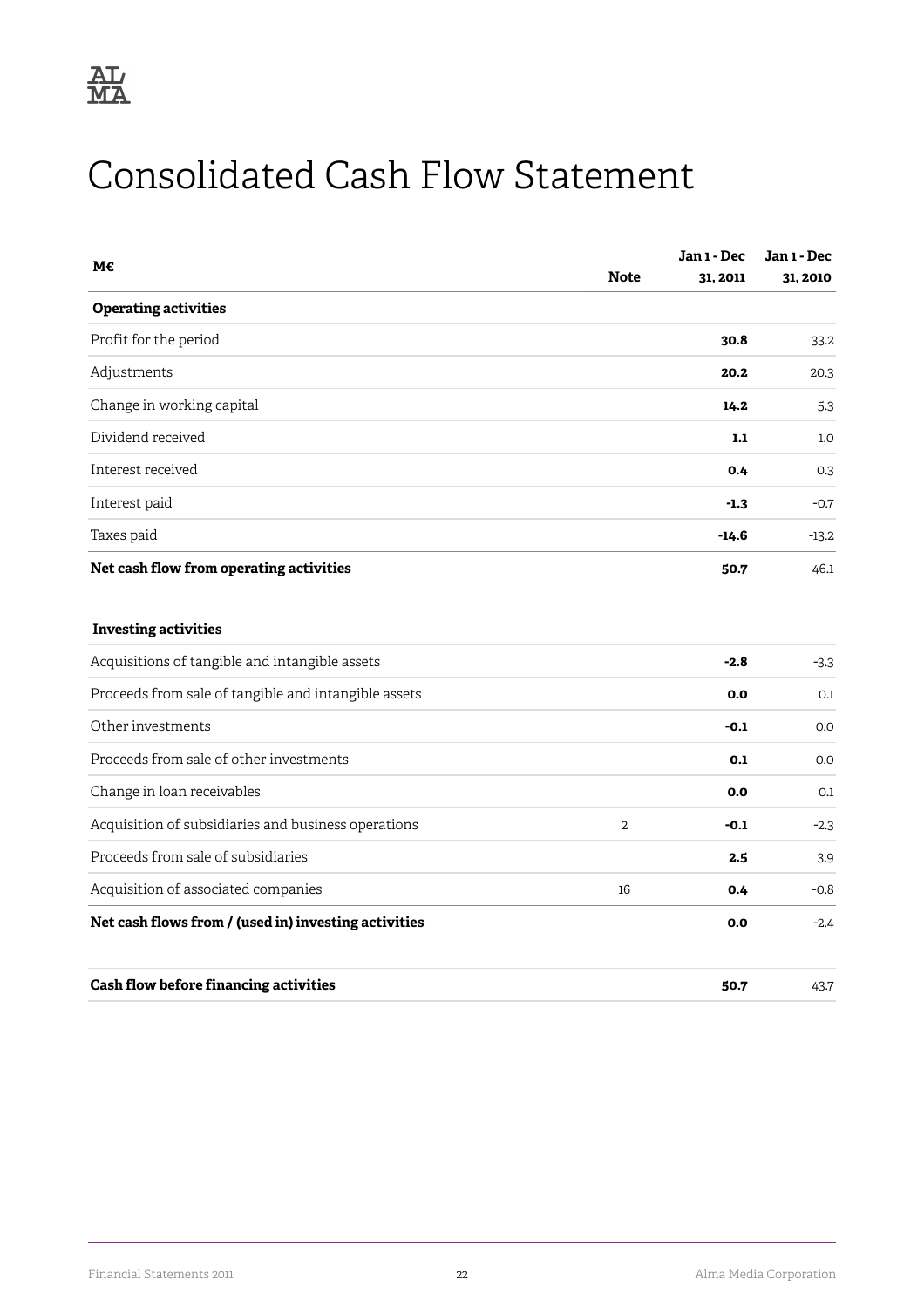## <span id="page-24-0"></span>Consolidated Cash Flow Statement

| М€                                                   |                | Jan 1 - Dec | Jan 1 - Dec |
|------------------------------------------------------|----------------|-------------|-------------|
|                                                      | <b>Note</b>    | 31, 2011    | 31, 2010    |
| <b>Operating activities</b>                          |                |             |             |
| Profit for the period                                |                | 30.8        | 33.2        |
| Adjustments                                          |                | 20.2        | 20.3        |
| Change in working capital                            |                | 14.2        | 5.3         |
| Dividend received                                    |                | 1.1         | 1.0         |
| Interest received                                    |                | 0.4         | 0.3         |
| Interest paid                                        |                | $-1.3$      | $-0.7$      |
| Taxes paid                                           |                | $-14.6$     | $-13.2$     |
| Net cash flow from operating activities              |                | 50.7        | 46.1        |
| <b>Investing activities</b>                          |                |             |             |
| Acquisitions of tangible and intangible assets       |                | $-2.8$      | $-3.3$      |
| Proceeds from sale of tangible and intangible assets |                | 0.0         | 0.1         |
| Other investments                                    |                | $-0.1$      | 0.0         |
| Proceeds from sale of other investments              |                | 0.1         | 0.0         |
| Change in loan receivables                           |                | 0.0         | 0.1         |
| Acquisition of subsidiaries and business operations  | $\overline{2}$ | $-0.1$      | $-2.3$      |
| Proceeds from sale of subsidiaries                   |                | 2.5         | 3.9         |
| Acquisition of associated companies                  | 16             | 0.4         | $-0.8$      |
| Net cash flows from / (used in) investing activities |                | 0.0         | $-2.4$      |
| Cash flow before financing activities                |                | 50.7        | 43.7        |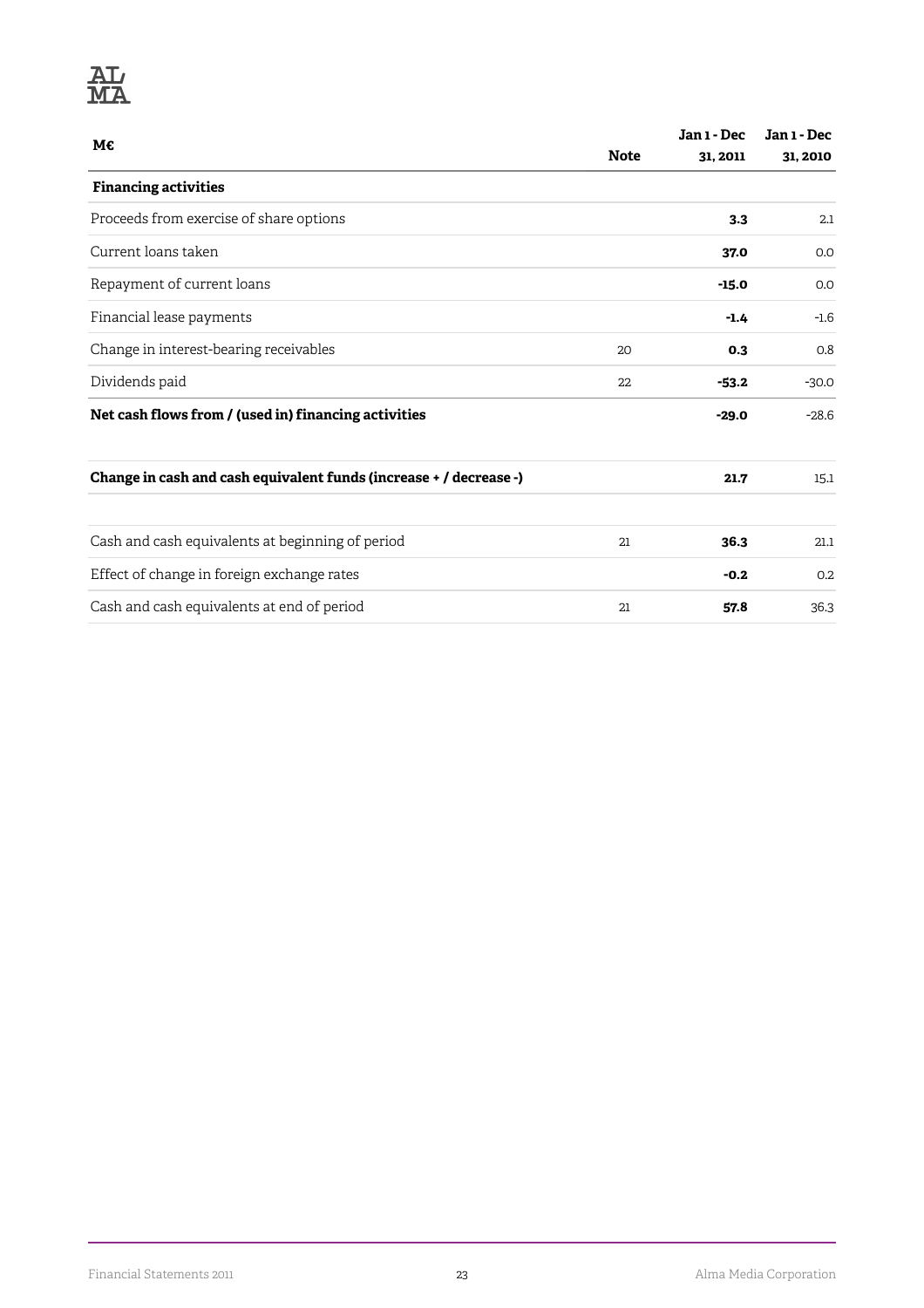## **AL**<br>MA

| M€                                                                 |             | Jan 1 - Dec | Jan 1 - Dec |
|--------------------------------------------------------------------|-------------|-------------|-------------|
|                                                                    | <b>Note</b> | 31, 2011    | 31, 2010    |
| <b>Financing activities</b>                                        |             |             |             |
| Proceeds from exercise of share options                            |             | 3.3         | 2.1         |
| Current loans taken                                                |             | 37.0        | 0.0         |
| Repayment of current loans                                         |             | $-15.0$     | 0.0         |
| Financial lease payments                                           |             | $-1.4$      | $-1.6$      |
| Change in interest-bearing receivables                             | 20          | 0.3         | 0.8         |
| Dividends paid                                                     | 22          | $-53.2$     | $-30.0$     |
| Net cash flows from / (used in) financing activities               |             | $-29.0$     | $-28.6$     |
| Change in cash and cash equivalent funds (increase + / decrease -) |             | 21.7        | 15.1        |
| Cash and cash equivalents at beginning of period                   | 21          | 36.3        | 21.1        |
| Effect of change in foreign exchange rates                         |             | $-0.2$      | 0.2         |
| Cash and cash equivalents at end of period                         | 21          | 57.8        | 36.3        |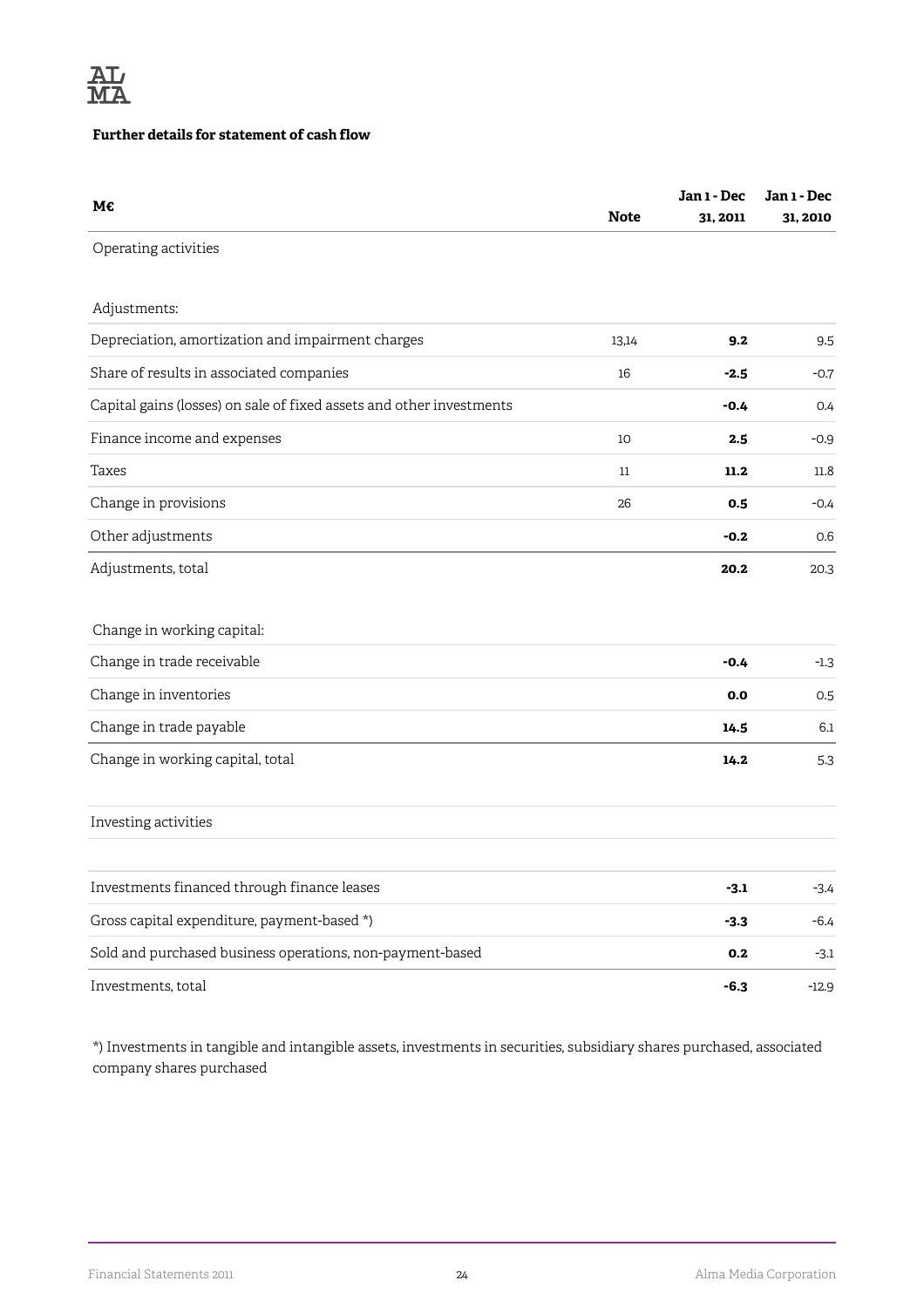

#### **Further details for statement of cash flow**

| M€                                                                   | <b>Note</b> | Jan 1 - Dec<br>31, 2011 | Jan 1 - Dec<br>31, 2010 |
|----------------------------------------------------------------------|-------------|-------------------------|-------------------------|
| Operating activities                                                 |             |                         |                         |
| Adjustments:                                                         |             |                         |                         |
| Depreciation, amortization and impairment charges                    | 13,14       | 9.2                     | 9.5                     |
| Share of results in associated companies                             | 16          | $-2.5$                  | $-0.7$                  |
| Capital gains (losses) on sale of fixed assets and other investments |             | $-0.4$                  | 0.4                     |
| Finance income and expenses                                          | 10          | 2.5                     | $-0.9$                  |
| Taxes                                                                | 11          | 11.2                    | 11.8                    |
| Change in provisions                                                 | 26          | 0.5                     | $-0.4$                  |
| Other adjustments                                                    |             | $-0.2$                  | 0.6                     |
| Adjustments, total                                                   |             | 20.2                    | 20.3                    |
| Change in working capital:                                           |             |                         |                         |
| Change in trade receivable                                           |             | $-0.4$                  | $-1.3$                  |
| Change in inventories                                                |             | 0.0                     | 0.5                     |
| Change in trade payable                                              |             | 14.5                    | 6.1                     |
| Change in working capital, total                                     |             | 14.2                    | 5.3                     |
| Investing activities                                                 |             |                         |                         |
| Investments financed through finance leases                          |             | $-3.1$                  | $-3.4$                  |
| Gross capital expenditure, payment-based *)                          |             | $-3.3$                  | $-6.4$                  |
| Sold and purchased business operations, non-payment-based            |             | 0.2                     | $-3.1$                  |
| Investments, total                                                   |             | $-6.3$                  | $-12.9$                 |

\*) Investments in tangible and intangible assets, investments in securities, subsidiary shares purchased, associated company shares purchased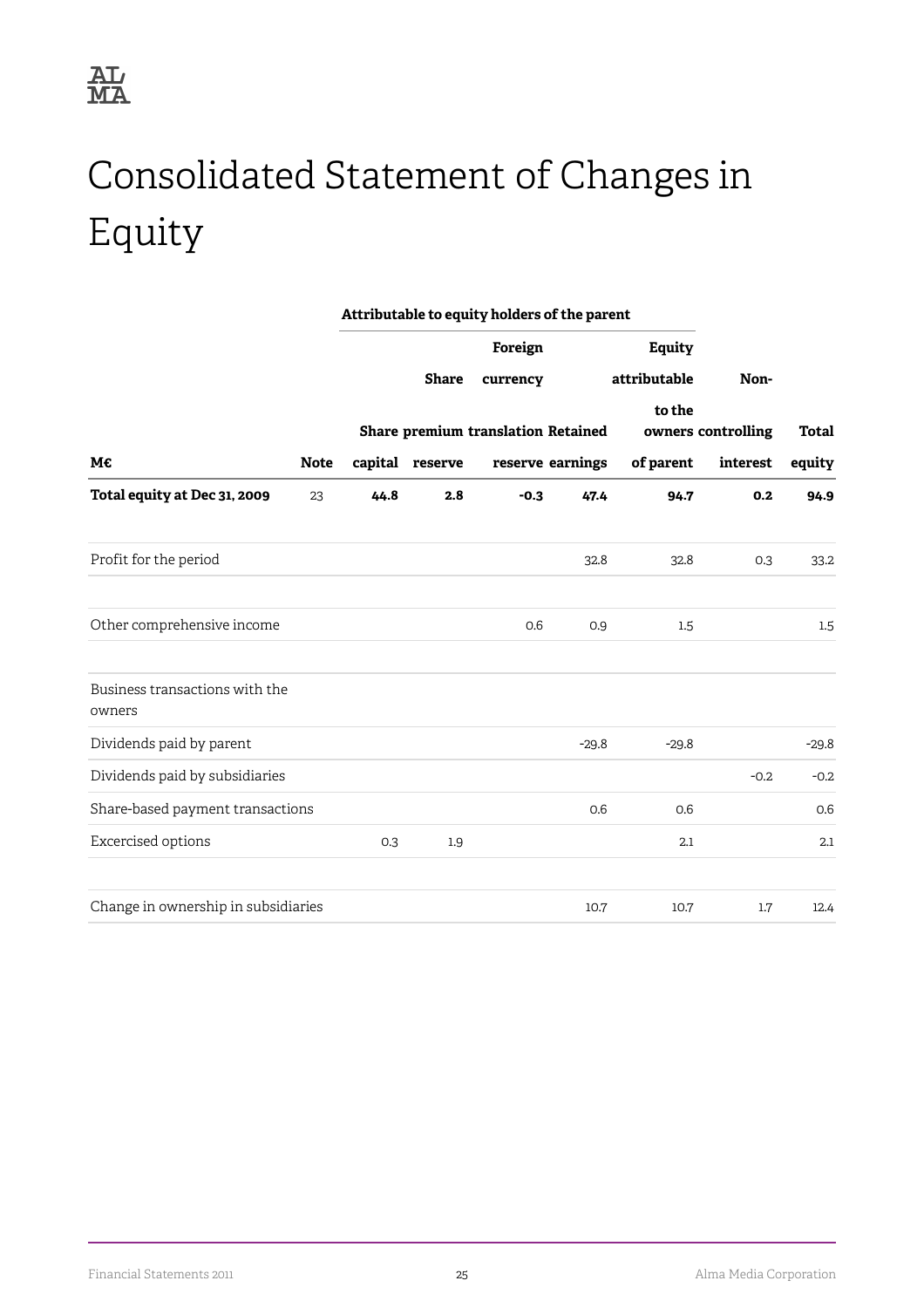## <span id="page-27-0"></span>Consolidated Statement of Changes in Equity

|                                          |             | Attributable to equity holders of the parent |                 |                                           |                  |               |                    |              |
|------------------------------------------|-------------|----------------------------------------------|-----------------|-------------------------------------------|------------------|---------------|--------------------|--------------|
|                                          |             |                                              |                 | Foreign                                   |                  | <b>Equity</b> |                    |              |
|                                          |             |                                              | <b>Share</b>    | currency                                  |                  | attributable  | Non-               |              |
|                                          |             |                                              |                 |                                           |                  | to the        |                    | <b>Total</b> |
|                                          |             |                                              |                 | <b>Share premium translation Retained</b> |                  |               | owners controlling |              |
| M€                                       | <b>Note</b> |                                              | capital reserve |                                           | reserve earnings | of parent     | interest           | equity       |
| Total equity at Dec 31, 2009             | 23          | 44.8                                         | 2.8             | $-0.3$                                    | 47.4             | 94.7          | 0.2                | 94.9         |
| Profit for the period                    |             |                                              |                 |                                           | 32.8             | 32.8          | 0.3                | 33.2         |
| Other comprehensive income               |             |                                              |                 | 0.6                                       | 0.9              | 1.5           |                    | 1.5          |
| Business transactions with the<br>owners |             |                                              |                 |                                           |                  |               |                    |              |
| Dividends paid by parent                 |             |                                              |                 |                                           | $-29.8$          | $-29.8$       |                    | $-29.8$      |
| Dividends paid by subsidiaries           |             |                                              |                 |                                           |                  |               | $-0.2$             | $-0.2$       |
| Share-based payment transactions         |             |                                              |                 |                                           | 0.6              | 0.6           |                    | 0.6          |
| Excercised options                       |             | 0.3                                          | 1.9             |                                           |                  | 2.1           |                    | 2.1          |
| Change in ownership in subsidiaries      |             |                                              |                 |                                           | 10.7             | 10.7          | 1.7                | 12.4         |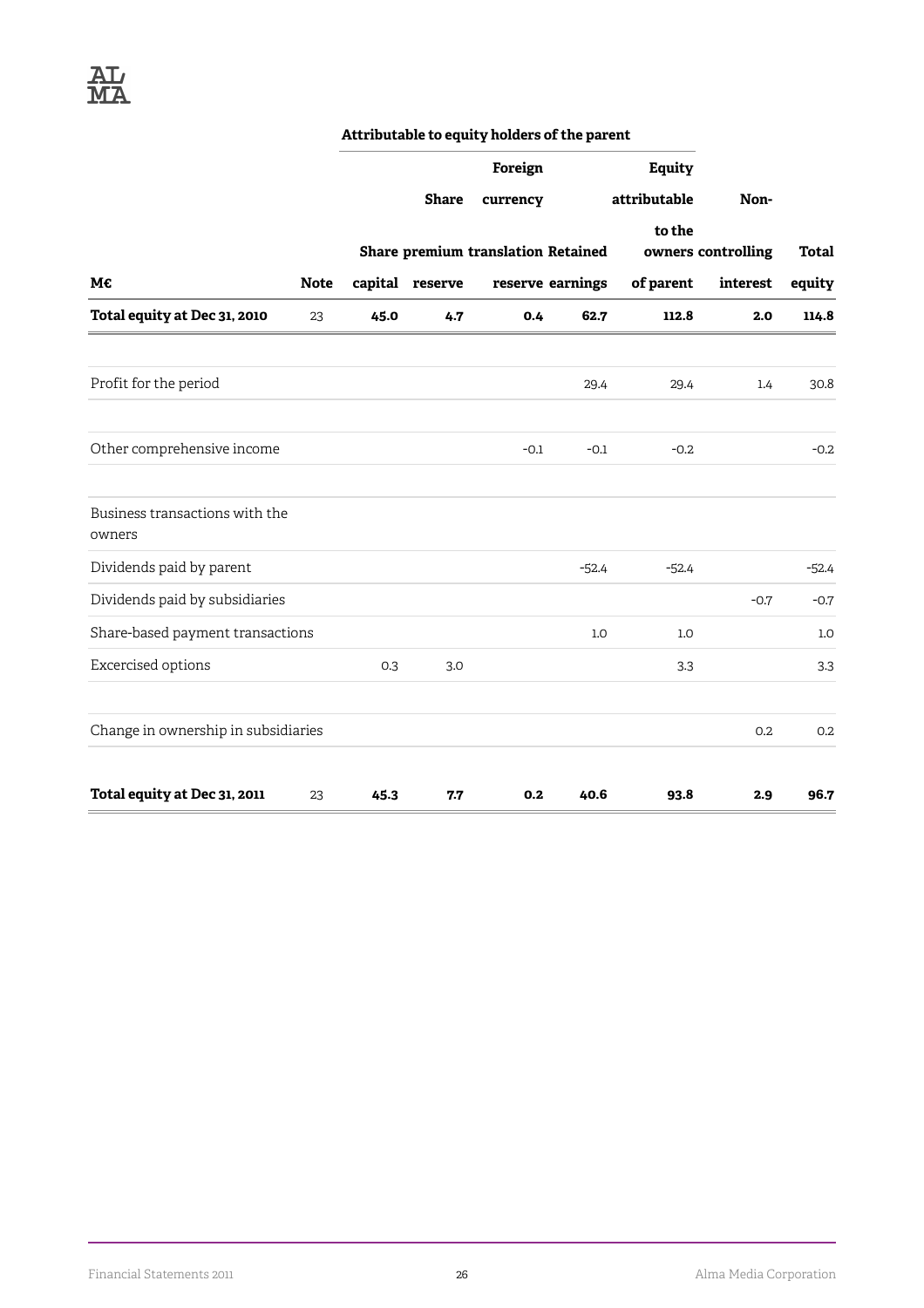#### **Attributable to equity holders of the parent**

|                                          |             |      |                 | Foreign                                   |                  | <b>Equity</b> |                    |              |
|------------------------------------------|-------------|------|-----------------|-------------------------------------------|------------------|---------------|--------------------|--------------|
|                                          |             |      | <b>Share</b>    | currency                                  |                  | attributable  | Non-               |              |
|                                          |             |      |                 |                                           |                  | to the        |                    |              |
|                                          |             |      |                 | <b>Share premium translation Retained</b> |                  |               | owners controlling | <b>Total</b> |
| M€                                       | <b>Note</b> |      | capital reserve |                                           | reserve earnings | of parent     | interest           | equity       |
| Total equity at Dec 31, 2010             | 23          | 45.0 | 4.7             | 0.4                                       | 62.7             | 112.8         | 2.0                | 114.8        |
| Profit for the period                    |             |      |                 |                                           | 29.4             | 29.4          | 1.4                | 30.8         |
| Other comprehensive income               |             |      |                 | $-0.1$                                    | $-0.1$           | $-0.2$        |                    | $-0.2$       |
| Business transactions with the<br>owners |             |      |                 |                                           |                  |               |                    |              |
| Dividends paid by parent                 |             |      |                 |                                           | $-52.4$          | $-52.4$       |                    | $-52.4$      |
| Dividends paid by subsidiaries           |             |      |                 |                                           |                  |               | $-0.7$             | $-0.7$       |
| Share-based payment transactions         |             |      |                 |                                           | 1.0              | 1.0           |                    | 1.0          |
| Excercised options                       |             | 0.3  | 3.0             |                                           |                  | 3.3           |                    | 3.3          |
| Change in ownership in subsidiaries      |             |      |                 |                                           |                  |               | 0.2                | 0.2          |
| Total equity at Dec 31, 2011             | 23          | 45.3 | 7.7             | 0.2                                       | 40.6             | 93.8          | 2.9                | 96.7         |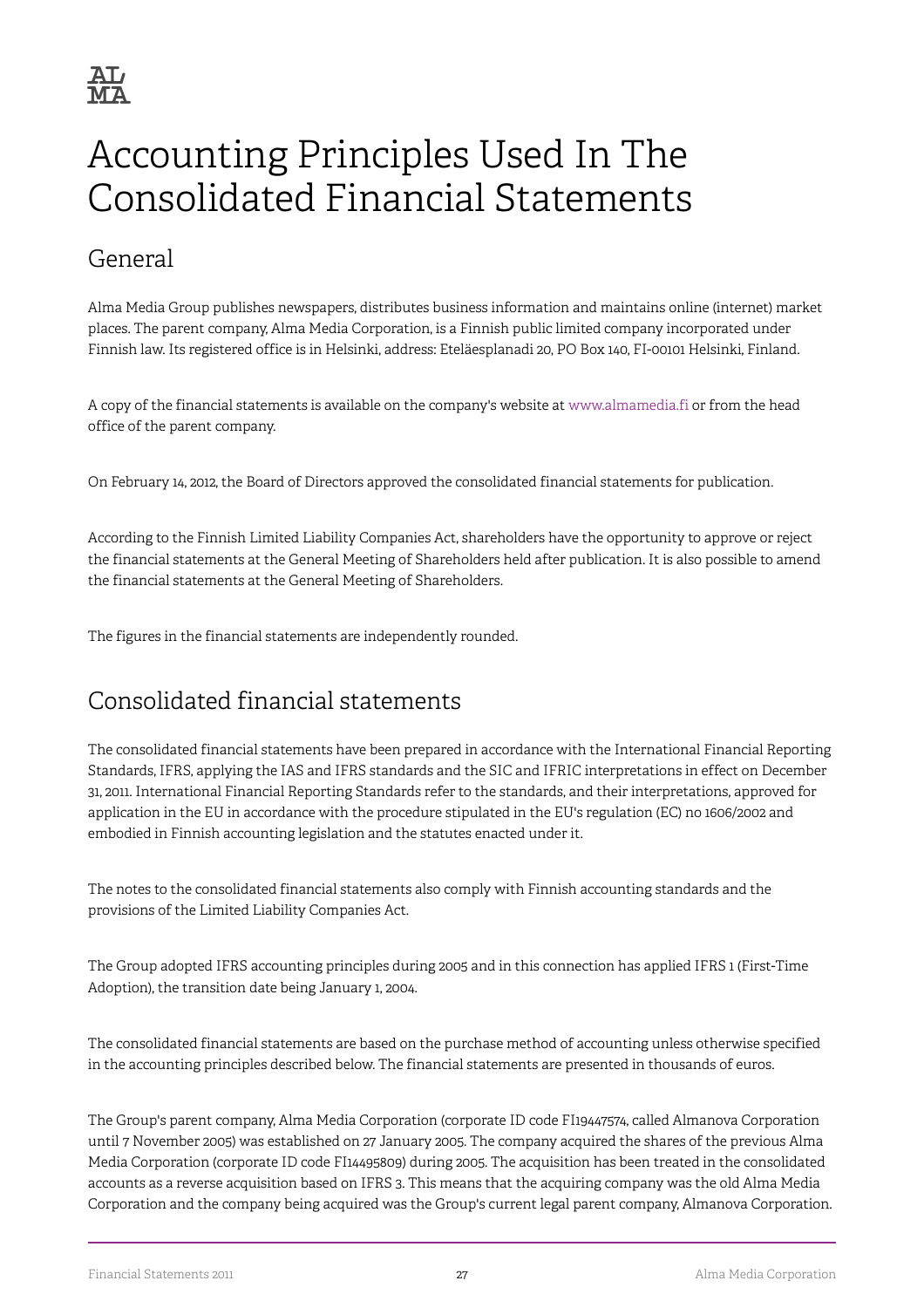## <span id="page-29-0"></span>Accounting Principles Used In The Consolidated Financial Statements

## General

Alma Media Group publishes newspapers, distributes business information and maintains online (internet) market places. The parent company, Alma Media Corporation, is a Finnish public limited company incorporated under Finnish law. Its registered office is in Helsinki, address: Eteläesplanadi 20, PO Box 140, FI-00101 Helsinki, Finland.

A copy of the financial statements is available on the company's website at [www.almamedia.fi](http://www.almamedia.fi) or from the head office of the parent company.

On February 14, 2012, the Board of Directors approved the consolidated financial statements for publication.

According to the Finnish Limited Liability Companies Act, shareholders have the opportunity to approve or reject the financial statements at the General Meeting of Shareholders held after publication. It is also possible to amend the financial statements at the General Meeting of Shareholders.

The figures in the financial statements are independently rounded.

## Consolidated financial statements

The consolidated financial statements have been prepared in accordance with the International Financial Reporting Standards, IFRS, applying the IAS and IFRS standards and the SIC and IFRIC interpretations in effect on December 31, 2011. International Financial Reporting Standards refer to the standards, and their interpretations, approved for application in the EU in accordance with the procedure stipulated in the EU's regulation (EC) no 1606/2002 and embodied in Finnish accounting legislation and the statutes enacted under it.

The notes to the consolidated financial statements also comply with Finnish accounting standards and the provisions of the Limited Liability Companies Act.

The Group adopted IFRS accounting principles during 2005 and in this connection has applied IFRS 1 (First-Time Adoption), the transition date being January 1, 2004.

The consolidated financial statements are based on the purchase method of accounting unless otherwise specified in the accounting principles described below. The financial statements are presented in thousands of euros.

The Group's parent company, Alma Media Corporation (corporate ID code FI19447574, called Almanova Corporation until 7 November 2005) was established on 27 January 2005. The company acquired the shares of the previous Alma Media Corporation (corporate ID code FI14495809) during 2005. The acquisition has been treated in the consolidated accounts as a reverse acquisition based on IFRS 3. This means that the acquiring company was the old Alma Media Corporation and the company being acquired was the Group's current legal parent company, Almanova Corporation.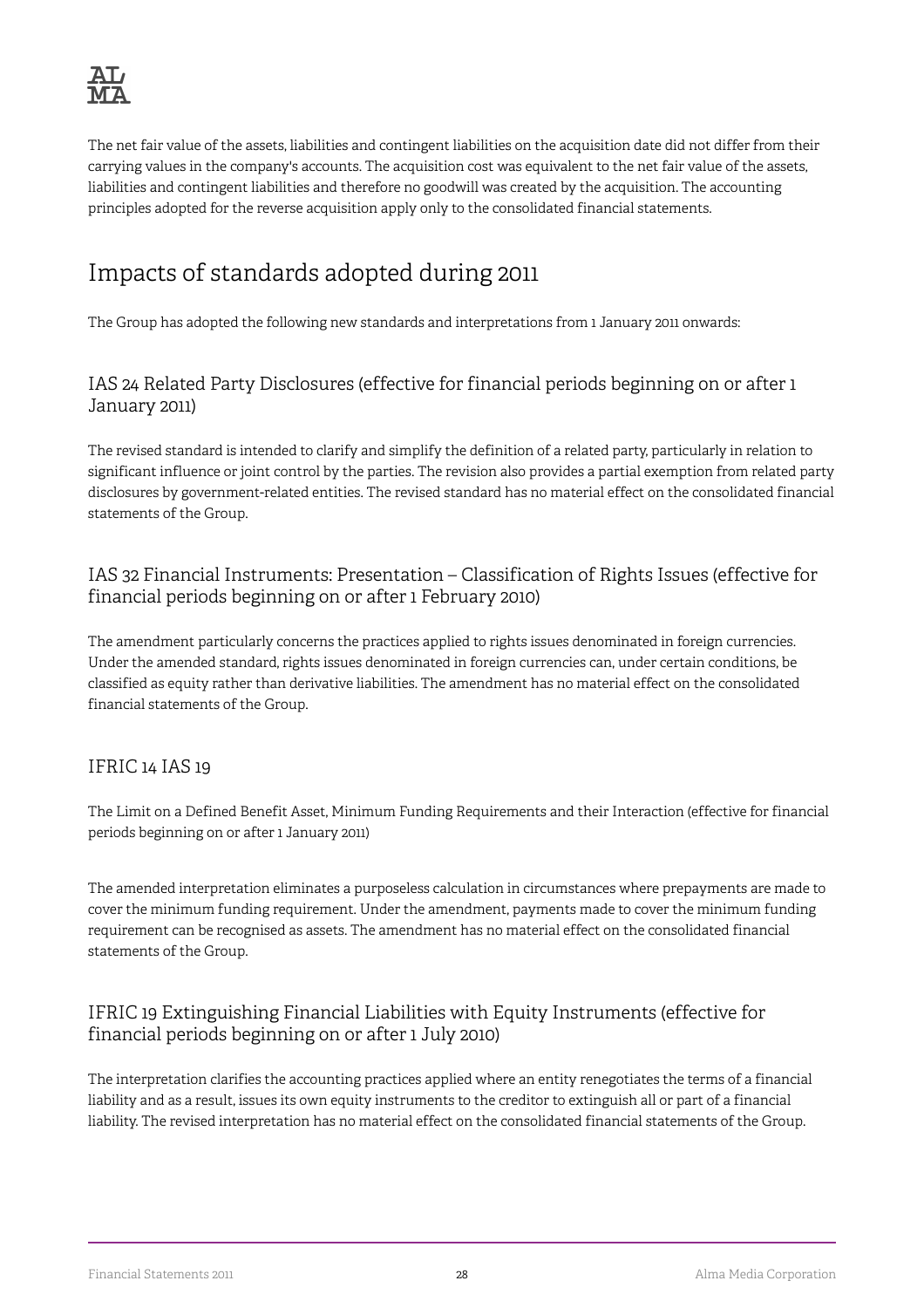The net fair value of the assets, liabilities and contingent liabilities on the acquisition date did not differ from their carrying values in the company's accounts. The acquisition cost was equivalent to the net fair value of the assets, liabilities and contingent liabilities and therefore no goodwill was created by the acquisition. The accounting principles adopted for the reverse acquisition apply only to the consolidated financial statements.

## Impacts of standards adopted during 2011

The Group has adopted the following new standards and interpretations from 1 January 2011 onwards:

#### IAS 24 Related Party Disclosures (effective for financial periods beginning on or after 1 January 2011)

The revised standard is intended to clarify and simplify the definition of a related party, particularly in relation to significant influence or joint control by the parties. The revision also provides a partial exemption from related party disclosures by government-related entities. The revised standard has no material effect on the consolidated financial statements of the Group.

#### IAS 32 Financial Instruments: Presentation – Classification of Rights Issues (effective for financial periods beginning on or after 1 February 2010)

The amendment particularly concerns the practices applied to rights issues denominated in foreign currencies. Under the amended standard, rights issues denominated in foreign currencies can, under certain conditions, be classified as equity rather than derivative liabilities. The amendment has no material effect on the consolidated financial statements of the Group.

#### IFRIC 14 IAS 19

The Limit on a Defined Benefit Asset, Minimum Funding Requirements and their Interaction (effective for financial periods beginning on or after 1 January 2011)

The amended interpretation eliminates a purposeless calculation in circumstances where prepayments are made to cover the minimum funding requirement. Under the amendment, payments made to cover the minimum funding requirement can be recognised as assets. The amendment has no material effect on the consolidated financial statements of the Group.

#### IFRIC 19 Extinguishing Financial Liabilities with Equity Instruments (effective for financial periods beginning on or after 1 July 2010)

The interpretation clarifies the accounting practices applied where an entity renegotiates the terms of a financial liability and as a result, issues its own equity instruments to the creditor to extinguish all or part of a financial liability. The revised interpretation has no material effect on the consolidated financial statements of the Group.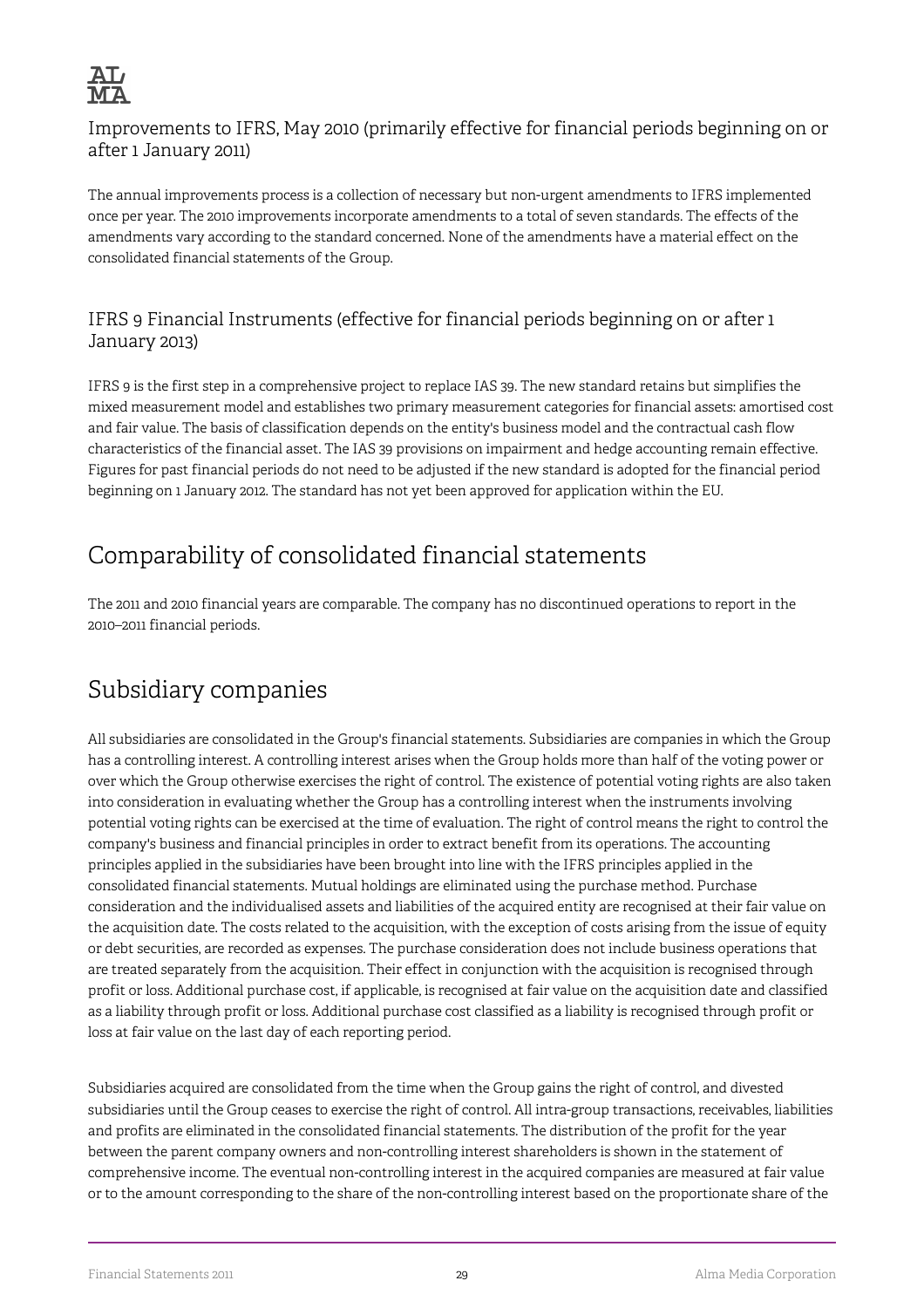

Improvements to IFRS, May 2010 (primarily effective for financial periods beginning on or after 1 January 2011)

The annual improvements process is a collection of necessary but non-urgent amendments to IFRS implemented once per year. The 2010 improvements incorporate amendments to a total of seven standards. The effects of the amendments vary according to the standard concerned. None of the amendments have a material effect on the consolidated financial statements of the Group.

#### IFRS 9 Financial Instruments (effective for financial periods beginning on or after 1 January 2013)

IFRS 9 is the first step in a comprehensive project to replace IAS 39. The new standard retains but simplifies the mixed measurement model and establishes two primary measurement categories for financial assets: amortised cost and fair value. The basis of classification depends on the entity's business model and the contractual cash flow characteristics of the financial asset. The IAS 39 provisions on impairment and hedge accounting remain effective. Figures for past financial periods do not need to be adjusted if the new standard is adopted for the financial period beginning on 1 January 2012. The standard has not yet been approved for application within the EU.

## Comparability of consolidated financial statements

The 2011 and 2010 financial years are comparable. The company has no discontinued operations to report in the 2010–2011 financial periods.

## Subsidiary companies

All subsidiaries are consolidated in the Group's financial statements. Subsidiaries are companies in which the Group has a controlling interest. A controlling interest arises when the Group holds more than half of the voting power or over which the Group otherwise exercises the right of control. The existence of potential voting rights are also taken into consideration in evaluating whether the Group has a controlling interest when the instruments involving potential voting rights can be exercised at the time of evaluation. The right of control means the right to control the company's business and financial principles in order to extract benefit from its operations. The accounting principles applied in the subsidiaries have been brought into line with the IFRS principles applied in the consolidated financial statements. Mutual holdings are eliminated using the purchase method. Purchase consideration and the individualised assets and liabilities of the acquired entity are recognised at their fair value on the acquisition date. The costs related to the acquisition, with the exception of costs arising from the issue of equity or debt securities, are recorded as expenses. The purchase consideration does not include business operations that are treated separately from the acquisition. Their effect in conjunction with the acquisition is recognised through profit or loss. Additional purchase cost, if applicable, is recognised at fair value on the acquisition date and classified as a liability through profit or loss. Additional purchase cost classified as a liability is recognised through profit or loss at fair value on the last day of each reporting period.

Subsidiaries acquired are consolidated from the time when the Group gains the right of control, and divested subsidiaries until the Group ceases to exercise the right of control. All intra-group transactions, receivables, liabilities and profits are eliminated in the consolidated financial statements. The distribution of the profit for the year between the parent company owners and non-controlling interest shareholders is shown in the statement of comprehensive income. The eventual non-controlling interest in the acquired companies are measured at fair value or to the amount corresponding to the share of the non-controlling interest based on the proportionate share of the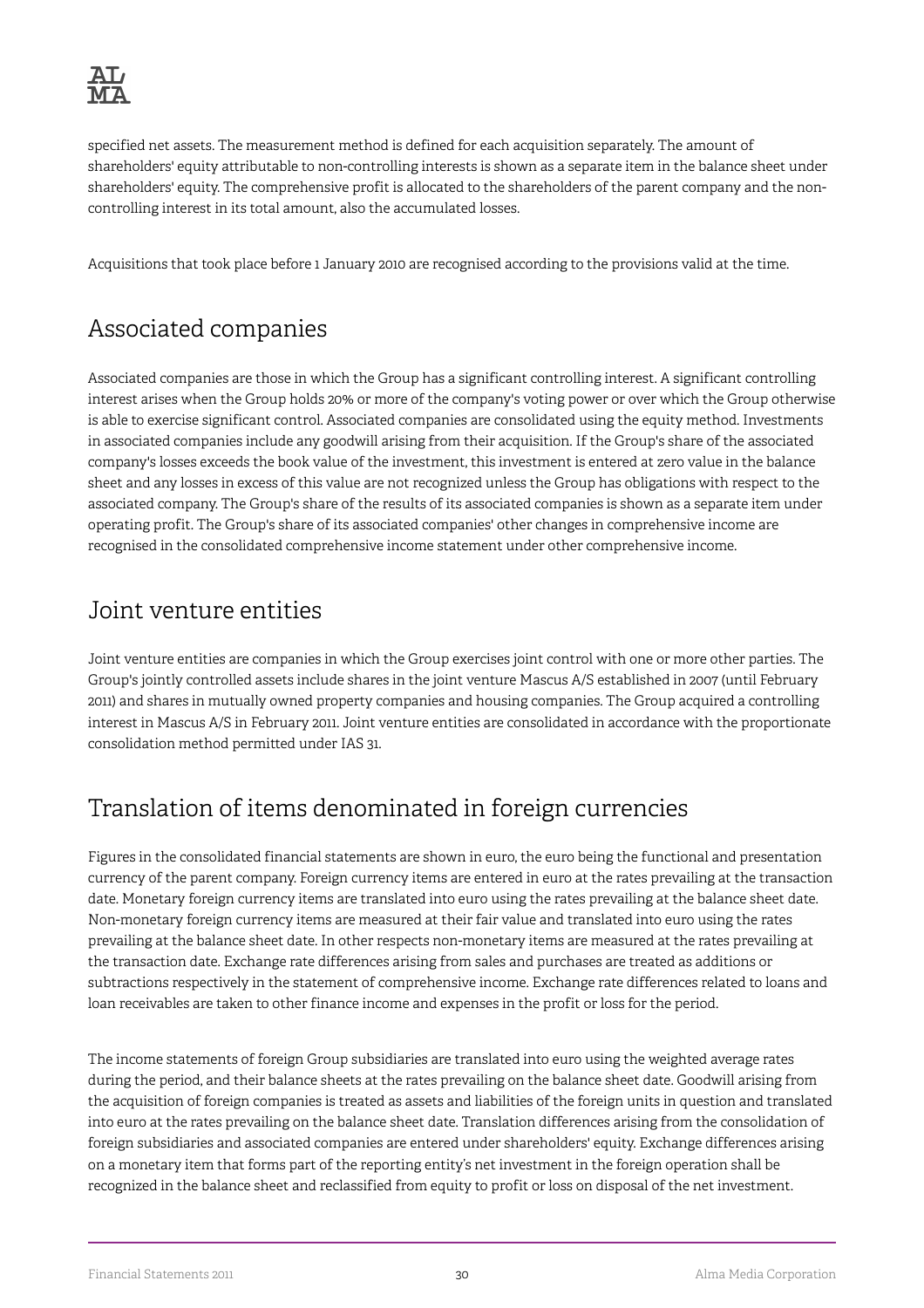specified net assets. The measurement method is defined for each acquisition separately. The amount of shareholders' equity attributable to non-controlling interests is shown as a separate item in the balance sheet under shareholders' equity. The comprehensive profit is allocated to the shareholders of the parent company and the noncontrolling interest in its total amount, also the accumulated losses.

Acquisitions that took place before 1 January 2010 are recognised according to the provisions valid at the time.

## Associated companies

Associated companies are those in which the Group has a significant controlling interest. A significant controlling interest arises when the Group holds 20% or more of the company's voting power or over which the Group otherwise is able to exercise significant control. Associated companies are consolidated using the equity method. Investments in associated companies include any goodwill arising from their acquisition. If the Group's share of the associated company's losses exceeds the book value of the investment, this investment is entered at zero value in the balance sheet and any losses in excess of this value are not recognized unless the Group has obligations with respect to the associated company. The Group's share of the results of its associated companies is shown as a separate item under operating profit. The Group's share of its associated companies' other changes in comprehensive income are recognised in the consolidated comprehensive income statement under other comprehensive income.

### Joint venture entities

Joint venture entities are companies in which the Group exercises joint control with one or more other parties. The Group's jointly controlled assets include shares in the joint venture Mascus A/S established in 2007 (until February 2011) and shares in mutually owned property companies and housing companies. The Group acquired a controlling interest in Mascus A/S in February 2011. Joint venture entities are consolidated in accordance with the proportionate consolidation method permitted under IAS 31.

## Translation of items denominated in foreign currencies

Figures in the consolidated financial statements are shown in euro, the euro being the functional and presentation currency of the parent company. Foreign currency items are entered in euro at the rates prevailing at the transaction date. Monetary foreign currency items are translated into euro using the rates prevailing at the balance sheet date. Non-monetary foreign currency items are measured at their fair value and translated into euro using the rates prevailing at the balance sheet date. In other respects non-monetary items are measured at the rates prevailing at the transaction date. Exchange rate differences arising from sales and purchases are treated as additions or subtractions respectively in the statement of comprehensive income. Exchange rate differences related to loans and loan receivables are taken to other finance income and expenses in the profit or loss for the period.

The income statements of foreign Group subsidiaries are translated into euro using the weighted average rates during the period, and their balance sheets at the rates prevailing on the balance sheet date. Goodwill arising from the acquisition of foreign companies is treated as assets and liabilities of the foreign units in question and translated into euro at the rates prevailing on the balance sheet date. Translation differences arising from the consolidation of foreign subsidiaries and associated companies are entered under shareholders' equity. Exchange differences arising on a monetary item that forms part of the reporting entity's net investment in the foreign operation shall be recognized in the balance sheet and reclassified from equity to profit or loss on disposal of the net investment.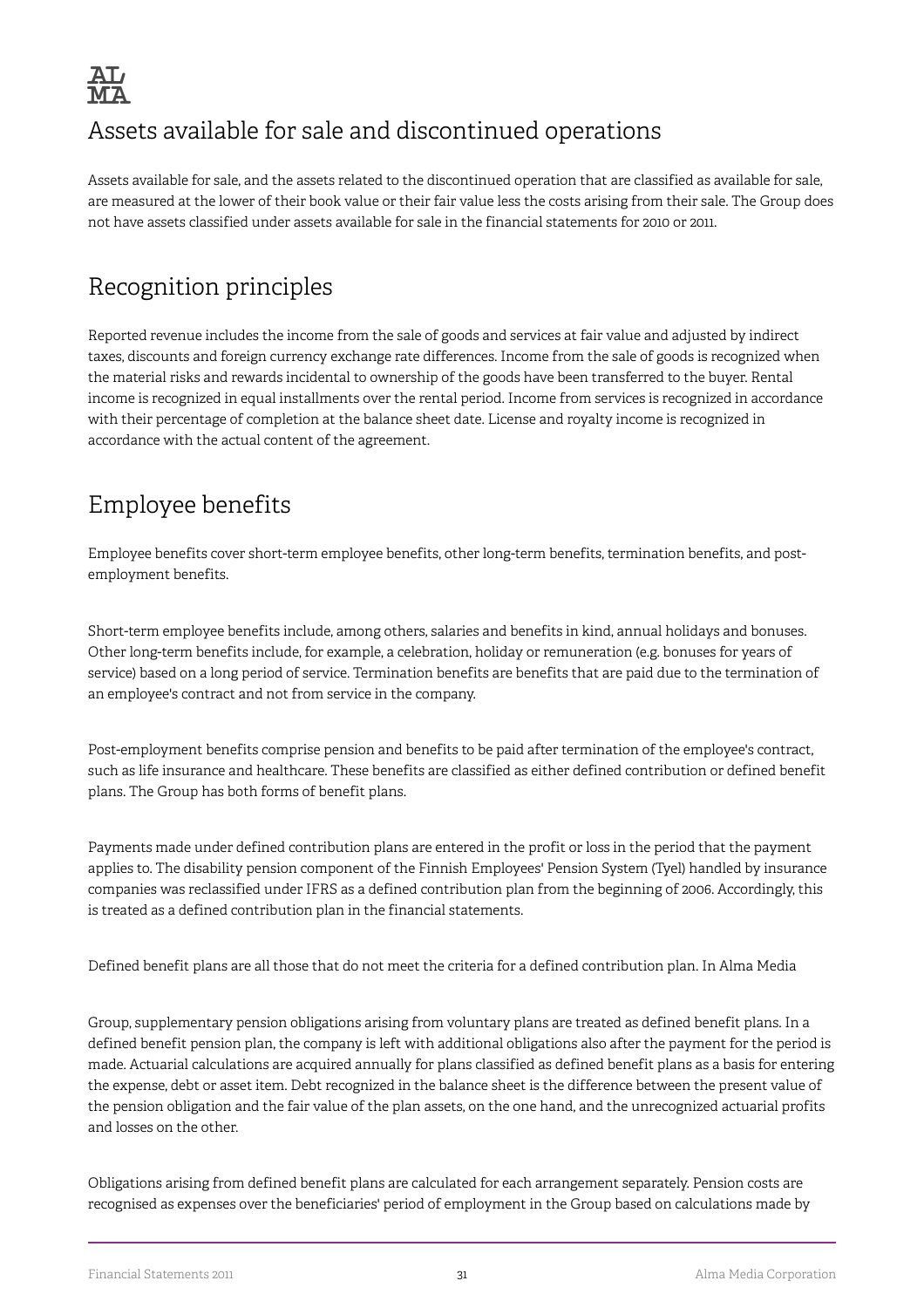

## Assets available for sale and discontinued operations

Assets available for sale, and the assets related to the discontinued operation that are classified as available for sale, are measured at the lower of their book value or their fair value less the costs arising from their sale. The Group does not have assets classified under assets available for sale in the financial statements for 2010 or 2011.

## Recognition principles

Reported revenue includes the income from the sale of goods and services at fair value and adjusted by indirect taxes, discounts and foreign currency exchange rate differences. Income from the sale of goods is recognized when the material risks and rewards incidental to ownership of the goods have been transferred to the buyer. Rental income is recognized in equal installments over the rental period. Income from services is recognized in accordance with their percentage of completion at the balance sheet date. License and royalty income is recognized in accordance with the actual content of the agreement.

## Employee benefits

Employee benefits cover short-term employee benefits, other long-term benefits, termination benefits, and postemployment benefits.

Short-term employee benefits include, among others, salaries and benefits in kind, annual holidays and bonuses. Other long-term benefits include, for example, a celebration, holiday or remuneration (e.g. bonuses for years of service) based on a long period of service. Termination benefits are benefits that are paid due to the termination of an employee's contract and not from service in the company.

Post-employment benefits comprise pension and benefits to be paid after termination of the employee's contract, such as life insurance and healthcare. These benefits are classified as either defined contribution or defined benefit plans. The Group has both forms of benefit plans.

Payments made under defined contribution plans are entered in the profit or loss in the period that the payment applies to. The disability pension component of the Finnish Employees' Pension System (Tyel) handled by insurance companies was reclassified under IFRS as a defined contribution plan from the beginning of 2006. Accordingly, this is treated as a defined contribution plan in the financial statements.

Defined benefit plans are all those that do not meet the criteria for a defined contribution plan. In Alma Media

Group, supplementary pension obligations arising from voluntary plans are treated as defined benefit plans. In a defined benefit pension plan, the company is left with additional obligations also after the payment for the period is made. Actuarial calculations are acquired annually for plans classified as defined benefit plans as a basis for entering the expense, debt or asset item. Debt recognized in the balance sheet is the difference between the present value of the pension obligation and the fair value of the plan assets, on the one hand, and the unrecognized actuarial profits and losses on the other.

Obligations arising from defined benefit plans are calculated for each arrangement separately. Pension costs are recognised as expenses over the beneficiaries' period of employment in the Group based on calculations made by

Financial Statements 2011 31 Alma Media Corporation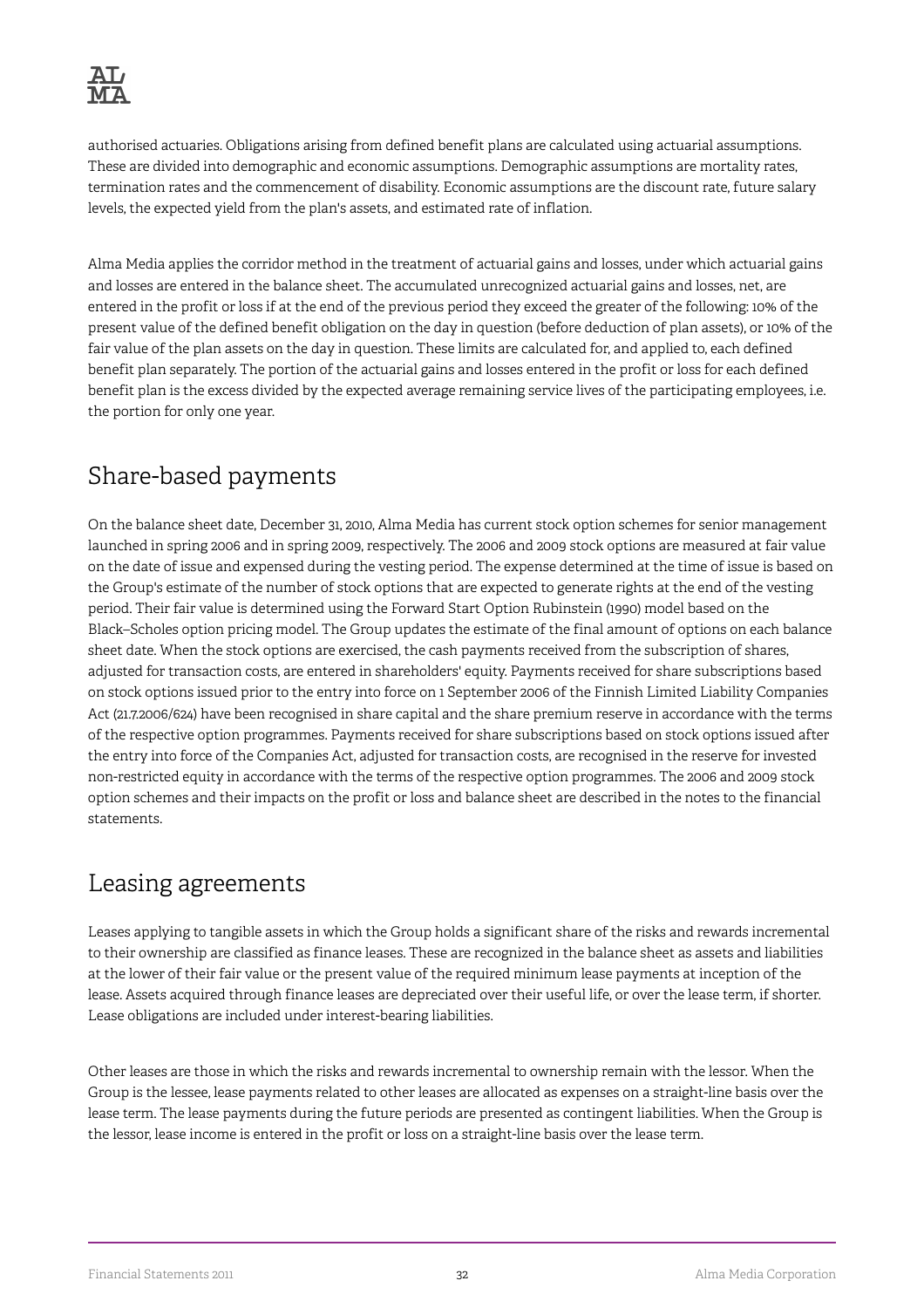authorised actuaries. Obligations arising from defined benefit plans are calculated using actuarial assumptions. These are divided into demographic and economic assumptions. Demographic assumptions are mortality rates, termination rates and the commencement of disability. Economic assumptions are the discount rate, future salary levels, the expected yield from the plan's assets, and estimated rate of inflation.

Alma Media applies the corridor method in the treatment of actuarial gains and losses, under which actuarial gains and losses are entered in the balance sheet. The accumulated unrecognized actuarial gains and losses, net, are entered in the profit or loss if at the end of the previous period they exceed the greater of the following: 10% of the present value of the defined benefit obligation on the day in question (before deduction of plan assets), or 10% of the fair value of the plan assets on the day in question. These limits are calculated for, and applied to, each defined benefit plan separately. The portion of the actuarial gains and losses entered in the profit or loss for each defined benefit plan is the excess divided by the expected average remaining service lives of the participating employees, i.e. the portion for only one year.

## Share-based payments

On the balance sheet date, December 31, 2010, Alma Media has current stock option schemes for senior management launched in spring 2006 and in spring 2009, respectively. The 2006 and 2009 stock options are measured at fair value on the date of issue and expensed during the vesting period. The expense determined at the time of issue is based on the Group's estimate of the number of stock options that are expected to generate rights at the end of the vesting period. Their fair value is determined using the Forward Start Option Rubinstein (1990) model based on the Black–Scholes option pricing model. The Group updates the estimate of the final amount of options on each balance sheet date. When the stock options are exercised, the cash payments received from the subscription of shares, adjusted for transaction costs, are entered in shareholders' equity. Payments received for share subscriptions based on stock options issued prior to the entry into force on 1 September 2006 of the Finnish Limited Liability Companies Act (21.7.2006/624) have been recognised in share capital and the share premium reserve in accordance with the terms of the respective option programmes. Payments received for share subscriptions based on stock options issued after the entry into force of the Companies Act, adjusted for transaction costs, are recognised in the reserve for invested non-restricted equity in accordance with the terms of the respective option programmes. The 2006 and 2009 stock option schemes and their impacts on the profit or loss and balance sheet are described in the notes to the financial statements.

## Leasing agreements

Leases applying to tangible assets in which the Group holds a significant share of the risks and rewards incremental to their ownership are classified as finance leases. These are recognized in the balance sheet as assets and liabilities at the lower of their fair value or the present value of the required minimum lease payments at inception of the lease. Assets acquired through finance leases are depreciated over their useful life, or over the lease term, if shorter. Lease obligations are included under interest-bearing liabilities.

Other leases are those in which the risks and rewards incremental to ownership remain with the lessor. When the Group is the lessee, lease payments related to other leases are allocated as expenses on a straight-line basis over the lease term. The lease payments during the future periods are presented as contingent liabilities. When the Group is the lessor, lease income is entered in the profit or loss on a straight-line basis over the lease term.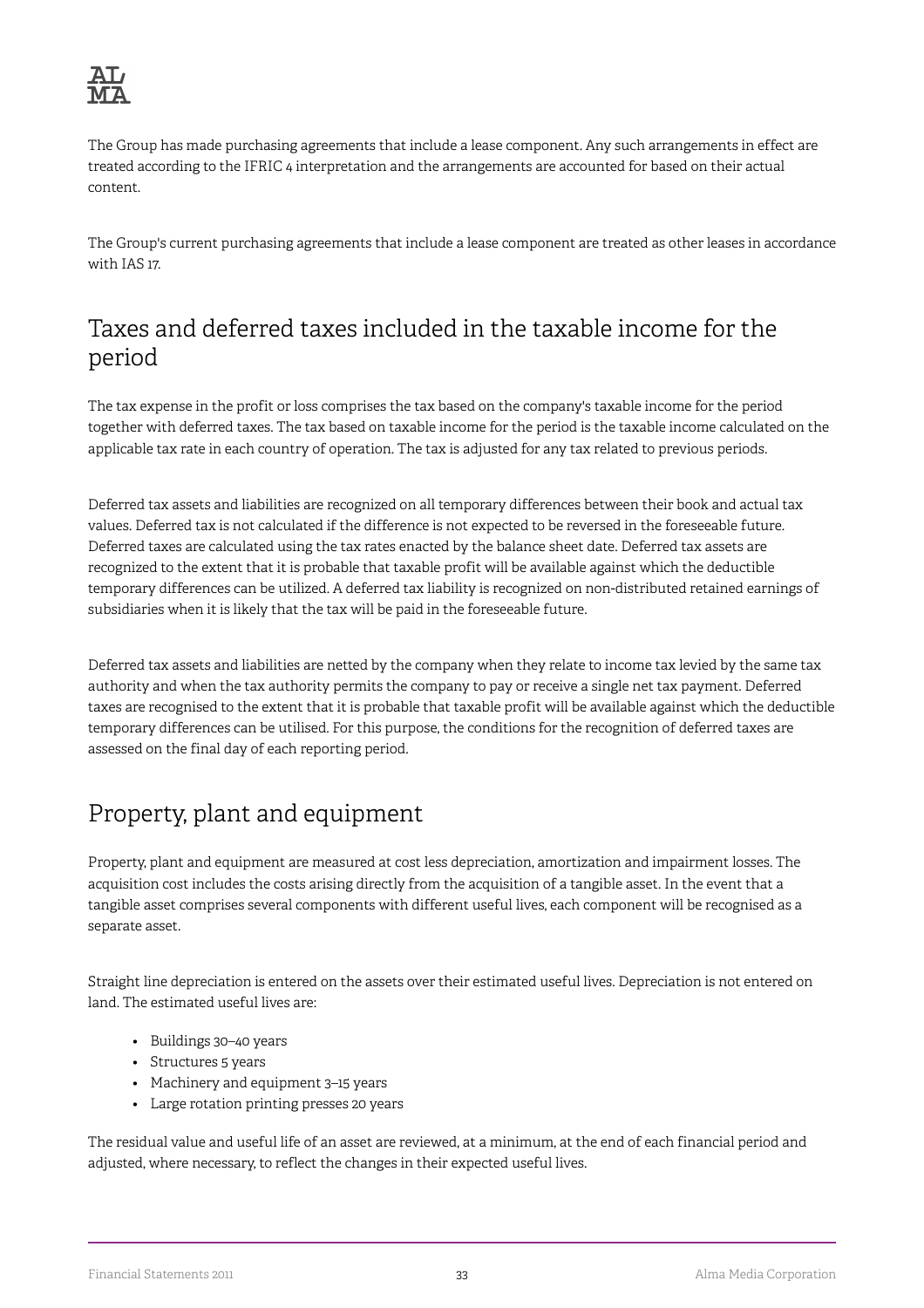

The Group has made purchasing agreements that include a lease component. Any such arrangements in effect are treated according to the IFRIC 4 interpretation and the arrangements are accounted for based on their actual content.

The Group's current purchasing agreements that include a lease component are treated as other leases in accordance with IAS 17.

### Taxes and deferred taxes included in the taxable income for the period

The tax expense in the profit or loss comprises the tax based on the company's taxable income for the period together with deferred taxes. The tax based on taxable income for the period is the taxable income calculated on the applicable tax rate in each country of operation. The tax is adjusted for any tax related to previous periods.

Deferred tax assets and liabilities are recognized on all temporary differences between their book and actual tax values. Deferred tax is not calculated if the difference is not expected to be reversed in the foreseeable future. Deferred taxes are calculated using the tax rates enacted by the balance sheet date. Deferred tax assets are recognized to the extent that it is probable that taxable profit will be available against which the deductible temporary differences can be utilized. A deferred tax liability is recognized on non-distributed retained earnings of subsidiaries when it is likely that the tax will be paid in the foreseeable future.

Deferred tax assets and liabilities are netted by the company when they relate to income tax levied by the same tax authority and when the tax authority permits the company to pay or receive a single net tax payment. Deferred taxes are recognised to the extent that it is probable that taxable profit will be available against which the deductible temporary differences can be utilised. For this purpose, the conditions for the recognition of deferred taxes are assessed on the final day of each reporting period.

## Property, plant and equipment

Property, plant and equipment are measured at cost less depreciation, amortization and impairment losses. The acquisition cost includes the costs arising directly from the acquisition of a tangible asset. In the event that a tangible asset comprises several components with different useful lives, each component will be recognised as a separate asset.

Straight line depreciation is entered on the assets over their estimated useful lives. Depreciation is not entered on land. The estimated useful lives are:

- Buildings 30–40 years
- Structures 5 years
- Machinery and equipment 3–15 years
- Large rotation printing presses 20 years

The residual value and useful life of an asset are reviewed, at a minimum, at the end of each financial period and adjusted, where necessary, to reflect the changes in their expected useful lives.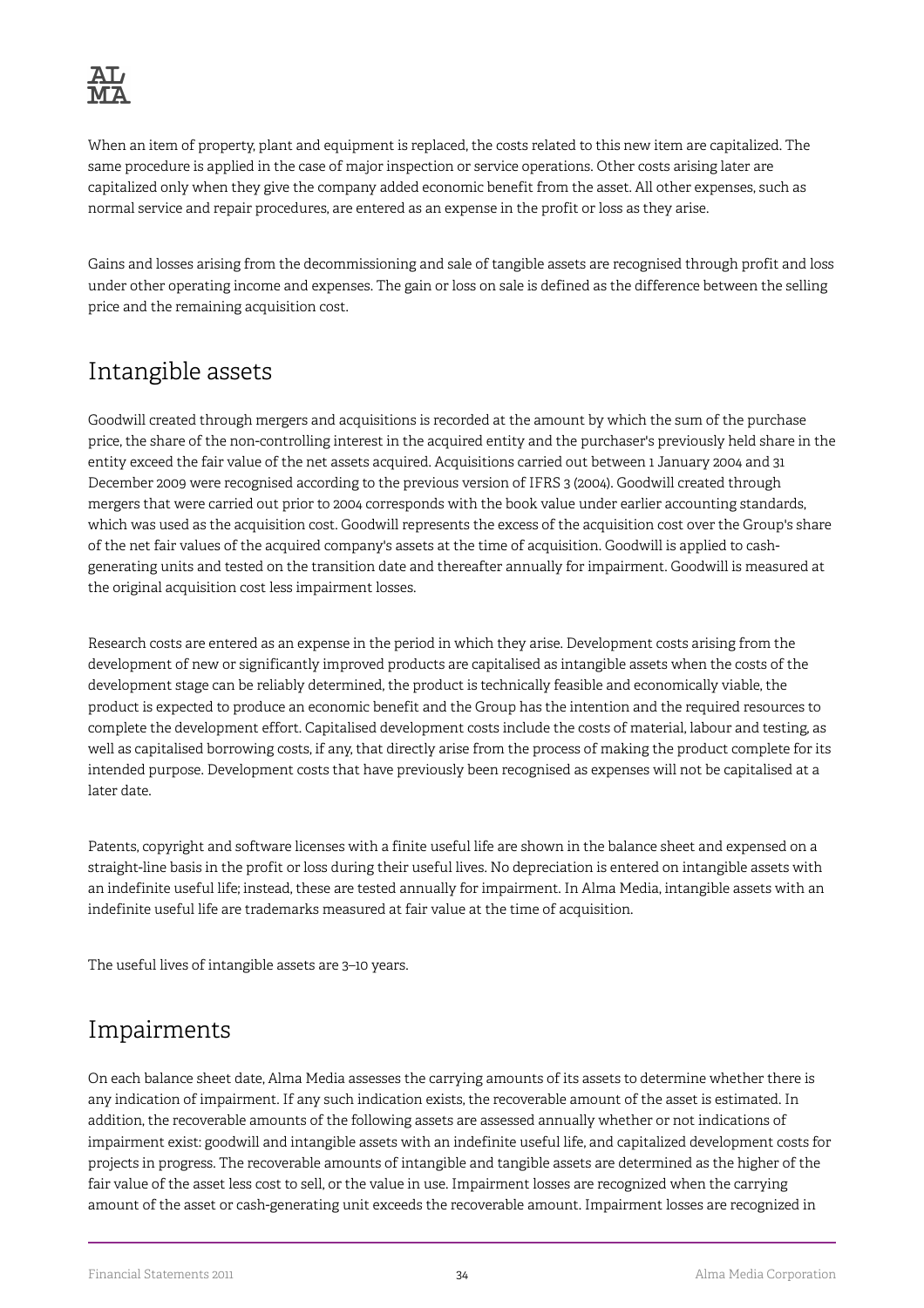

When an item of property, plant and equipment is replaced, the costs related to this new item are capitalized. The same procedure is applied in the case of major inspection or service operations. Other costs arising later are capitalized only when they give the company added economic benefit from the asset. All other expenses, such as normal service and repair procedures, are entered as an expense in the profit or loss as they arise.

Gains and losses arising from the decommissioning and sale of tangible assets are recognised through profit and loss under other operating income and expenses. The gain or loss on sale is defined as the difference between the selling price and the remaining acquisition cost.

# Intangible assets

Goodwill created through mergers and acquisitions is recorded at the amount by which the sum of the purchase price, the share of the non-controlling interest in the acquired entity and the purchaser's previously held share in the entity exceed the fair value of the net assets acquired. Acquisitions carried out between 1 January 2004 and 31 December 2009 were recognised according to the previous version of IFRS 3 (2004). Goodwill created through mergers that were carried out prior to 2004 corresponds with the book value under earlier accounting standards, which was used as the acquisition cost. Goodwill represents the excess of the acquisition cost over the Group's share of the net fair values of the acquired company's assets at the time of acquisition. Goodwill is applied to cashgenerating units and tested on the transition date and thereafter annually for impairment. Goodwill is measured at the original acquisition cost less impairment losses.

Research costs are entered as an expense in the period in which they arise. Development costs arising from the development of new or significantly improved products are capitalised as intangible assets when the costs of the development stage can be reliably determined, the product is technically feasible and economically viable, the product is expected to produce an economic benefit and the Group has the intention and the required resources to complete the development effort. Capitalised development costs include the costs of material, labour and testing, as well as capitalised borrowing costs, if any, that directly arise from the process of making the product complete for its intended purpose. Development costs that have previously been recognised as expenses will not be capitalised at a later date.

Patents, copyright and software licenses with a finite useful life are shown in the balance sheet and expensed on a straight-line basis in the profit or loss during their useful lives. No depreciation is entered on intangible assets with an indefinite useful life; instead, these are tested annually for impairment. In Alma Media, intangible assets with an indefinite useful life are trademarks measured at fair value at the time of acquisition.

The useful lives of intangible assets are 3–10 years.

# Impairments

On each balance sheet date, Alma Media assesses the carrying amounts of its assets to determine whether there is any indication of impairment. If any such indication exists, the recoverable amount of the asset is estimated. In addition, the recoverable amounts of the following assets are assessed annually whether or not indications of impairment exist: goodwill and intangible assets with an indefinite useful life, and capitalized development costs for projects in progress. The recoverable amounts of intangible and tangible assets are determined as the higher of the fair value of the asset less cost to sell, or the value in use. Impairment losses are recognized when the carrying amount of the asset or cash-generating unit exceeds the recoverable amount. Impairment losses are recognized in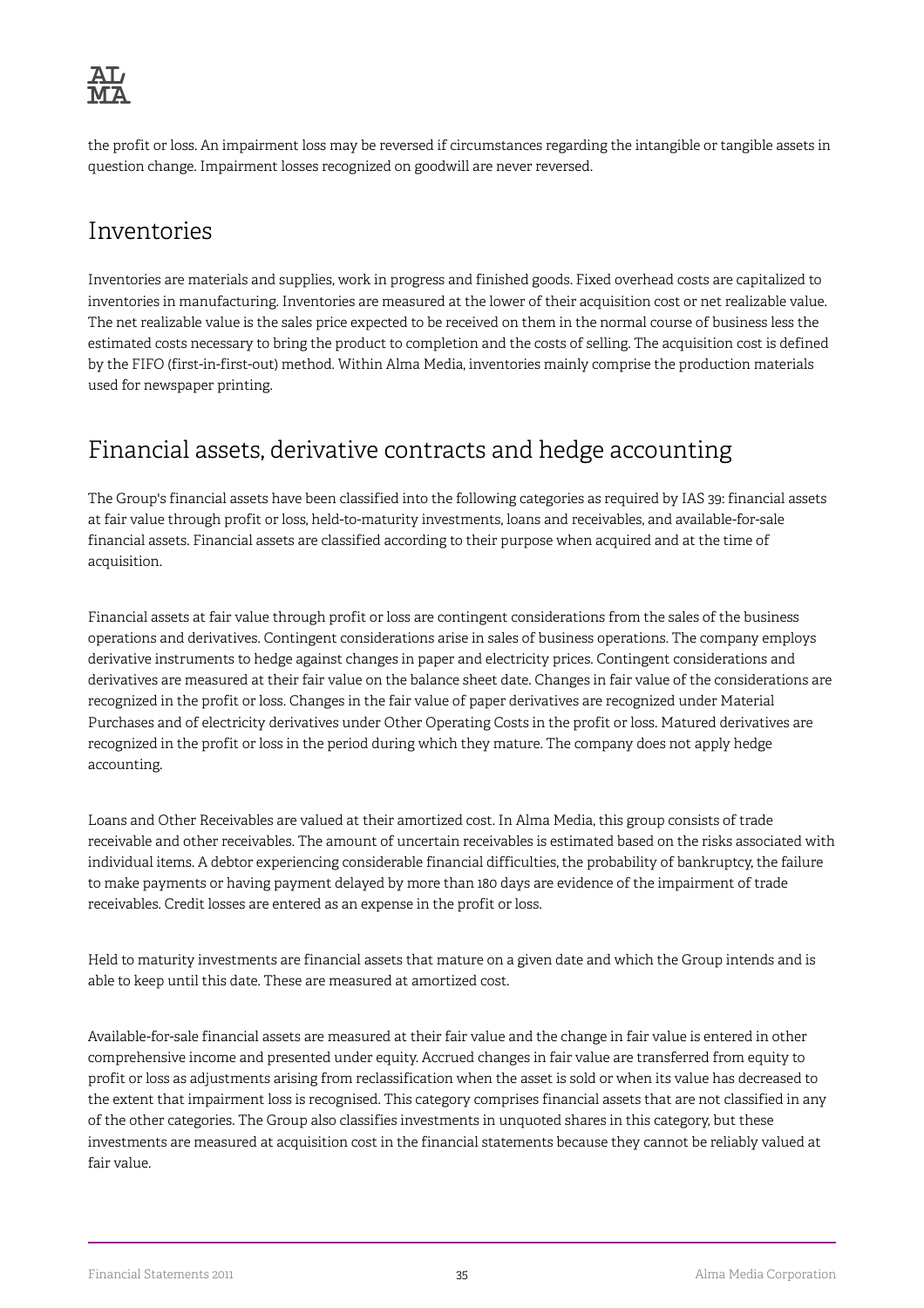

the profit or loss. An impairment loss may be reversed if circumstances regarding the intangible or tangible assets in question change. Impairment losses recognized on goodwill are never reversed.

## Inventories

Inventories are materials and supplies, work in progress and finished goods. Fixed overhead costs are capitalized to inventories in manufacturing. Inventories are measured at the lower of their acquisition cost or net realizable value. The net realizable value is the sales price expected to be received on them in the normal course of business less the estimated costs necessary to bring the product to completion and the costs of selling. The acquisition cost is defined by the FIFO (first-in-first-out) method. Within Alma Media, inventories mainly comprise the production materials used for newspaper printing.

# Financial assets, derivative contracts and hedge accounting

The Group's financial assets have been classified into the following categories as required by IAS 39: financial assets at fair value through profit or loss, held-to-maturity investments, loans and receivables, and available-for-sale financial assets. Financial assets are classified according to their purpose when acquired and at the time of acquisition.

Financial assets at fair value through profit or loss are contingent considerations from the sales of the business operations and derivatives. Contingent considerations arise in sales of business operations. The company employs derivative instruments to hedge against changes in paper and electricity prices. Contingent considerations and derivatives are measured at their fair value on the balance sheet date. Changes in fair value of the considerations are recognized in the profit or loss. Changes in the fair value of paper derivatives are recognized under Material Purchases and of electricity derivatives under Other Operating Costs in the profit or loss. Matured derivatives are recognized in the profit or loss in the period during which they mature. The company does not apply hedge accounting.

Loans and Other Receivables are valued at their amortized cost. In Alma Media, this group consists of trade receivable and other receivables. The amount of uncertain receivables is estimated based on the risks associated with individual items. A debtor experiencing considerable financial difficulties, the probability of bankruptcy, the failure to make payments or having payment delayed by more than 180 days are evidence of the impairment of trade receivables. Credit losses are entered as an expense in the profit or loss.

Held to maturity investments are financial assets that mature on a given date and which the Group intends and is able to keep until this date. These are measured at amortized cost.

Available-for-sale financial assets are measured at their fair value and the change in fair value is entered in other comprehensive income and presented under equity. Accrued changes in fair value are transferred from equity to profit or loss as adjustments arising from reclassification when the asset is sold or when its value has decreased to the extent that impairment loss is recognised. This category comprises financial assets that are not classified in any of the other categories. The Group also classifies investments in unquoted shares in this category, but these investments are measured at acquisition cost in the financial statements because they cannot be reliably valued at fair value.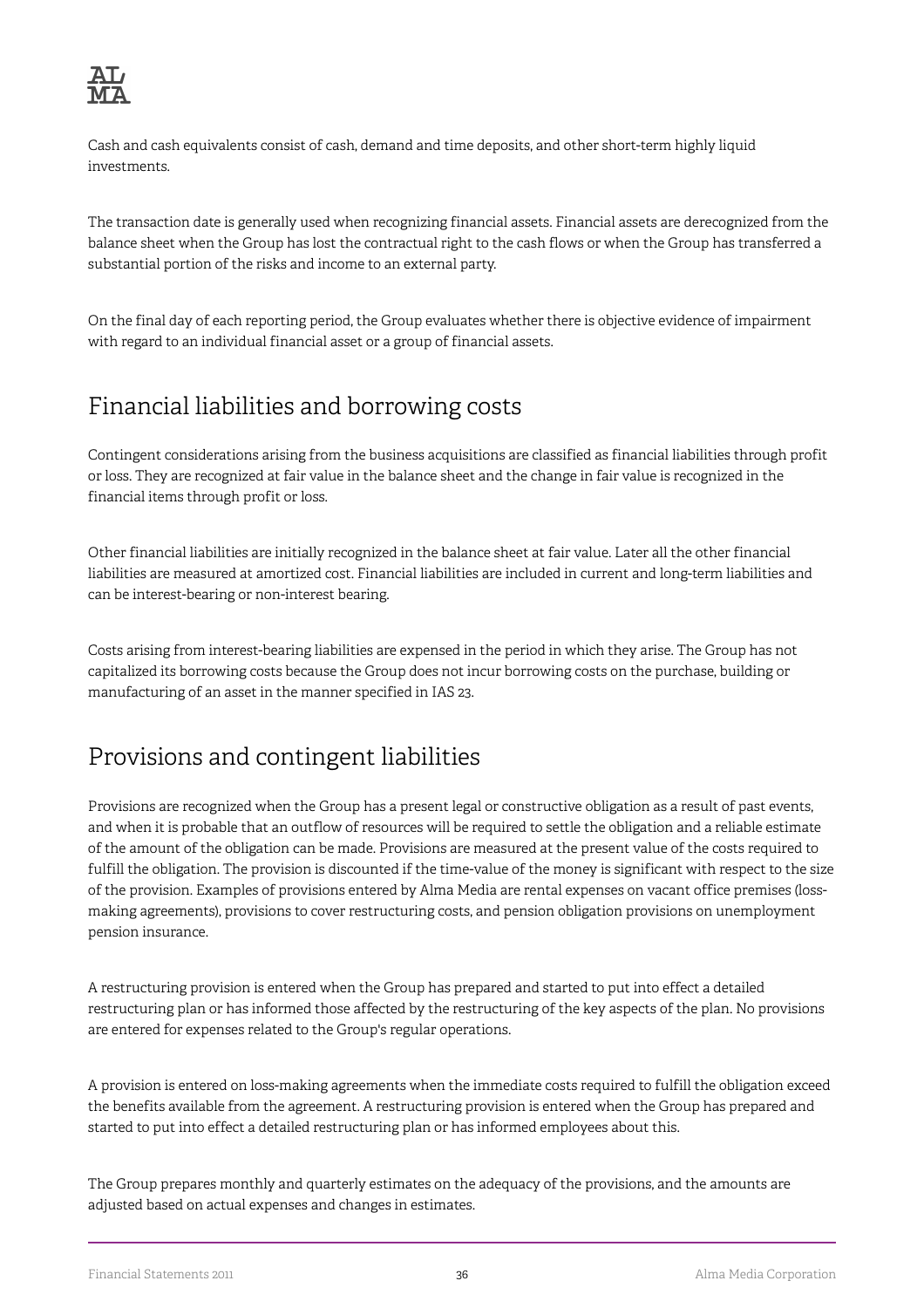

Cash and cash equivalents consist of cash, demand and time deposits, and other short-term highly liquid investments.

The transaction date is generally used when recognizing financial assets. Financial assets are derecognized from the balance sheet when the Group has lost the contractual right to the cash flows or when the Group has transferred a substantial portion of the risks and income to an external party.

On the final day of each reporting period, the Group evaluates whether there is objective evidence of impairment with regard to an individual financial asset or a group of financial assets.

# Financial liabilities and borrowing costs

Contingent considerations arising from the business acquisitions are classified as financial liabilities through profit or loss. They are recognized at fair value in the balance sheet and the change in fair value is recognized in the financial items through profit or loss.

Other financial liabilities are initially recognized in the balance sheet at fair value. Later all the other financial liabilities are measured at amortized cost. Financial liabilities are included in current and long-term liabilities and can be interest-bearing or non-interest bearing.

Costs arising from interest-bearing liabilities are expensed in the period in which they arise. The Group has not capitalized its borrowing costs because the Group does not incur borrowing costs on the purchase, building or manufacturing of an asset in the manner specified in IAS 23.

# Provisions and contingent liabilities

Provisions are recognized when the Group has a present legal or constructive obligation as a result of past events, and when it is probable that an outflow of resources will be required to settle the obligation and a reliable estimate of the amount of the obligation can be made. Provisions are measured at the present value of the costs required to fulfill the obligation. The provision is discounted if the time-value of the money is significant with respect to the size of the provision. Examples of provisions entered by Alma Media are rental expenses on vacant office premises (lossmaking agreements), provisions to cover restructuring costs, and pension obligation provisions on unemployment pension insurance.

A restructuring provision is entered when the Group has prepared and started to put into effect a detailed restructuring plan or has informed those affected by the restructuring of the key aspects of the plan. No provisions are entered for expenses related to the Group's regular operations.

A provision is entered on loss-making agreements when the immediate costs required to fulfill the obligation exceed the benefits available from the agreement. A restructuring provision is entered when the Group has prepared and started to put into effect a detailed restructuring plan or has informed employees about this.

The Group prepares monthly and quarterly estimates on the adequacy of the provisions, and the amounts are adjusted based on actual expenses and changes in estimates.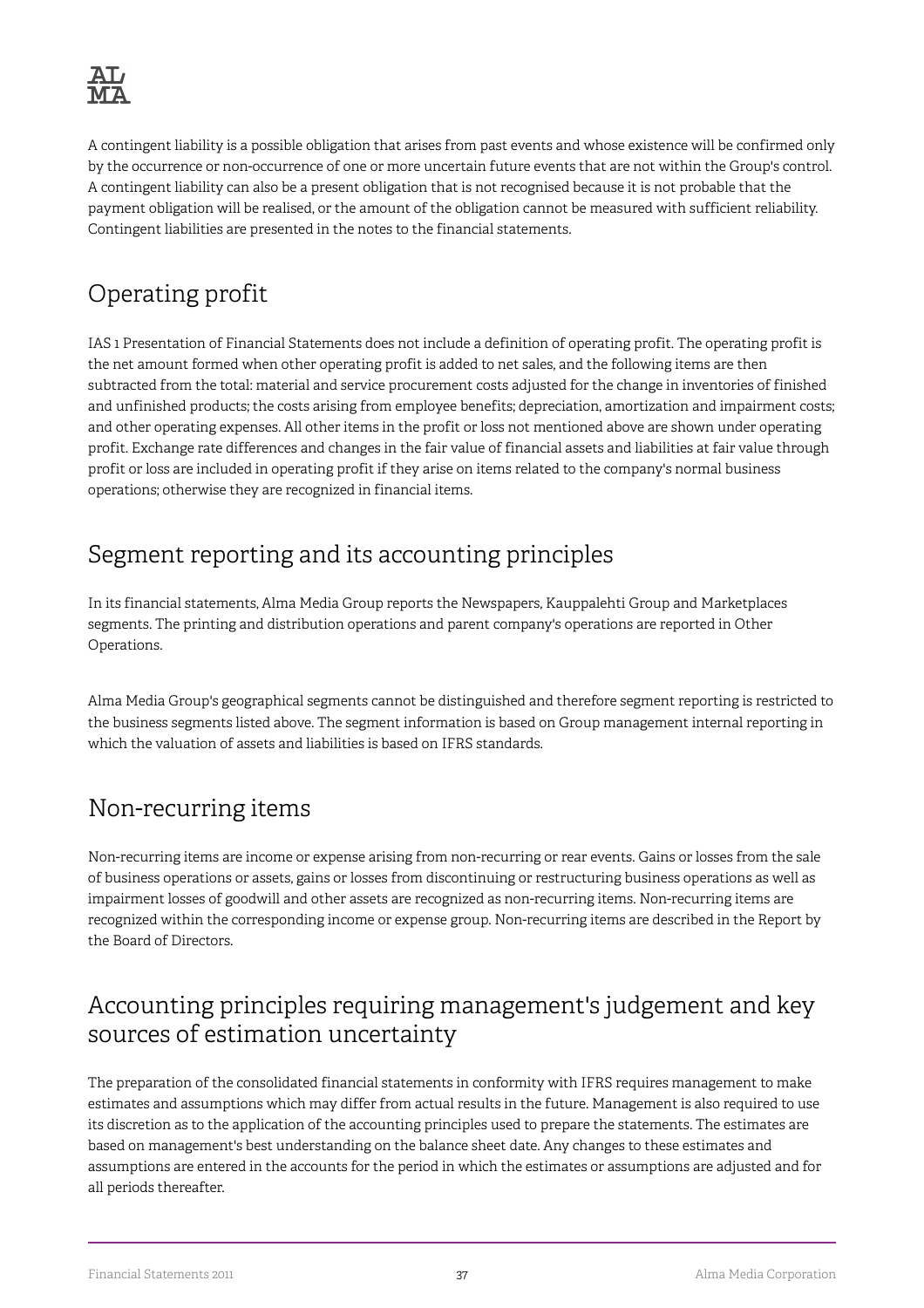

A contingent liability is a possible obligation that arises from past events and whose existence will be confirmed only by the occurrence or non-occurrence of one or more uncertain future events that are not within the Group's control. A contingent liability can also be a present obligation that is not recognised because it is not probable that the payment obligation will be realised, or the amount of the obligation cannot be measured with sufficient reliability. Contingent liabilities are presented in the notes to the financial statements.

# Operating profit

IAS 1 Presentation of Financial Statements does not include a definition of operating profit. The operating profit is the net amount formed when other operating profit is added to net sales, and the following items are then subtracted from the total: material and service procurement costs adjusted for the change in inventories of finished and unfinished products; the costs arising from employee benefits; depreciation, amortization and impairment costs; and other operating expenses. All other items in the profit or loss not mentioned above are shown under operating profit. Exchange rate differences and changes in the fair value of financial assets and liabilities at fair value through profit or loss are included in operating profit if they arise on items related to the company's normal business operations; otherwise they are recognized in financial items.

# Segment reporting and its accounting principles

In its financial statements, Alma Media Group reports the Newspapers, Kauppalehti Group and Marketplaces segments. The printing and distribution operations and parent company's operations are reported in Other Operations.

Alma Media Group's geographical segments cannot be distinguished and therefore segment reporting is restricted to the business segments listed above. The segment information is based on Group management internal reporting in which the valuation of assets and liabilities is based on IFRS standards.

# Non-recurring items

Non-recurring items are income or expense arising from non-recurring or rear events. Gains or losses from the sale of business operations or assets, gains or losses from discontinuing or restructuring business operations as well as impairment losses of goodwill and other assets are recognized as non-recurring items. Non-recurring items are recognized within the corresponding income or expense group. Non-recurring items are described in the Report by the Board of Directors.

# Accounting principles requiring management's judgement and key sources of estimation uncertainty

The preparation of the consolidated financial statements in conformity with IFRS requires management to make estimates and assumptions which may differ from actual results in the future. Management is also required to use its discretion as to the application of the accounting principles used to prepare the statements. The estimates are based on management's best understanding on the balance sheet date. Any changes to these estimates and assumptions are entered in the accounts for the period in which the estimates or assumptions are adjusted and for all periods thereafter.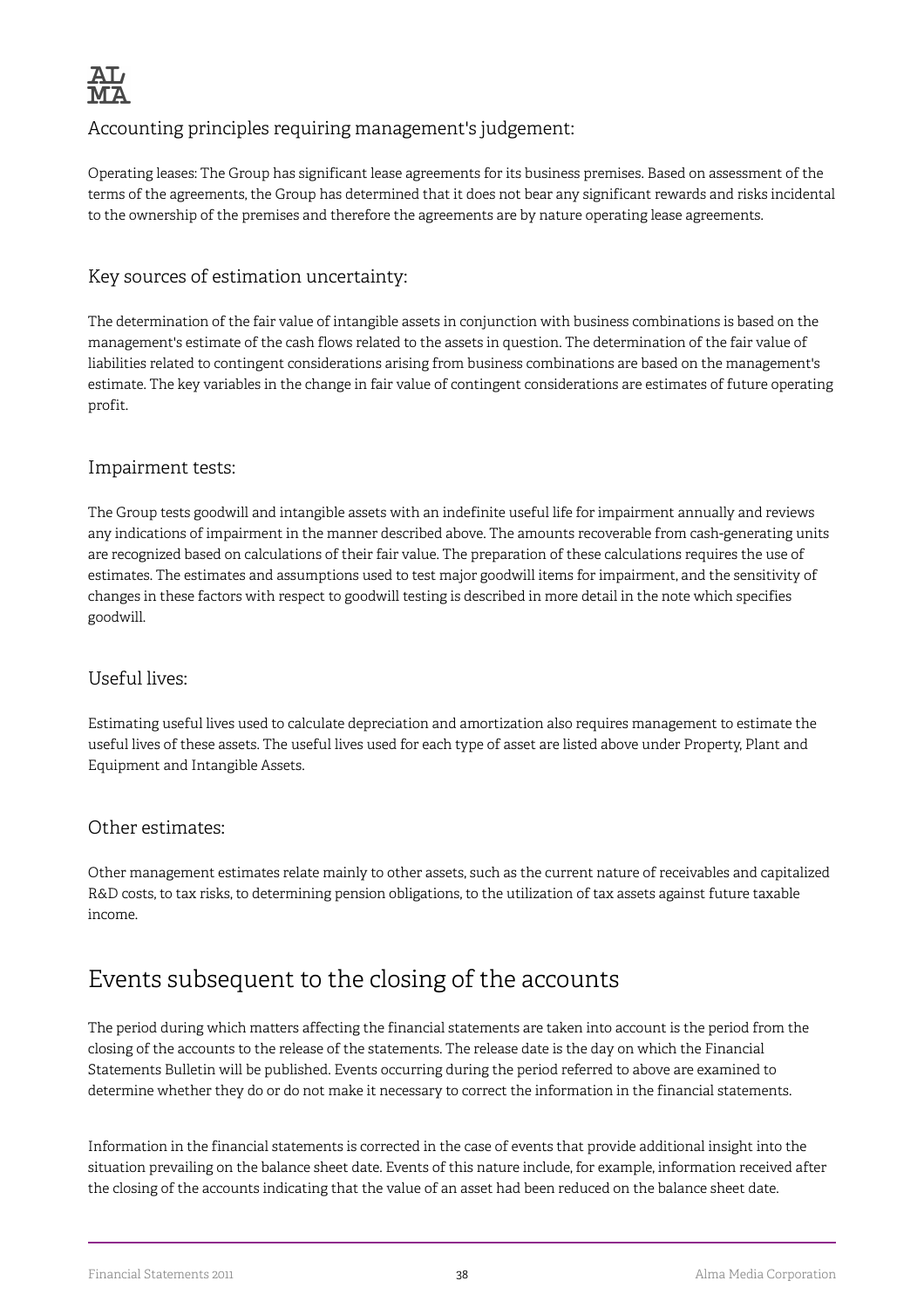

### Accounting principles requiring management's judgement:

Operating leases: The Group has significant lease agreements for its business premises. Based on assessment of the terms of the agreements, the Group has determined that it does not bear any significant rewards and risks incidental to the ownership of the premises and therefore the agreements are by nature operating lease agreements.

### Key sources of estimation uncertainty:

The determination of the fair value of intangible assets in conjunction with business combinations is based on the management's estimate of the cash flows related to the assets in question. The determination of the fair value of liabilities related to contingent considerations arising from business combinations are based on the management's estimate. The key variables in the change in fair value of contingent considerations are estimates of future operating profit.

### Impairment tests:

The Group tests goodwill and intangible assets with an indefinite useful life for impairment annually and reviews any indications of impairment in the manner described above. The amounts recoverable from cash-generating units are recognized based on calculations of their fair value. The preparation of these calculations requires the use of estimates. The estimates and assumptions used to test major goodwill items for impairment, and the sensitivity of changes in these factors with respect to goodwill testing is described in more detail in the note which specifies goodwill.

#### Useful lives:

Estimating useful lives used to calculate depreciation and amortization also requires management to estimate the useful lives of these assets. The useful lives used for each type of asset are listed above under Property, Plant and Equipment and Intangible Assets.

### Other estimates:

Other management estimates relate mainly to other assets, such as the current nature of receivables and capitalized R&D costs, to tax risks, to determining pension obligations, to the utilization of tax assets against future taxable income.

# Events subsequent to the closing of the accounts

The period during which matters affecting the financial statements are taken into account is the period from the closing of the accounts to the release of the statements. The release date is the day on which the Financial Statements Bulletin will be published. Events occurring during the period referred to above are examined to determine whether they do or do not make it necessary to correct the information in the financial statements.

Information in the financial statements is corrected in the case of events that provide additional insight into the situation prevailing on the balance sheet date. Events of this nature include, for example, information received after the closing of the accounts indicating that the value of an asset had been reduced on the balance sheet date.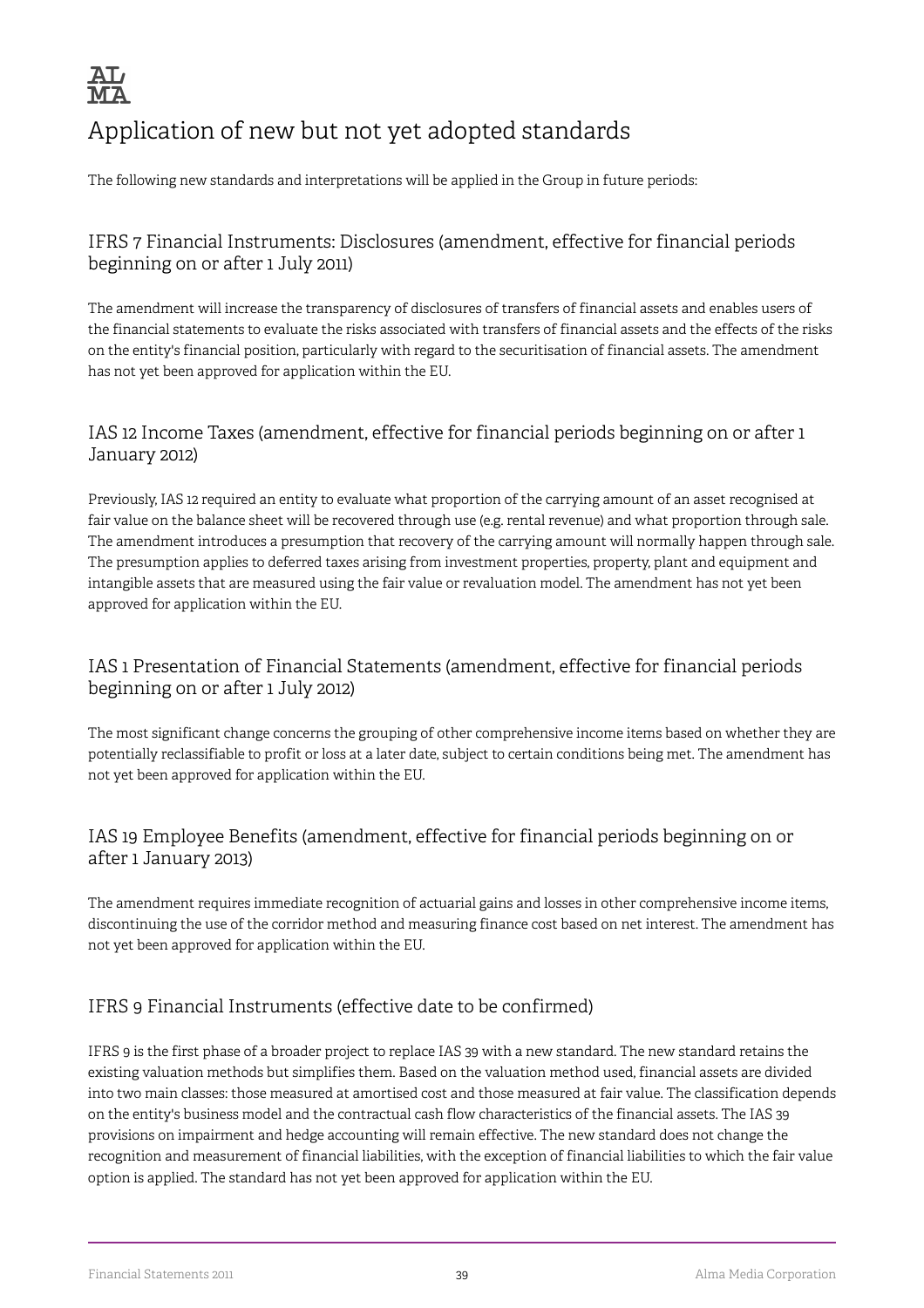

# Application of new but not yet adopted standards

The following new standards and interpretations will be applied in the Group in future periods:

### IFRS 7 Financial Instruments: Disclosures (amendment, effective for financial periods beginning on or after 1 July 2011)

The amendment will increase the transparency of disclosures of transfers of financial assets and enables users of the financial statements to evaluate the risks associated with transfers of financial assets and the effects of the risks on the entity's financial position, particularly with regard to the securitisation of financial assets. The amendment has not yet been approved for application within the EU.

### IAS 12 Income Taxes (amendment, effective for financial periods beginning on or after 1 January 2012)

Previously, IAS 12 required an entity to evaluate what proportion of the carrying amount of an asset recognised at fair value on the balance sheet will be recovered through use (e.g. rental revenue) and what proportion through sale. The amendment introduces a presumption that recovery of the carrying amount will normally happen through sale. The presumption applies to deferred taxes arising from investment properties, property, plant and equipment and intangible assets that are measured using the fair value or revaluation model. The amendment has not yet been approved for application within the EU.

### IAS 1 Presentation of Financial Statements (amendment, effective for financial periods beginning on or after 1 July 2012)

The most significant change concerns the grouping of other comprehensive income items based on whether they are potentially reclassifiable to profit or loss at a later date, subject to certain conditions being met. The amendment has not yet been approved for application within the EU.

### IAS 19 Employee Benefits (amendment, effective for financial periods beginning on or after 1 January 2013)

The amendment requires immediate recognition of actuarial gains and losses in other comprehensive income items, discontinuing the use of the corridor method and measuring finance cost based on net interest. The amendment has not yet been approved for application within the EU.

### IFRS 9 Financial Instruments (effective date to be confirmed)

IFRS 9 is the first phase of a broader project to replace IAS 39 with a new standard. The new standard retains the existing valuation methods but simplifies them. Based on the valuation method used, financial assets are divided into two main classes: those measured at amortised cost and those measured at fair value. The classification depends on the entity's business model and the contractual cash flow characteristics of the financial assets. The IAS 39 provisions on impairment and hedge accounting will remain effective. The new standard does not change the recognition and measurement of financial liabilities, with the exception of financial liabilities to which the fair value option is applied. The standard has not yet been approved for application within the EU.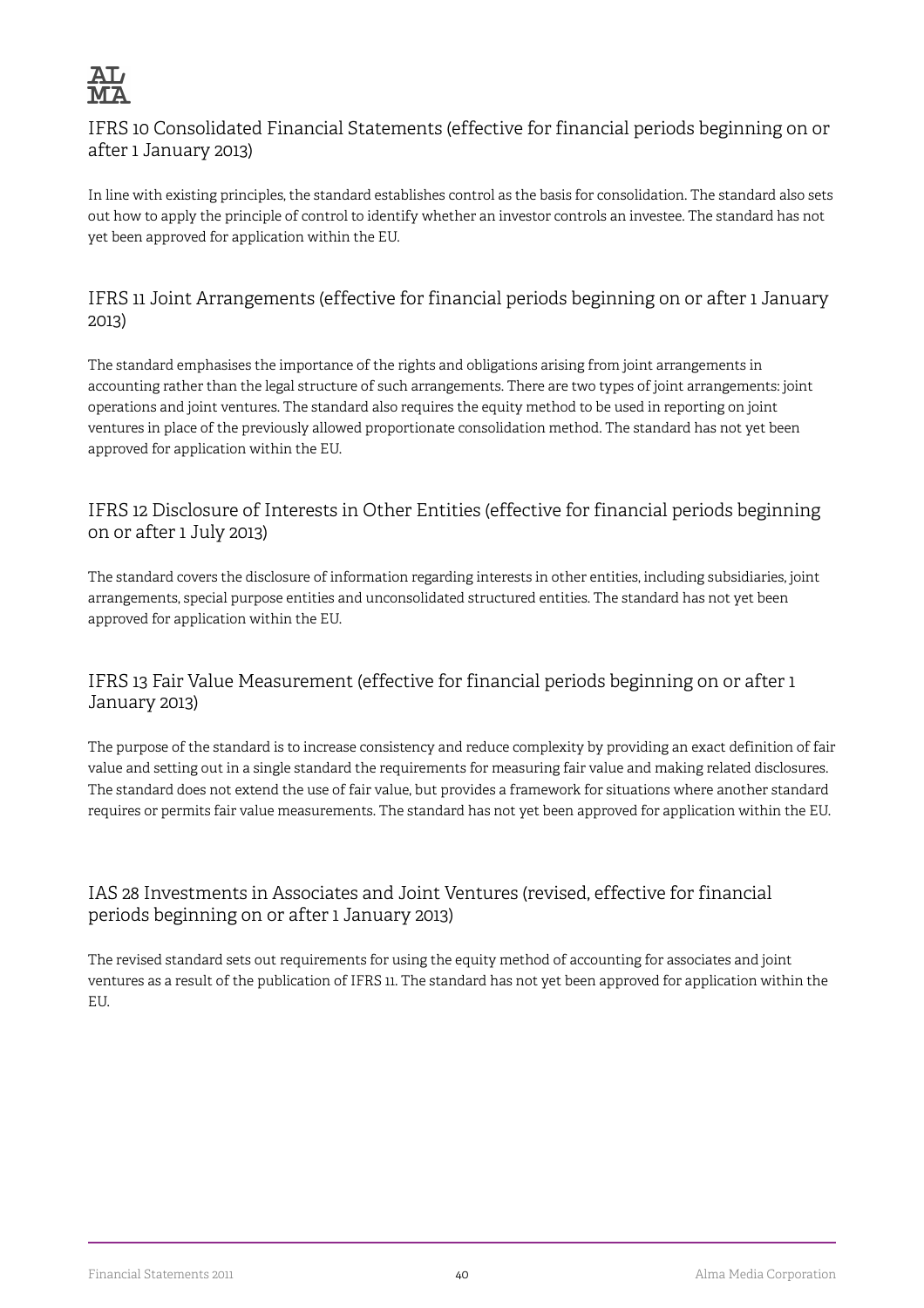

### IFRS 10 Consolidated Financial Statements (effective for financial periods beginning on or after 1 January 2013)

In line with existing principles, the standard establishes control as the basis for consolidation. The standard also sets out how to apply the principle of control to identify whether an investor controls an investee. The standard has not yet been approved for application within the EU.

### IFRS 11 Joint Arrangements (effective for financial periods beginning on or after 1 January 2013)

The standard emphasises the importance of the rights and obligations arising from joint arrangements in accounting rather than the legal structure of such arrangements. There are two types of joint arrangements: joint operations and joint ventures. The standard also requires the equity method to be used in reporting on joint ventures in place of the previously allowed proportionate consolidation method. The standard has not yet been approved for application within the EU.

### IFRS 12 Disclosure of Interests in Other Entities (effective for financial periods beginning on or after 1 July 2013)

The standard covers the disclosure of information regarding interests in other entities, including subsidiaries, joint arrangements, special purpose entities and unconsolidated structured entities. The standard has not yet been approved for application within the EU.

### IFRS 13 Fair Value Measurement (effective for financial periods beginning on or after 1 January 2013)

The purpose of the standard is to increase consistency and reduce complexity by providing an exact definition of fair value and setting out in a single standard the requirements for measuring fair value and making related disclosures. The standard does not extend the use of fair value, but provides a framework for situations where another standard requires or permits fair value measurements. The standard has not yet been approved for application within the EU.

### IAS 28 Investments in Associates and Joint Ventures (revised, effective for financial periods beginning on or after 1 January 2013)

The revised standard sets out requirements for using the equity method of accounting for associates and joint ventures as a result of the publication of IFRS 11. The standard has not yet been approved for application within the EU.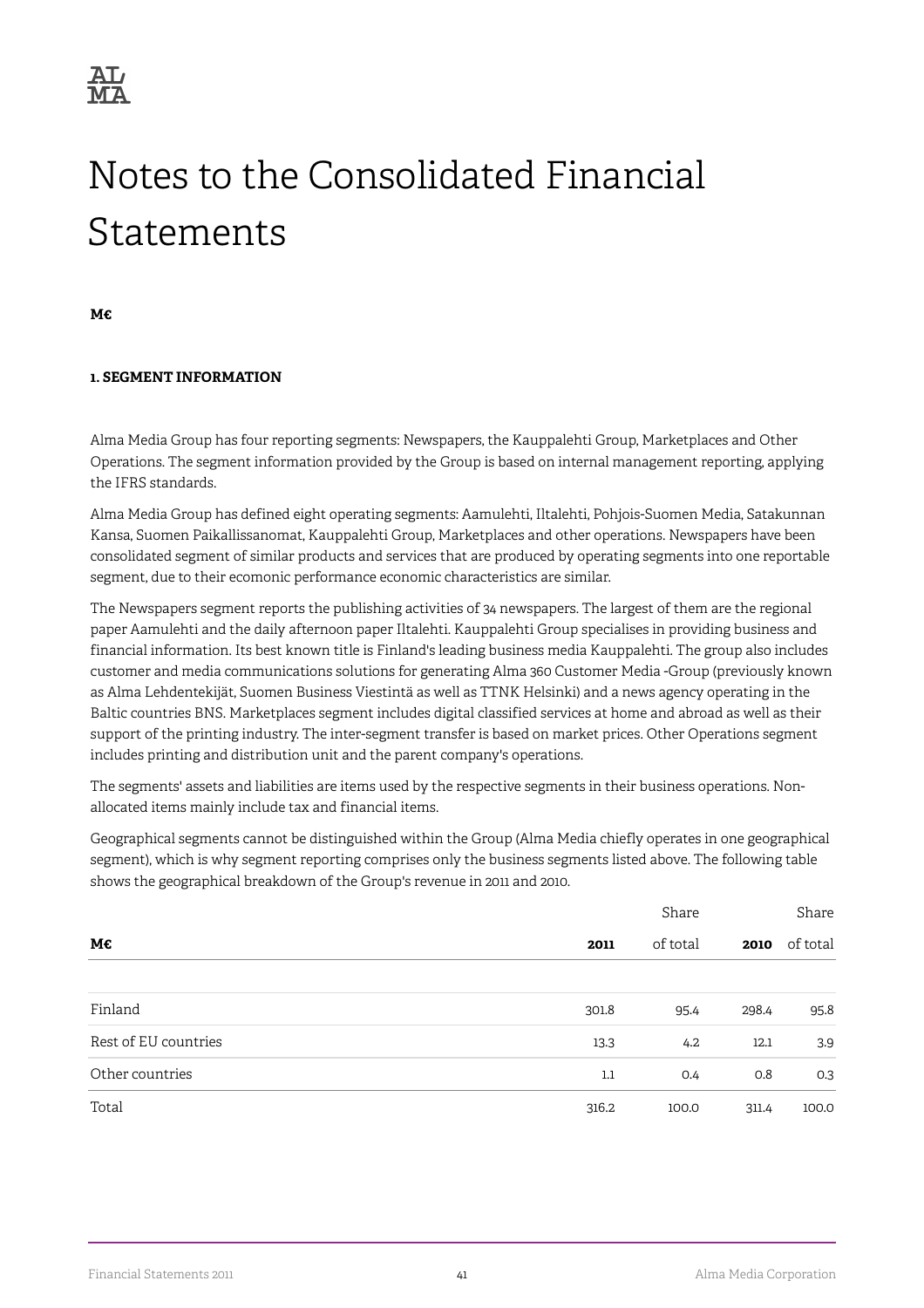

# Notes to the Consolidated Financial Statements

**M€**

#### **1. SEGMENT INFORMATION**

Alma Media Group has four reporting segments: Newspapers, the Kauppalehti Group, Marketplaces and Other Operations. The segment information provided by the Group is based on internal management reporting, applying the IFRS standards.

Alma Media Group has defined eight operating segments: Aamulehti, Iltalehti, Pohjois-Suomen Media, Satakunnan Kansa, Suomen Paikallissanomat, Kauppalehti Group, Marketplaces and other operations. Newspapers have been consolidated segment of similar products and services that are produced by operating segments into one reportable segment, due to their ecomonic performance economic characteristics are similar.

The Newspapers segment reports the publishing activities of 34 newspapers. The largest of them are the regional paper Aamulehti and the daily afternoon paper Iltalehti. Kauppalehti Group specialises in providing business and financial information. Its best known title is Finland's leading business media Kauppalehti. The group also includes customer and media communications solutions for generating Alma 360 Customer Media -Group (previously known as Alma Lehdentekijät, Suomen Business Viestintä as well as TTNK Helsinki) and a news agency operating in the Baltic countries BNS. Marketplaces segment includes digital classified services at home and abroad as well as their support of the printing industry. The inter-segment transfer is based on market prices. Other Operations segment includes printing and distribution unit and the parent company's operations.

The segments' assets and liabilities are items used by the respective segments in their business operations. Nonallocated items mainly include tax and financial items.

Geographical segments cannot be distinguished within the Group (Alma Media chiefly operates in one geographical segment), which is why segment reporting comprises only the business segments listed above. The following table shows the geographical breakdown of the Group's revenue in 2011 and 2010.

|                      |         | Share    |       |          |  |  |
|----------------------|---------|----------|-------|----------|--|--|
| M€                   | 2011    | of total | 2010  | of total |  |  |
|                      |         |          |       |          |  |  |
| Finland              | 301.8   | 95.4     | 298.4 | 95.8     |  |  |
| Rest of EU countries | 13.3    | 4.2      | 12.1  | 3.9      |  |  |
| Other countries      | $1.1\,$ | 0.4      | 0.8   | 0.3      |  |  |
| Total                | 316.2   | 100.0    | 311.4 | 100.0    |  |  |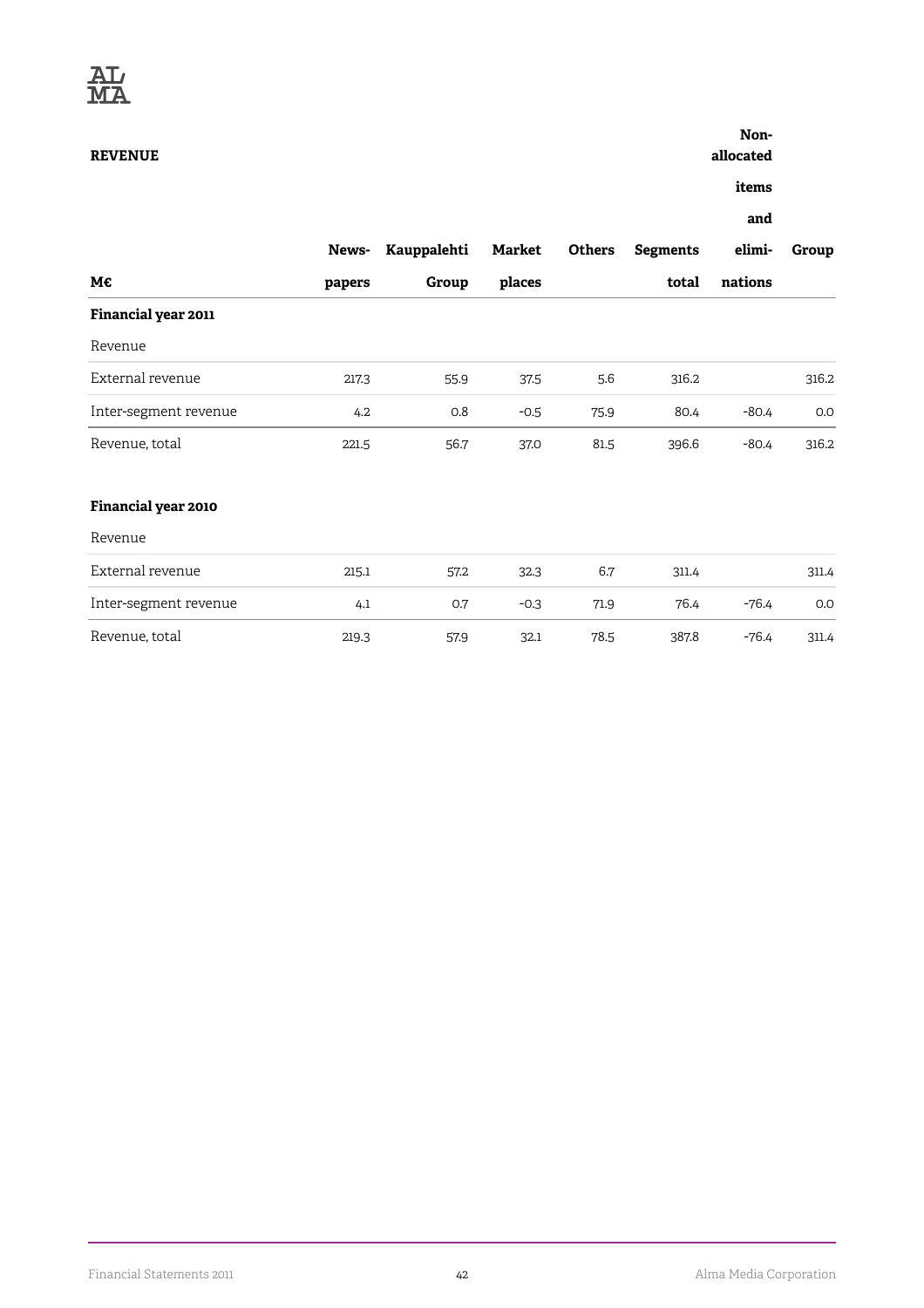**REVENUE**

### **Non-**

**allocated**

**items**

**and**

|                       | News-  | Kauppalehti | Market | <b>Others</b> | <b>Segments</b> | elimi-  | Group |
|-----------------------|--------|-------------|--------|---------------|-----------------|---------|-------|
| М€                    | papers | Group       | places |               | total           | nations |       |
| Financial year 2011   |        |             |        |               |                 |         |       |
| Revenue               |        |             |        |               |                 |         |       |
| External revenue      | 217.3  | 55.9        | 37.5   | 5.6           | 316.2           |         | 316.2 |
| Inter-segment revenue | 4.2    | 0.8         | $-0.5$ | 75.9          | 80.4            | $-80.4$ | 0.0   |
| Revenue, total        | 221.5  | 56.7        | 37.0   | 81.5          | 396.6           | $-80.4$ | 316.2 |
| Financial year 2010   |        |             |        |               |                 |         |       |
| Revenue               |        |             |        |               |                 |         |       |
| External revenue      | 215.1  | 57.2        | 32.3   | 6.7           | 311.4           |         | 311.4 |
| Inter-segment revenue | 4.1    | 0.7         | $-0.3$ | 71.9          | 76.4            | -76.4   | 0.0   |
| Revenue, total        | 219.3  | 57.9        | 32.1   | 78.5          | 387.8           | $-76.4$ | 311.4 |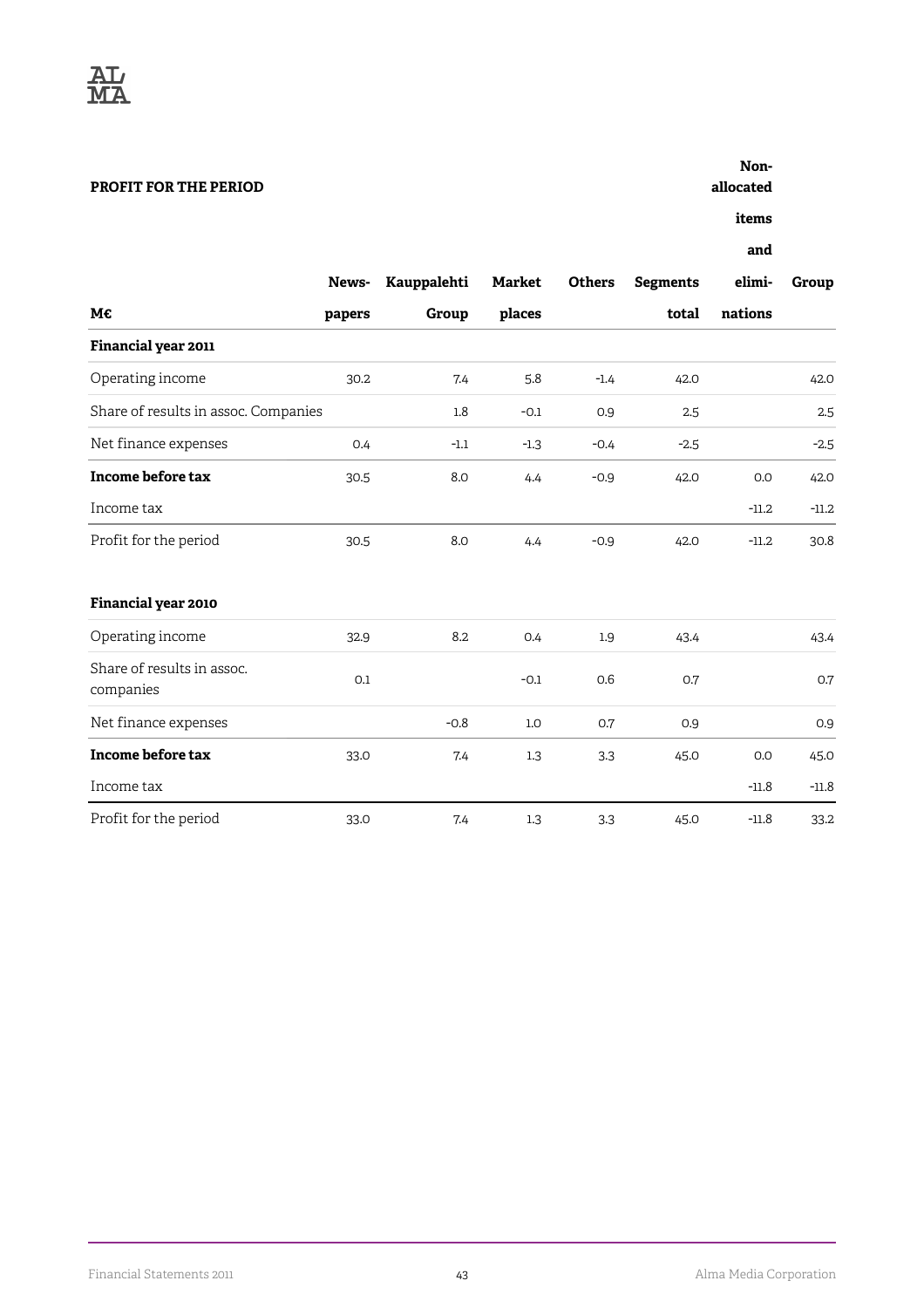

#### **PROFIT FOR THE PERIOD**

**allocated**

**items**

|                                         | News-  | Kauppalehti | <b>Market</b> | <b>Others</b> | <b>Segments</b> | elimi-  | Group   |
|-----------------------------------------|--------|-------------|---------------|---------------|-----------------|---------|---------|
| М€                                      | papers | Group       | places        |               | total           | nations |         |
| Financial year 2011                     |        |             |               |               |                 |         |         |
| Operating income                        | 30.2   | 7.4         | 5.8           | $-1.4$        | 42.0            |         | 42.0    |
| Share of results in assoc. Companies    |        | 1.8         | $-0.1$        | 0.9           | 2.5             |         | 2.5     |
| Net finance expenses                    | 0.4    | $-1.1$      | $-1.3$        | $-0.4$        | $-2.5$          |         | $-2.5$  |
| <b>Income before tax</b>                | 30.5   | 8.0         | 4.4           | $-0.9$        | 42.0            | 0.0     | 42.0    |
| Income tax                              |        |             |               |               |                 | $-11.2$ | $-11.2$ |
| Profit for the period                   | 30.5   | 8.0         | 4.4           | $-0.9$        | 42.0            | $-11.2$ | 30.8    |
| Financial year 2010                     |        |             |               |               |                 |         |         |
| Operating income                        | 32.9   | 8.2         | 0.4           | 1.9           | 43.4            |         | 43.4    |
| Share of results in assoc.<br>companies | 0.1    |             | $-0.1$        | 0.6           | 0.7             |         | 0.7     |
| Net finance expenses                    |        | $-0.8$      | 1.0           | 0.7           | 0.9             |         | 0.9     |
| Income before tax                       | 33.0   | 7.4         | 1.3           | 3.3           | 45.0            | 0.0     | 45.0    |
| Income tax                              |        |             |               |               |                 | $-11.8$ | $-11.8$ |
| Profit for the period                   | 33.0   | 7.4         | 1.3           | 3.3           | 45.0            | $-11.8$ | 33.2    |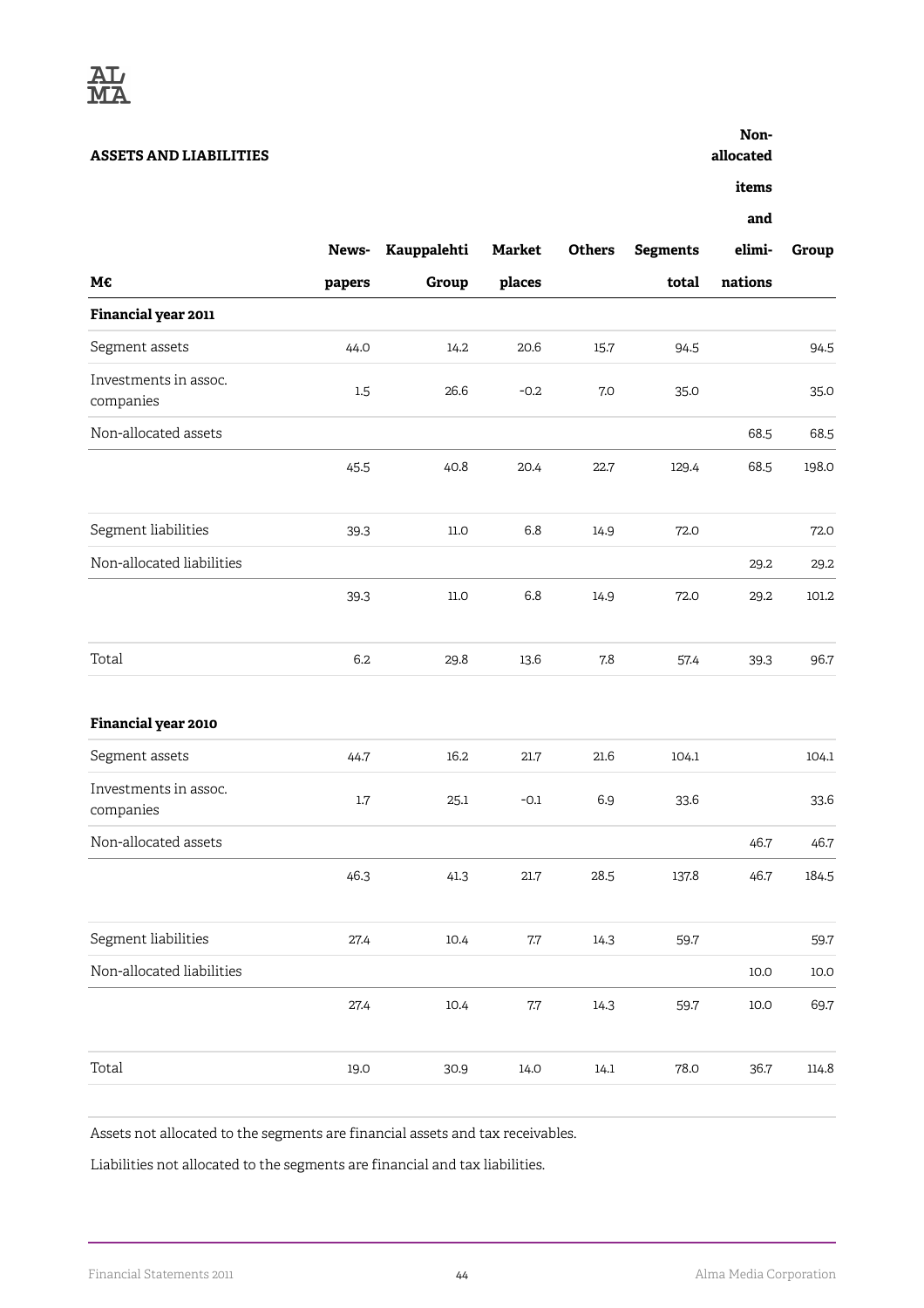

#### **ASSETS AND LIABILITIES**

**Nonallocated**

**items**

**and**

|                                    | News-   | Kauppalehti | <b>Market</b> | <b>Others</b> | <b>Segments</b> | elimi-  | Group    |
|------------------------------------|---------|-------------|---------------|---------------|-----------------|---------|----------|
| М€                                 | papers  | Group       | places        |               | total           | nations |          |
| Financial year 2011                |         |             |               |               |                 |         |          |
| Segment assets                     | 44.0    | 14.2        | 20.6          | 15.7          | 94.5            |         | 94.5     |
| Investments in assoc.<br>companies | $1.5\,$ | 26.6        | $-0.2$        | 7.0           | 35.0            |         | 35.0     |
| Non-allocated assets               |         |             |               |               |                 | 68.5    | 68.5     |
|                                    | 45.5    | 40.8        | 20.4          | 22.7          | 129.4           | 68.5    | 198.0    |
| Segment liabilities                | 39.3    | 11.0        | 6.8           | 14.9          | 72.0            |         | 72.0     |
| Non-allocated liabilities          |         |             |               |               |                 | 29.2    | 29.2     |
|                                    | 39.3    | $11.0\,$    | 6.8           | 14.9          | 72.0            | 29.2    | 101.2    |
| Total                              | 6.2     | 29.8        | 13.6          | 7.8           | 57.4            | 39.3    | 96.7     |
| Financial year 2010                |         |             |               |               |                 |         |          |
| Segment assets                     | 44.7    | 16.2        | 21.7          | 21.6          | 104.1           |         | 104.1    |
| Investments in assoc.<br>companies | $1.7\,$ | 25.1        | $-0.1$        | 6.9           | 33.6            |         | 33.6     |
| Non-allocated assets               |         |             |               |               |                 | 46.7    | 46.7     |
|                                    | 46.3    | 41.3        | 21.7          | 28.5          | 137.8           | 46.7    | 184.5    |
| Segment liabilities                | 27.4    | 10.4        | $7.7\,$       | 14.3          | 59.7            |         | 59.7     |
| Non-allocated liabilities          |         |             |               |               |                 | 10.0    | $10.0\,$ |
|                                    | 27.4    | 10.4        | $7.7\,$       | 14.3          | 59.7            | 10.0    | 69.7     |
| Total                              | 19.0    | 30.9        | 14.0          | 14.1          | 78.0            | 36.7    | 114.8    |

Assets not allocated to the segments are financial assets and tax receivables.

Liabilities not allocated to the segments are financial and tax liabilities.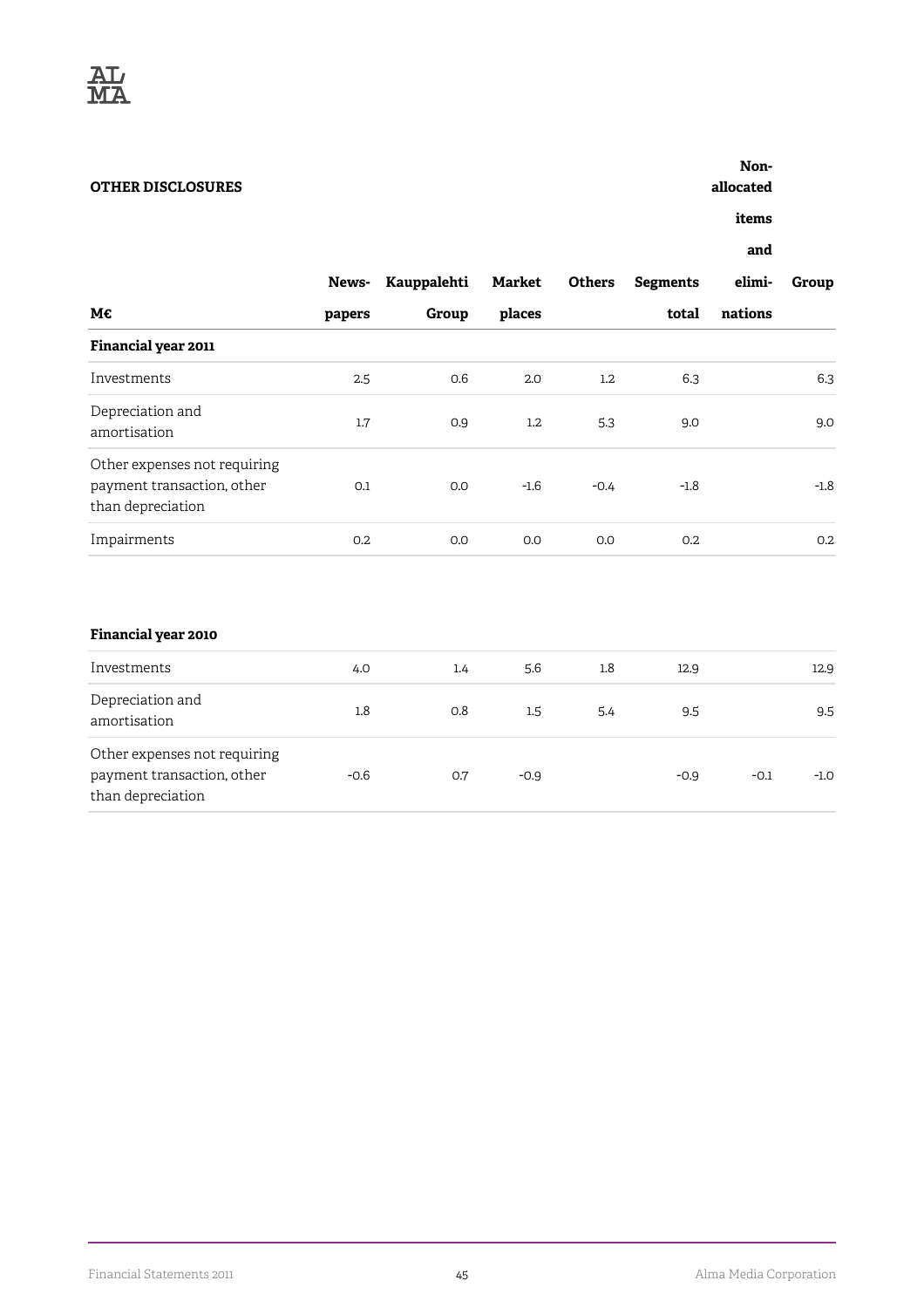

#### **OTHER DISCLOSURES**

**allocated**

**items**

|                                                                                 | News-  | Kauppalehti | Market | <b>Others</b>    | <b>Segments</b> | elimi-  | Group  |
|---------------------------------------------------------------------------------|--------|-------------|--------|------------------|-----------------|---------|--------|
| М€                                                                              | papers | Group       | places |                  | total           | nations |        |
| Financial year 2011                                                             |        |             |        |                  |                 |         |        |
| Investments                                                                     | 2.5    | 0.6         | 2.0    | $1.2\phantom{0}$ | 6.3             |         | 6.3    |
| Depreciation and<br>amortisation                                                | 1.7    | 0.9         | 1.2    | 5.3              | 9.0             |         | 9.0    |
| Other expenses not requiring<br>payment transaction, other<br>than depreciation | 0.1    | 0.0         | $-1.6$ | $-0.4$           | $-1.8$          |         | $-1.8$ |
| Impairments                                                                     | 0.2    | 0.0         | 0.0    | 0.0              | 0.2             |         | 0.2    |

#### **Financial year 2010**

| Investments                                                                     | 4.0    | 1.4 | 5.6              | 1.8 | 12.9   |        | 12.9   |
|---------------------------------------------------------------------------------|--------|-----|------------------|-----|--------|--------|--------|
| Depreciation and<br>amortisation                                                | 1.8    | 0.8 | $1.5\phantom{0}$ | 5.4 | 9.5    |        | 9.5    |
| Other expenses not requiring<br>payment transaction, other<br>than depreciation | $-0.6$ | 0.7 | $-0.9$           |     | $-0.9$ | $-0.1$ | $-1.0$ |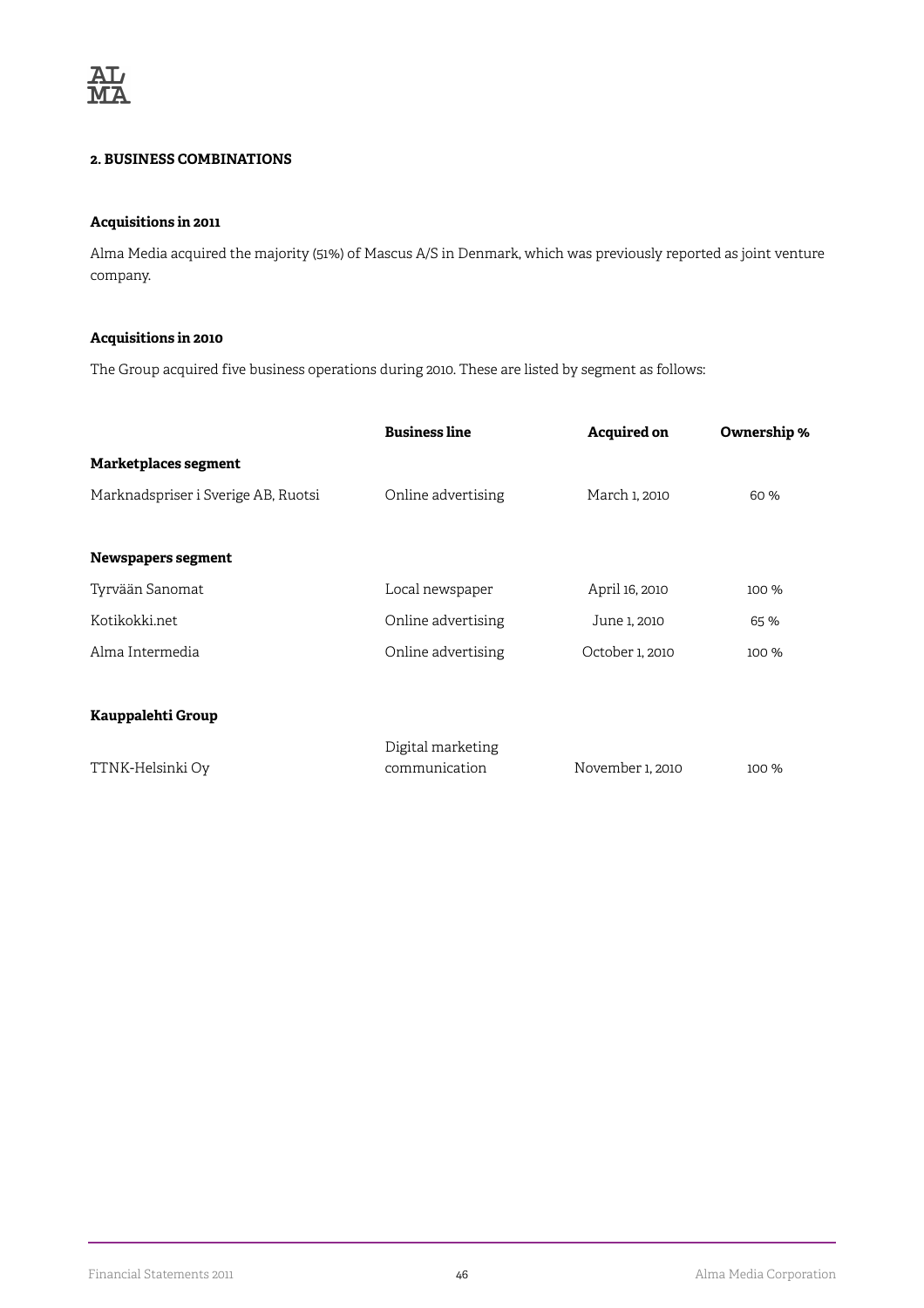

#### **2. BUSINESS COMBINATIONS**

#### **Acquisitions in 2011**

Alma Media acquired the majority (51%) of Mascus A/S in Denmark, which was previously reported as joint venture company.

#### **Acquisitions in 2010**

The Group acquired five business operations during 2010. These are listed by segment as follows:

|                                     | <b>Business line</b>               | <b>Acquired on</b> | Ownership % |
|-------------------------------------|------------------------------------|--------------------|-------------|
| Marketplaces segment                |                                    |                    |             |
| Marknadspriser i Sverige AB, Ruotsi | Online advertising                 | March 1, 2010      | 60 %        |
|                                     |                                    |                    |             |
| Newspapers segment                  |                                    |                    |             |
| Tyrvään Sanomat                     | Local newspaper                    | April 16, 2010     | 100 %       |
| Kotikokki.net                       | Online advertising                 | June 1, 2010       | 65 %        |
| Alma Intermedia                     | Online advertising                 | October 1, 2010    | 100 %       |
|                                     |                                    |                    |             |
| Kauppalehti Group                   |                                    |                    |             |
| TTNK-Helsinki Oy                    | Digital marketing<br>communication | November 1, 2010   | 100 %       |
|                                     |                                    |                    |             |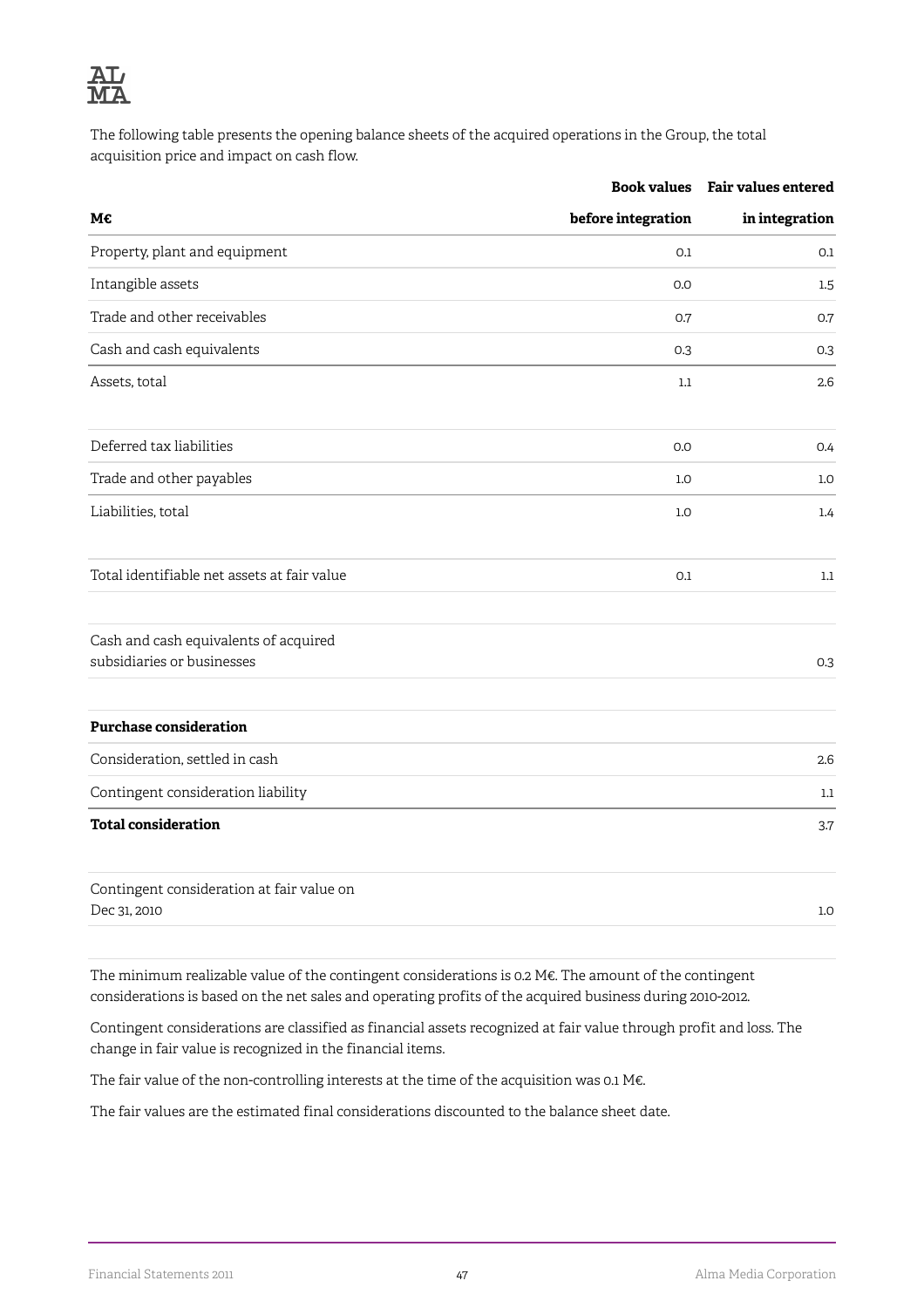

The following table presents the opening balance sheets of the acquired operations in the Group, the total acquisition price and impact on cash flow.

|                                                                     | <b>Book values</b> | Fair values entered |
|---------------------------------------------------------------------|--------------------|---------------------|
| M€                                                                  | before integration | in integration      |
| Property, plant and equipment                                       | 0.1                | 0.1                 |
| Intangible assets                                                   | 0.0                | 1.5                 |
| Trade and other receivables                                         | 0.7                | 0.7                 |
| Cash and cash equivalents                                           | 0.3                | 0.3                 |
| Assets, total                                                       | 1.1                | 2.6                 |
| Deferred tax liabilities                                            | 0.0                | 0.4                 |
| Trade and other payables                                            | 1.0                | 1.0                 |
| Liabilities, total                                                  | 1.0                | 1.4                 |
| Total identifiable net assets at fair value                         | 0.1                | 1.1                 |
| Cash and cash equivalents of acquired<br>subsidiaries or businesses |                    | 0.3                 |
| <b>Purchase consideration</b>                                       |                    |                     |
| Consideration, settled in cash                                      |                    | 2.6                 |
| Contingent consideration liability                                  |                    | 1.1                 |
| <b>Total consideration</b>                                          |                    | 3.7                 |
| Contingent consideration at fair value on<br>Dec 31, 2010           |                    | 1.0                 |
|                                                                     |                    |                     |

The minimum realizable value of the contingent considerations is 0.2 M€. The amount of the contingent considerations is based on the net sales and operating profits of the acquired business during 2010-2012.

Contingent considerations are classified as financial assets recognized at fair value through profit and loss. The change in fair value is recognized in the financial items.

The fair value of the non-controlling interests at the time of the acquisition was 0.1 M€.

The fair values are the estimated final considerations discounted to the balance sheet date.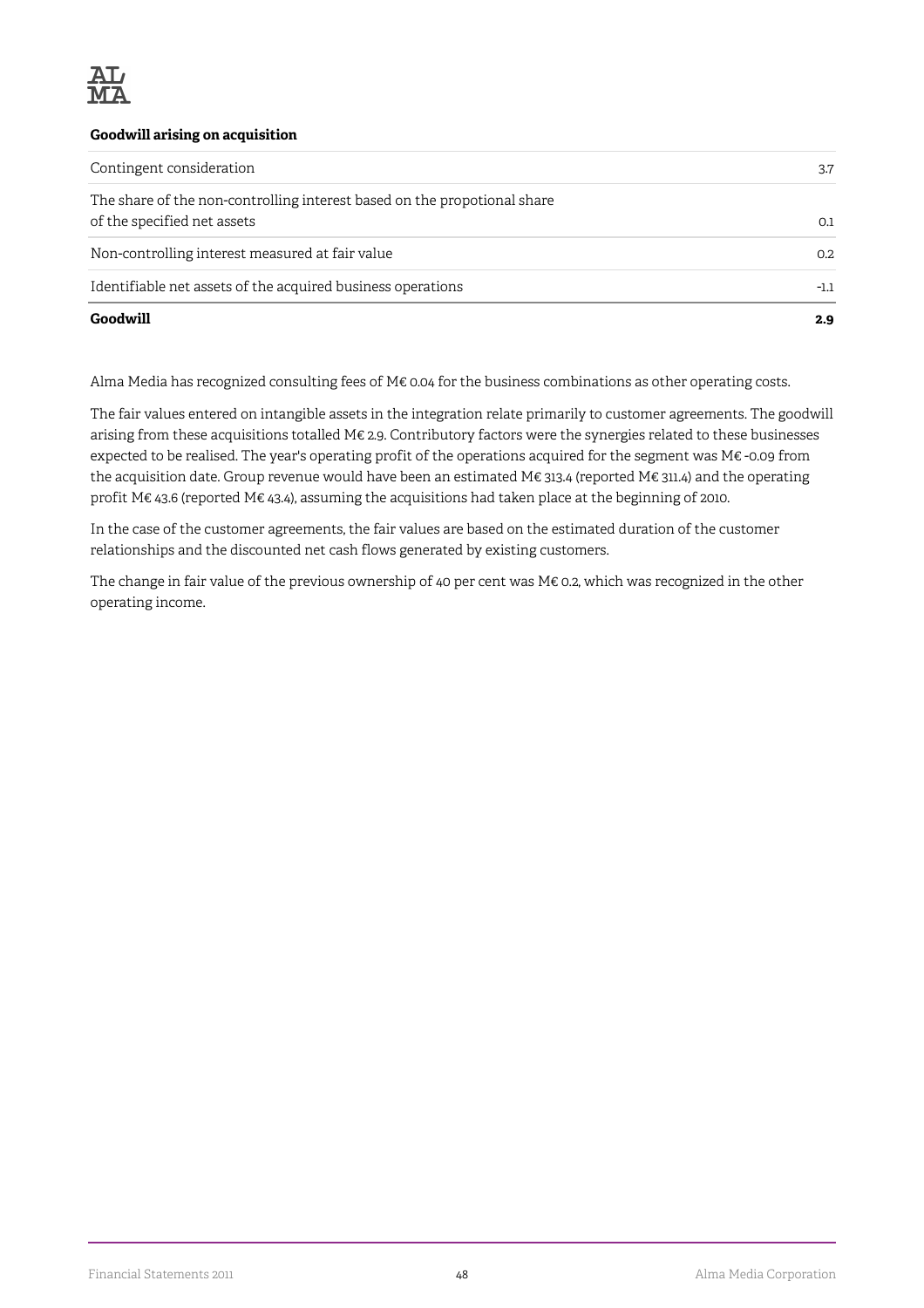

#### **Goodwill arising on acquisition**

| Goodwill                                                                                                | 2.9    |
|---------------------------------------------------------------------------------------------------------|--------|
| Identifiable net assets of the acquired business operations                                             | $-1.1$ |
| Non-controlling interest measured at fair value                                                         | 0.2    |
| The share of the non-controlling interest based on the propotional share<br>of the specified net assets | 0.1    |
| Contingent consideration                                                                                | 3.7    |

Alma Media has recognized consulting fees of M€ 0.04 for the business combinations as other operating costs.

The fair values entered on intangible assets in the integration relate primarily to customer agreements. The goodwill arising from these acquisitions totalled M€ 2.9. Contributory factors were the synergies related to these businesses expected to be realised. The year's operating profit of the operations acquired for the segment was M€ -0.09 from the acquisition date. Group revenue would have been an estimated M€ 313.4 (reported M€ 311.4) and the operating profit M€ 43.6 (reported M€ 43.4), assuming the acquisitions had taken place at the beginning of 2010.

In the case of the customer agreements, the fair values are based on the estimated duration of the customer relationships and the discounted net cash flows generated by existing customers.

The change in fair value of the previous ownership of 40 per cent was M€ 0.2, which was recognized in the other operating income.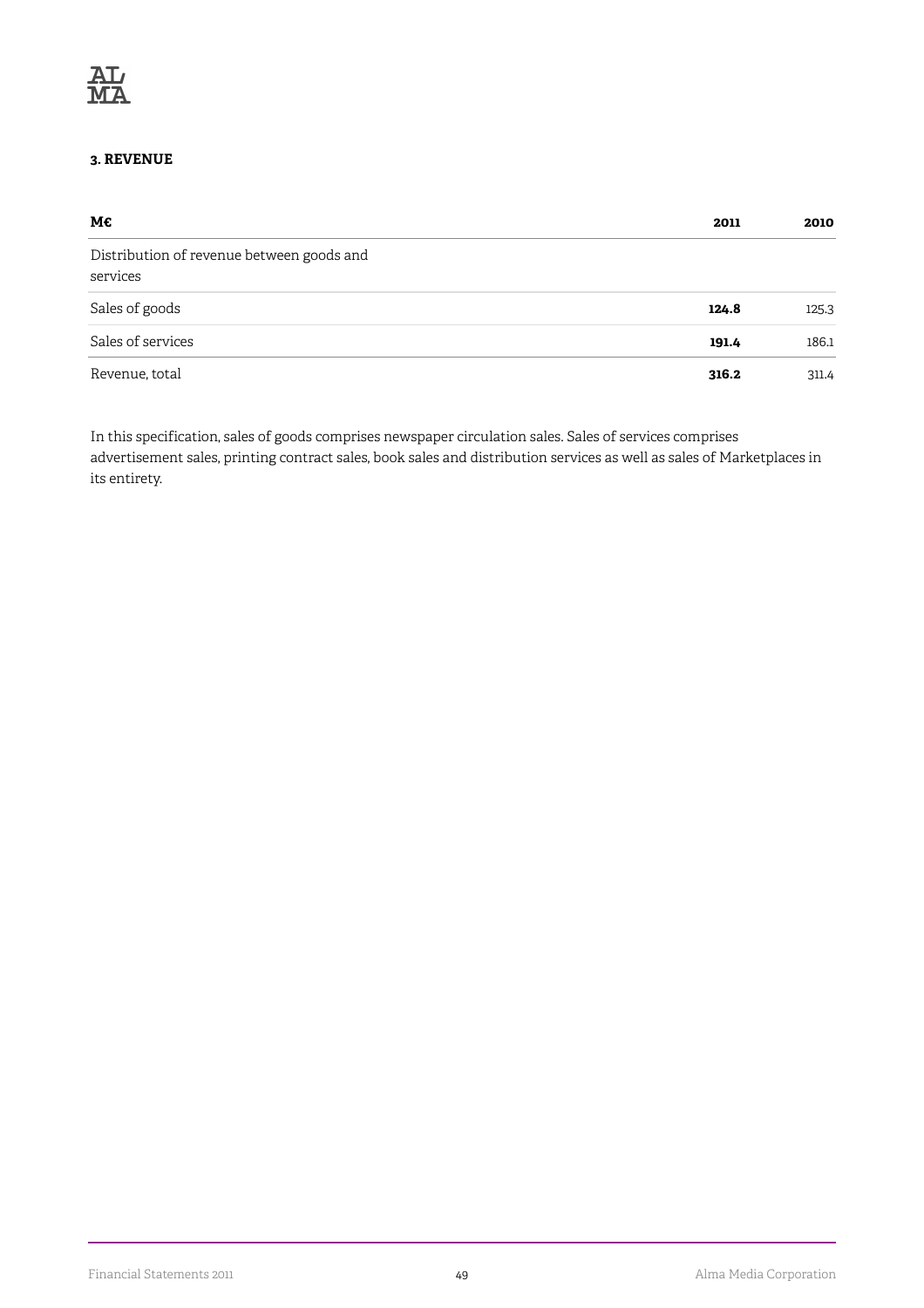#### **3. REVENUE**

| М€                                                    | 2011  | 2010  |
|-------------------------------------------------------|-------|-------|
| Distribution of revenue between goods and<br>services |       |       |
| Sales of goods                                        | 124.8 | 125.3 |
| Sales of services                                     | 191.4 | 186.1 |
| Revenue, total                                        | 316.2 | 311.4 |

In this specification, sales of goods comprises newspaper circulation sales. Sales of services comprises advertisement sales, printing contract sales, book sales and distribution services as well as sales of Marketplaces in its entirety.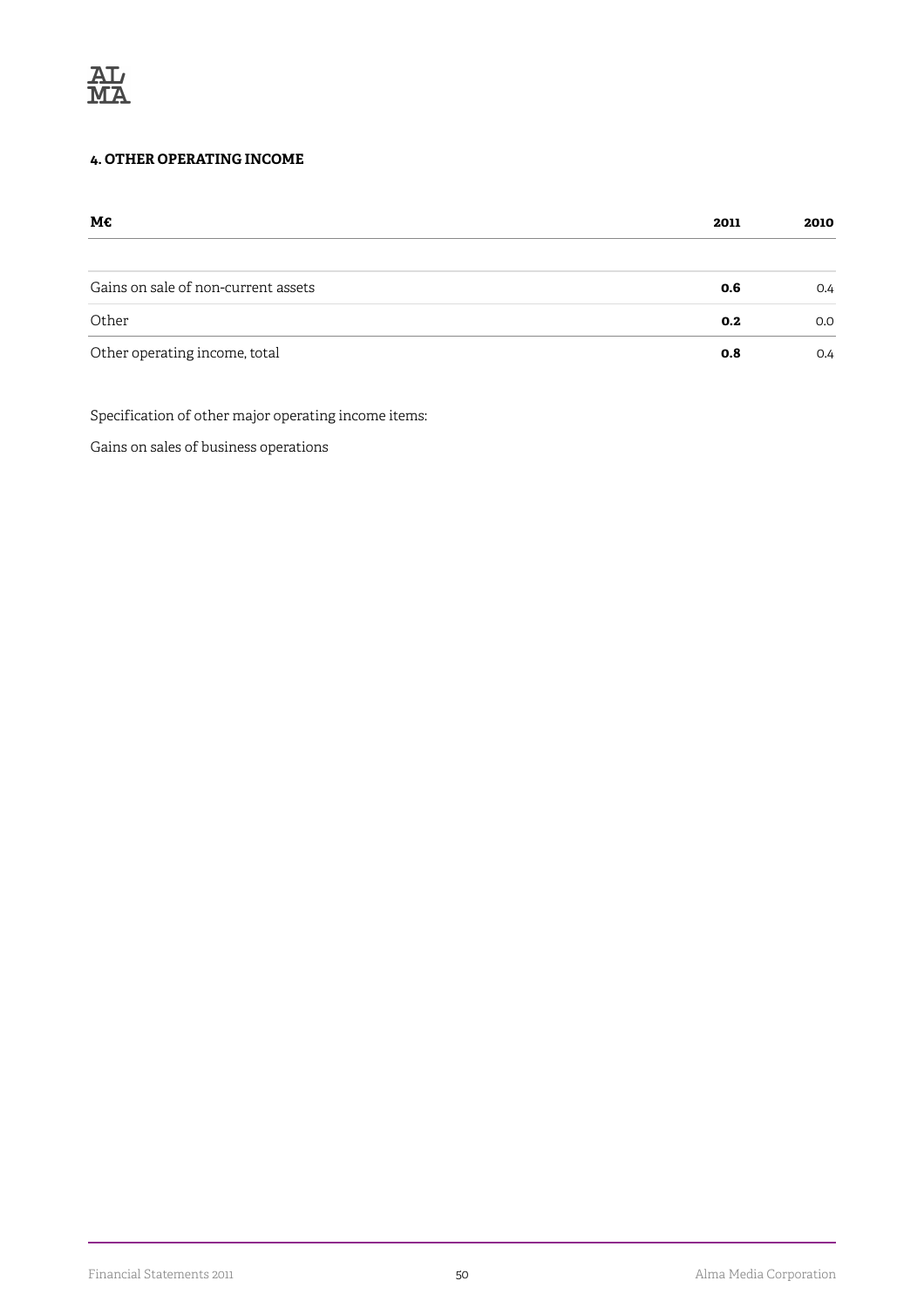

#### **4. OTHER OPERATING INCOME**

| М€                                  | 2011 | 2010 |
|-------------------------------------|------|------|
|                                     |      |      |
| Gains on sale of non-current assets | 0.6  | O.4  |
| Other                               | 0.2  | 0.0  |
| Other operating income, total       | 0.8  | O.4  |

Specification of other major operating income items:

Gains on sales of business operations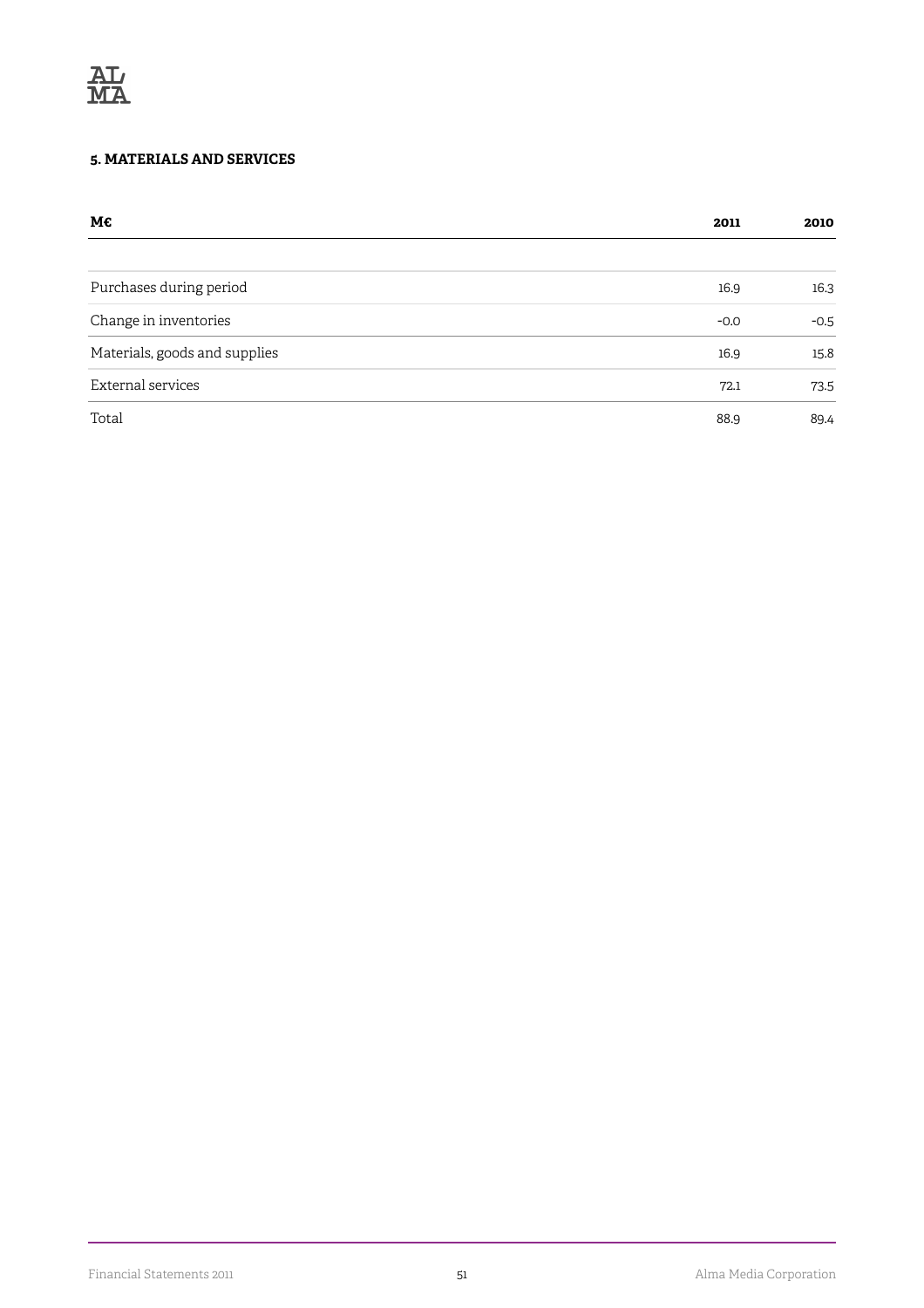

#### **5. MATERIALS AND SERVICES**

| M€                            | 2011   | 2010   |
|-------------------------------|--------|--------|
|                               |        |        |
| Purchases during period       | 16.9   | 16.3   |
| Change in inventories         | $-0.0$ | $-0.5$ |
| Materials, goods and supplies | 16.9   | 15.8   |
| External services             | 72.1   | 73.5   |
| Total                         | 88.9   | 89.4   |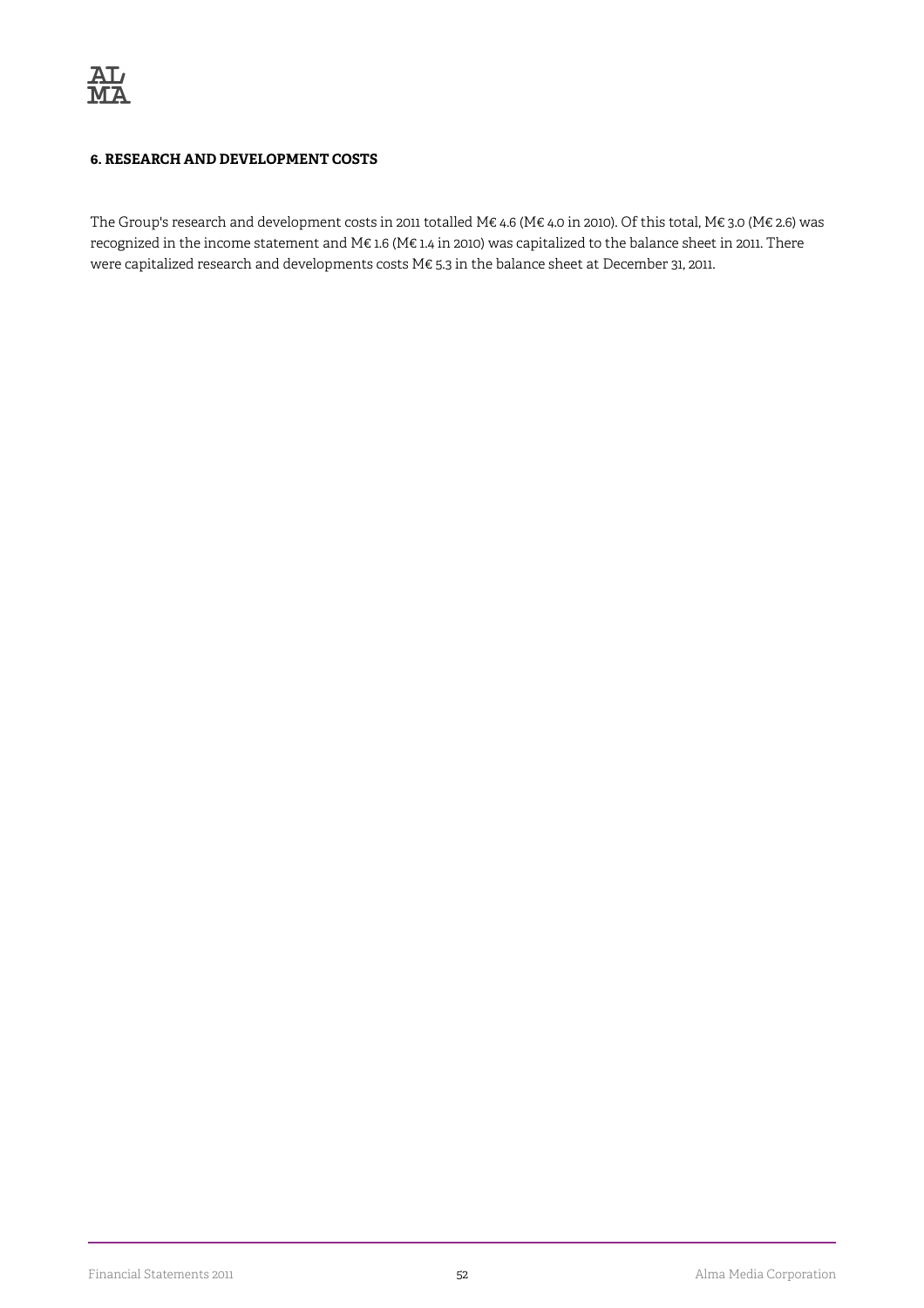#### **6. RESEARCH AND DEVELOPMENT COSTS**

The Group's research and development costs in 2011 totalled M€ 4.6 (M€ 4.0 in 2010). Of this total, M€ 3.0 (M€ 2.6) was recognized in the income statement and M€ 1.6 (M€ 1.4 in 2010) was capitalized to the balance sheet in 2011. There were capitalized research and developments costs M€ 5.3 in the balance sheet at December 31, 2011.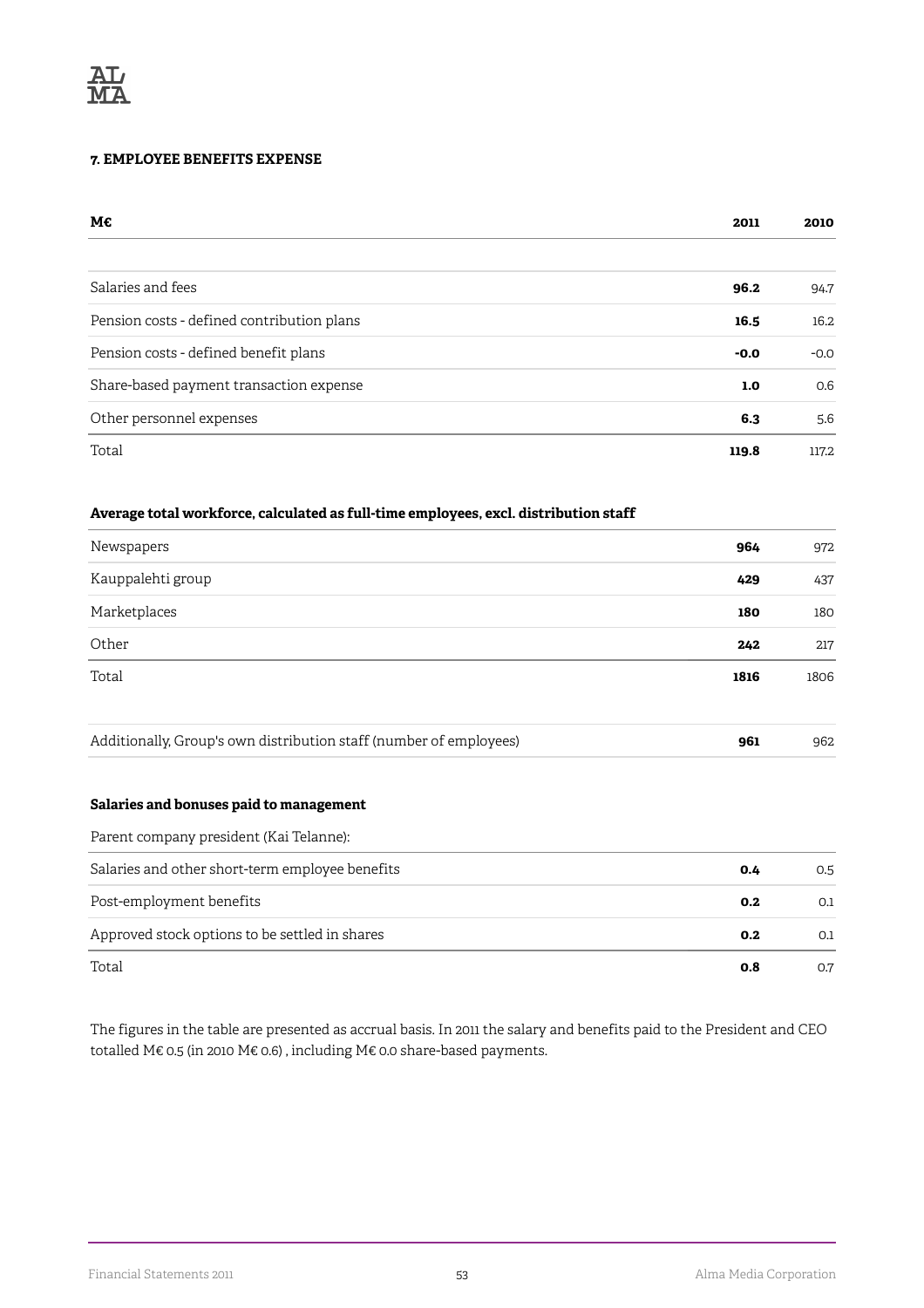#### **7. EMPLOYEE BENEFITS EXPENSE**

| М€                                         | 2011   | 2010   |
|--------------------------------------------|--------|--------|
|                                            |        |        |
| Salaries and fees                          | 96.2   | 94.7   |
| Pension costs - defined contribution plans | 16.5   | 16.2   |
| Pension costs - defined benefit plans      | $-0.0$ | $-0.0$ |
| Share-based payment transaction expense    | 1.0    | 0.6    |
| Other personnel expenses                   | 6.3    | 5.6    |
| Total                                      | 119.8  | 117.2  |

#### **Average total workforce, calculated as full-time employees, excl. distribution staff**

| Newspapers        | 964  | 972  |
|-------------------|------|------|
| Kauppalehti group | 429  | 437  |
| Marketplaces      | 180  | 180  |
| Other             | 242  | 217  |
| Total             | 1816 | 1806 |
|                   |      |      |

|  | Additionally, Group's own distribution staff (number of employees) |  | 962 |
|--|--------------------------------------------------------------------|--|-----|
|--|--------------------------------------------------------------------|--|-----|

#### **Salaries and bonuses paid to management**

| Parent company president (Kai Telanne):         |     |     |
|-------------------------------------------------|-----|-----|
| Salaries and other short-term employee benefits | 0.4 | 0.5 |
| Post-employment benefits                        | 0.2 | 0.1 |
| Approved stock options to be settled in shares  | 0.2 | 0.1 |
| Total                                           | 0.8 | 0.7 |

The figures in the table are presented as accrual basis. In 2011 the salary and benefits paid to the President and CEO totalled M€ 0.5 (in 2010 M€ 0.6) , including M€ 0.0 share-based payments.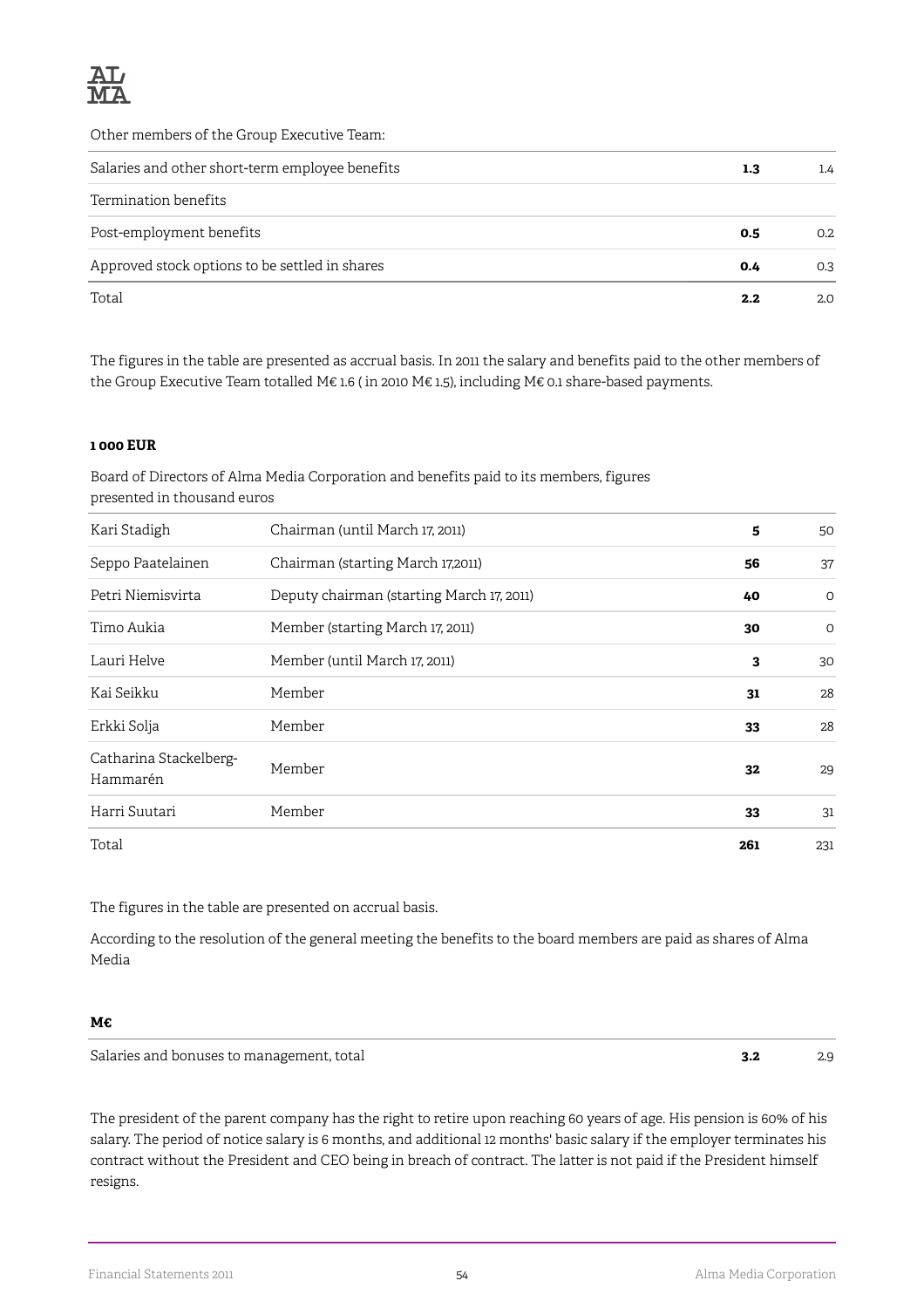

Other members of the Group Executive Team:

| Salaries and other short-term employee benefits | 1.3 | 1.4 |
|-------------------------------------------------|-----|-----|
| Termination benefits                            |     |     |
| Post-employment benefits                        | 0.5 | 0.2 |
| Approved stock options to be settled in shares  | 0.4 | 0.3 |
| Total                                           | 2.2 | 2.0 |

The figures in the table are presented as accrual basis. In 2011 the salary and benefits paid to the other members of the Group Executive Team totalled M€ 1.6 ( in 2010 M€ 1.5), including M€ 0.1 share-based payments.

#### **1 000 EUR**

Board of Directors of Alma Media Corporation and benefits paid to its members, figures presented in thousand euros

| Kari Stadigh                       | Chairman (until March 17, 2011)           | 5   | 50      |
|------------------------------------|-------------------------------------------|-----|---------|
| Seppo Paatelainen                  | Chairman (starting March 17,2011)         | 56  | 37      |
| Petri Niemisvirta                  | Deputy chairman (starting March 17, 2011) | 40  | $\circ$ |
| Timo Aukia                         | Member (starting March 17, 2011)          | 30  | 0       |
| Lauri Helve                        | Member (until March 17, 2011)             | 3   | 30      |
| Kai Seikku                         | Member                                    | 31  | 28      |
| Erkki Solja                        | Member                                    | 33  | 28      |
| Catharina Stackelberg-<br>Hammarén | Member                                    | 32  | 29      |
| Harri Suutari                      | Member                                    | 33  | 31      |
| Total                              |                                           | 261 | 231     |

The figures in the table are presented on accrual basis.

According to the resolution of the general meeting the benefits to the board members are paid as shares of Alma Media

#### **M€**

Salaries and bonuses to management, total **3.2** 2.9

The president of the parent company has the right to retire upon reaching 60 years of age. His pension is 60% of his salary. The period of notice salary is 6 months, and additional 12 months' basic salary if the employer terminates his contract without the President and CEO being in breach of contract. The latter is not paid if the President himself resigns.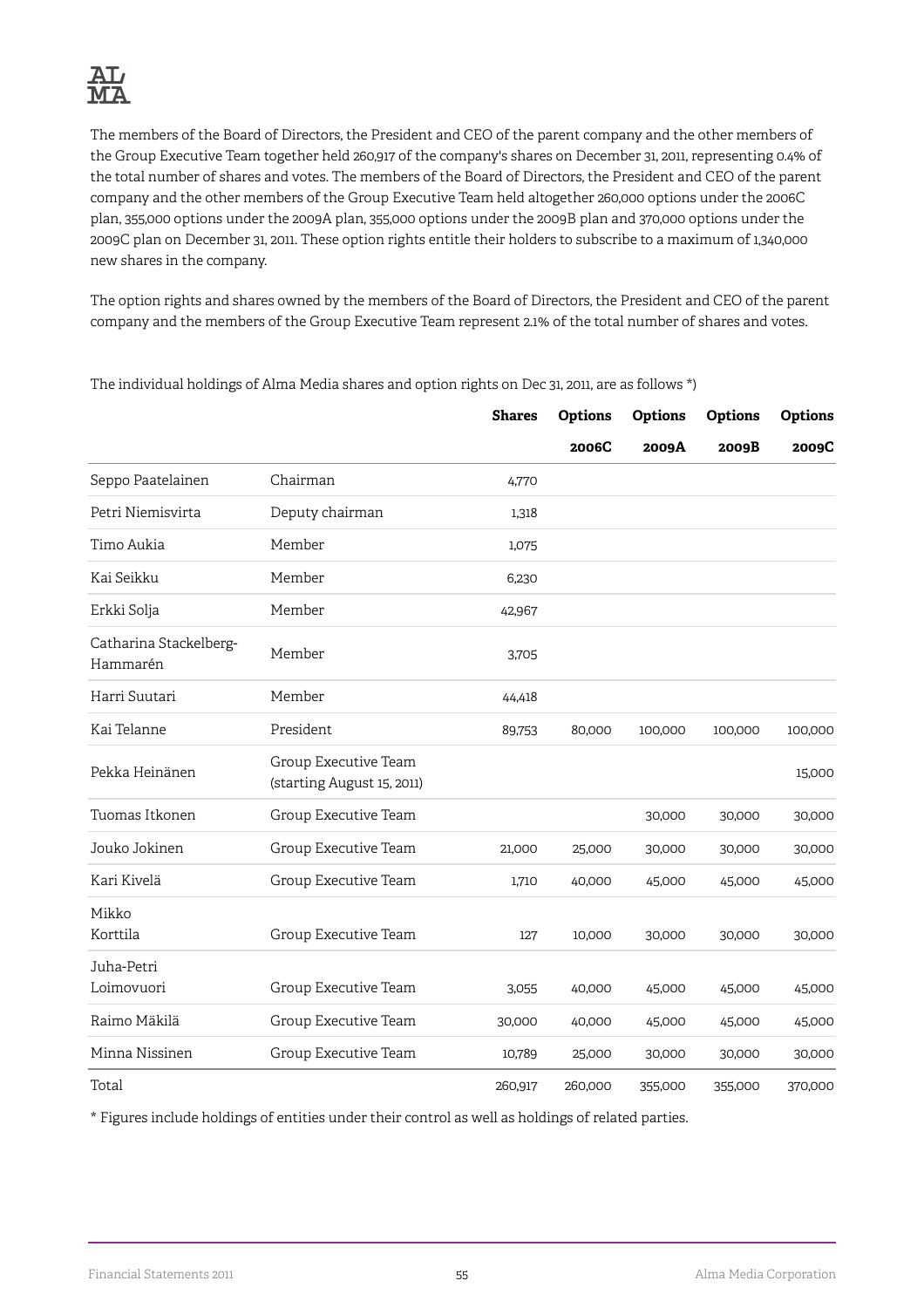The members of the Board of Directors, the President and CEO of the parent company and the other members of the Group Executive Team together held 260,917 of the company's shares on December 31, 2011, representing 0.4% of the total number of shares and votes. The members of the Board of Directors, the President and CEO of the parent company and the other members of the Group Executive Team held altogether 260,000 options under the 2006C plan, 355,000 options under the 2009A plan, 355,000 options under the 2009B plan and 370,000 options under the 2009C plan on December 31, 2011. These option rights entitle their holders to subscribe to a maximum of 1,340,000 new shares in the company.

The option rights and shares owned by the members of the Board of Directors, the President and CEO of the parent company and the members of the Group Executive Team represent 2.1% of the total number of shares and votes.

|                                    |                                                    | <b>Shares</b> | <b>Options</b> | <b>Options</b> | <b>Options</b> | <b>Options</b> |
|------------------------------------|----------------------------------------------------|---------------|----------------|----------------|----------------|----------------|
|                                    |                                                    |               | 2006C          | 2009A          | 2009B          | 2009C          |
| Seppo Paatelainen                  | Chairman                                           | 4,770         |                |                |                |                |
| Petri Niemisvirta                  | Deputy chairman                                    | 1,318         |                |                |                |                |
| Timo Aukia                         | Member                                             | 1,075         |                |                |                |                |
| Kai Seikku                         | Member                                             | 6,230         |                |                |                |                |
| Erkki Solja                        | Member                                             | 42,967        |                |                |                |                |
| Catharina Stackelberg-<br>Hammarén | Member                                             | 3,705         |                |                |                |                |
| Harri Suutari                      | Member                                             | 44,418        |                |                |                |                |
| Kai Telanne                        | President                                          | 89.753        | 80,000         | 100,000        | 100,000        | 100,000        |
| Pekka Heinänen                     | Group Executive Team<br>(starting August 15, 2011) |               |                |                |                | 15,000         |
| Tuomas Itkonen                     | Group Executive Team                               |               |                | 30,000         | 30,000         | 30,000         |
| Jouko Jokinen                      | Group Executive Team                               | 21,000        | 25,000         | 30,000         | 30,000         | 30,000         |
| Kari Kivelä                        | Group Executive Team                               | 1,710         | 40,000         | 45,000         | 45,000         | 45,000         |
| Mikko<br>Korttila                  | Group Executive Team                               | 127           | 10,000         | 30,000         | 30,000         | 30,000         |
| Juha-Petri<br>Loimovuori           | Group Executive Team                               | 3,055         | 40,000         | 45,000         | 45,000         | 45,000         |
| Raimo Mäkilä                       | Group Executive Team                               | 30,000        | 40,000         | 45,000         | 45,000         | 45,000         |
| Minna Nissinen                     | Group Executive Team                               | 10,789        | 25,000         | 30,000         | 30,000         | 30,000         |
| Total                              |                                                    | 260,917       | 260,000        | 355,000        | 355,000        | 370,000        |

The individual holdings of Alma Media shares and option rights on Dec 31, 2011, are as follows \*)

\* Figures include holdings of entities under their control as well as holdings of related parties.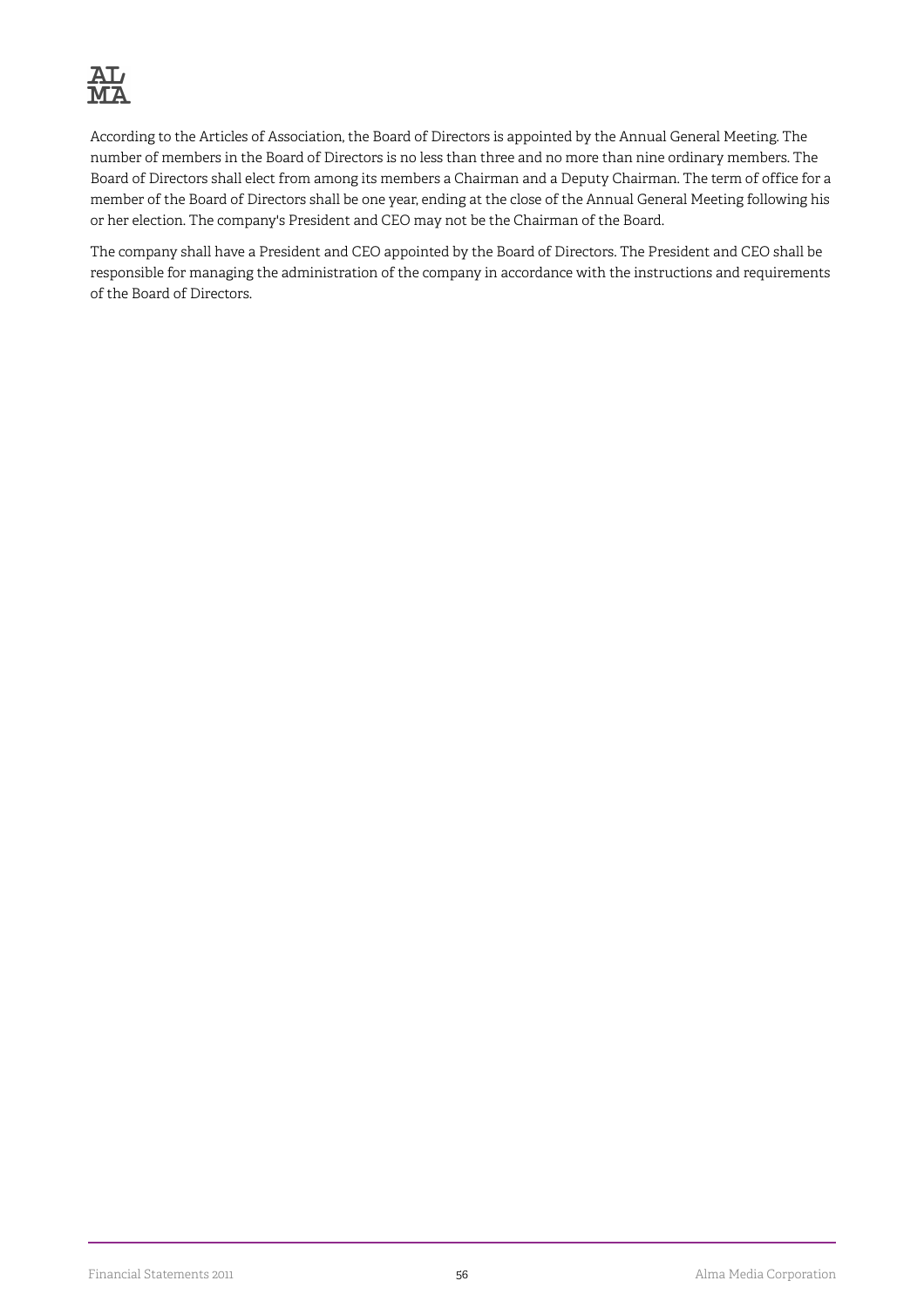

According to the Articles of Association, the Board of Directors is appointed by the Annual General Meeting. The number of members in the Board of Directors is no less than three and no more than nine ordinary members. The Board of Directors shall elect from among its members a Chairman and a Deputy Chairman. The term of office for a member of the Board of Directors shall be one year, ending at the close of the Annual General Meeting following his or her election. The company's President and CEO may not be the Chairman of the Board.

The company shall have a President and CEO appointed by the Board of Directors. The President and CEO shall be responsible for managing the administration of the company in accordance with the instructions and requirements of the Board of Directors.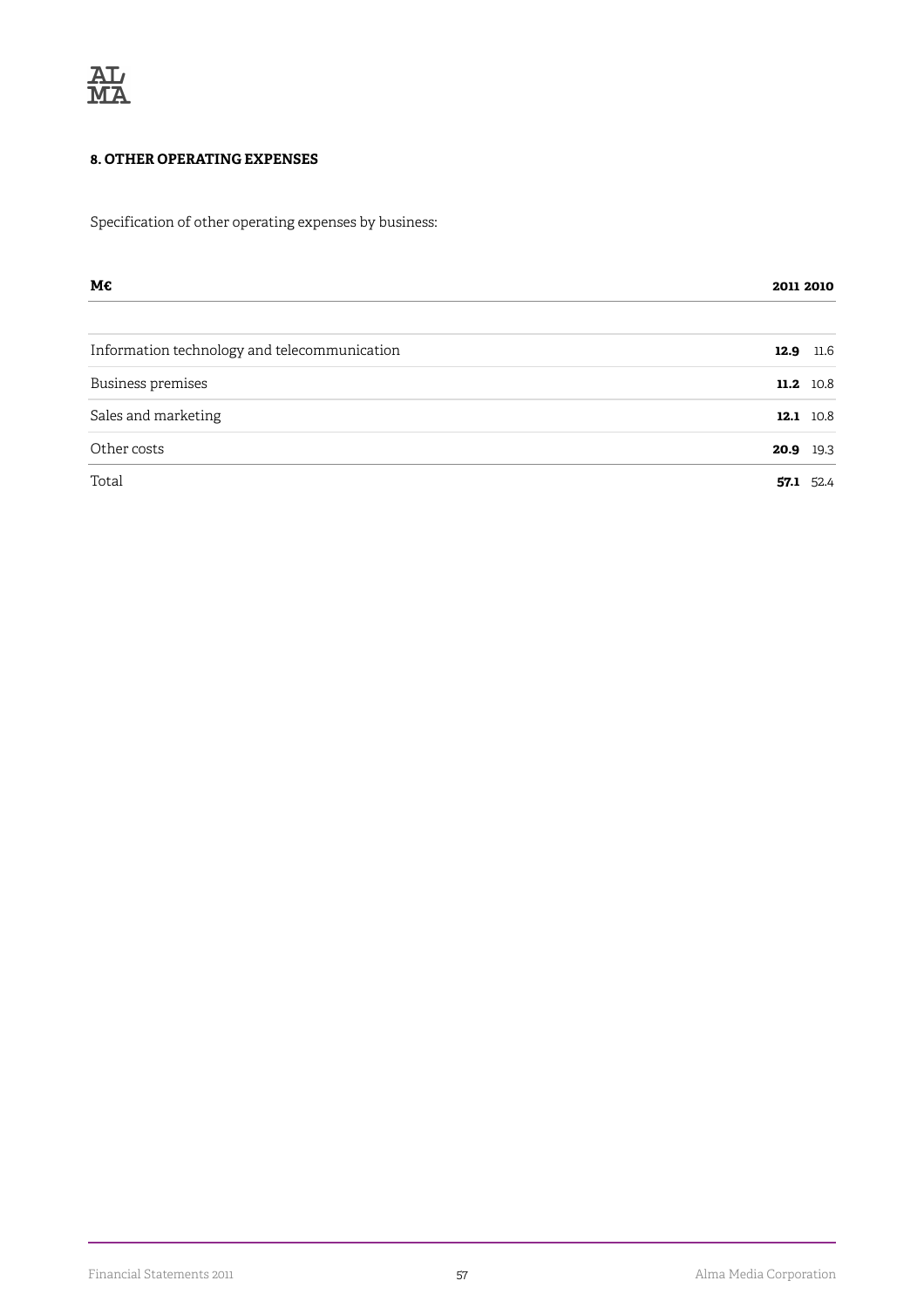

#### **8. OTHER OPERATING EXPENSES**

Specification of other operating expenses by business:

| М€                                           |              |
|----------------------------------------------|--------------|
| Information technology and telecommunication | 11.6<br>12.9 |
| Business premises                            | 11.2 10.8    |
| Sales and marketing                          | 12.1 10.8    |
| Other costs                                  | 20.9 19.3    |
| Total                                        | 52.4<br>57.1 |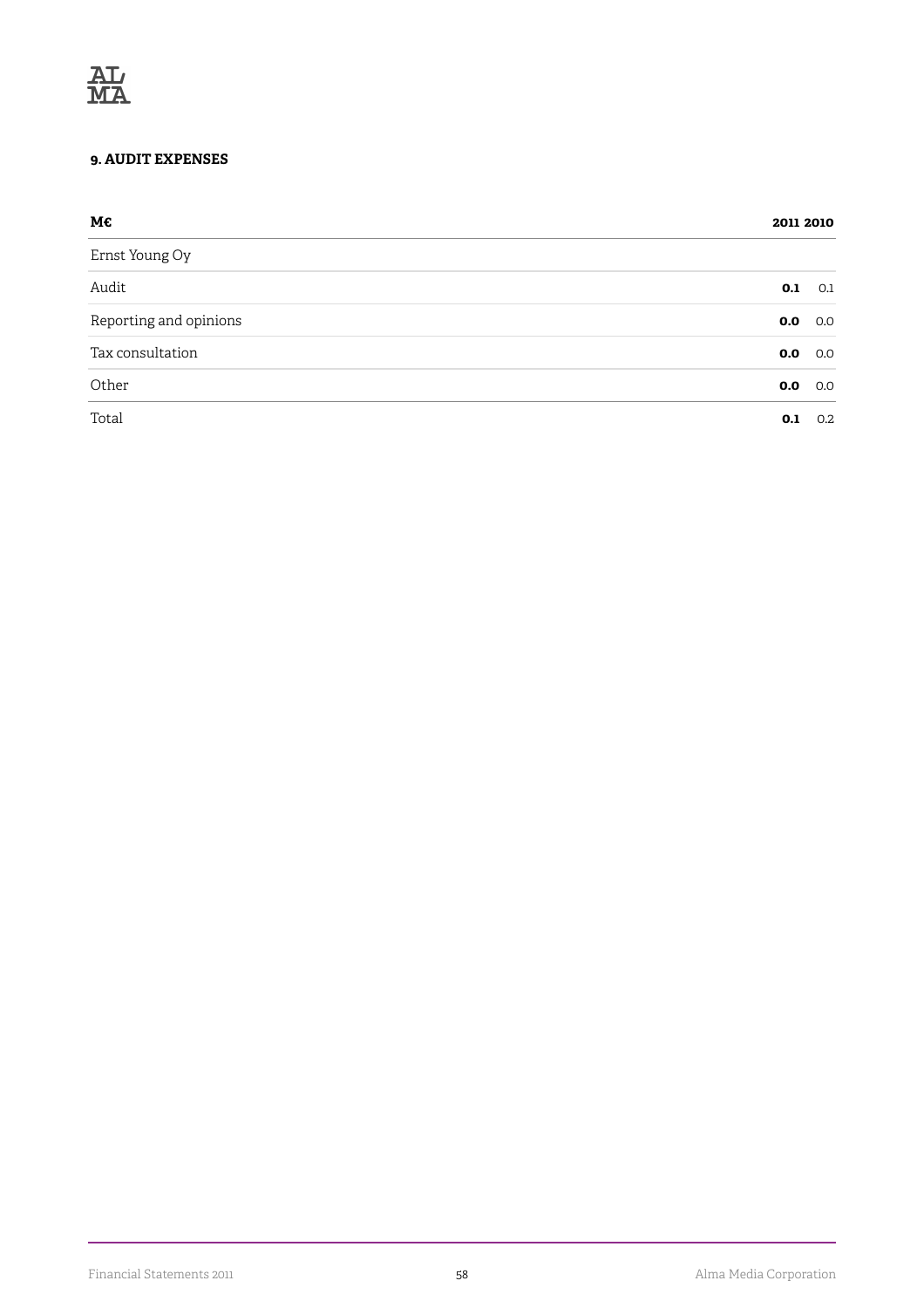#### **9. AUDIT EXPENSES**

| М€                     |            |
|------------------------|------------|
| Ernst Young Oy         |            |
| Audit                  | 0.1<br>0.1 |
| Reporting and opinions | 0.0<br>0.0 |
| Tax consultation       | 0.0<br>0.0 |
| Other                  | 0.0<br>0.0 |
| Total                  | 0.2<br>0.1 |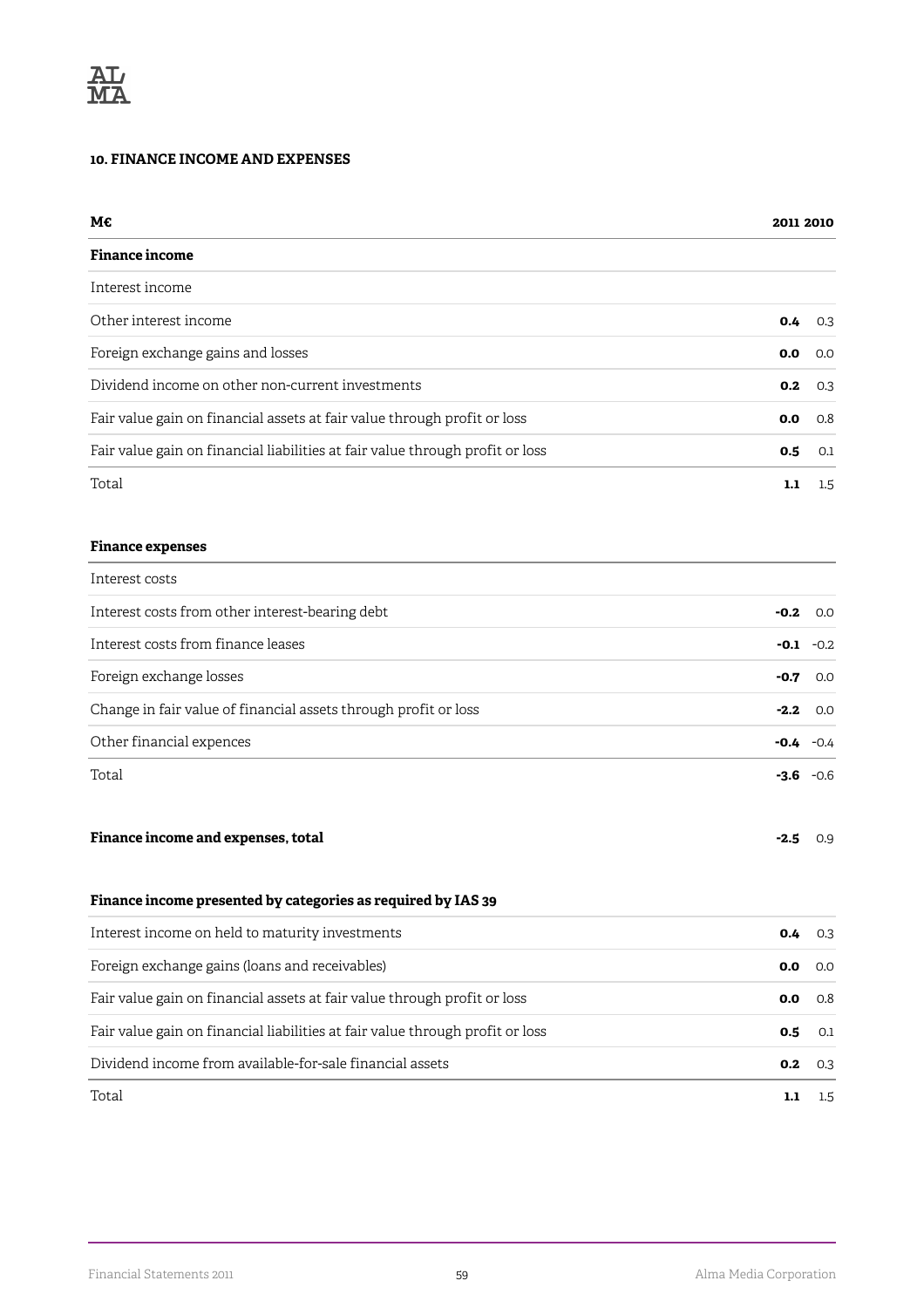#### **10. FINANCE INCOME AND EXPENSES**

| М€                                                                            | 2011 2010 |                  |
|-------------------------------------------------------------------------------|-----------|------------------|
| <b>Finance income</b>                                                         |           |                  |
| Interest income                                                               |           |                  |
| Other interest income                                                         | 0.4       | 0.3              |
| Foreign exchange gains and losses                                             | 0.0       | 0.0              |
| Dividend income on other non-current investments                              | 0.2       | 0.3              |
| Fair value gain on financial assets at fair value through profit or loss      | 0.0       | 0.8              |
| Fair value gain on financial liabilities at fair value through profit or loss | 0.5       | 0.1              |
| Total                                                                         | 1.1       | $1.5\,$          |
| <b>Finance expenses</b>                                                       |           |                  |
| Interest costs                                                                |           |                  |
| Interest costs from other interest-bearing debt                               | $-0.2$    | 0.0              |
| Interest costs from finance leases                                            | -0.1      | $-0.2$           |
| Foreign exchange losses                                                       | -0.7      | 0.0              |
| Change in fair value of financial assets through profit or loss               | $-2.2$    | 0.0              |
| Other financial expences                                                      | -0.4      | $-0.4$           |
| Total                                                                         |           | $-3.6 -0.6$      |
| Finance income and expenses, total                                            | $-2.5$    | 0.9              |
| Finance income presented by categories as required by IAS 39                  |           |                  |
| Interest income on held to maturity investments                               | 0.4       | 0.3              |
| Foreign exchange gains (loans and receivables)                                | 0.0       | 0.0              |
| Fair value gain on financial assets at fair value through profit or loss      | 0.0       | 0.8              |
| Fair value gain on financial liabilities at fair value through profit or loss | 0.5       | 0.1              |
| Dividend income from available-for-sale financial assets                      | 0.2       | 0.3              |
| Total                                                                         | 1.1       | $1.5\phantom{0}$ |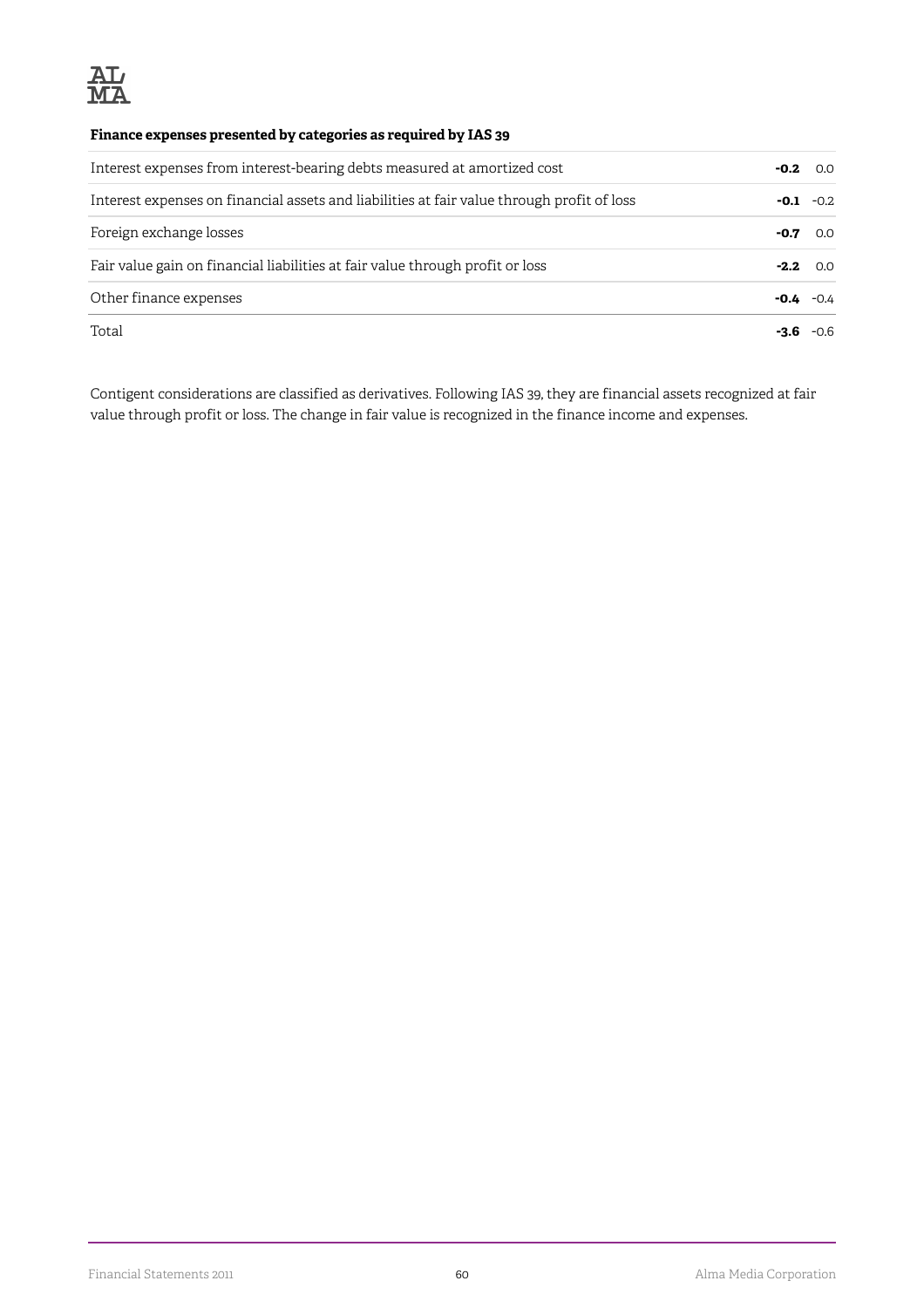

#### **Finance expenses presented by categories as required by IAS 39**

| Interest expenses from interest-bearing debts measured at amortized cost                   |        | $-0.2$<br>0.0 |
|--------------------------------------------------------------------------------------------|--------|---------------|
| Interest expenses on financial assets and liabilities at fair value through profit of loss | $-0.1$ | $-0.2$        |
| Foreign exchange losses                                                                    | -0.7   | 0.0           |
| Fair value gain on financial liabilities at fair value through profit or loss              | $-2.2$ | O.O           |
| Other finance expenses                                                                     | -0.4   | $-0.4$        |
| Total                                                                                      |        | $-06$         |

Contigent considerations are classified as derivatives. Following IAS 39, they are financial assets recognized at fair value through profit or loss. The change in fair value is recognized in the finance income and expenses.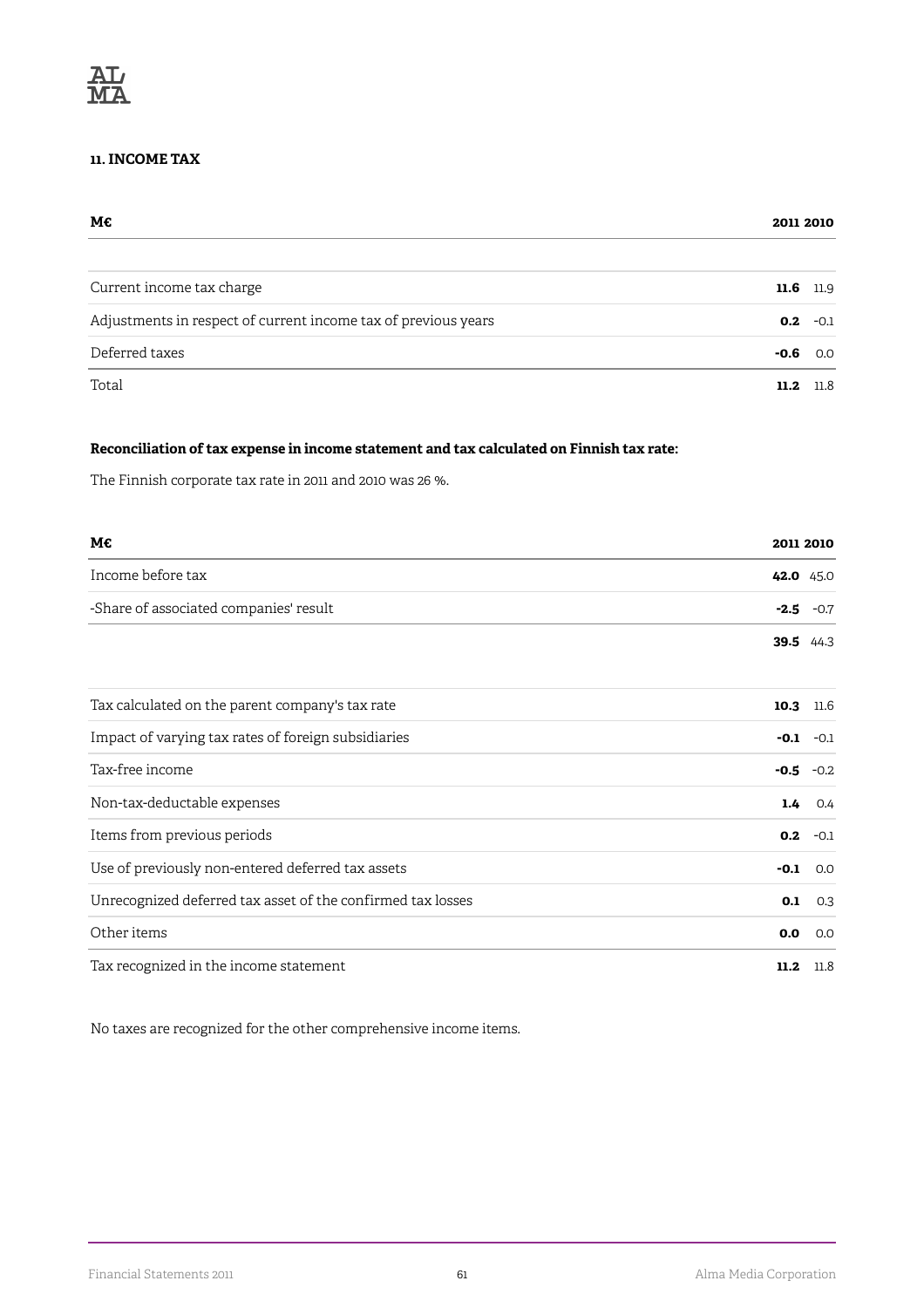#### **11. INCOME TAX**

| М€                                                             |               |
|----------------------------------------------------------------|---------------|
| Current income tax charge                                      | 11.6<br>11.9  |
| Adjustments in respect of current income tax of previous years | 0.2<br>$-0.1$ |
| Deferred taxes                                                 | -0.6<br>0.0   |
| Total                                                          | 11.8<br>11.2  |

#### **Reconciliation of tax expense in income statement and tax calculated on Finnish tax rate:**

The Finnish corporate tax rate in 2011 and 2010 was 26 %.

| М€                                                          |        | 2011 2010 |
|-------------------------------------------------------------|--------|-----------|
| Income before tax                                           |        | 42.0 45.0 |
| -Share of associated companies' result                      | $-2.5$ | $-0.7$    |
|                                                             | 39.5   | 44.3      |
| Tax calculated on the parent company's tax rate             | 10.3   | 11.6      |
| Impact of varying tax rates of foreign subsidiaries         | $-0.1$ | $-0.1$    |
| Tax-free income                                             | $-0.5$ | $-0.2$    |
| Non-tax-deductable expenses                                 | 1.4    | 0.4       |
| Items from previous periods                                 | 0.2    | $-0.1$    |
| Use of previously non-entered deferred tax assets           | $-0.1$ | 0.0       |
| Unrecognized deferred tax asset of the confirmed tax losses | 0.1    | 0.3       |
| Other items                                                 | 0.0    | 0.0       |
| Tax recognized in the income statement                      | 11.2   | 11.8      |

No taxes are recognized for the other comprehensive income items.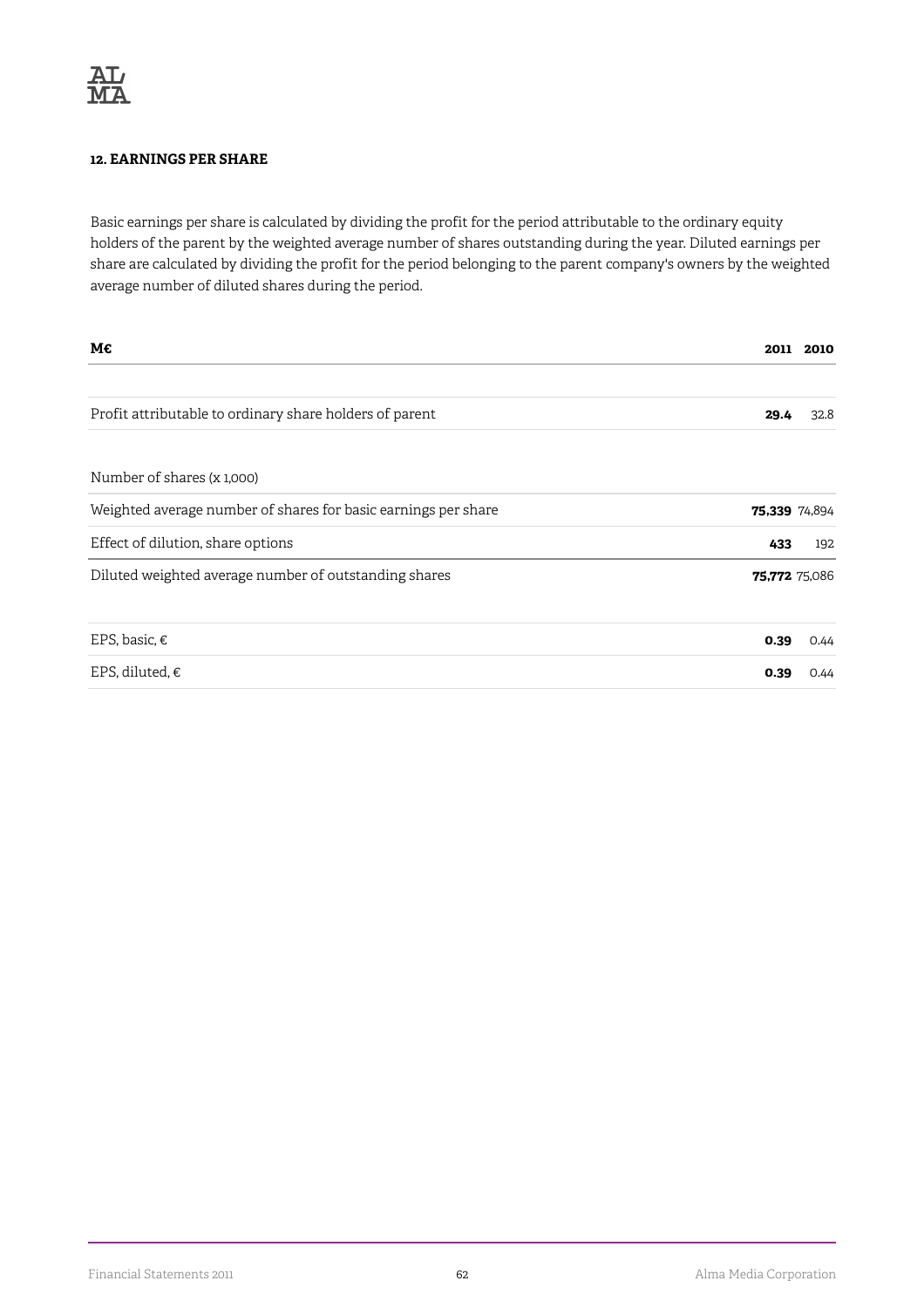#### **12. EARNINGS PER SHARE**

Basic earnings per share is calculated by dividing the profit for the period attributable to the ordinary equity holders of the parent by the weighted average number of shares outstanding during the year. Diluted earnings per share are calculated by dividing the profit for the period belonging to the parent company's owners by the weighted average number of diluted shares during the period.

| M€                                                             | 2011          | 2010          |
|----------------------------------------------------------------|---------------|---------------|
| Profit attributable to ordinary share holders of parent        | 29.4          | 32.8          |
| Number of shares (x 1,000)                                     |               |               |
| Weighted average number of shares for basic earnings per share | 75,339 74,894 |               |
| Effect of dilution, share options                              | 433           | 192           |
| Diluted weighted average number of outstanding shares          |               | 75,772 75,086 |
| EPS, basic, €                                                  | 0.39          | 0.44          |
| EPS, diluted, $\epsilon$                                       | 0.39          | 0.44          |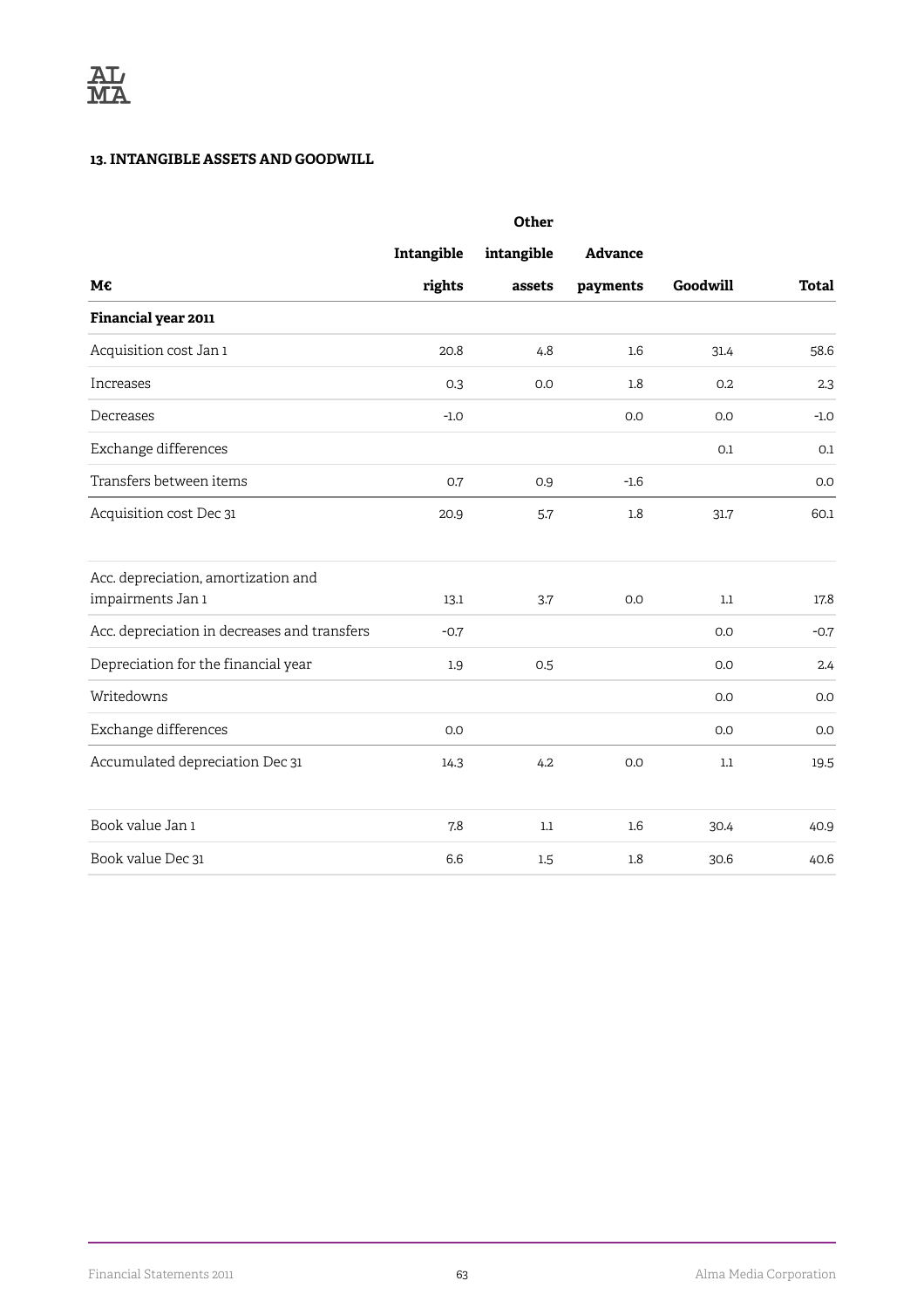#### **13. INTANGIBLE ASSETS AND GOODWILL**

|                                              |            | Other      |                |          |              |
|----------------------------------------------|------------|------------|----------------|----------|--------------|
|                                              | Intangible | intangible | <b>Advance</b> |          |              |
| M€                                           | rights     | assets     | payments       | Goodwill | <b>Total</b> |
| Financial year 2011                          |            |            |                |          |              |
| Acquisition cost Jan 1                       | 20.8       | 4.8        | 1.6            | 31.4     | 58.6         |
| Increases                                    | 0.3        | 0.0        | 1.8            | 0.2      | 2.3          |
| Decreases                                    | $-1.0$     |            | 0.0            | 0.0      | $-1.0$       |
| Exchange differences                         |            |            |                | 0.1      | 0.1          |
| Transfers between items                      | 0.7        | 0.9        | $-1.6$         |          | 0.0          |
| Acquisition cost Dec 31                      | 20.9       | 5.7        | 1.8            | 31.7     | 60.1         |
| Acc. depreciation, amortization and          |            |            |                |          |              |
| impairments Jan 1                            | 13.1       | 3.7        | 0.0            | 1.1      | 17.8         |
| Acc. depreciation in decreases and transfers | $-0.7$     |            |                | 0.0      | $-0.7$       |
| Depreciation for the financial year          | 1.9        | 0.5        |                | 0.0      | 2.4          |
| Writedowns                                   |            |            |                | 0.0      | 0.0          |
| Exchange differences                         | 0.0        |            |                | 0.0      | 0.0          |
| Accumulated depreciation Dec 31              | 14.3       | 4.2        | 0.0            | 1.1      | 19.5         |
| Book value Jan 1                             | 7.8        | 1.1        | 1.6            | 30.4     | 40.9         |
| Book value Dec 31                            | 6.6        | 1.5        | 1.8            | 30.6     | 40.6         |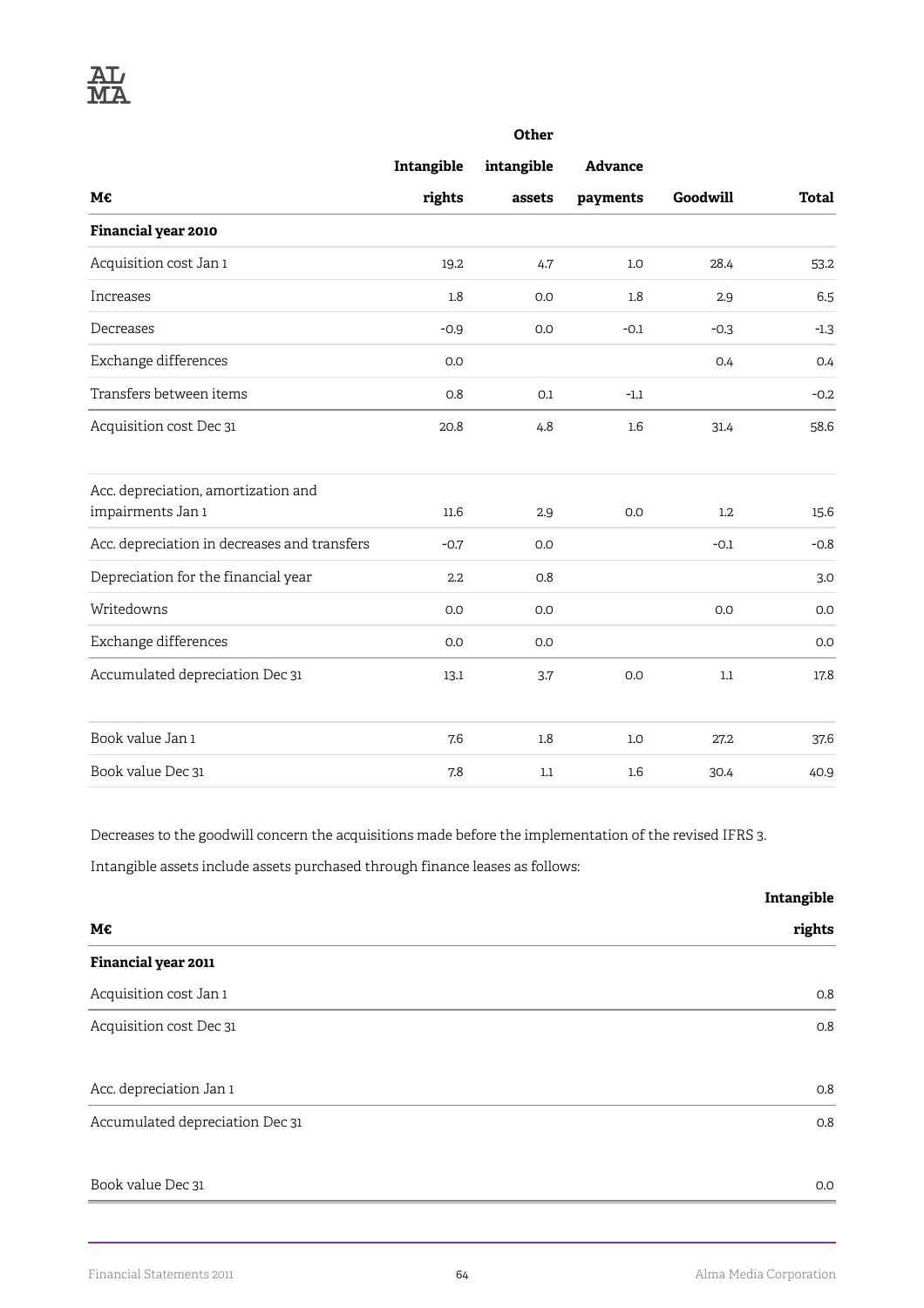|                                              |                  | Other      |                |          |              |
|----------------------------------------------|------------------|------------|----------------|----------|--------------|
|                                              | Intangible       | intangible | <b>Advance</b> |          |              |
| M€                                           | rights           | assets     | payments       | Goodwill | <b>Total</b> |
| Financial year 2010                          |                  |            |                |          |              |
| Acquisition cost Jan 1                       | 19.2             | 4.7        | 1.0            | 28.4     | 53.2         |
| Increases                                    | 1.8              | 0.0        | 1.8            | 2.9      | 6.5          |
| Decreases                                    | $-0.9$           | 0.0        | $-0.1$         | $-0.3$   | $-1.3$       |
| Exchange differences                         | 0.0              |            |                | 0.4      | 0.4          |
| Transfers between items                      | 0.8              | 0.1        | $-1.1$         |          | $-0.2$       |
| Acquisition cost Dec 31                      | 20.8             | 4.8        | 1.6            | 31.4     | 58.6         |
| Acc. depreciation, amortization and          |                  |            |                |          |              |
| impairments Jan 1                            | 11.6             | 2.9        | 0.0            | 1.2      | 15.6         |
| Acc. depreciation in decreases and transfers | $-0.7$           | 0.0        |                | $-0.1$   | $-0.8$       |
| Depreciation for the financial year          | $2.2\phantom{0}$ | 0.8        |                |          | 3.0          |
| Writedowns                                   | 0.0              | 0.0        |                | 0.0      | 0.0          |
| Exchange differences                         | 0.0              | 0.0        |                |          | 0.0          |
| Accumulated depreciation Dec 31              | 13.1             | 3.7        | 0.0            | $1.1\,$  | 17.8         |
| Book value Jan 1                             | 7.6              | 1.8        | 1.0            | 27.2     | 37.6         |
| Book value Dec 31                            | 7.8              | 1.1        | 1.6            | 30.4     | 40.9         |

Decreases to the goodwill concern the acquisitions made before the implementation of the revised IFRS 3.

Intangible assets include assets purchased through finance leases as follows:

|                                 | Intangible |
|---------------------------------|------------|
| M€                              | rights     |
| Financial year 2011             |            |
| Acquisition cost Jan 1          | O.8        |
| Acquisition cost Dec 31         | 0.8        |
|                                 |            |
| Acc. depreciation Jan 1         | O.8        |
| Accumulated depreciation Dec 31 | 0.8        |
|                                 |            |
| Book value Dec 31               | 0.0        |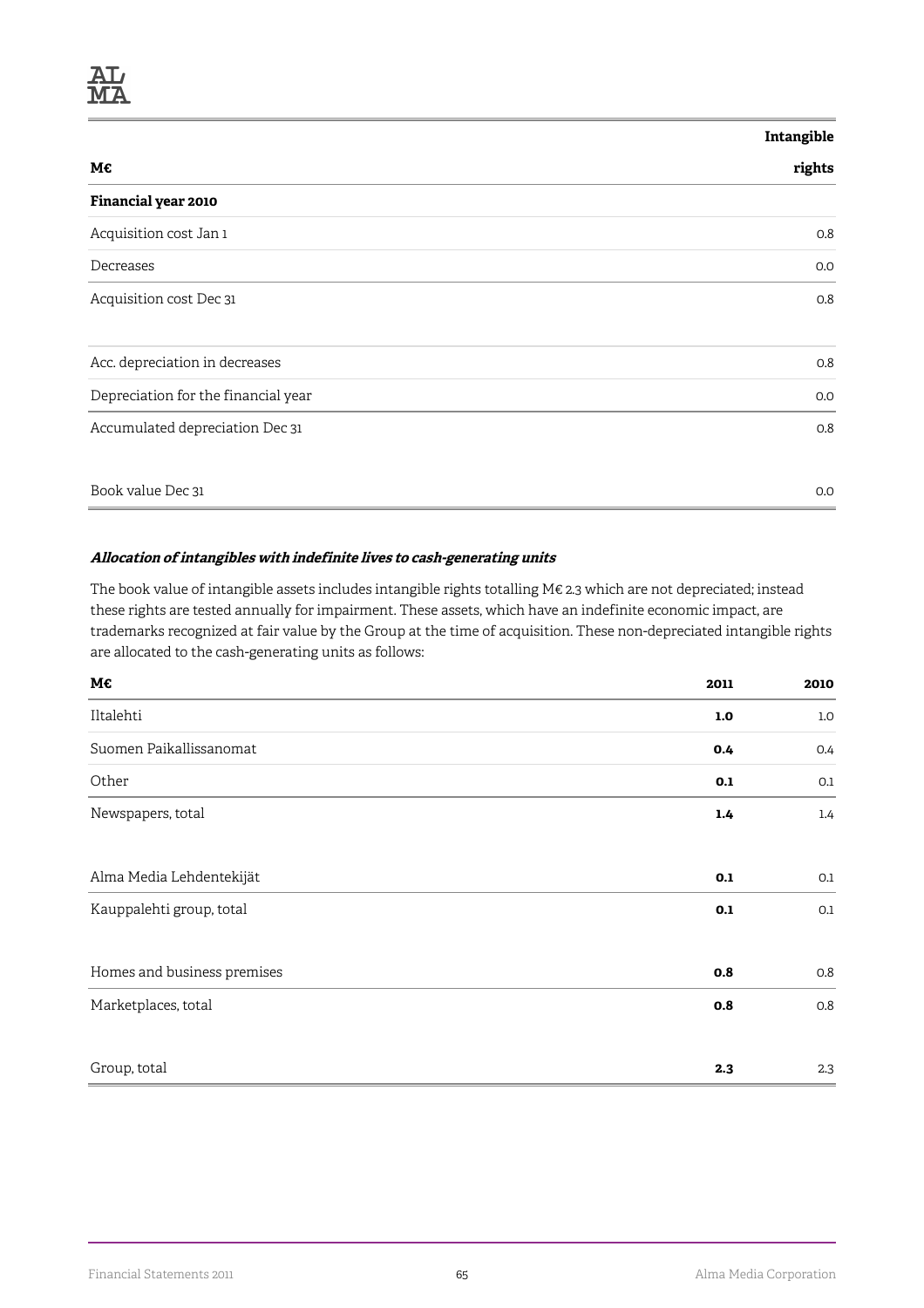#### **Intangible**

| М€                                  | rights |
|-------------------------------------|--------|
| Financial year 2010                 |        |
| Acquisition cost Jan 1              | 0.8    |
| Decreases                           | 0.0    |
| Acquisition cost Dec 31             | 0.8    |
| Acc. depreciation in decreases      | 0.8    |
| Depreciation for the financial year | 0.0    |
| Accumulated depreciation Dec 31     | 0.8    |
| Book value Dec 31                   | 0.0    |

#### **Allocation of intangibles with indefinite lives to cash-generating units**

The book value of intangible assets includes intangible rights totalling M€ 2.3 which are not depreciated; instead these rights are tested annually for impairment. These assets, which have an indefinite economic impact, are trademarks recognized at fair value by the Group at the time of acquisition. These non-depreciated intangible rights are allocated to the cash-generating units as follows:

| M€                          | 2011 | 2010 |
|-----------------------------|------|------|
| Iltalehti                   | 1.0  | 1.0  |
| Suomen Paikallissanomat     | 0.4  | 0.4  |
| Other                       | 0.1  | 0.1  |
| Newspapers, total           | 1.4  | 1.4  |
| Alma Media Lehdentekijät    | 0.1  | 0.1  |
| Kauppalehti group, total    | 0.1  | 0.1  |
| Homes and business premises | 0.8  | 0.8  |
| Marketplaces, total         | 0.8  | 0.8  |
| Group, total                | 2.3  | 2.3  |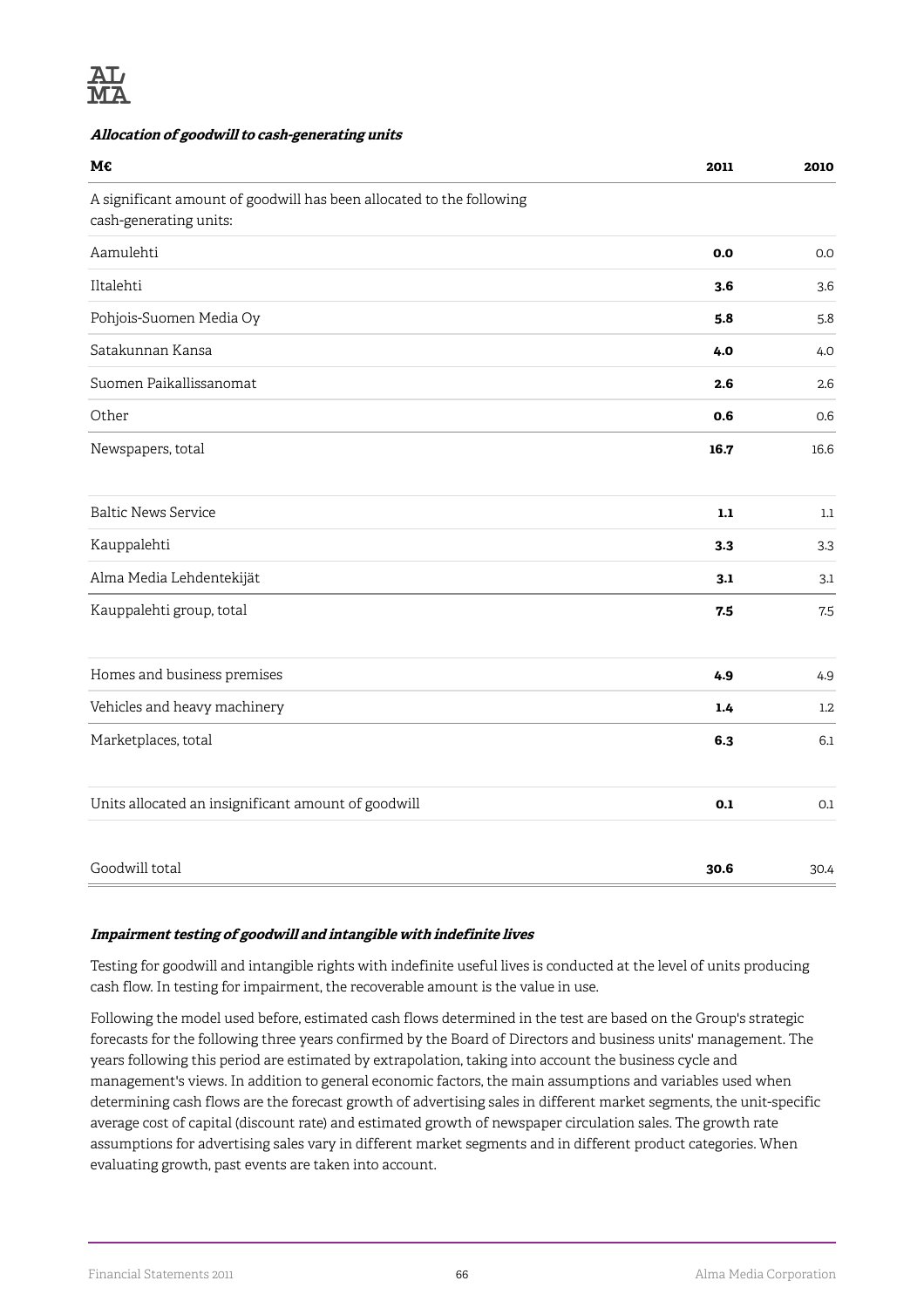

#### **Allocation of goodwill to cash-generating units**

| М€                                                                                             | 2011  | 2010    |
|------------------------------------------------------------------------------------------------|-------|---------|
| A significant amount of goodwill has been allocated to the following<br>cash-generating units: |       |         |
| Aamulehti                                                                                      | 0.0   | 0.0     |
| Iltalehti                                                                                      | 3.6   | 3.6     |
| Pohjois-Suomen Media Oy                                                                        | 5.8   | 5.8     |
| Satakunnan Kansa                                                                               | 4.0   | 4.0     |
| Suomen Paikallissanomat                                                                        | 2.6   | 2.6     |
| Other                                                                                          | 0.6   | 0.6     |
| Newspapers, total                                                                              | 16.7  | 16.6    |
| <b>Baltic News Service</b>                                                                     | $1.1$ | $1.1\,$ |
| Kauppalehti                                                                                    | 3.3   | 3.3     |
| Alma Media Lehdentekijät                                                                       | 3.1   | 3.1     |
| Kauppalehti group, total                                                                       | 7.5   | 7.5     |
| Homes and business premises                                                                    | 4.9   | 4.9     |
| Vehicles and heavy machinery                                                                   | 1.4   | 1.2     |
| Marketplaces, total                                                                            | 6.3   | 6.1     |
| Units allocated an insignificant amount of goodwill                                            | 0.1   | $0.1\,$ |
| Goodwill total                                                                                 | 30.6  | 30.4    |

#### **Impairment testing of goodwill and intangible with indefinite lives**

Testing for goodwill and intangible rights with indefinite useful lives is conducted at the level of units producing cash flow. In testing for impairment, the recoverable amount is the value in use.

Following the model used before, estimated cash flows determined in the test are based on the Group's strategic forecasts for the following three years confirmed by the Board of Directors and business units' management. The years following this period are estimated by extrapolation, taking into account the business cycle and management's views. In addition to general economic factors, the main assumptions and variables used when determining cash flows are the forecast growth of advertising sales in different market segments, the unit-specific average cost of capital (discount rate) and estimated growth of newspaper circulation sales. The growth rate assumptions for advertising sales vary in different market segments and in different product categories. When evaluating growth, past events are taken into account.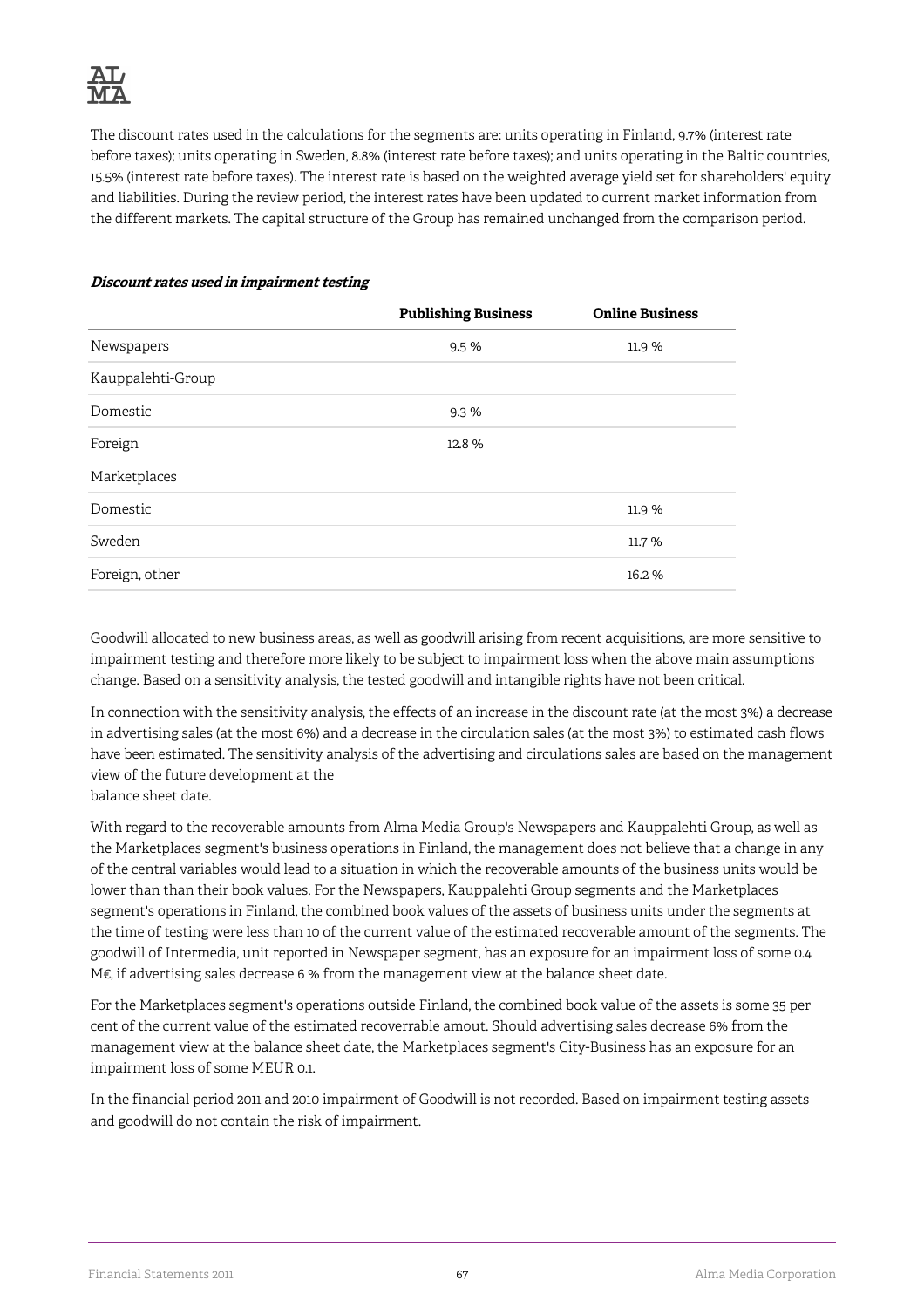The discount rates used in the calculations for the segments are: units operating in Finland, 9.7% (interest rate before taxes); units operating in Sweden, 8.8% (interest rate before taxes); and units operating in the Baltic countries, 15.5% (interest rate before taxes). The interest rate is based on the weighted average yield set for shareholders' equity and liabilities. During the review period, the interest rates have been updated to current market information from the different markets. The capital structure of the Group has remained unchanged from the comparison period.

|                   | <b>Publishing Business</b> | <b>Online Business</b> |
|-------------------|----------------------------|------------------------|
| Newspapers        | 9.5%                       | 11.9 %                 |
| Kauppalehti-Group |                            |                        |
| Domestic          | 9.3%                       |                        |
| Foreign           | 12.8%                      |                        |
| Marketplaces      |                            |                        |
| Domestic          |                            | 11.9 %                 |
| Sweden            |                            | 11.7 %                 |
| Foreign, other    |                            | 16.2%                  |

#### **Discount rates used in impairment testing**

Goodwill allocated to new business areas, as well as goodwill arising from recent acquisitions, are more sensitive to impairment testing and therefore more likely to be subject to impairment loss when the above main assumptions change. Based on a sensitivity analysis, the tested goodwill and intangible rights have not been critical.

In connection with the sensitivity analysis, the effects of an increase in the discount rate (at the most 3%) a decrease in advertising sales (at the most 6%) and a decrease in the circulation sales (at the most 3%) to estimated cash flows have been estimated. The sensitivity analysis of the advertising and circulations sales are based on the management view of the future development at the

balance sheet date.

With regard to the recoverable amounts from Alma Media Group's Newspapers and Kauppalehti Group, as well as the Marketplaces segment's business operations in Finland, the management does not believe that a change in any of the central variables would lead to a situation in which the recoverable amounts of the business units would be lower than than their book values. For the Newspapers, Kauppalehti Group segments and the Marketplaces segment's operations in Finland, the combined book values of the assets of business units under the segments at the time of testing were less than 10 of the current value of the estimated recoverable amount of the segments. The goodwill of Intermedia, unit reported in Newspaper segment, has an exposure for an impairment loss of some 0.4 M€, if advertising sales decrease 6 % from the management view at the balance sheet date.

For the Marketplaces segment's operations outside Finland, the combined book value of the assets is some 35 per cent of the current value of the estimated recoverrable amout. Should advertising sales decrease 6% from the management view at the balance sheet date, the Marketplaces segment's City-Business has an exposure for an impairment loss of some MEUR 0.1.

In the financial period 2011 and 2010 impairment of Goodwill is not recorded. Based on impairment testing assets and goodwill do not contain the risk of impairment.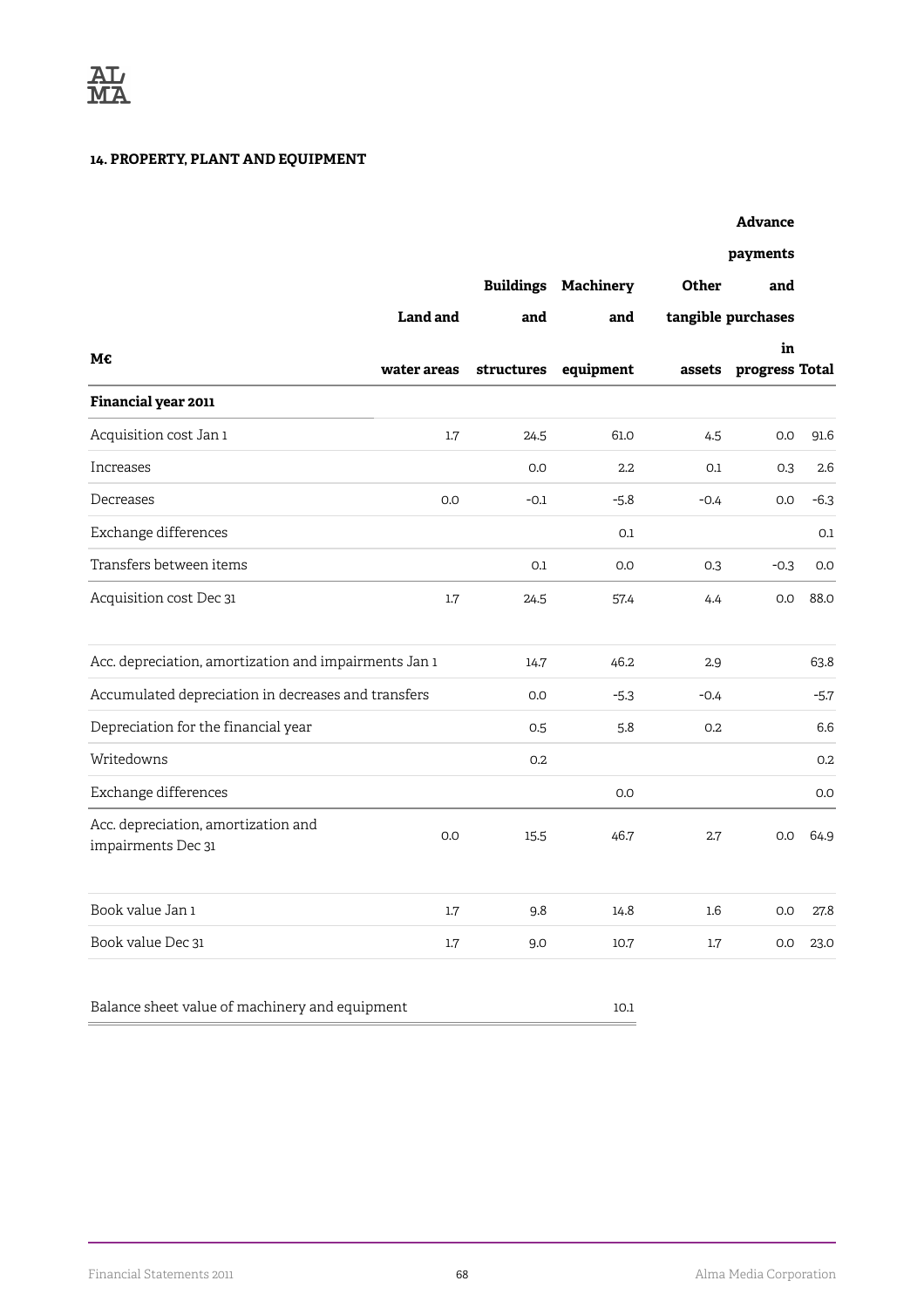### **14. PROPERTY, PLANT AND EQUIPMENT**

|                                                           |             |            |                            |        | <b>Advance</b>       |        |
|-----------------------------------------------------------|-------------|------------|----------------------------|--------|----------------------|--------|
|                                                           |             |            |                            |        | payments             |        |
|                                                           |             |            | <b>Buildings Machinery</b> | Other  | and                  |        |
|                                                           | Land and    | and        | and                        |        | tangible purchases   |        |
| M€                                                        | water areas | structures | equipment                  | assets | in<br>progress Total |        |
| Financial year 2011                                       |             |            |                            |        |                      |        |
| Acquisition cost Jan 1                                    | 1.7         | 24.5       | 61.0                       | 4.5    | 0.0                  | 91.6   |
| Increases                                                 |             | 0.0        | $2.2\phantom{0}$           | 0.1    | 0.3                  | 2.6    |
| Decreases                                                 | 0.0         | $-0.1$     | $-5.8$                     | $-0.4$ | 0.0                  | $-6.3$ |
| Exchange differences                                      |             |            | 0.1                        |        |                      | 0.1    |
| Transfers between items                                   |             | 0.1        | 0.0                        | 0.3    | $-0.3$               | 0.0    |
| Acquisition cost Dec 31                                   | 1.7         | 24.5       | 57.4                       | 4.4    | 0.0                  | 88.0   |
| Acc. depreciation, amortization and impairments Jan 1     |             | 14.7       | 46.2                       | 2.9    |                      | 63.8   |
| Accumulated depreciation in decreases and transfers       |             | 0.0        | $-5.3$                     | $-0.4$ |                      | $-5.7$ |
| Depreciation for the financial year                       |             | 0.5        | 5.8                        | 0.2    |                      | 6.6    |
| Writedowns                                                |             | 0.2        |                            |        |                      | 0.2    |
| Exchange differences                                      |             |            | 0.0                        |        |                      | 0.0    |
| Acc. depreciation, amortization and<br>impairments Dec 31 | 0.0         | 15.5       | 46.7                       | 2.7    | 0.0                  | 64.9   |
| Book value Jan 1                                          | 1.7         | 9.8        | 14.8                       | 1.6    | 0.0                  | 27.8   |
| Book value Dec 31                                         | 1.7         | 9.0        | 10.7                       | 1.7    | 0.0                  | 23.0   |
| Balance sheet value of machinery and equipment            |             |            | 10.1                       |        |                      |        |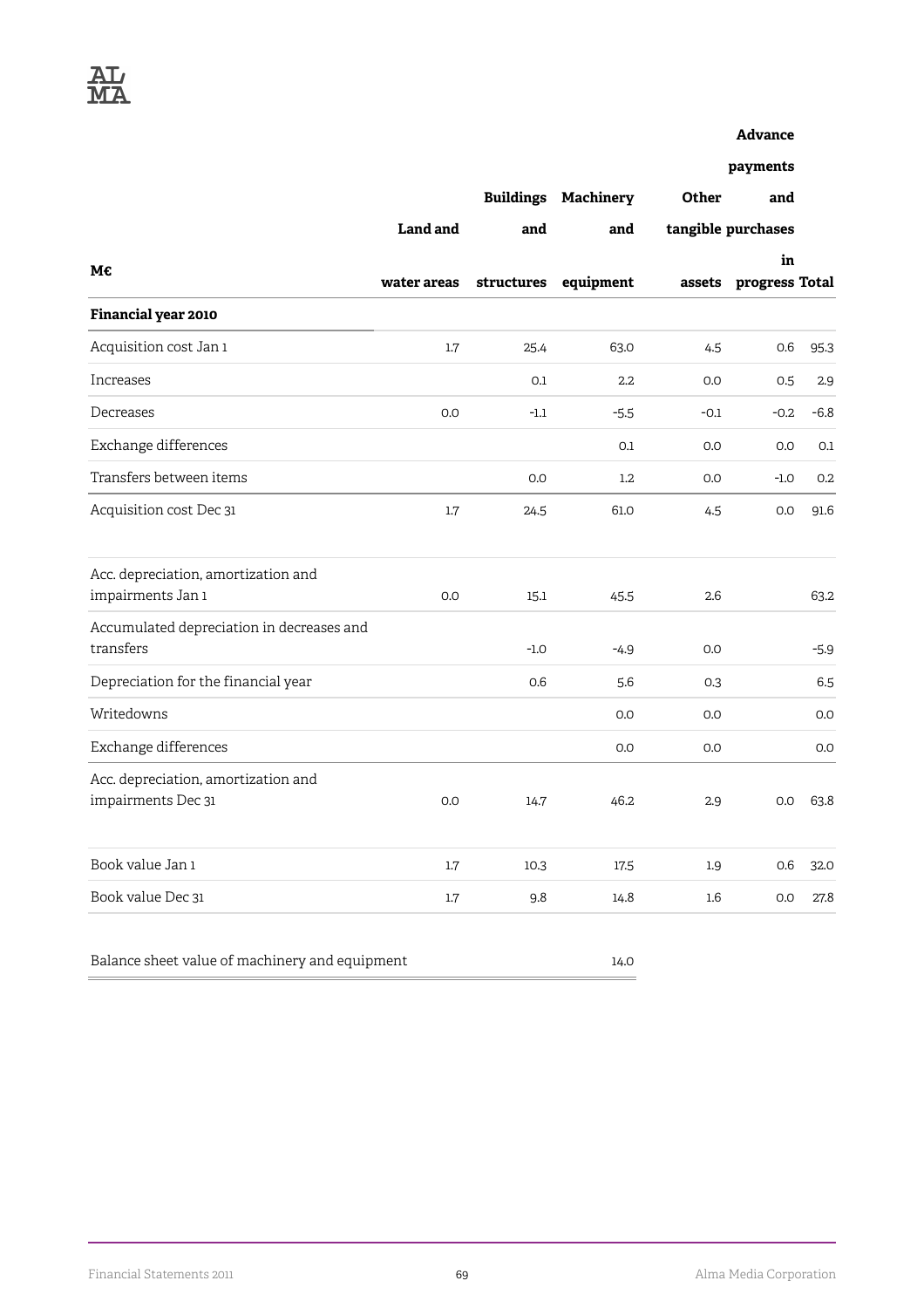#### **Advance**

**payments**

| М€                                                        | Land and    | <b>Buildings</b><br>and | Machinery<br>and | Other              | and                   |        |
|-----------------------------------------------------------|-------------|-------------------------|------------------|--------------------|-----------------------|--------|
|                                                           |             |                         |                  | tangible purchases |                       |        |
|                                                           |             |                         |                  |                    | in                    |        |
|                                                           | water areas | structures              | equipment        |                    | assets progress Total |        |
| Financial year 2010                                       |             |                         |                  |                    |                       |        |
| Acquisition cost Jan 1                                    | 1.7         | 25.4                    | 63.0             | 4.5                | 0.6                   | 95.3   |
| Increases                                                 |             | 0.1                     | $2.2\phantom{0}$ | 0.0                | 0.5                   | 2.9    |
| Decreases                                                 | 0.0         | $-1.1$                  | $-5.5$           | $-0.1$             | $-0.2$                | $-6.8$ |
| Exchange differences                                      |             |                         | 0.1              | 0.0                | 0.0                   | 0.1    |
| Transfers between items                                   |             | 0.0                     | 1.2              | 0.0                | $-1.0$                | 0.2    |
| Acquisition cost Dec 31                                   | 1.7         | 24.5                    | 61.0             | 4.5                | 0.0                   | 91.6   |
| Acc. depreciation, amortization and                       |             |                         |                  |                    |                       |        |
| impairments Jan 1                                         | 0.0         | 15.1                    | 45.5             | 2.6                |                       | 63.2   |
| Accumulated depreciation in decreases and<br>transfers    |             | $-1.0$                  | $-4.9$           | 0.0                |                       | -5.9   |
| Depreciation for the financial year                       |             | 0.6                     | 5.6              | 0.3                |                       | 6.5    |
| Writedowns                                                |             |                         | 0.0              | 0.0                |                       | 0.0    |
| Exchange differences                                      |             |                         | 0.0              | 0.0                |                       | 0.0    |
| Acc. depreciation, amortization and<br>impairments Dec 31 | 0.0         | 14.7                    | 46.2             | 2.9                | 0.0                   | 63.8   |
| Book value Jan 1                                          | 1.7         | 10.3                    | 17.5             | 1.9                | 0.6                   | 32.0   |
| Book value Dec 31                                         | 1.7         | 9.8                     | 14.8             | $1.6\phantom{0}$   | 0.0                   | 27.8   |

Balance sheet value of machinery and equipment 14.0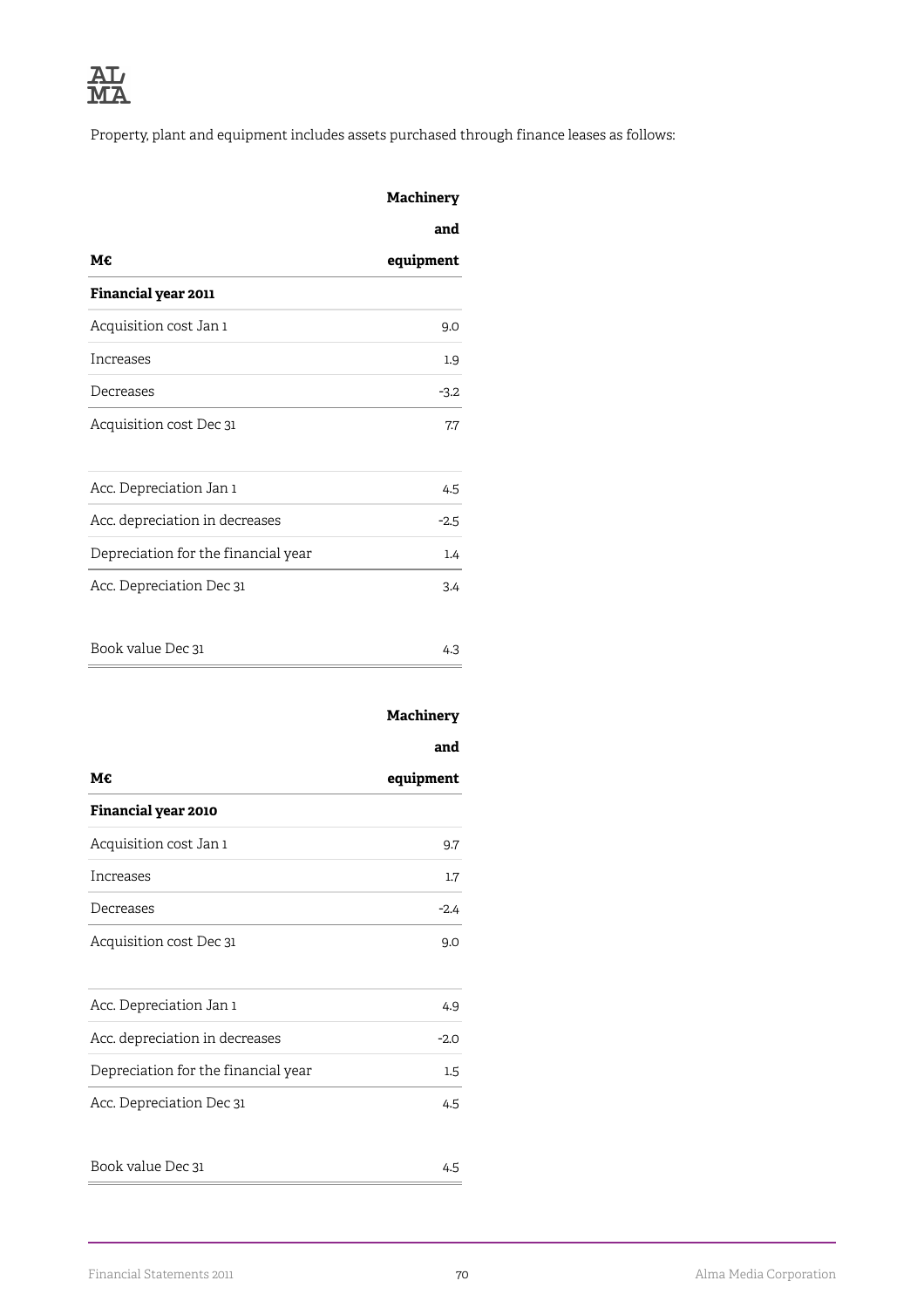Property, plant and equipment includes assets purchased through finance leases as follows:

|                                     | Machinery |
|-------------------------------------|-----------|
|                                     | and       |
| М€                                  | equipment |
| Financial year 2011                 |           |
| Acquisition cost Jan 1              | 9.0       |
| Increases                           | 1.9       |
| Decreases                           | $-3.2$    |
| Acquisition cost Dec 31             | 7.7       |
| Acc. Depreciation Jan 1             | 4.5       |
| Acc. depreciation in decreases      | $-2.5$    |
| Depreciation for the financial year | 1.4       |
| Acc. Depreciation Dec 31            | 3.4       |
| Book value Dec 31                   | 4.3       |

## **Machinery**

|                                     | and       |
|-------------------------------------|-----------|
| М€                                  | equipment |
| <b>Financial year 2010</b>          |           |
| Acquisition cost Jan 1              | 9.7       |
| Increases                           | $1.7\,$   |
| Decreases                           | $-2.4$    |
| Acquisition cost Dec 31             | 9.0       |
| Acc. Depreciation Jan 1             | 4.9       |
| Acc. depreciation in decreases      | $-2.0$    |
| Depreciation for the financial year | 1.5       |
| Acc. Depreciation Dec 31            | 4.5       |
| Book value Dec 31                   | 4.5       |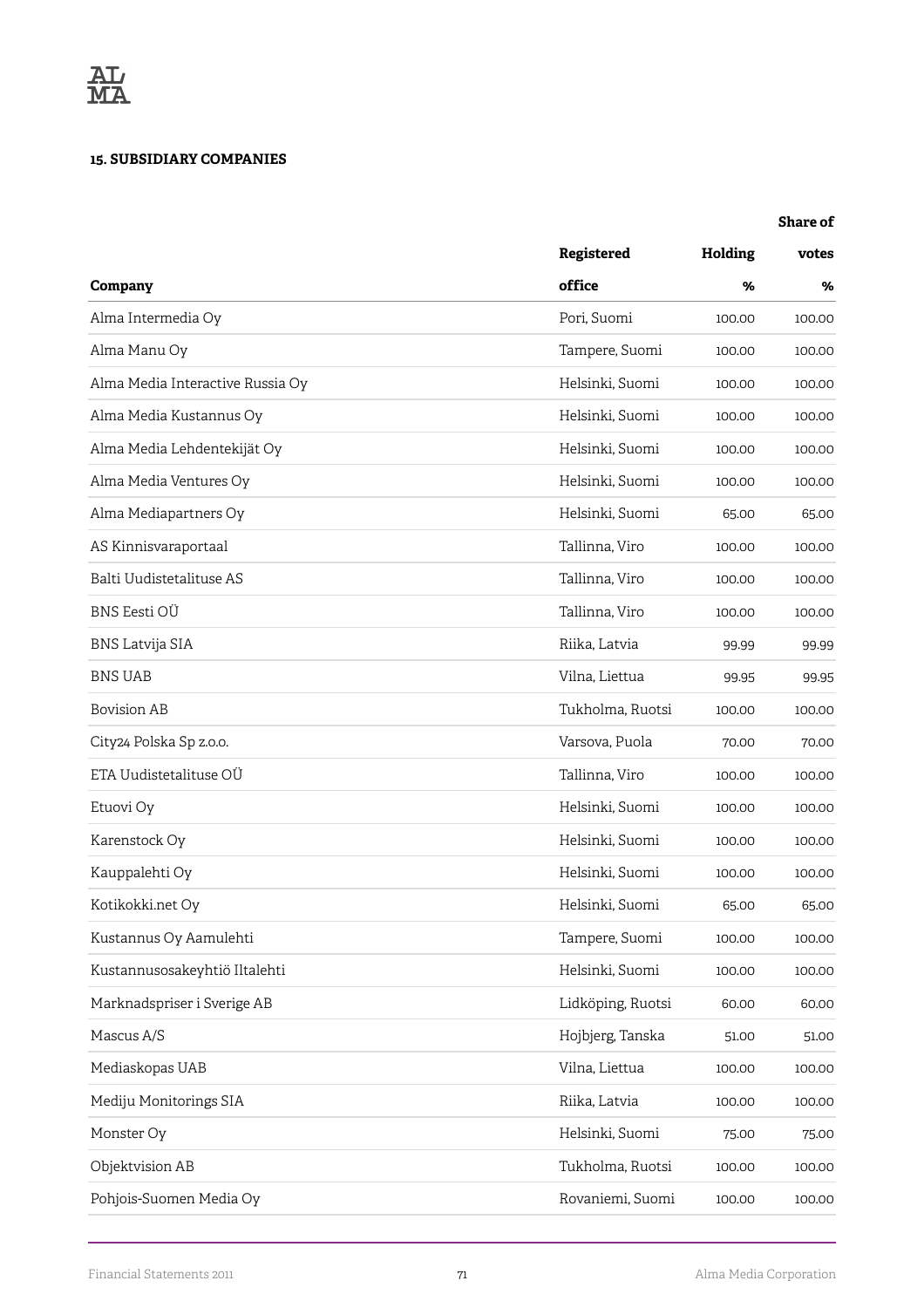### **15. SUBSIDIARY COMPANIES**

#### **Share of**

|                                  | Registered        | Holding | votes  |
|----------------------------------|-------------------|---------|--------|
| Company                          | office            | %       | %      |
| Alma Intermedia Oy               | Pori, Suomi       | 100.00  | 100.00 |
| Alma Manu Oy                     | Tampere, Suomi    | 100.00  | 100.00 |
| Alma Media Interactive Russia Oy | Helsinki, Suomi   | 100.00  | 100.00 |
| Alma Media Kustannus Oy          | Helsinki, Suomi   | 100.00  | 100.00 |
| Alma Media Lehdentekijät Oy      | Helsinki, Suomi   | 100.00  | 100.00 |
| Alma Media Ventures Oy           | Helsinki, Suomi   | 100.00  | 100.00 |
| Alma Mediapartners Oy            | Helsinki, Suomi   | 65.00   | 65.00  |
| AS Kinnisvaraportaal             | Tallinna, Viro    | 100.00  | 100.00 |
| Balti Uudistetalituse AS         | Tallinna, Viro    | 100.00  | 100.00 |
| BNS Eesti OÜ                     | Tallinna, Viro    | 100.00  | 100.00 |
| <b>BNS Latvija SIA</b>           | Riika, Latvia     | 99.99   | 99.99  |
| <b>BNS UAB</b>                   | Vilna, Liettua    | 99.95   | 99.95  |
| <b>Bovision AB</b>               | Tukholma, Ruotsi  | 100.00  | 100.00 |
| City24 Polska Sp z.o.o.          | Varsova, Puola    | 70.00   | 70.00  |
| ETA Uudistetalituse OÜ           | Tallinna, Viro    | 100.00  | 100.00 |
| Etuovi Oy                        | Helsinki, Suomi   | 100.00  | 100.00 |
| Karenstock Oy                    | Helsinki, Suomi   | 100.00  | 100.00 |
| Kauppalehti Oy                   | Helsinki, Suomi   | 100.00  | 100.00 |
| Kotikokki.net Oy                 | Helsinki, Suomi   | 65.00   | 65.00  |
| Kustannus Oy Aamulehti           | Tampere, Suomi    | 100.00  | 100.00 |
| Kustannusosakeyhtiö Iltalehti    | Helsinki, Suomi   | 100.00  | 100.00 |
| Marknadspriser i Sverige AB      | Lidköping, Ruotsi | 60.00   | 60.00  |
| Mascus A/S                       | Hojbjerg, Tanska  | 51.00   | 51.00  |
| Mediaskopas UAB                  | Vilna, Liettua    | 100.00  | 100.00 |
| Mediju Monitorings SIA           | Riika, Latvia     | 100.00  | 100.00 |
| Monster Oy                       | Helsinki, Suomi   | 75.00   | 75.00  |
| Objektvision AB                  | Tukholma, Ruotsi  | 100.00  | 100.00 |
| Pohjois-Suomen Media Oy          | Rovaniemi, Suomi  | 100.00  | 100.00 |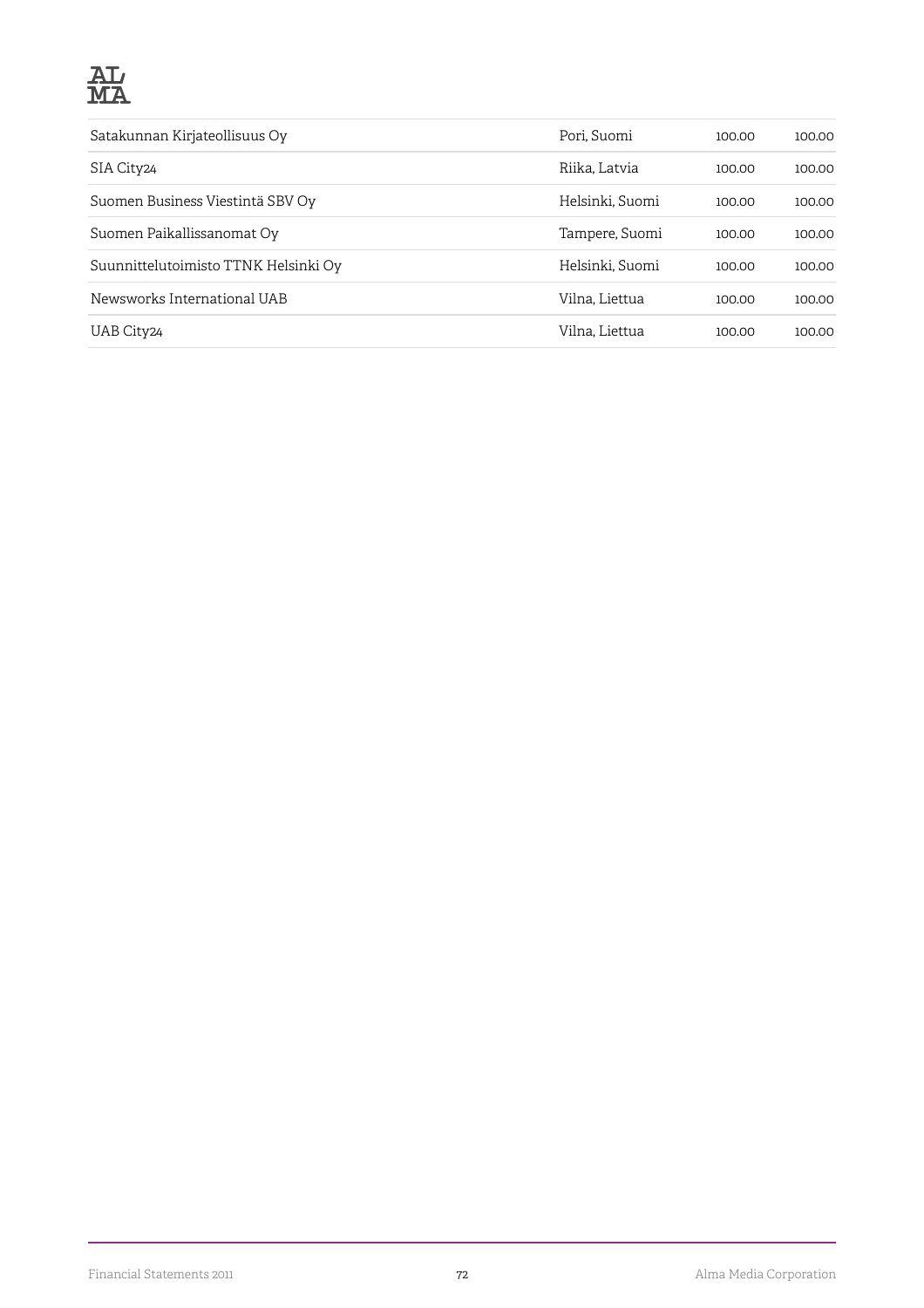

| Satakunnan Kirjateollisuus Oy        | Pori, Suomi     | 100.00 | 100.00 |
|--------------------------------------|-----------------|--------|--------|
| SIA City24                           | Riika, Latvia   | 100.00 | 100.00 |
| Suomen Business Viestintä SBV Oy     | Helsinki, Suomi | 100.00 | 100.00 |
| Suomen Paikallissanomat Oy           | Tampere, Suomi  | 100.00 | 100.00 |
| Suunnittelutoimisto TTNK Helsinki Oy | Helsinki, Suomi | 100.00 | 100.00 |
| Newsworks International UAB          | Vilna, Liettua  | 100.00 | 100.00 |
| UAB City <sub>24</sub>               | Vilna, Liettua  | 100.00 | 100.00 |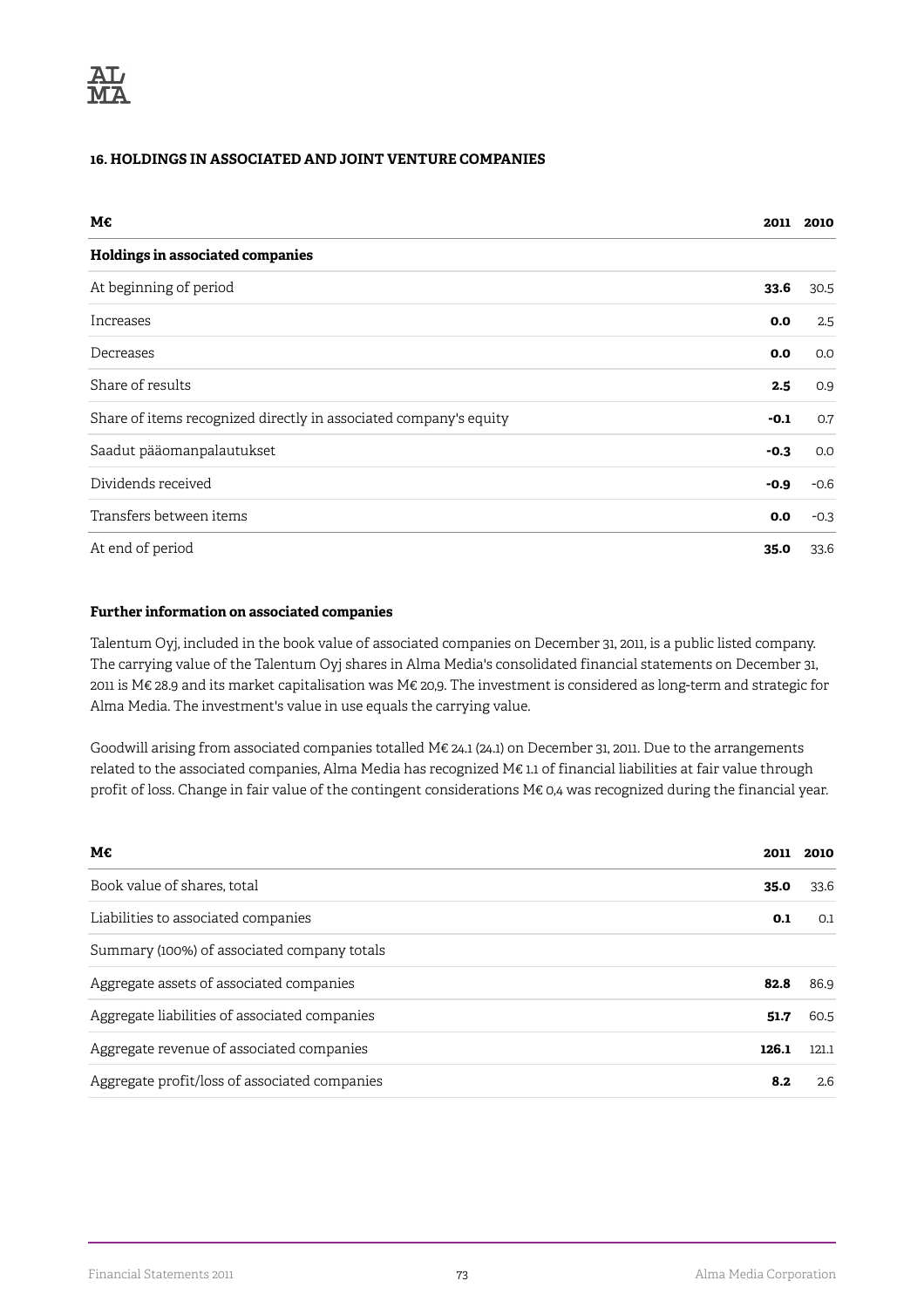## **16. HOLDINGS IN ASSOCIATED AND JOINT VENTURE COMPANIES**

| M€                                                                | 2011   | 2010   |
|-------------------------------------------------------------------|--------|--------|
| Holdings in associated companies                                  |        |        |
| At beginning of period                                            | 33.6   | 30.5   |
| Increases                                                         | 0.0    | 2.5    |
| Decreases                                                         | 0.0    | 0.0    |
| Share of results                                                  | 2.5    | 0.9    |
| Share of items recognized directly in associated company's equity | $-0.1$ | 0.7    |
| Saadut pääomanpalautukset                                         | $-0.3$ | 0.0    |
| Dividends received                                                | $-0.9$ | $-0.6$ |
| Transfers between items                                           | 0.0    | $-0.3$ |
| At end of period                                                  | 35.0   | 33.6   |

### **Further information on associated companies**

Talentum Oyj, included in the book value of associated companies on December 31, 2011, is a public listed company. The carrying value of the Talentum Oyj shares in Alma Media's consolidated financial statements on December 31, 2011 is M€ 28.9 and its market capitalisation was M€ 20,9. The investment is considered as long-term and strategic for Alma Media. The investment's value in use equals the carrying value.

Goodwill arising from associated companies totalled M€ 24.1 (24.1) on December 31, 2011. Due to the arrangements related to the associated companies, Alma Media has recognized M€ 1.1 of financial liabilities at fair value through profit of loss. Change in fair value of the contingent considerations M€ 0,4 was recognized during the financial year.

| M€                                            | 2011  | 2010  |
|-----------------------------------------------|-------|-------|
| Book value of shares, total                   | 35.0  | 33.6  |
| Liabilities to associated companies           | 0.1   | 0.1   |
| Summary (100%) of associated company totals   |       |       |
| Aggregate assets of associated companies      | 82.8  | 86.9  |
| Aggregate liabilities of associated companies | 51.7  | 60.5  |
| Aggregate revenue of associated companies     | 126.1 | 121.1 |
| Aggregate profit/loss of associated companies | 8.2   | 2.6   |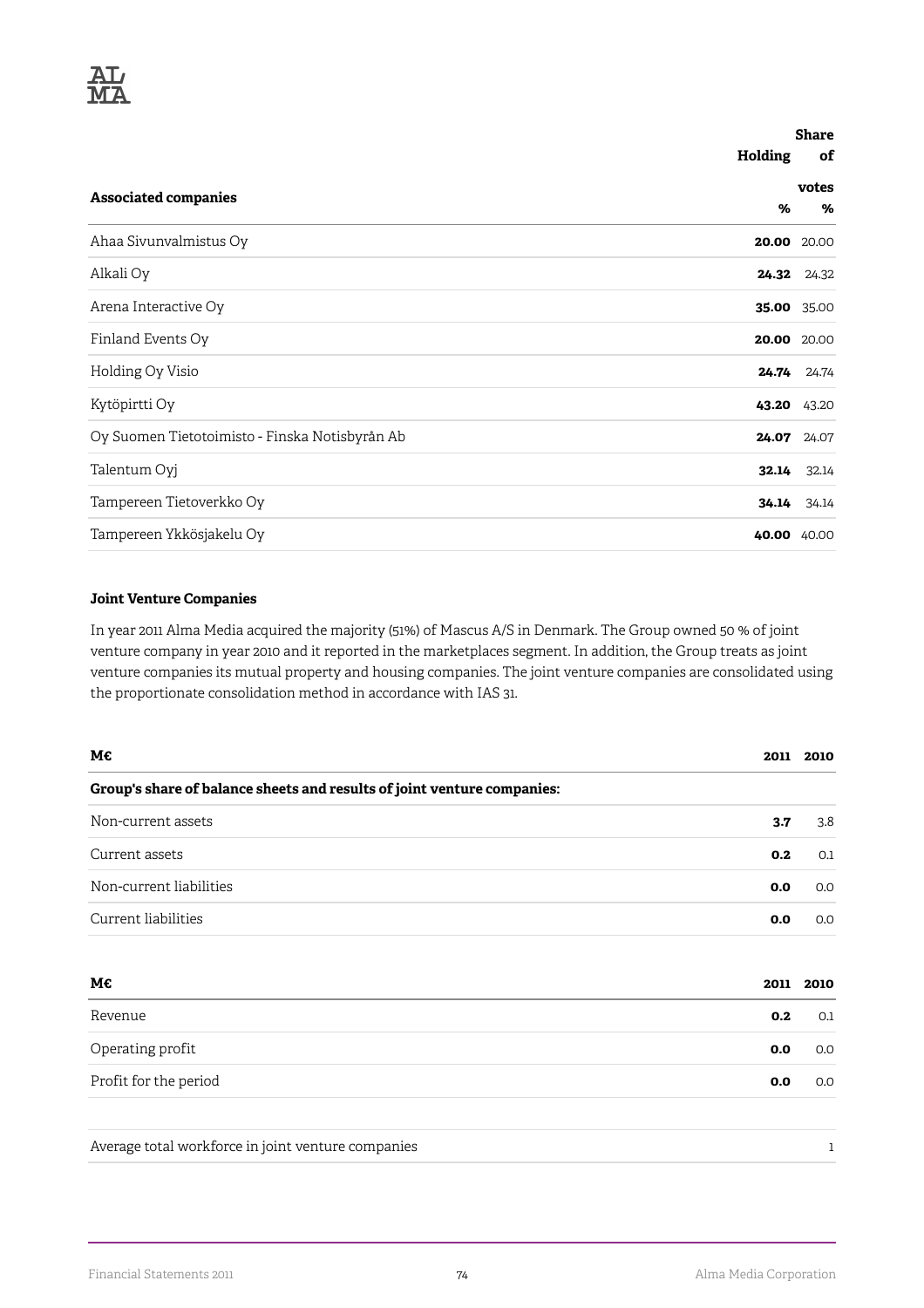

|                                                |         | <b>Share</b> |  |
|------------------------------------------------|---------|--------------|--|
|                                                | Holding | of           |  |
| <b>Associated companies</b>                    |         | votes        |  |
|                                                | %       | %            |  |
| Ahaa Sivunvalmistus Oy                         |         | 20.00 20.00  |  |
| Alkali Oy                                      |         | 24.32 24.32  |  |
| Arena Interactive Oy                           |         | 35.00 35.00  |  |
| Finland Events Oy                              |         | 20.00 20.00  |  |
| Holding Oy Visio                               | 24.74   | 24.74        |  |
| Kytöpirtti Oy                                  |         | 43.20 43.20  |  |
| Oy Suomen Tietotoimisto - Finska Notisbyrån Ab | 24.07   | 24.07        |  |
| Talentum Oyj                                   | 32.14   | 32.14        |  |
| Tampereen Tietoverkko Oy                       |         | 34.14 34.14  |  |
| Tampereen Ykkösjakelu Oy                       |         | 40.00 40.00  |  |

### **Joint Venture Companies**

In year 2011 Alma Media acquired the majority (51%) of Mascus A/S in Denmark. The Group owned 50 % of joint venture company in year 2010 and it reported in the marketplaces segment. In addition, the Group treats as joint venture companies its mutual property and housing companies. The joint venture companies are consolidated using the proportionate consolidation method in accordance with IAS 31.

| М€                                                                      | 2011 | 2010 |
|-------------------------------------------------------------------------|------|------|
| Group's share of balance sheets and results of joint venture companies: |      |      |
| Non-current assets                                                      | 3.7  | 3.8  |
| Current assets                                                          | 0.2  | 0.1  |
| Non-current liabilities                                                 | 0.0  | 0.0  |
| Current liabilities                                                     | 0.0  | 0.0  |
| М€                                                                      | 2011 | 2010 |
| Revenue                                                                 | 0.2  | 0.1  |
| Operating profit                                                        | 0.0  | 0.0  |
| Profit for the period                                                   | 0.0  | 0.0  |
| Average total workforce in joint venture companies                      |      | 1    |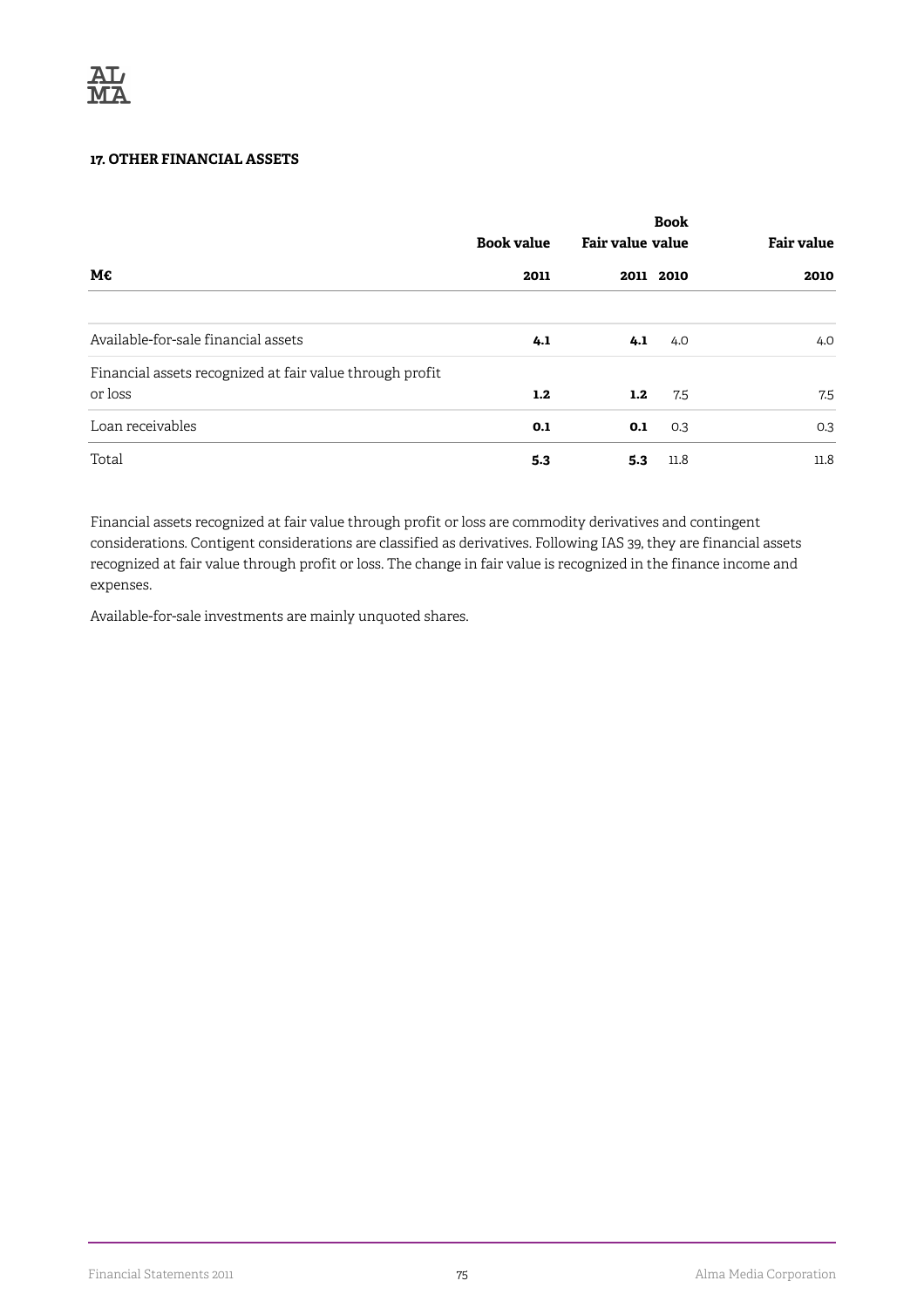## **17. OTHER FINANCIAL ASSETS**

|                                                          | <b>Book value</b> | <b>Fair value value</b> | <b>Book</b> | <b>Fair value</b> |
|----------------------------------------------------------|-------------------|-------------------------|-------------|-------------------|
| М€                                                       | 2011              |                         | 2011 2010   | 2010              |
|                                                          |                   |                         |             |                   |
| Available-for-sale financial assets                      | 4.1               | 4.1                     | 4.0         | 4.0               |
| Financial assets recognized at fair value through profit |                   |                         |             |                   |
| or loss                                                  | 1.2               | 1.2                     | 7.5         | 7.5               |
| Loan receivables                                         | 0.1               | 0.1                     | 0.3         | 0.3               |
| Total                                                    | 5.3               | 5.3                     | 11.8        | 11.8              |

Financial assets recognized at fair value through profit or loss are commodity derivatives and contingent considerations. Contigent considerations are classified as derivatives. Following IAS 39, they are financial assets recognized at fair value through profit or loss. The change in fair value is recognized in the finance income and expenses.

Available-for-sale investments are mainly unquoted shares.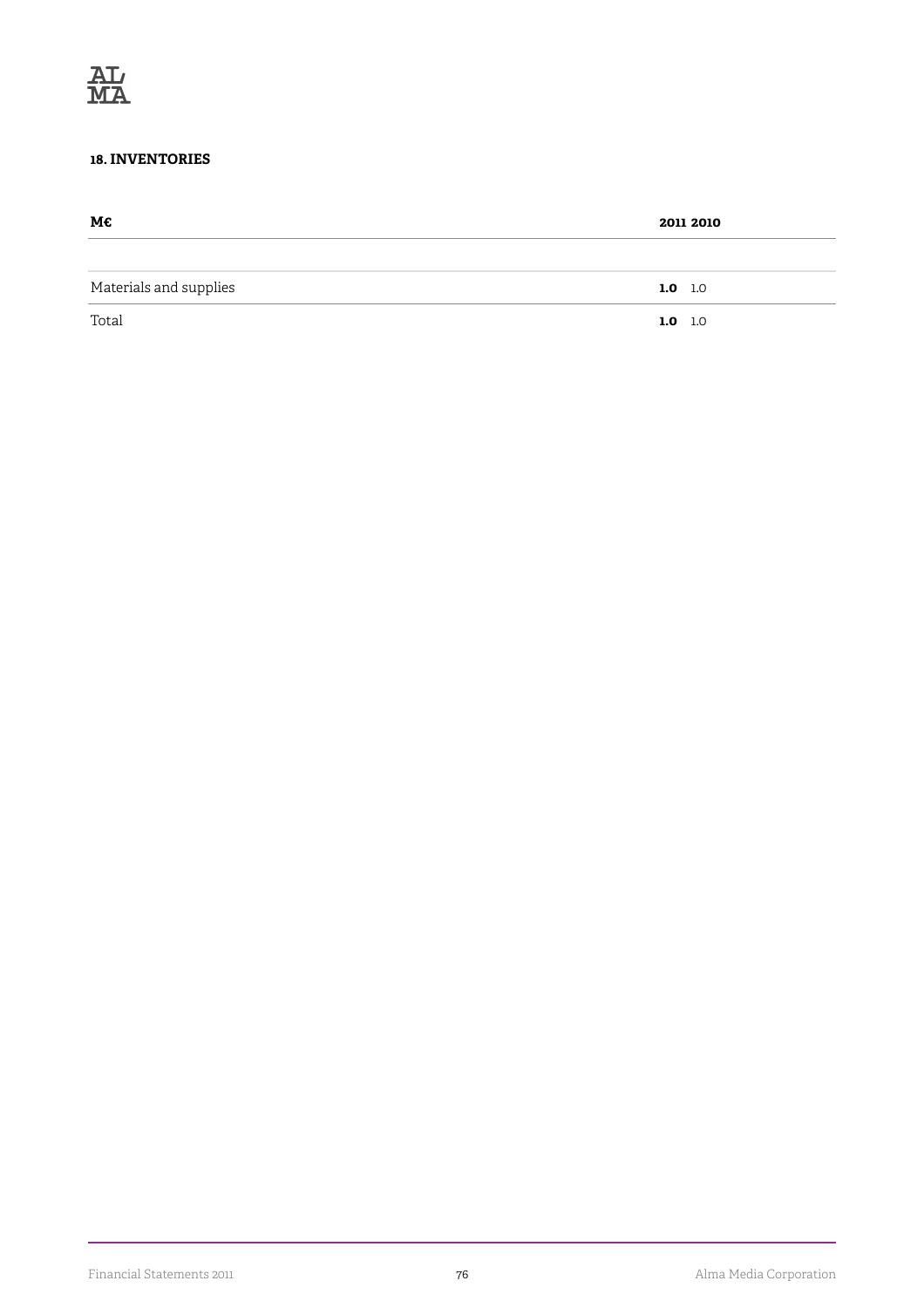## **18. INVENTORIES**

| М€                     | 2011 2010 |
|------------------------|-----------|
|                        |           |
| Materials and supplies | 1.0 $1.0$ |
| Total                  | $1.0$ 1.0 |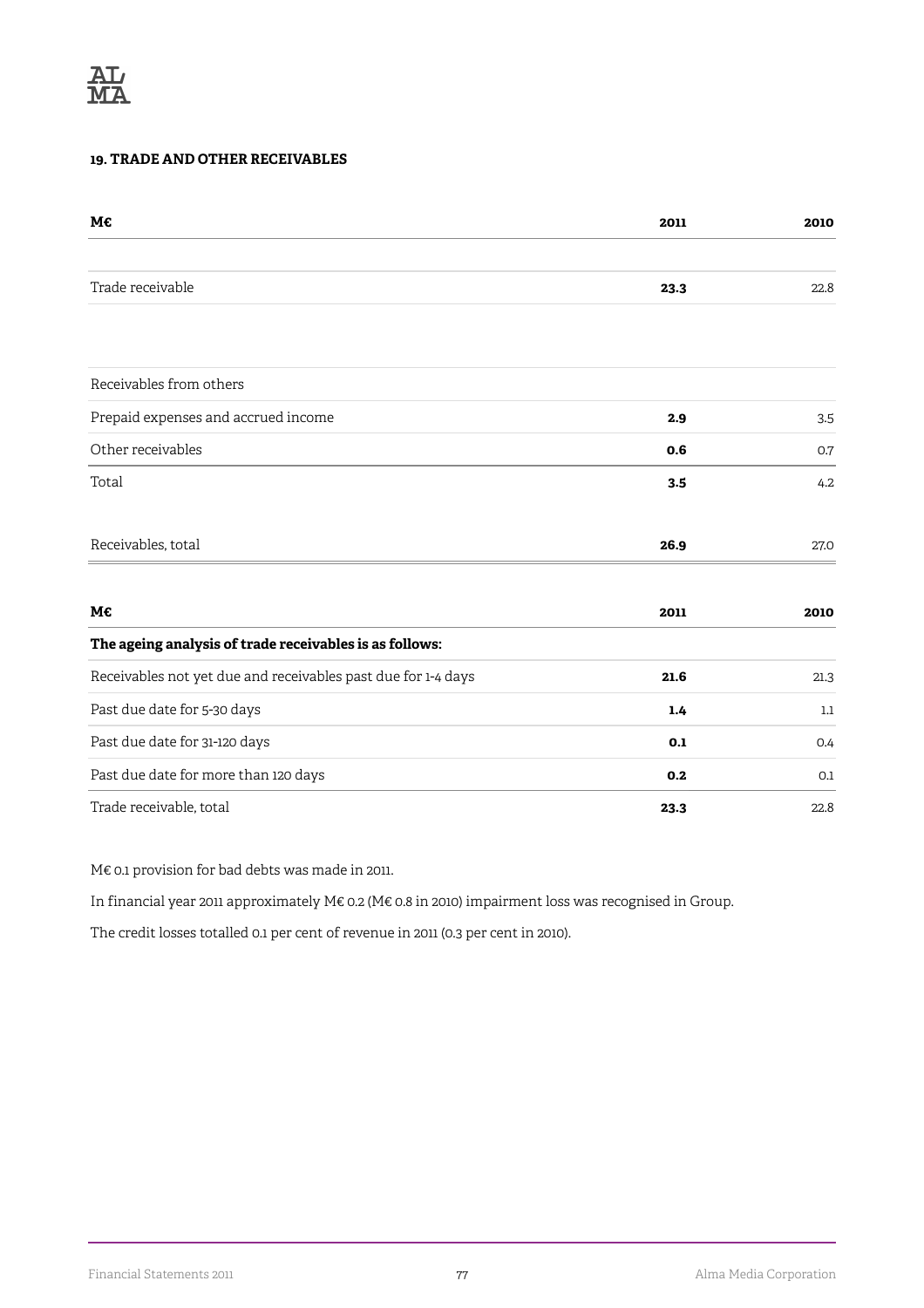## **19. TRADE AND OTHER RECEIVABLES**

| M€                                                            | 2011 | 2010 |
|---------------------------------------------------------------|------|------|
|                                                               |      |      |
| Trade receivable                                              | 23.3 | 22.8 |
|                                                               |      |      |
| Receivables from others                                       |      |      |
| Prepaid expenses and accrued income                           | 2.9  | 3.5  |
| Other receivables                                             | 0.6  | 0.7  |
| Total                                                         | 3.5  | 4.2  |
| Receivables, total                                            | 26.9 | 27.0 |
| M€                                                            | 2011 | 2010 |
| The ageing analysis of trade receivables is as follows:       |      |      |
| Receivables not yet due and receivables past due for 1-4 days | 21.6 | 21.3 |
| Past due date for 5-30 days                                   | 1.4  | 1.1  |
| Past due date for 31-120 days                                 | 0.1  | 0.4  |
| Past due date for more than 120 days                          | 0.2  | 0.1  |
| Trade receivable, total                                       | 23.3 | 22.8 |

M€ 0.1 provision for bad debts was made in 2011.

In financial year 2011 approximately M€ 0.2 (M€ 0.8 in 2010) impairment loss was recognised in Group.

The credit losses totalled 0.1 per cent of revenue in 2011 (0.3 per cent in 2010).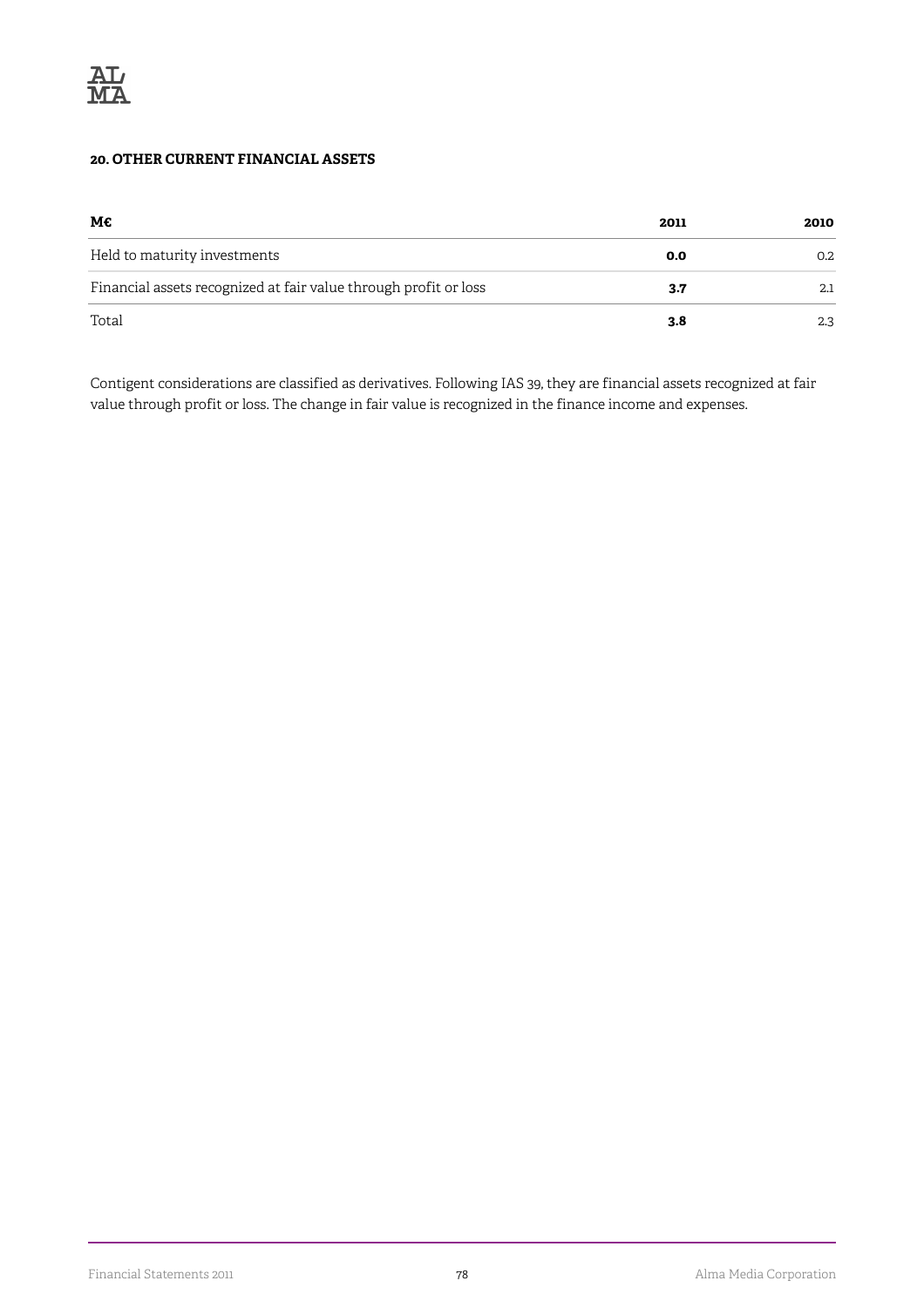## **20. OTHER CURRENT FINANCIAL ASSETS**

| М€                                                               | 2011 | 2010 |
|------------------------------------------------------------------|------|------|
| Held to maturity investments                                     | 0.0  | 0.2  |
| Financial assets recognized at fair value through profit or loss | 3.7  | 2.1  |
| Total                                                            | 3.8  | 2.3  |

Contigent considerations are classified as derivatives. Following IAS 39, they are financial assets recognized at fair value through profit or loss. The change in fair value is recognized in the finance income and expenses.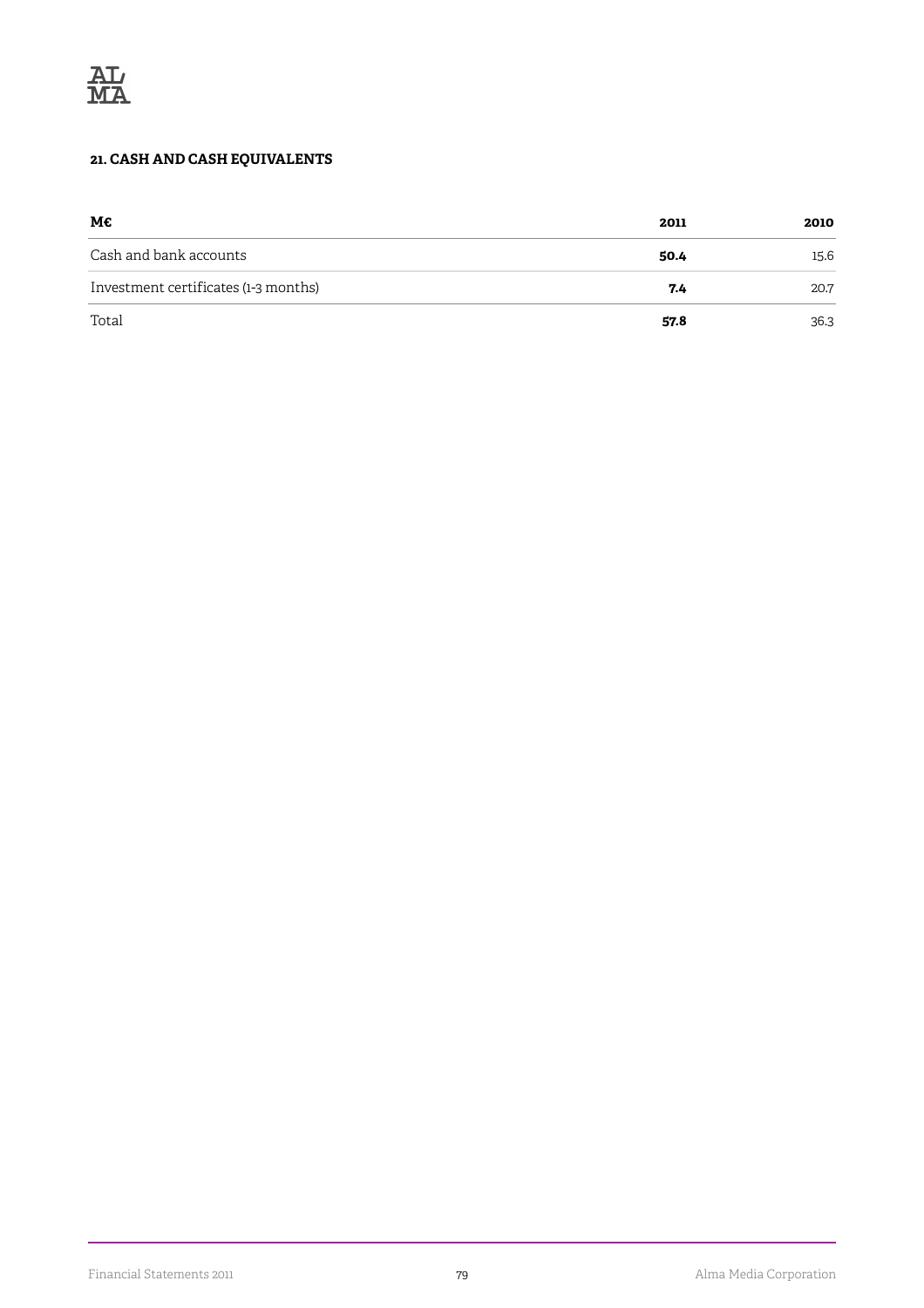# **21. CASH AND CASH EQUIVALENTS**

| М€                                   | 2011 | 2010 |
|--------------------------------------|------|------|
| Cash and bank accounts               | 50.4 | 15.6 |
| Investment certificates (1-3 months) | 7.4  | 20.7 |
| Total                                | 57.8 | 36.3 |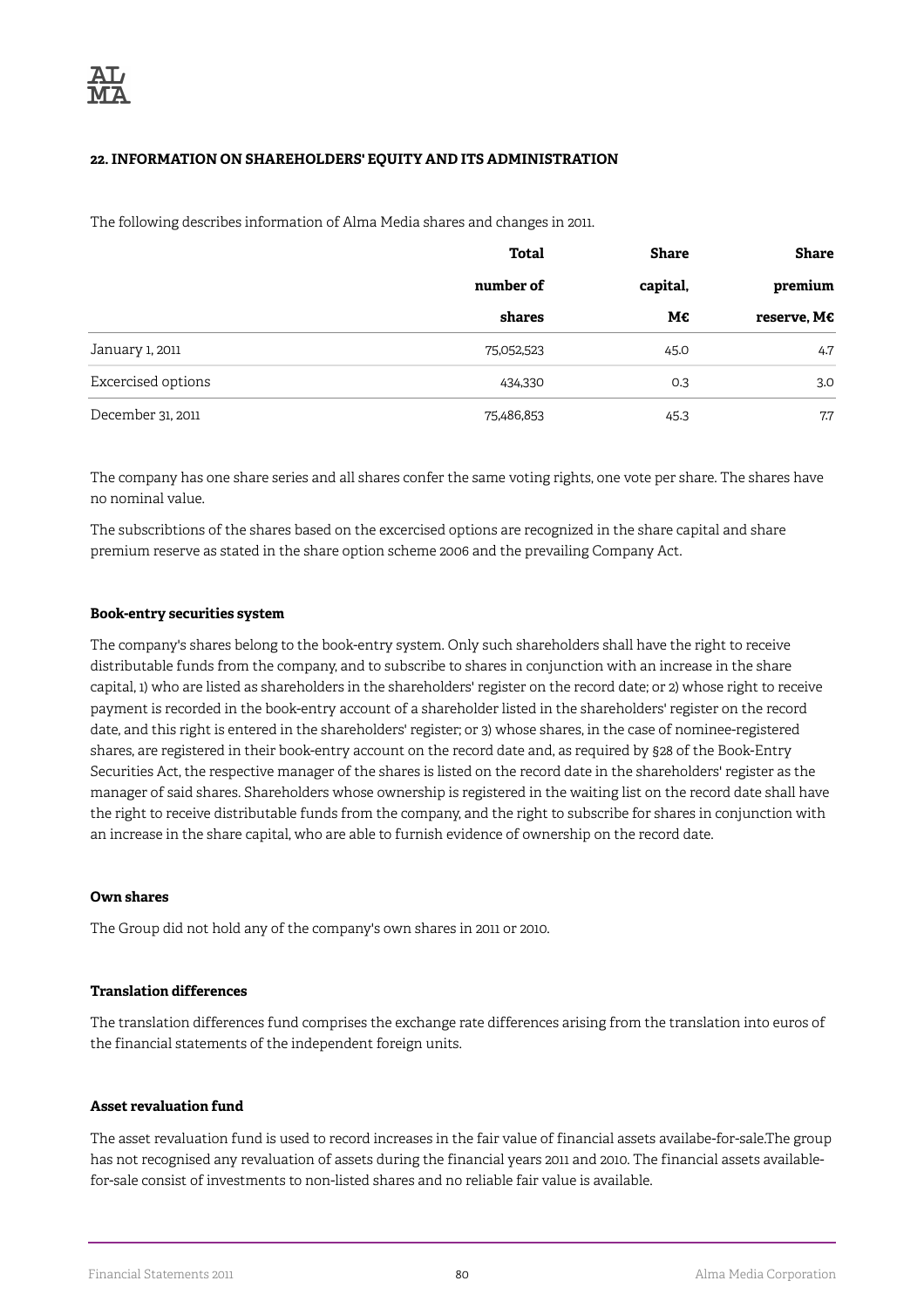## **22. INFORMATION ON SHAREHOLDERS' EQUITY AND ITS ADMINISTRATION**

The following describes information of Alma Media shares and changes in 2011.

|                    | Total      | Share    | Share                |
|--------------------|------------|----------|----------------------|
|                    | number of  | capital, | premium              |
|                    | shares     | M€       | reserve, $M\epsilon$ |
| January 1, 2011    | 75,052,523 | 45.0     | 4.7                  |
| Excercised options | 434,330    | 0.3      | 3.0                  |
| December 31, 2011  | 75,486,853 | 45.3     | 7.7                  |

The company has one share series and all shares confer the same voting rights, one vote per share. The shares have no nominal value.

The subscribtions of the shares based on the excercised options are recognized in the share capital and share premium reserve as stated in the share option scheme 2006 and the prevailing Company Act.

#### **Book-entry securities system**

The company's shares belong to the book-entry system. Only such shareholders shall have the right to receive distributable funds from the company, and to subscribe to shares in conjunction with an increase in the share capital, 1) who are listed as shareholders in the shareholders' register on the record date; or 2) whose right to receive payment is recorded in the book-entry account of a shareholder listed in the shareholders' register on the record date, and this right is entered in the shareholders' register; or 3) whose shares, in the case of nominee-registered shares, are registered in their book-entry account on the record date and, as required by §28 of the Book-Entry Securities Act, the respective manager of the shares is listed on the record date in the shareholders' register as the manager of said shares. Shareholders whose ownership is registered in the waiting list on the record date shall have the right to receive distributable funds from the company, and the right to subscribe for shares in conjunction with an increase in the share capital, who are able to furnish evidence of ownership on the record date.

### **Own shares**

The Group did not hold any of the company's own shares in 2011 or 2010.

### **Translation differences**

The translation differences fund comprises the exchange rate differences arising from the translation into euros of the financial statements of the independent foreign units.

#### **Asset revaluation fund**

The asset revaluation fund is used to record increases in the fair value of financial assets availabe-for-sale.The group has not recognised any revaluation of assets during the financial years 2011 and 2010. The financial assets availablefor-sale consist of investments to non-listed shares and no reliable fair value is available.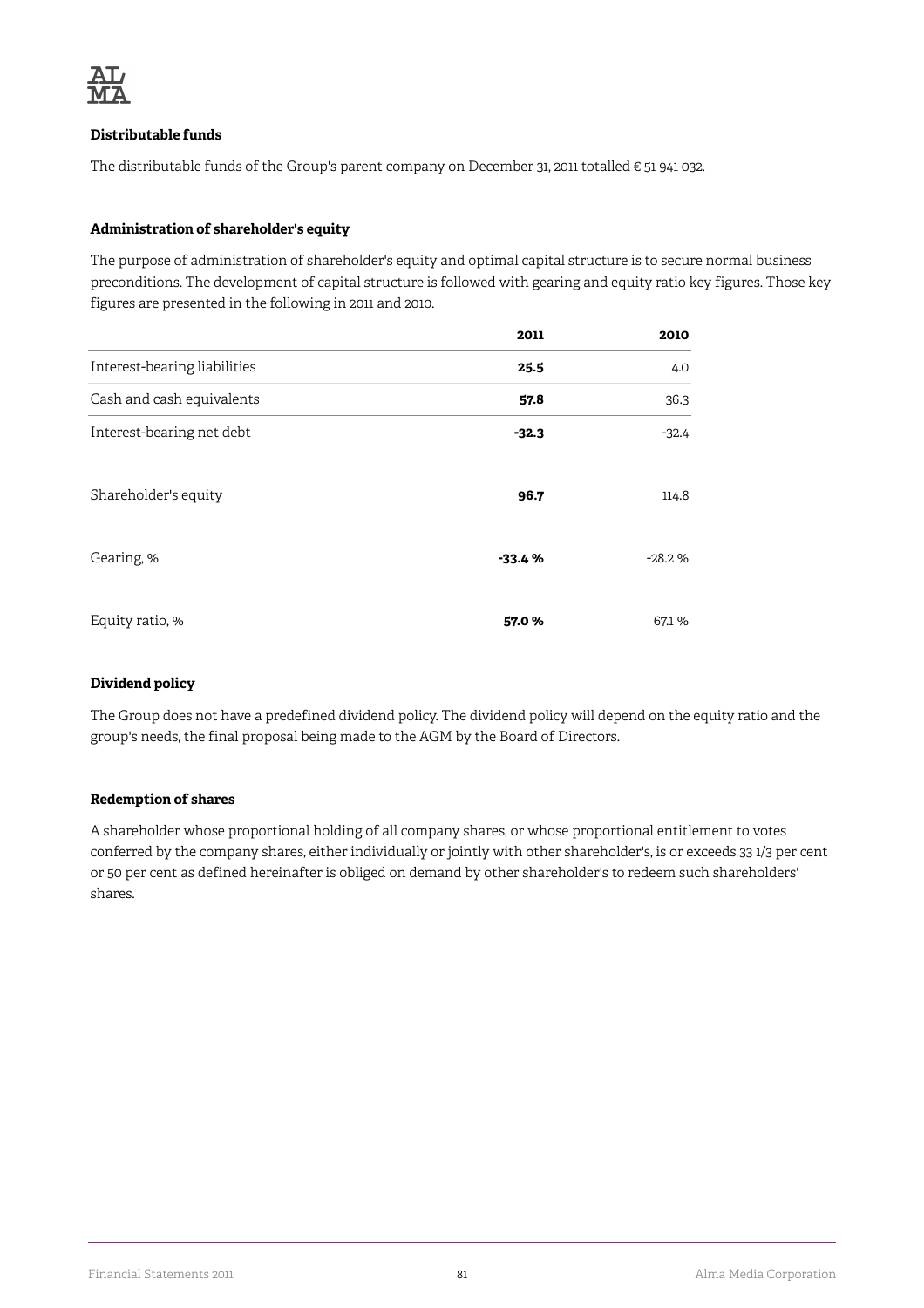

### **Distributable funds**

The distributable funds of the Group's parent company on December 31, 2011 totalled  $\epsilon$  51 941 032.

## **Administration of shareholder's equity**

The purpose of administration of shareholder's equity and optimal capital structure is to secure normal business preconditions. The development of capital structure is followed with gearing and equity ratio key figures. Those key figures are presented in the following in 2011 and 2010.

|                              | 2011     | 2010     |
|------------------------------|----------|----------|
| Interest-bearing liabilities | 25.5     | 4.0      |
| Cash and cash equivalents    | 57.8     | 36.3     |
| Interest-bearing net debt    | $-32.3$  | $-32.4$  |
| Shareholder's equity         | 96.7     | 114.8    |
| Gearing, %                   | $-33.4%$ | $-28.2%$ |
| Equity ratio, %              | 57.0%    | 67.1 %   |

### **Dividend policy**

The Group does not have a predefined dividend policy. The dividend policy will depend on the equity ratio and the group's needs, the final proposal being made to the AGM by the Board of Directors.

### **Redemption of shares**

A shareholder whose proportional holding of all company shares, or whose proportional entitlement to votes conferred by the company shares, either individually or jointly with other shareholder's, is or exceeds 33 1/3 per cent or 50 per cent as defined hereinafter is obliged on demand by other shareholder's to redeem such shareholders' shares.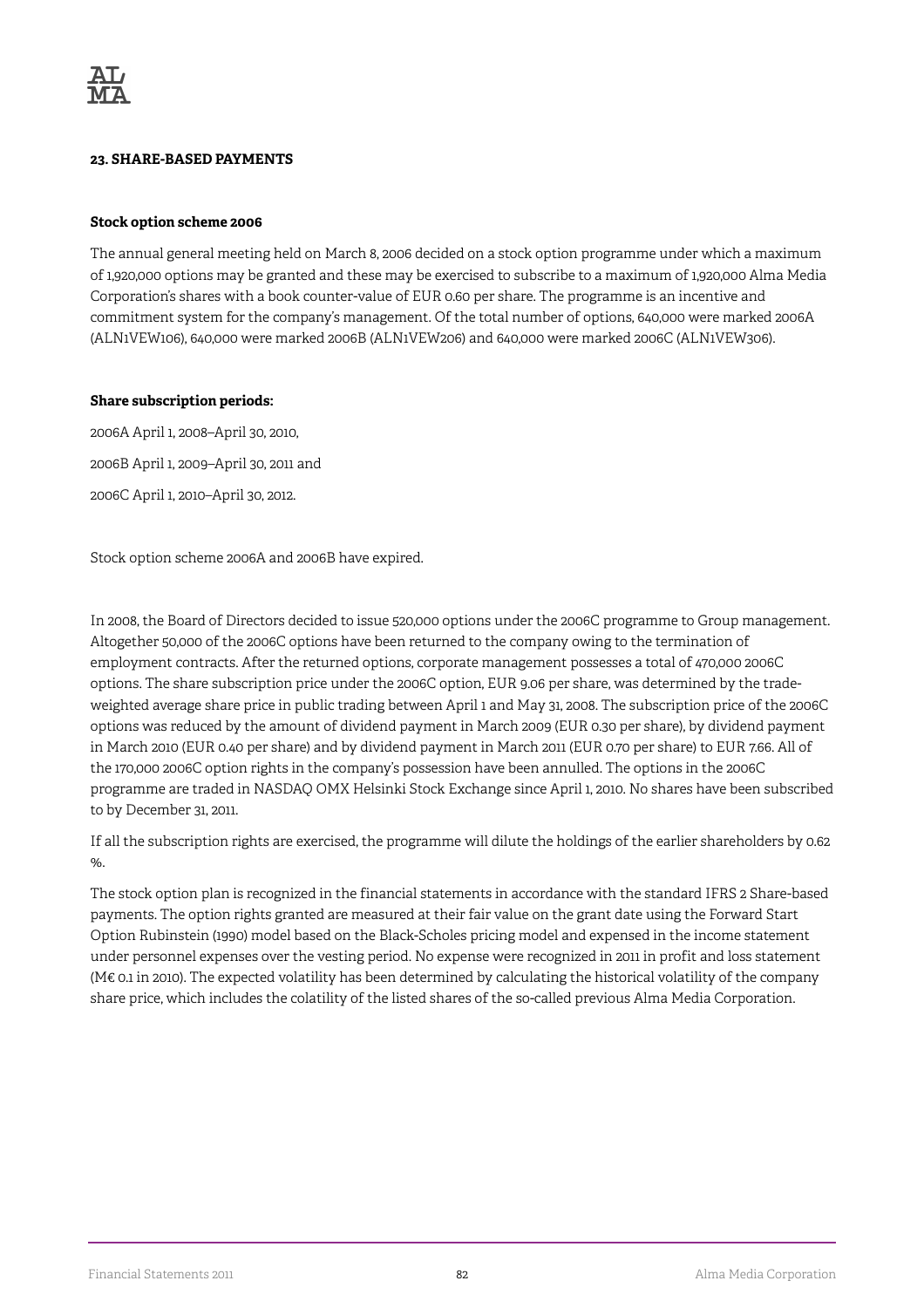### **23. SHARE-BASED PAYMENTS**

### **Stock option scheme 2006**

The annual general meeting held on March 8, 2006 decided on a stock option programme under which a maximum of 1,920,000 options may be granted and these may be exercised to subscribe to a maximum of 1,920,000 Alma Media Corporation's shares with a book counter-value of EUR 0.60 per share. The programme is an incentive and commitment system for the company's management. Of the total number of options, 640,000 were marked 2006A (ALN1VEW106), 640,000 were marked 2006B (ALN1VEW206) and 640,000 were marked 2006C (ALN1VEW306).

### **Share subscription periods:**

2006A April 1, 2008–April 30, 2010, 2006B April 1, 2009–April 30, 2011 and 2006C April 1, 2010–April 30, 2012.

Stock option scheme 2006A and 2006B have expired.

In 2008, the Board of Directors decided to issue 520,000 options under the 2006C programme to Group management. Altogether 50,000 of the 2006C options have been returned to the company owing to the termination of employment contracts. After the returned options, corporate management possesses a total of 470,000 2006C options. The share subscription price under the 2006C option, EUR 9.06 per share, was determined by the tradeweighted average share price in public trading between April 1 and May 31, 2008. The subscription price of the 2006C options was reduced by the amount of dividend payment in March 2009 (EUR 0.30 per share), by dividend payment in March 2010 (EUR 0.40 per share) and by dividend payment in March 2011 (EUR 0.70 per share) to EUR 7.66. All of the 170,000 2006C option rights in the company's possession have been annulled. The options in the 2006C programme are traded in NASDAQ OMX Helsinki Stock Exchange since April 1, 2010. No shares have been subscribed to by December 31, 2011.

If all the subscription rights are exercised, the programme will dilute the holdings of the earlier shareholders by 0.62  $\%$ .

The stock option plan is recognized in the financial statements in accordance with the standard IFRS 2 Share-based payments. The option rights granted are measured at their fair value on the grant date using the Forward Start Option Rubinstein (1990) model based on the Black-Scholes pricing model and expensed in the income statement under personnel expenses over the vesting period. No expense were recognized in 2011 in profit and loss statement (M€ 0.1 in 2010). The expected volatility has been determined by calculating the historical volatility of the company share price, which includes the colatility of the listed shares of the so-called previous Alma Media Corporation.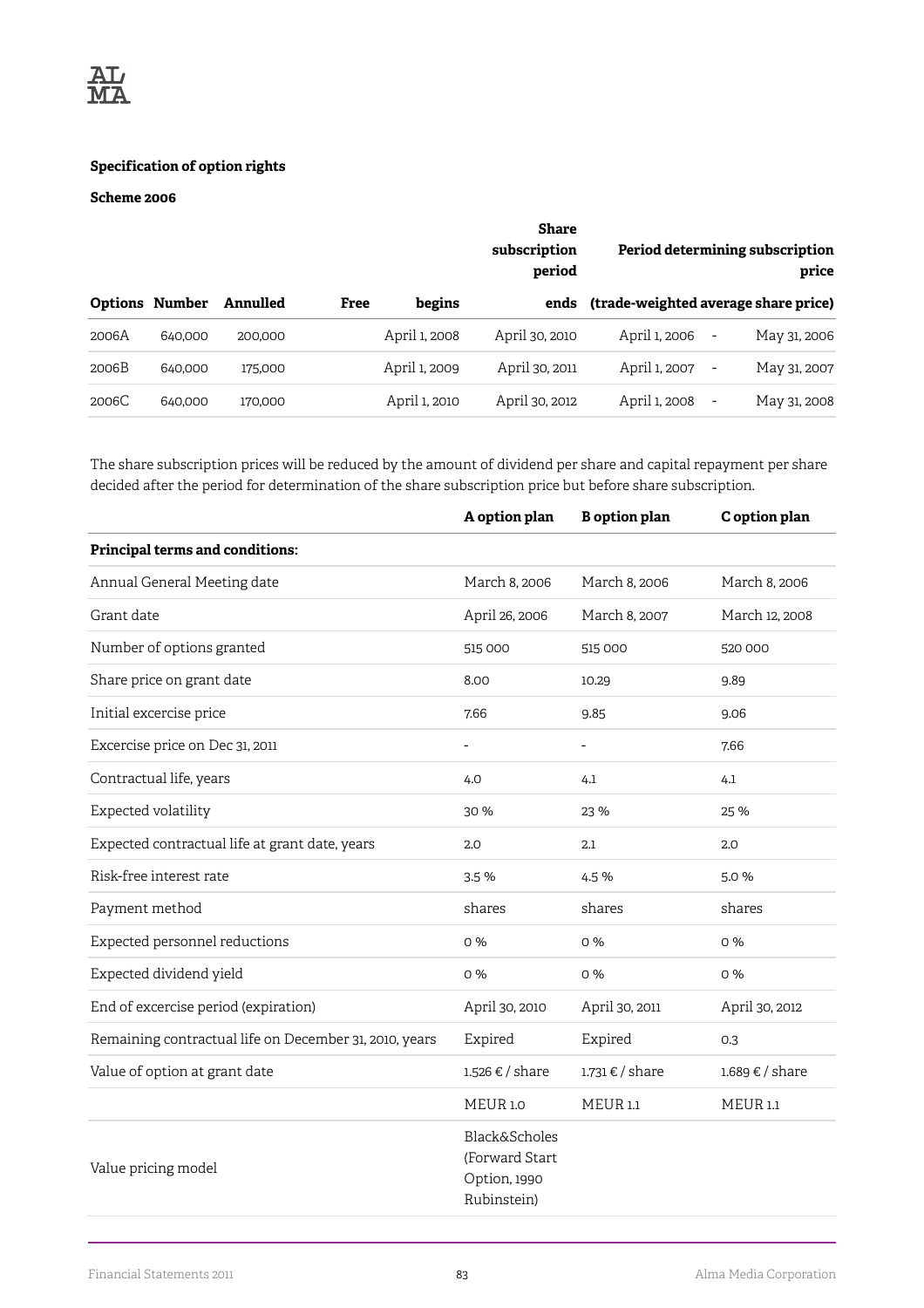

### **Specification of option rights**

## **Scheme 2006**

|       |                       |          | Share<br>subscription<br>period |               |                | Period determining subscription<br>price |                          |              |
|-------|-----------------------|----------|---------------------------------|---------------|----------------|------------------------------------------|--------------------------|--------------|
|       | <b>Options Number</b> | Annulled | Free                            | begins        | ends           | (trade-weighted average share price)     |                          |              |
| 2006A | 640,000               | 200,000  |                                 | April 1, 2008 | April 30, 2010 | April 1, 2006                            | $\overline{\phantom{a}}$ | May 31, 2006 |
| 2006B | 640,000               | 175,000  |                                 | April 1, 2009 | April 30, 2011 | April 1, 2007                            | $\overline{\phantom{a}}$ | May 31, 2007 |
| 2006C | 640,000               | 170,000  |                                 | April 1, 2010 | April 30, 2012 | April 1, 2008                            | $\overline{\phantom{a}}$ | May 31, 2008 |

The share subscription prices will be reduced by the amount of dividend per share and capital repayment per share decided after the period for determination of the share subscription price but before share subscription.

|                                                        | A option plan                                                             | <b>B</b> option plan | C option plan   |
|--------------------------------------------------------|---------------------------------------------------------------------------|----------------------|-----------------|
| Principal terms and conditions:                        |                                                                           |                      |                 |
| Annual General Meeting date                            | March 8, 2006                                                             | March 8, 2006        | March 8, 2006   |
| Grant date                                             | April 26, 2006                                                            | March 8, 2007        | March 12, 2008  |
| Number of options granted                              | 515 000                                                                   | 515 000              | 520 000         |
| Share price on grant date                              | 8.00                                                                      | 10.29                | 9.89            |
| Initial excercise price                                | 7.66                                                                      | 9.85                 | 9.06            |
| Excercise price on Dec 31, 2011                        |                                                                           |                      | 7.66            |
| Contractual life, years                                | 4.0                                                                       | 4.1                  | 4.1             |
| Expected volatility                                    | 30 %                                                                      | 23 %                 | 25 %            |
| Expected contractual life at grant date, years         | 2.0                                                                       | 2.1                  | 2.0             |
| Risk-free interest rate                                | 3.5%                                                                      | 4.5%                 | 5.0%            |
| Payment method                                         | shares                                                                    | shares               | shares          |
| Expected personnel reductions                          | 0%                                                                        | 0%                   | 0%              |
| Expected dividend yield                                | 0%                                                                        | 0%                   | 0 %             |
| End of excercise period (expiration)                   | April 30, 2010                                                            | April 30, 2011       | April 30, 2012  |
| Remaining contractual life on December 31, 2010, years | Expired                                                                   | Expired              | 0.3             |
| Value of option at grant date                          | 1.526 € / share                                                           | 1.731 € / share      | 1.689 € / share |
|                                                        | <b>MEUR1.0</b>                                                            | <b>MEUR 1.1</b>      | <b>MEUR 1.1</b> |
| Value pricing model                                    | <b>Black&amp;Scholes</b><br>(Forward Start<br>Option, 1990<br>Rubinstein) |                      |                 |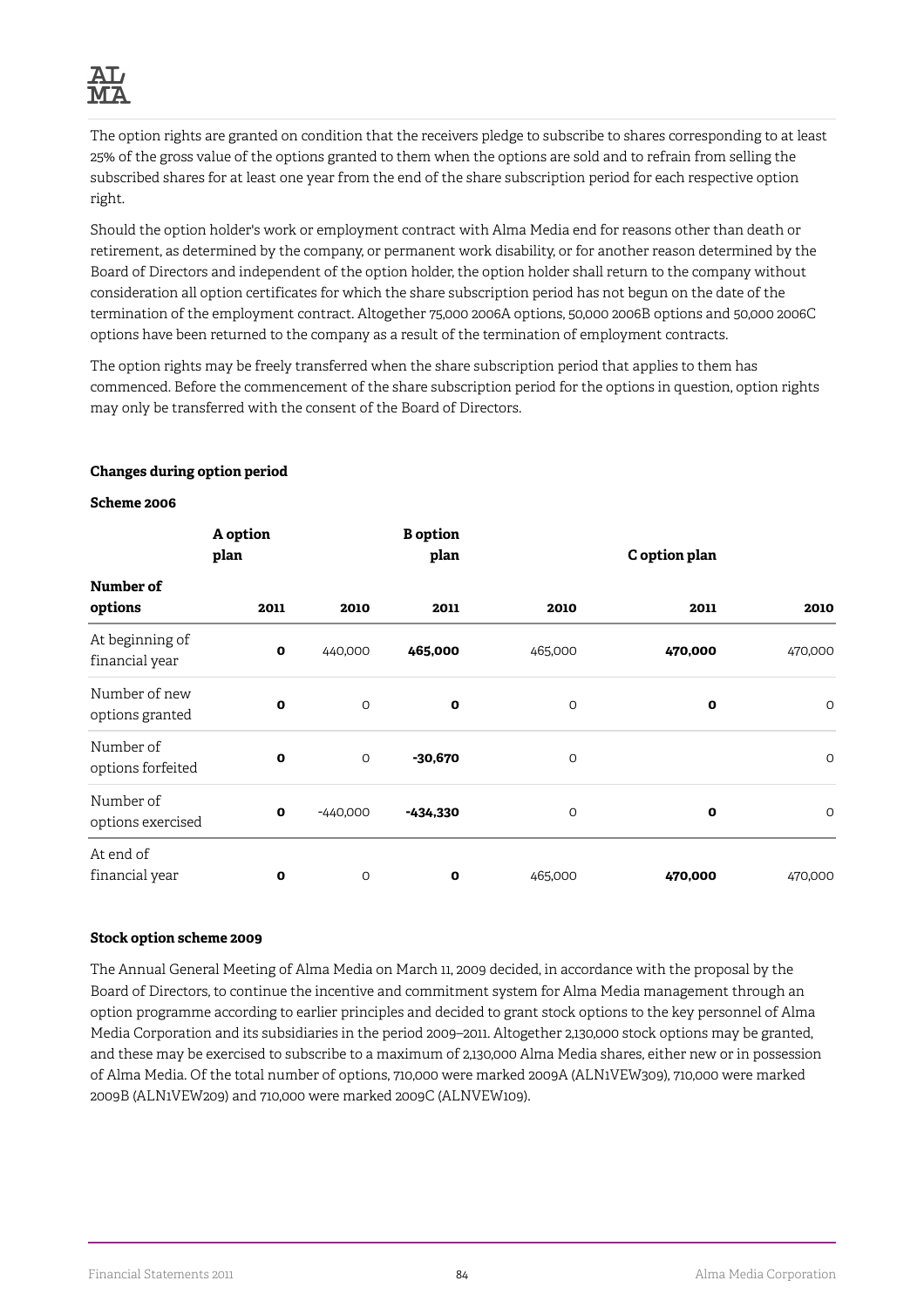

The option rights are granted on condition that the receivers pledge to subscribe to shares corresponding to at least 25% of the gross value of the options granted to them when the options are sold and to refrain from selling the subscribed shares for at least one year from the end of the share subscription period for each respective option right.

Should the option holder's work or employment contract with Alma Media end for reasons other than death or retirement, as determined by the company, or permanent work disability, or for another reason determined by the Board of Directors and independent of the option holder, the option holder shall return to the company without consideration all option certificates for which the share subscription period has not begun on the date of the termination of the employment contract. Altogether 75,000 2006A options, 50,000 2006B options and 50,000 2006C options have been returned to the company as a result of the termination of employment contracts.

The option rights may be freely transferred when the share subscription period that applies to them has commenced. Before the commencement of the share subscription period for the options in question, option rights may only be transferred with the consent of the Board of Directors.

|                                   | A option<br>plan |            | <b>B</b> option<br>plan |         | C option plan |             |
|-----------------------------------|------------------|------------|-------------------------|---------|---------------|-------------|
| Number of                         |                  |            |                         |         |               |             |
| options                           | 2011             | 2010       | 2011                    | 2010    | 2011          | 2010        |
| At beginning of<br>financial year | O                | 440,000    | 465,000                 | 465,000 | 470,000       | 470,000     |
| Number of new<br>options granted  | $\mathbf o$      | $\circ$    | $\mathbf 0$             | $\circ$ | $\mathbf o$   | 0           |
| Number of<br>options forfeited    | O                | O          | $-30,670$               | $\circ$ |               | $\mathsf O$ |
| Number of<br>options exercised    | O                | $-440,000$ | $-434,330$              | O       | $\mathbf o$   | $\circ$     |
| At end of<br>financial year       | $\mathbf{o}$     | O          | 0                       | 465,000 | 470,000       | 470,000     |

## **Changes during option period**

### **Scheme 2006**

### **Stock option scheme 2009**

The Annual General Meeting of Alma Media on March 11, 2009 decided, in accordance with the proposal by the Board of Directors, to continue the incentive and commitment system for Alma Media management through an option programme according to earlier principles and decided to grant stock options to the key personnel of Alma Media Corporation and its subsidiaries in the period 2009–2011. Altogether 2,130,000 stock options may be granted, and these may be exercised to subscribe to a maximum of 2,130,000 Alma Media shares, either new or in possession of Alma Media. Of the total number of options, 710,000 were marked 2009A (ALN1VEW309), 710,000 were marked 2009B (ALN1VEW209) and 710,000 were marked 2009C (ALNVEW109).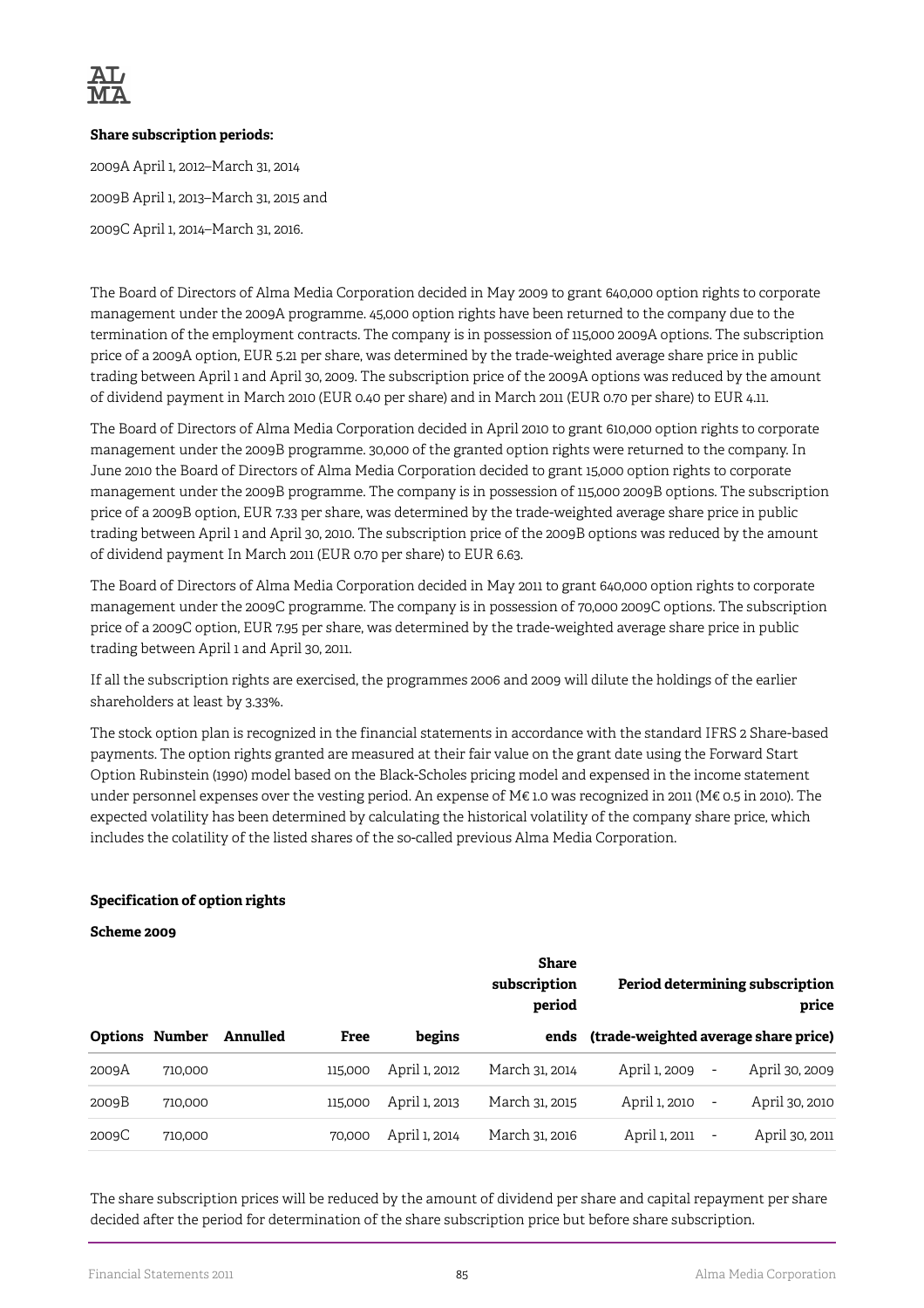

### **Share subscription periods:**

2009A April 1, 2012–March 31, 2014 2009B April 1, 2013–March 31, 2015 and 2009C April 1, 2014–March 31, 2016.

The Board of Directors of Alma Media Corporation decided in May 2009 to grant 640,000 option rights to corporate management under the 2009A programme. 45,000 option rights have been returned to the company due to the termination of the employment contracts. The company is in possession of 115,000 2009A options. The subscription price of a 2009A option, EUR 5.21 per share, was determined by the trade-weighted average share price in public trading between April 1 and April 30, 2009. The subscription price of the 2009A options was reduced by the amount of dividend payment in March 2010 (EUR 0.40 per share) and in March 2011 (EUR 0.70 per share) to EUR 4.11.

The Board of Directors of Alma Media Corporation decided in April 2010 to grant 610,000 option rights to corporate management under the 2009B programme. 30,000 of the granted option rights were returned to the company. In June 2010 the Board of Directors of Alma Media Corporation decided to grant 15,000 option rights to corporate management under the 2009B programme. The company is in possession of 115,000 2009B options. The subscription price of a 2009B option, EUR 7.33 per share, was determined by the trade-weighted average share price in public trading between April 1 and April 30, 2010. The subscription price of the 2009B options was reduced by the amount of dividend payment In March 2011 (EUR 0.70 per share) to EUR 6.63.

The Board of Directors of Alma Media Corporation decided in May 2011 to grant 640,000 option rights to corporate management under the 2009C programme. The company is in possession of 70,000 2009C options. The subscription price of a 2009C option, EUR 7.95 per share, was determined by the trade-weighted average share price in public trading between April 1 and April 30, 2011.

If all the subscription rights are exercised, the programmes 2006 and 2009 will dilute the holdings of the earlier shareholders at least by 3.33%.

The stock option plan is recognized in the financial statements in accordance with the standard IFRS 2 Share-based payments. The option rights granted are measured at their fair value on the grant date using the Forward Start Option Rubinstein (1990) model based on the Black-Scholes pricing model and expensed in the income statement under personnel expenses over the vesting period. An expense of M€ 1.0 was recognized in 2011 (M€ 0.5 in 2010). The expected volatility has been determined by calculating the historical volatility of the company share price, which includes the colatility of the listed shares of the so-called previous Alma Media Corporation.

## **Specification of option rights**

### **Scheme 2009**

|       |                       |          |         |               | <b>Share</b><br>subscription<br>period |               | Period determining subscription<br>price   |
|-------|-----------------------|----------|---------|---------------|----------------------------------------|---------------|--------------------------------------------|
|       | <b>Options Number</b> | Annulled | Free    | begins        | ends                                   |               | (trade-weighted average share price)       |
| 2009A | 710,000               |          | 115,000 | April 1, 2012 | March 31, 2014                         | April 1, 2009 | April 30, 2009<br>$\overline{\phantom{a}}$ |
| 2009B | 710,000               |          | 115,000 | April 1, 2013 | March 31, 2015                         | April 1, 2010 | April 30, 2010<br>$\overline{\phantom{a}}$ |
| 2009C | 710,000               |          | 70,000  | April 1, 2014 | March 31, 2016                         | April 1, 2011 | April 30, 2011<br>$\overline{\phantom{a}}$ |

The share subscription prices will be reduced by the amount of dividend per share and capital repayment per share decided after the period for determination of the share subscription price but before share subscription.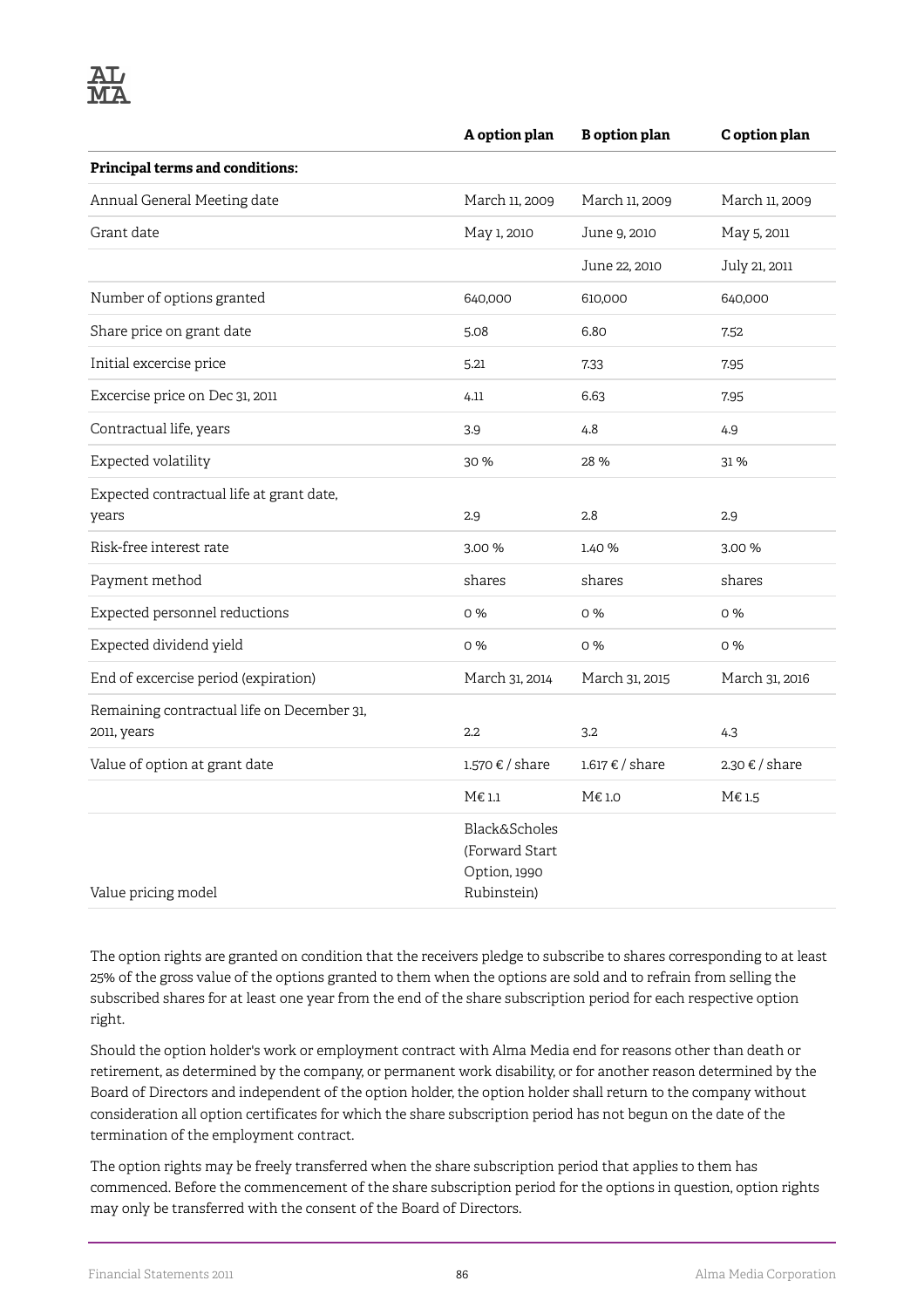|                                                           | A option plan                                                             | <b>B</b> option plan | C option plan  |
|-----------------------------------------------------------|---------------------------------------------------------------------------|----------------------|----------------|
| Principal terms and conditions:                           |                                                                           |                      |                |
| Annual General Meeting date                               | March 11, 2009                                                            | March 11, 2009       | March 11, 2009 |
| Grant date                                                | May 1, 2010                                                               | June 9, 2010         | May 5, 2011    |
|                                                           |                                                                           | June 22, 2010        | July 21, 2011  |
| Number of options granted                                 | 640,000                                                                   | 610,000              | 640,000        |
| Share price on grant date                                 | 5.08                                                                      | 6.80                 | 7.52           |
| Initial excercise price                                   | 5.21                                                                      | 7.33                 | 7.95           |
| Excercise price on Dec 31, 2011                           | 4.11                                                                      | 6.63                 | 7.95           |
| Contractual life, years                                   | 3.9                                                                       | 4.8                  | 4.9            |
| Expected volatility                                       | 30 %                                                                      | 28 %                 | 31 %           |
| Expected contractual life at grant date,<br>years         | 2.9                                                                       | 2.8                  | 2.9            |
| Risk-free interest rate                                   | 3.00 %                                                                    | 1.40 %               | 3.00 %         |
| Payment method                                            | shares                                                                    | shares               | shares         |
| Expected personnel reductions                             | 0%                                                                        | 0%                   | 0%             |
| Expected dividend yield                                   | 0%                                                                        | 0%                   | 0%             |
| End of excercise period (expiration)                      | March 31, 2014                                                            | March 31, 2015       | March 31, 2016 |
| Remaining contractual life on December 31,<br>2011, years | $2.2\phantom{0}$                                                          | 3.2                  | 4.3            |
| Value of option at grant date                             | 1.570 € / share                                                           | 1.617 € / share      | 2.30 € / share |
|                                                           | $M\in 1.1$                                                                | M€ 1.0               | $M\in 1.5$     |
| Value pricing model                                       | <b>Black&amp;Scholes</b><br>(Forward Start<br>Option, 1990<br>Rubinstein) |                      |                |

The option rights are granted on condition that the receivers pledge to subscribe to shares corresponding to at least 25% of the gross value of the options granted to them when the options are sold and to refrain from selling the subscribed shares for at least one year from the end of the share subscription period for each respective option right.

Should the option holder's work or employment contract with Alma Media end for reasons other than death or retirement, as determined by the company, or permanent work disability, or for another reason determined by the Board of Directors and independent of the option holder, the option holder shall return to the company without consideration all option certificates for which the share subscription period has not begun on the date of the termination of the employment contract.

The option rights may be freely transferred when the share subscription period that applies to them has commenced. Before the commencement of the share subscription period for the options in question, option rights may only be transferred with the consent of the Board of Directors.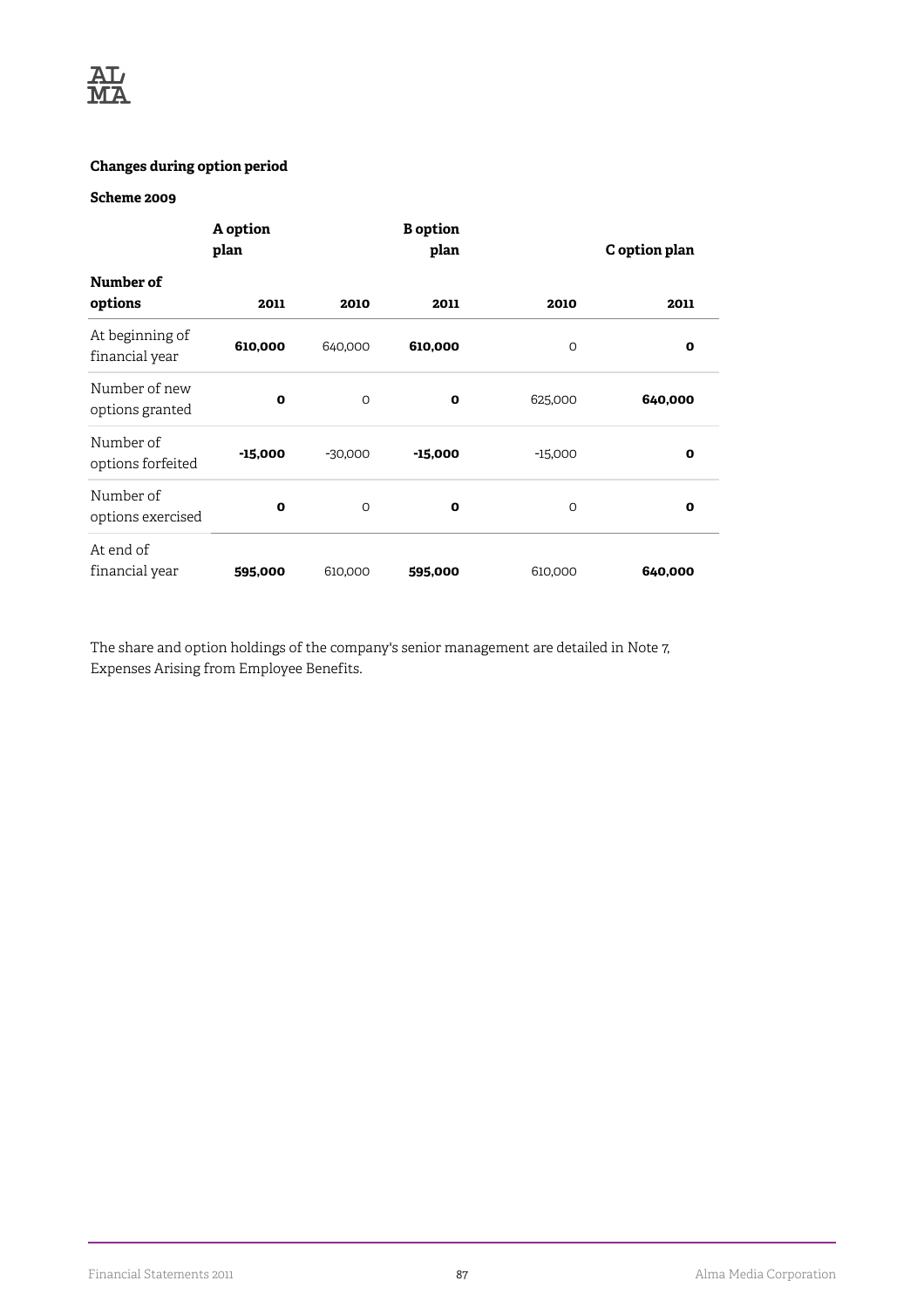

## **Changes during option period**

## **Scheme 2009**

|                                   | A option<br>plan |           | <b>B</b> option<br>plan | C option plan |             |  |
|-----------------------------------|------------------|-----------|-------------------------|---------------|-------------|--|
| Number of<br>options              | 2011             | 2010      | 2011                    | 2010          | 2011        |  |
| At beginning of<br>financial year | 610,000          | 640,000   | 610,000                 | $\circ$       | $\mathbf o$ |  |
| Number of new<br>options granted  | $\mathbf{o}$     | $\Omega$  | $\mathbf o$             | 625,000       | 640,000     |  |
| Number of<br>options forfeited    | $-15,000$        | $-30,000$ | $-15,000$               | $-15,000$     | O           |  |
| Number of<br>options exercised    | 0                | $\Omega$  | 0                       | $\Omega$      | O           |  |
| At end of<br>financial year       | 595,000          | 610,000   | 595,000                 | 610,000       | 640,000     |  |

The share and option holdings of the company's senior management are detailed in Note 7, Expenses Arising from Employee Benefits.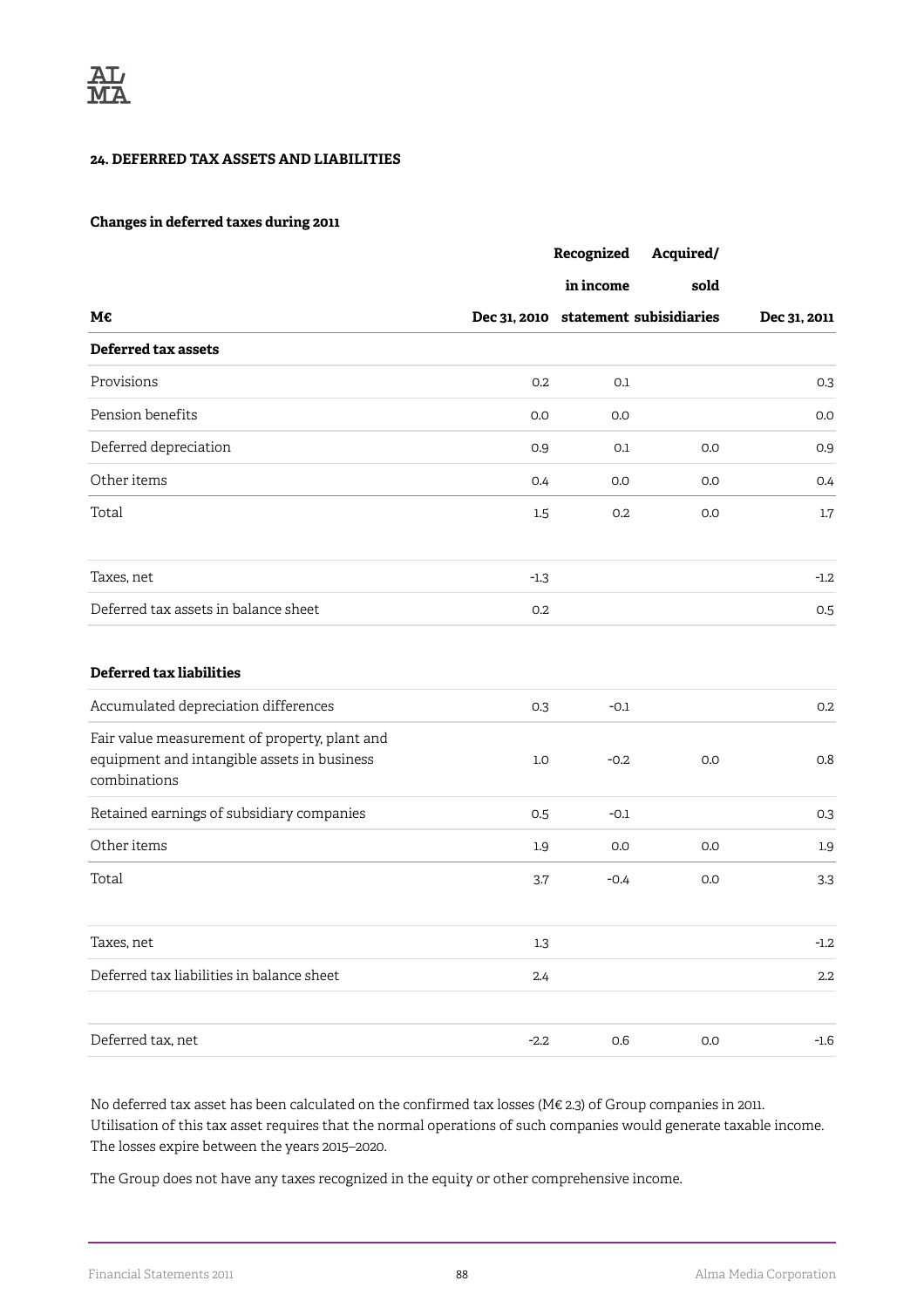### **24. DEFERRED TAX ASSETS AND LIABILITIES**

### **Changes in deferred taxes during 2011**

|                                                                                                              |        | Recognized | Acquired/                            |              |
|--------------------------------------------------------------------------------------------------------------|--------|------------|--------------------------------------|--------------|
|                                                                                                              |        | in income  | sold                                 |              |
| М€                                                                                                           |        |            | Dec 31, 2010 statement subisidiaries | Dec 31, 2011 |
| <b>Deferred tax assets</b>                                                                                   |        |            |                                      |              |
| Provisions                                                                                                   | 0.2    | 0.1        |                                      | 0.3          |
| Pension benefits                                                                                             | 0.0    | 0.0        |                                      | 0.0          |
| Deferred depreciation                                                                                        | 0.9    | 0.1        | 0.0                                  | 0.9          |
| Other items                                                                                                  | 0.4    | 0.0        | 0.0                                  | 0.4          |
| Total                                                                                                        | 1.5    | 0.2        | 0.0                                  | $1.7\,$      |
| Taxes, net                                                                                                   | $-1.3$ |            |                                      | $-1.2$       |
| Deferred tax assets in balance sheet                                                                         | 0.2    |            |                                      | 0.5          |
| <b>Deferred tax liabilities</b>                                                                              |        |            |                                      |              |
| Accumulated depreciation differences                                                                         | 0.3    | $-0.1$     |                                      | 0.2          |
| Fair value measurement of property, plant and<br>equipment and intangible assets in business<br>combinations | 1.0    | $-0.2$     | 0.0                                  | 0.8          |
| Retained earnings of subsidiary companies                                                                    | 0.5    | $-0.1$     |                                      | 0.3          |
| Other items                                                                                                  | 1.9    | 0.0        | 0.0                                  | 1.9          |
| Total                                                                                                        | 3.7    | $-0.4$     | 0.0                                  | 3.3          |
| Taxes, net                                                                                                   | 1.3    |            |                                      | -1.2         |
| Deferred tax liabilities in balance sheet                                                                    | 2.4    |            |                                      | $2.2\,$      |
| Deferred tax, net                                                                                            | $-2.2$ | $0.6\,$    | 0.0                                  | $-1.6$       |

No deferred tax asset has been calculated on the confirmed tax losses (M€ 2.3) of Group companies in 2011. Utilisation of this tax asset requires that the normal operations of such companies would generate taxable income. The losses expire between the years 2015–2020.

The Group does not have any taxes recognized in the equity or other comprehensive income.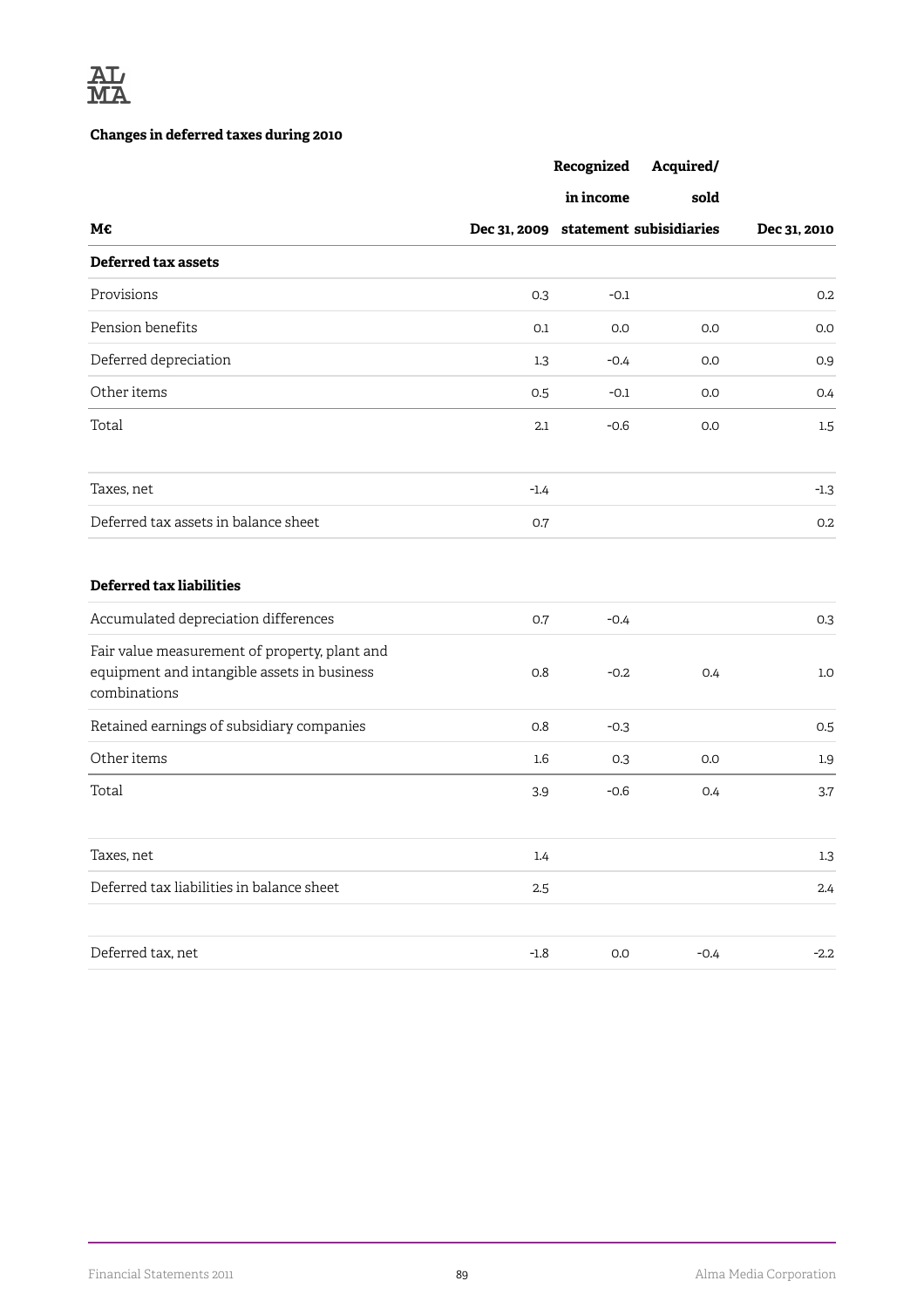

# **Changes in deferred taxes during 2010**

|                                                                                                              |         | Recognized | Acquired/                            |              |
|--------------------------------------------------------------------------------------------------------------|---------|------------|--------------------------------------|--------------|
|                                                                                                              |         | in income  | sold                                 |              |
| М€                                                                                                           |         |            | Dec 31, 2009 statement subisidiaries | Dec 31, 2010 |
| <b>Deferred tax assets</b>                                                                                   |         |            |                                      |              |
| Provisions                                                                                                   | 0.3     | $-0.1$     |                                      | 0.2          |
| Pension benefits                                                                                             | 0.1     | 0.0        | 0.0                                  | 0.0          |
| Deferred depreciation                                                                                        | 1.3     | $-0.4$     | 0.0                                  | 0.9          |
| Other items                                                                                                  | 0.5     | $-0.1$     | 0.0                                  | 0.4          |
| Total                                                                                                        | 2.1     | $-0.6$     | 0.0                                  | 1.5          |
| Taxes, net                                                                                                   | $-1.4$  |            |                                      | $-1.3$       |
| Deferred tax assets in balance sheet                                                                         | 0.7     |            |                                      | 0.2          |
| <b>Deferred tax liabilities</b>                                                                              |         |            |                                      |              |
| Accumulated depreciation differences                                                                         | 0.7     | $-0.4$     |                                      | 0.3          |
| Fair value measurement of property, plant and<br>equipment and intangible assets in business<br>combinations | 0.8     | $-0.2$     | 0.4                                  | 1.0          |
| Retained earnings of subsidiary companies                                                                    | 0.8     | $-0.3$     |                                      | 0.5          |
| Other items                                                                                                  | $1.6\,$ | 0.3        | 0.0                                  | 1.9          |
| Total                                                                                                        | 3.9     | $-0.6$     | 0.4                                  | 3.7          |
| Taxes, net                                                                                                   | 1.4     |            |                                      | $1.3\,$      |
| Deferred tax liabilities in balance sheet                                                                    | 2.5     |            |                                      | 2.4          |
| Deferred tax, net                                                                                            | $-1.8$  | $0.0\,$    | $-0.4$                               | $-2.2$       |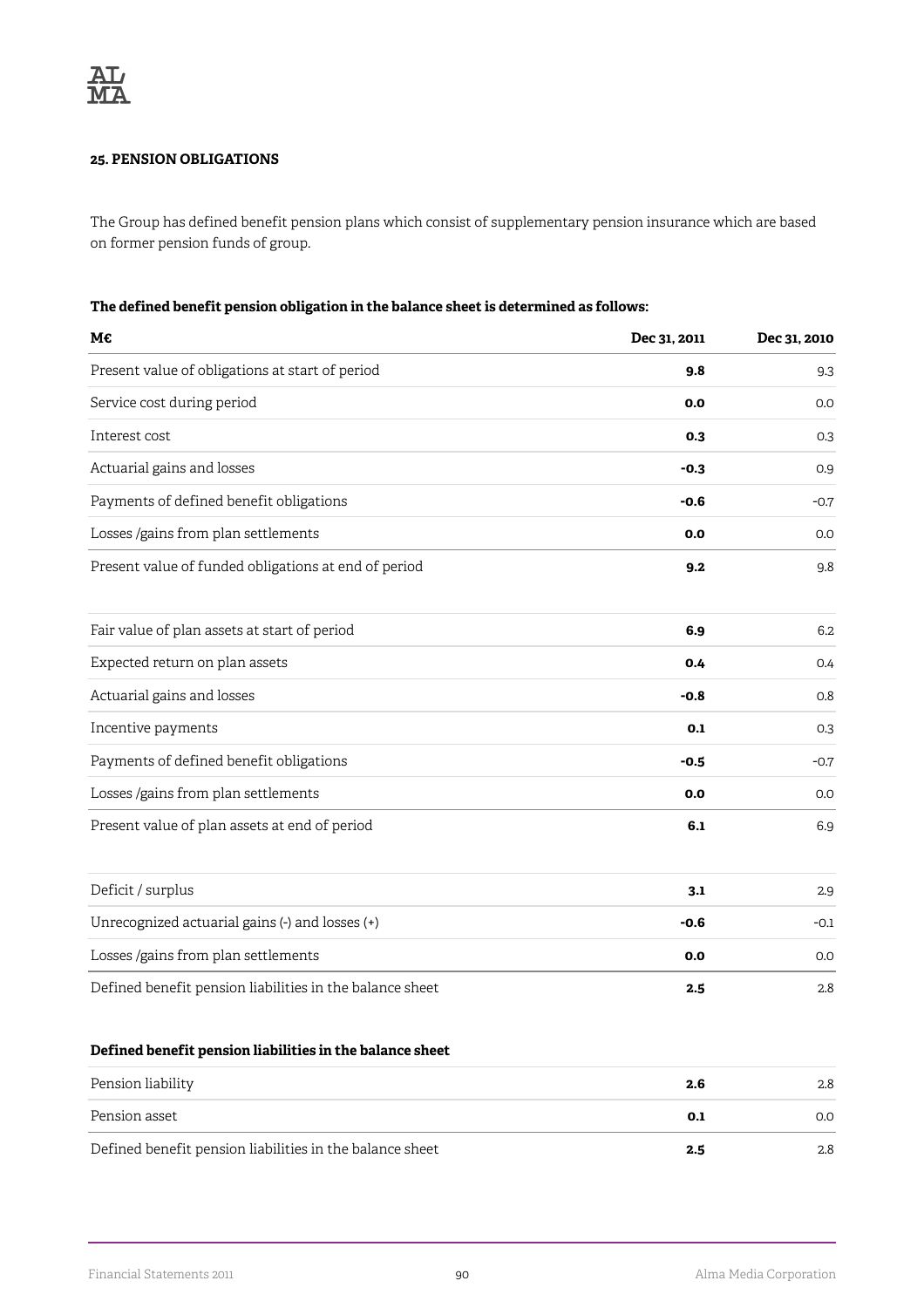## **25. PENSION OBLIGATIONS**

The Group has defined benefit pension plans which consist of supplementary pension insurance which are based on former pension funds of group.

### **The defined benefit pension obligation in the balance sheet is determined as follows:**

| 9.8<br>0.0<br>0.3<br>$-0.3$<br>$-0.6$ | 9.3<br>0.0<br>0.9<br>$-0.7$ |
|---------------------------------------|-----------------------------|
|                                       | 0.3                         |
|                                       |                             |
|                                       |                             |
|                                       |                             |
|                                       |                             |
| 0.0                                   | 0.0                         |
| 9.2                                   | 9.8                         |
| 6.9                                   | 6.2                         |
| 0.4                                   | 0.4                         |
| $-0.8$                                | 0.8                         |
| 0.1                                   | 0.3                         |
| $-0.5$                                | $-0.7$                      |
| 0.0                                   | 0.0                         |
| 6.1                                   | 6.9                         |
| 3.1                                   | 2.9                         |
| $-0.6$                                | $-0.1$                      |
| 0.0                                   | 0.0                         |
| 2.5                                   | 2.8                         |
|                                       |                             |

# **Defined benefit pension liabilities in the balance sheet**

| Pension liability                                        | 2.6 | 2.8 |
|----------------------------------------------------------|-----|-----|
| Pension asset                                            | 0.1 | O.O |
| Defined benefit pension liabilities in the balance sheet | 2.5 | 2.8 |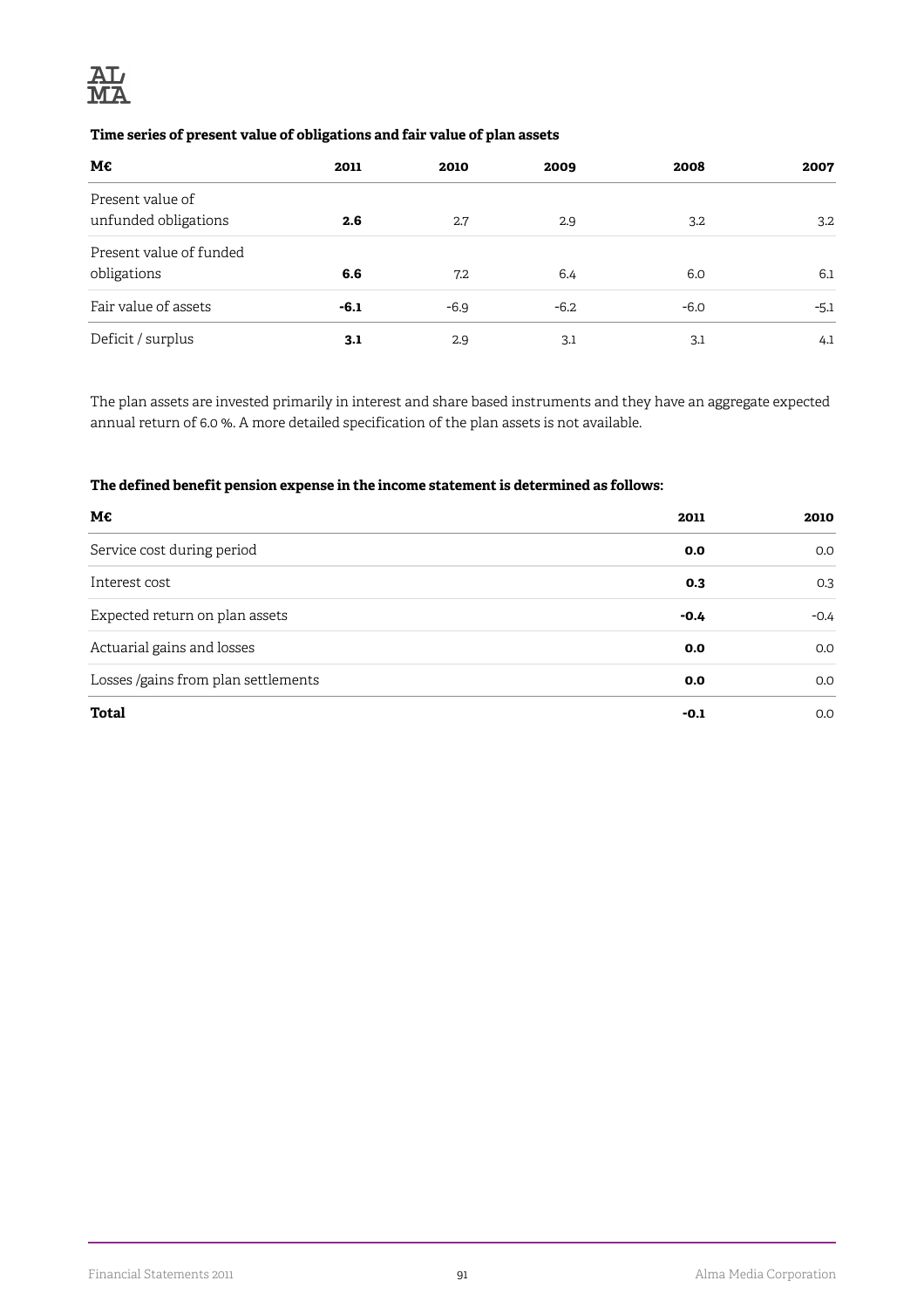

## **Time series of present value of obligations and fair value of plan assets**

| М€                                       | 2011   | 2010   | 2009   | 2008   | 2007   |
|------------------------------------------|--------|--------|--------|--------|--------|
| Present value of<br>unfunded obligations | 2.6    | 2.7    | 2.9    | 3.2    | 3.2    |
| Present value of funded<br>obligations   | 6.6    | 7.2    | 6.4    | 6.0    | 6.1    |
| Fair value of assets                     | $-6.1$ | $-6.9$ | $-6.2$ | $-6.0$ | $-5.1$ |
| Deficit / surplus                        | 3.1    | 2.9    | 3.1    | 3.1    | 4.1    |

The plan assets are invested primarily in interest and share based instruments and they have an aggregate expected annual return of 6.0 %. A more detailed specification of the plan assets is not available.

## **The defined benefit pension expense in the income statement is determined as follows:**

| M€                                  | 2011   | 2010   |
|-------------------------------------|--------|--------|
| Service cost during period          | 0.0    | 0.0    |
| Interest cost                       | 0.3    | 0.3    |
| Expected return on plan assets      | $-0.4$ | $-0.4$ |
| Actuarial gains and losses          | 0.0    | 0.0    |
| Losses /gains from plan settlements | 0.0    | 0.0    |
| <b>Total</b>                        | -0.1   | 0.0    |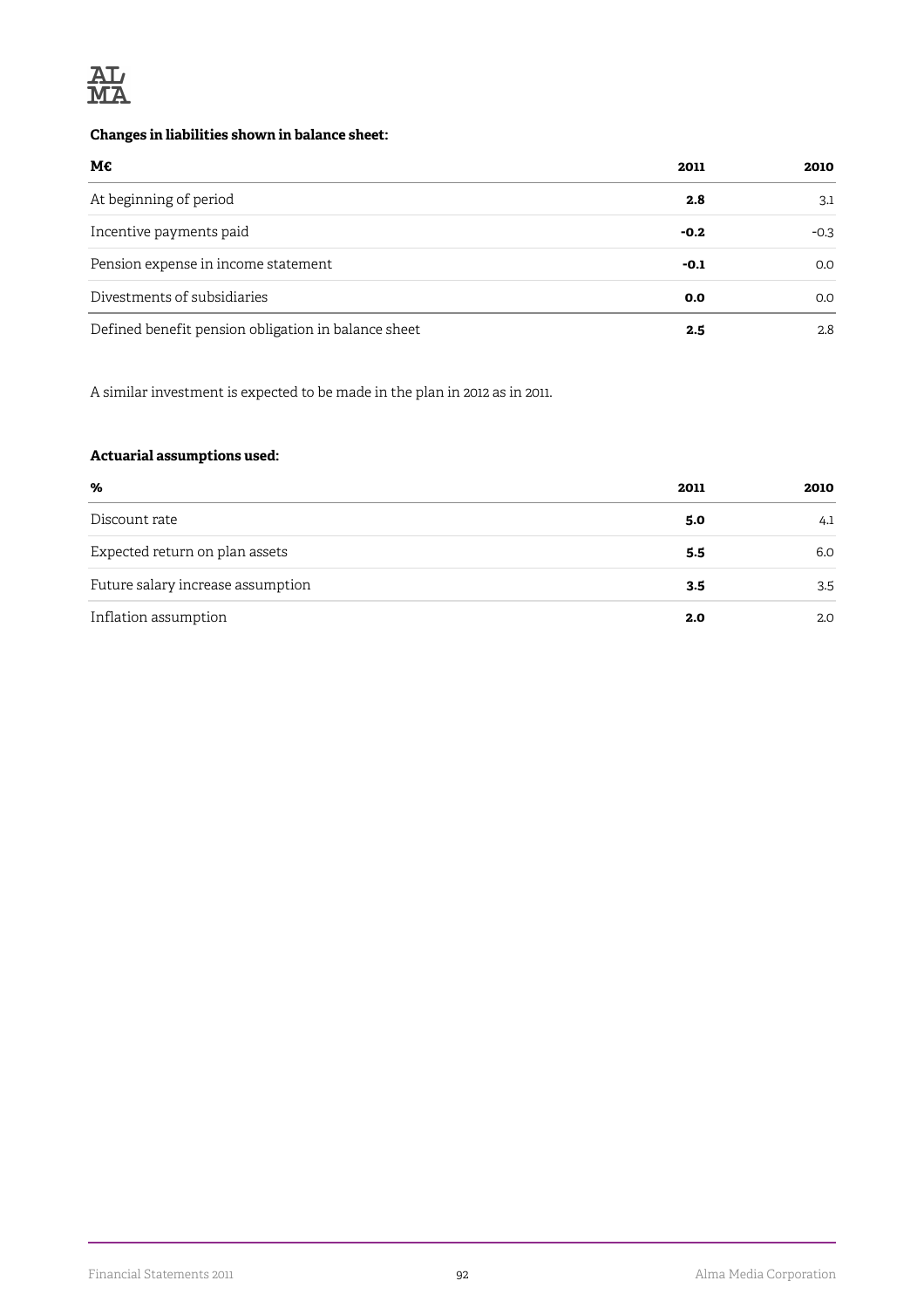

## **Changes in liabilities shown in balance sheet:**

| M€                                                  | 2011   | 2010   |
|-----------------------------------------------------|--------|--------|
| At beginning of period                              | 2.8    | 3.1    |
| Incentive payments paid                             | $-0.2$ | $-0.3$ |
| Pension expense in income statement                 | -0.1   | 0.0    |
| Divestments of subsidiaries                         | 0.0    | 0.0    |
| Defined benefit pension obligation in balance sheet | 2.5    | 2.8    |

A similar investment is expected to be made in the plan in 2012 as in 2011.

## **Actuarial assumptions used:**

| %                                 | 2011 | 2010 |
|-----------------------------------|------|------|
| Discount rate                     | 5.0  | 4.1  |
| Expected return on plan assets    | 5.5  | 6.0  |
| Future salary increase assumption | 3.5  | 3.5  |
| Inflation assumption              | 2.0  | 2.0  |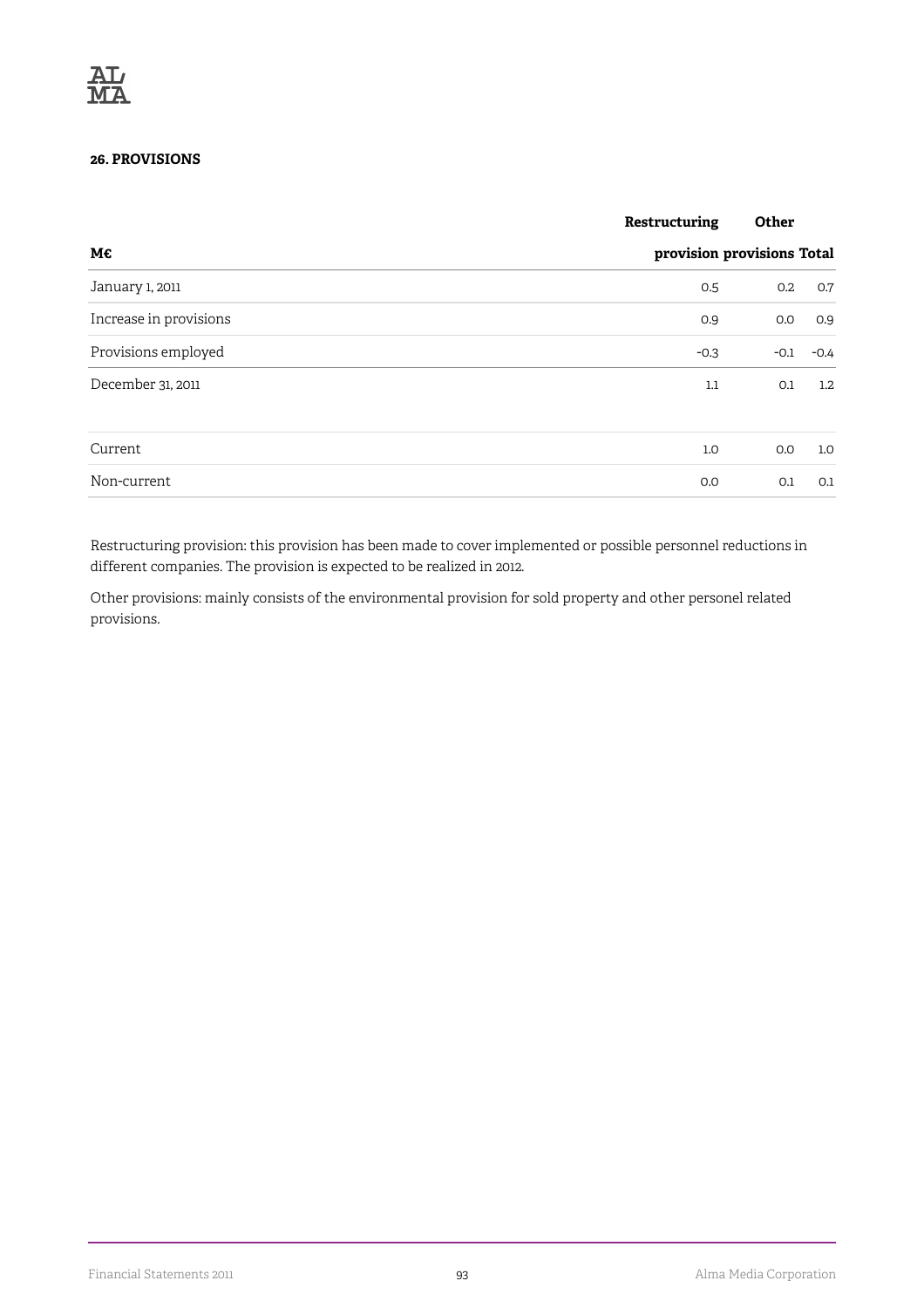## **26. PROVISIONS**

|                        | Restructuring              | Other  |                  |  |
|------------------------|----------------------------|--------|------------------|--|
| М€                     | provision provisions Total |        |                  |  |
| January 1, 2011        | 0.5                        | 0.2    | 0.7              |  |
| Increase in provisions | 0.9                        | 0.0    | 0.9              |  |
| Provisions employed    | $-0.3$                     | $-0.1$ | $-0.4$           |  |
| December 31, 2011      | $1.1\,$                    | 0.1    | $1.2\phantom{0}$ |  |
| Current                | 1.0                        | 0.0    | 1.0              |  |
| Non-current            | 0.0                        | 0.1    | 0.1              |  |

Restructuring provision: this provision has been made to cover implemented or possible personnel reductions in different companies. The provision is expected to be realized in 2012.

Other provisions: mainly consists of the environmental provision for sold property and other personel related provisions.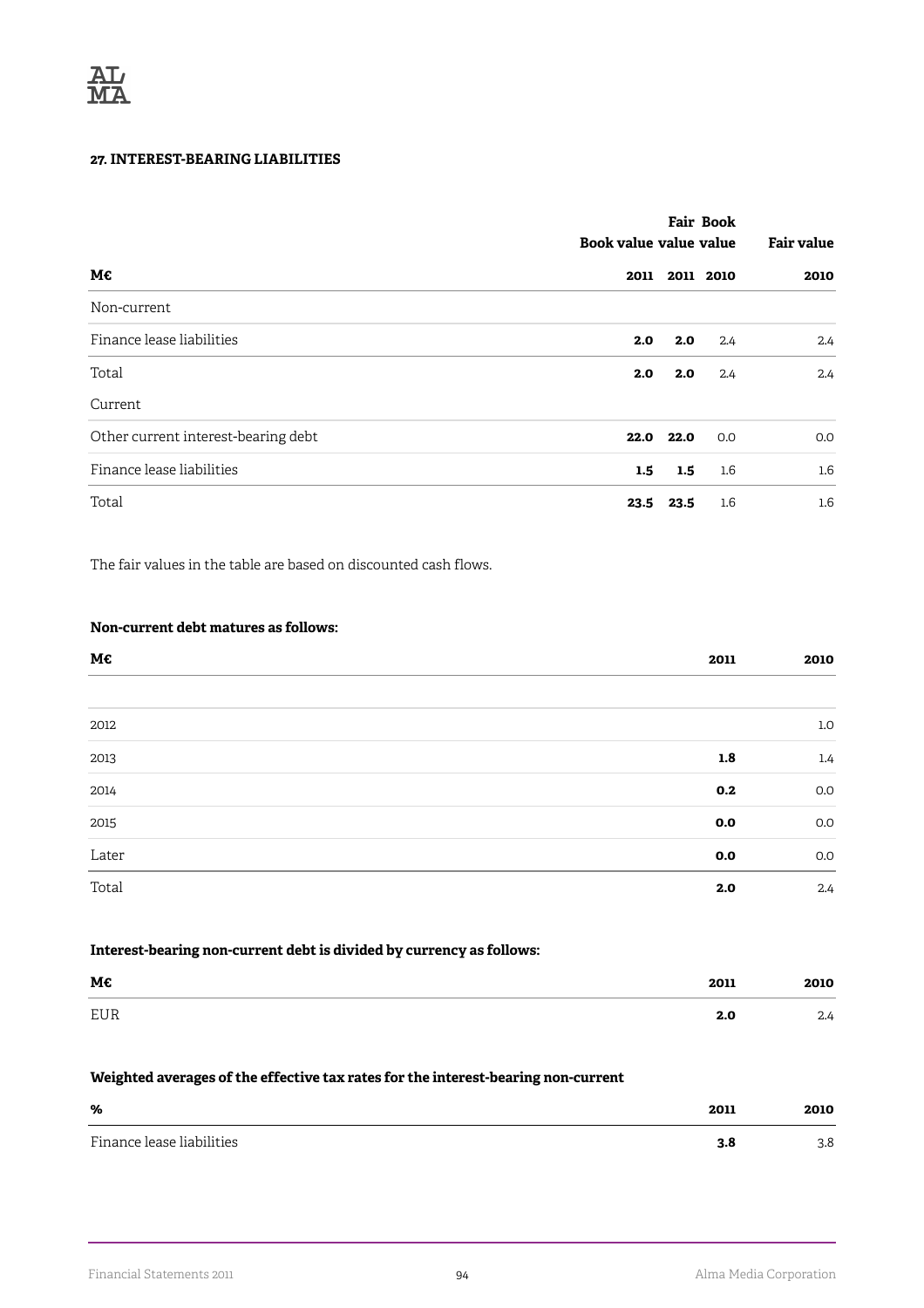## **27. INTEREST-BEARING LIABILITIES**

|                                     |      | <b>Fair Book</b><br>Book value value value |           |      |
|-------------------------------------|------|--------------------------------------------|-----------|------|
| M€                                  | 2011 |                                            | 2011 2010 | 2010 |
| Non-current                         |      |                                            |           |      |
| Finance lease liabilities           | 2.0  | 2.0                                        | 2.4       | 2.4  |
| Total                               | 2.0  | 2.0                                        | 2.4       | 2.4  |
| Current                             |      |                                            |           |      |
| Other current interest-bearing debt | 22.0 | 22.0                                       | 0.0       | 0.0  |
| Finance lease liabilities           | 1.5  | 1.5                                        | $1.6\,$   | 1.6  |
| Total                               | 23.5 | 23.5                                       | $1.6\,$   | 1.6  |

The fair values in the table are based on discounted cash flows.

## **Non-current debt matures as follows:**

| М€    | 2011 | 2010             |
|-------|------|------------------|
|       |      |                  |
| 2012  |      | $1.0\,$          |
| 2013  | 1.8  | $1.4\phantom{0}$ |
| 2014  | 0.2  | 0.0              |
| 2015  | 0.0  | $0.0\,$          |
| Later | 0.0  | 0.0              |
| Total | 2.0  | 2.4              |

## **Interest-bearing non-current debt is divided by currency as follows:**

| М€                | 2011 | ה יה<br>ZUIU |
|-------------------|------|--------------|
| FIIR<br><b>LU</b> | z.u  | ی ہے         |

### **Weighted averages of the effective tax rates for the interest-bearing non-current**

| %                         | 2011 | 2010 |
|---------------------------|------|------|
| Finance lease liabilities | 3.8  | 3.8  |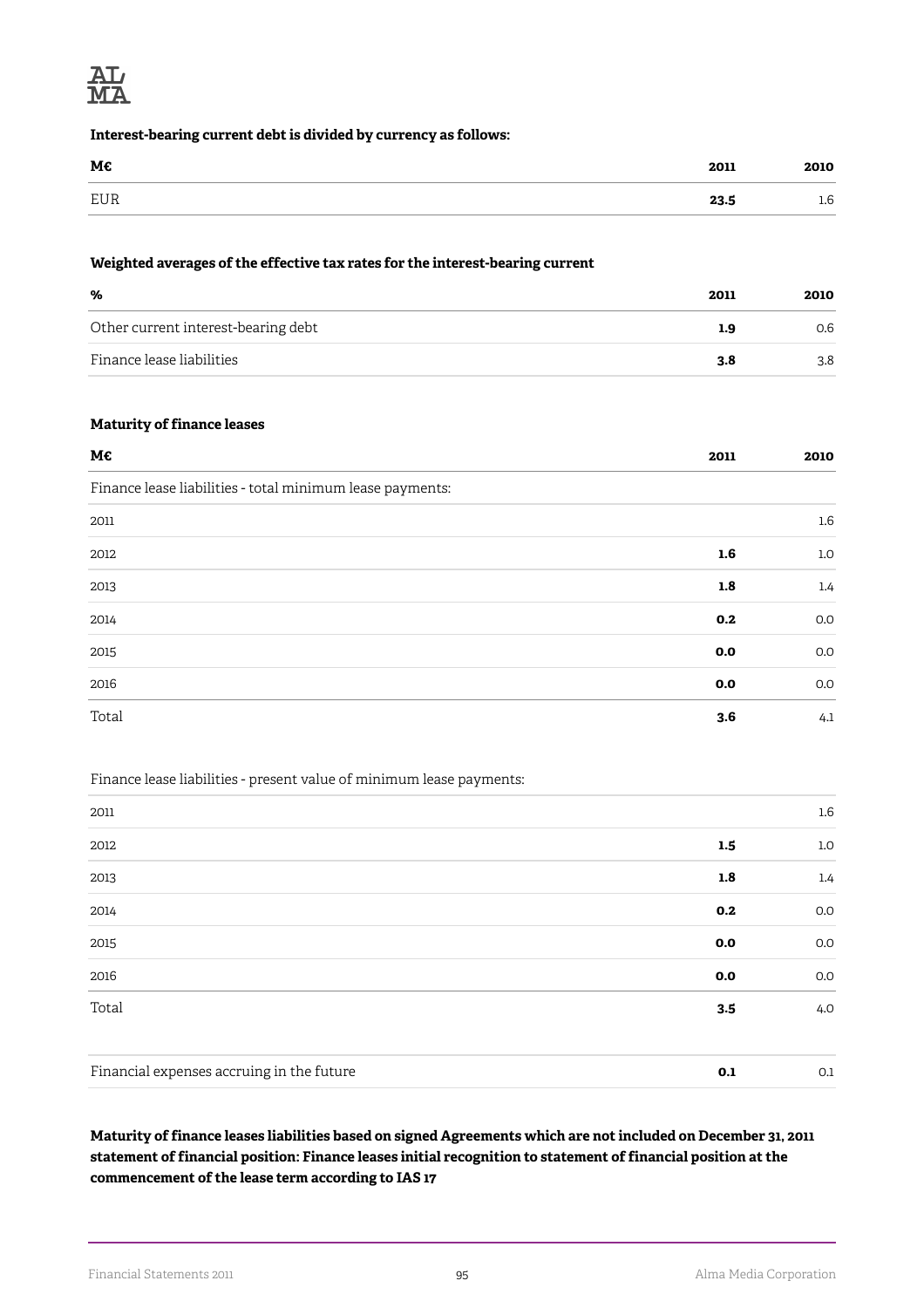

#### **Interest-bearing current debt is divided by currency as follows:**

| M€  | 2011 | 2010 |
|-----|------|------|
| EUR | 23.5 | 1.6  |

### **Weighted averages of the effective tax rates for the interest-bearing current**

| %                                   | 2011 | 2010 |
|-------------------------------------|------|------|
| Other current interest-bearing debt | 1.9  | 0.6  |
| Finance lease liabilities           | 3.8  | 3.8  |

### **Maturity of finance leases**

| M€                                                        | 2011 | 2010    |
|-----------------------------------------------------------|------|---------|
| Finance lease liabilities - total minimum lease payments: |      |         |
| 2011                                                      |      | $1.6\,$ |
| 2012                                                      | 1.6  | 1.0     |
| 2013                                                      | 1.8  | 1.4     |
| 2014                                                      | 0.2  | 0.0     |
| 2015                                                      | 0.0  | 0.0     |
| 2016                                                      | 0.0  | 0.0     |
| Total                                                     | 3.6  | 4.1     |

## Finance lease liabilities - present value of minimum lease payments:

| 2011                                      |     | $1.6\,$          |
|-------------------------------------------|-----|------------------|
| 2012                                      | 1.5 | $1.0\,$          |
| 2013                                      | 1.8 | $1.4\phantom{0}$ |
| 2014                                      | 0.2 | 0.0              |
| 2015                                      | 0.0 | 0.0              |
| 2016                                      | 0.0 | 0.0              |
| Total                                     | 3.5 | 4.0              |
| Financial expenses accruing in the future | 0.1 | 0.1              |

## **Maturity of finance leases liabilities based on signed Agreements which are not included on December 31, 2011 statement of financial position: Finance leases initial recognition to statement of financial position at the commencement of the lease term according to IAS 17**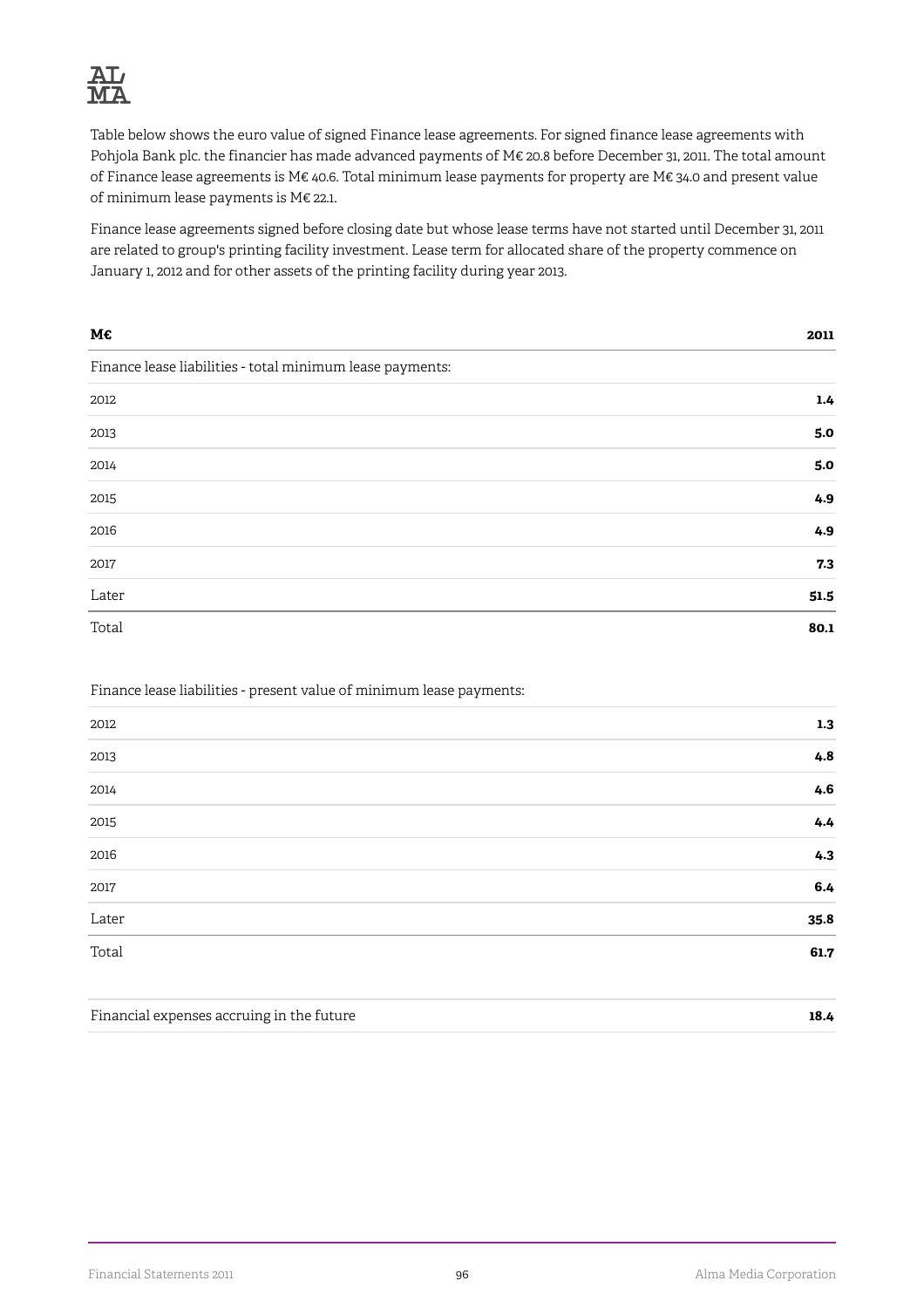

Table below shows the euro value of signed Finance lease agreements. For signed finance lease agreements with Pohjola Bank plc. the financier has made advanced payments of M€ 20.8 before December 31, 2011. The total amount of Finance lease agreements is M€ 40.6. Total minimum lease payments for property are M€ 34.0 and present value of minimum lease payments is M€ 22.1.

Finance lease agreements signed before closing date but whose lease terms have not started until December 31, 2011 are related to group's printing facility investment. Lease term for allocated share of the property commence on January 1, 2012 and for other assets of the printing facility during year 2013.

| M€                                                        | 2011 |
|-----------------------------------------------------------|------|
| Finance lease liabilities - total minimum lease payments: |      |
| 2012                                                      | 1.4  |
| 2013                                                      | 5.0  |
| 2014                                                      | 5.0  |
| 2015                                                      | 4.9  |
| 2016                                                      | 4.9  |
| 2017                                                      | 7.3  |
| Later                                                     | 51.5 |
| Total                                                     | 80.1 |

### Finance lease liabilities - present value of minimum lease payments:

| 2012        | 1.3     |
|-------------|---------|
| 2013        | 4.8     |
| 2014        | 4.6     |
| 2015        | 4.4     |
| 2016        | 4.3     |
| 2017        | $6.4\,$ |
| Later<br>-- | 35.8    |
| Total       | 61.7    |
|             |         |

| Financial expenses accruing in the future | 18.4 |
|-------------------------------------------|------|
|                                           |      |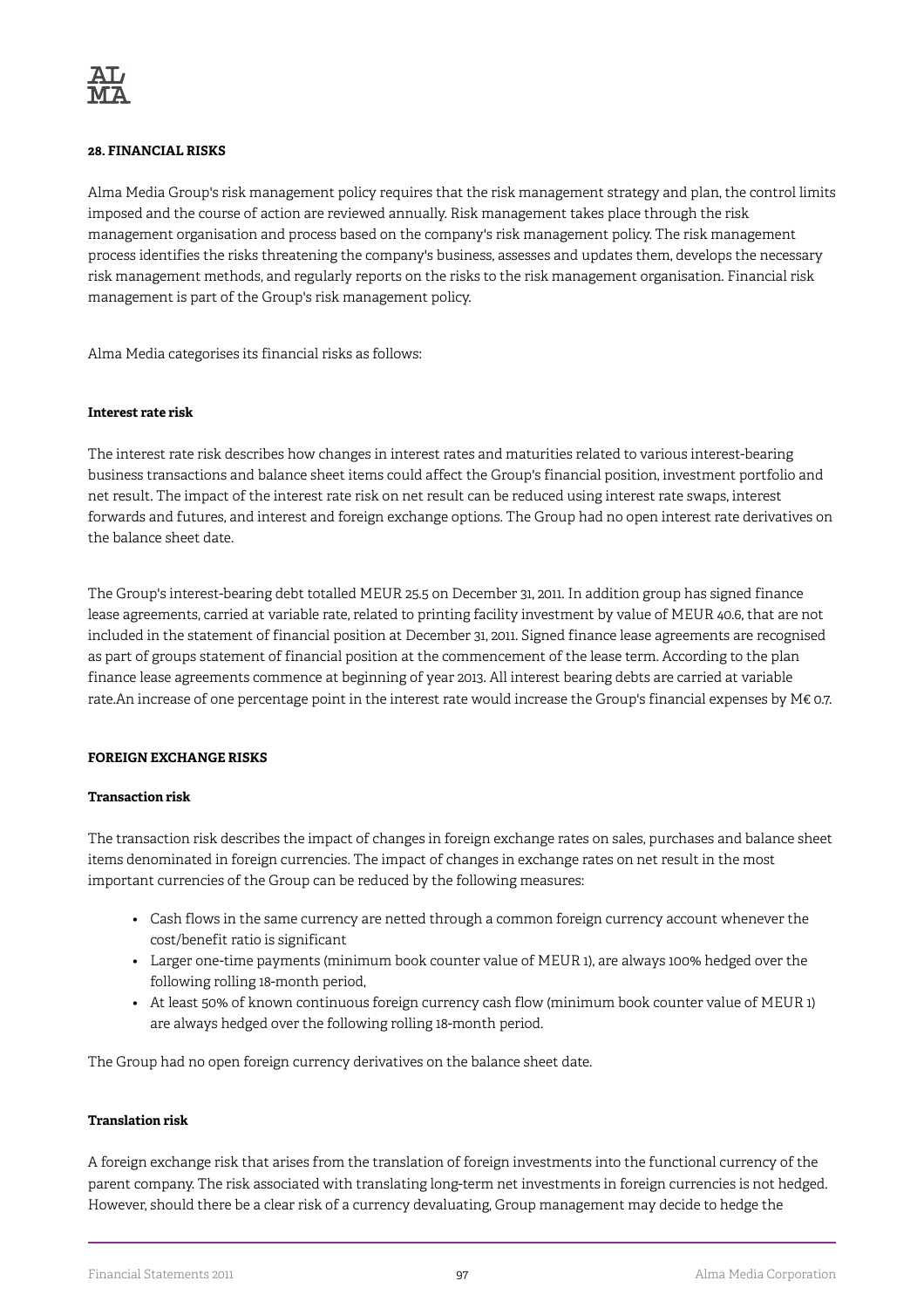### **28. FINANCIAL RISKS**

Alma Media Group's risk management policy requires that the risk management strategy and plan, the control limits imposed and the course of action are reviewed annually. Risk management takes place through the risk management organisation and process based on the company's risk management policy. The risk management process identifies the risks threatening the company's business, assesses and updates them, develops the necessary risk management methods, and regularly reports on the risks to the risk management organisation. Financial risk management is part of the Group's risk management policy.

Alma Media categorises its financial risks as follows:

### **Interest rate risk**

The interest rate risk describes how changes in interest rates and maturities related to various interest-bearing business transactions and balance sheet items could affect the Group's financial position, investment portfolio and net result. The impact of the interest rate risk on net result can be reduced using interest rate swaps, interest forwards and futures, and interest and foreign exchange options. The Group had no open interest rate derivatives on the balance sheet date.

The Group's interest-bearing debt totalled MEUR 25.5 on December 31, 2011. In addition group has signed finance lease agreements, carried at variable rate, related to printing facility investment by value of MEUR 40.6, that are not included in the statement of financial position at December 31, 2011. Signed finance lease agreements are recognised as part of groups statement of financial position at the commencement of the lease term. According to the plan finance lease agreements commence at beginning of year 2013. All interest bearing debts are carried at variable rate.An increase of one percentage point in the interest rate would increase the Group's financial expenses by M€ 0.7.

### **FOREIGN EXCHANGE RISKS**

### **Transaction risk**

The transaction risk describes the impact of changes in foreign exchange rates on sales, purchases and balance sheet items denominated in foreign currencies. The impact of changes in exchange rates on net result in the most important currencies of the Group can be reduced by the following measures:

- Cash flows in the same currency are netted through a common foreign currency account whenever the cost/benefit ratio is significant
- Larger one-time payments (minimum book counter value of MEUR 1), are always 100% hedged over the following rolling 18-month period,
- At least 50% of known continuous foreign currency cash flow (minimum book counter value of MEUR 1) are always hedged over the following rolling 18-month period.

The Group had no open foreign currency derivatives on the balance sheet date.

### **Translation risk**

A foreign exchange risk that arises from the translation of foreign investments into the functional currency of the parent company. The risk associated with translating long-term net investments in foreign currencies is not hedged. However, should there be a clear risk of a currency devaluating, Group management may decide to hedge the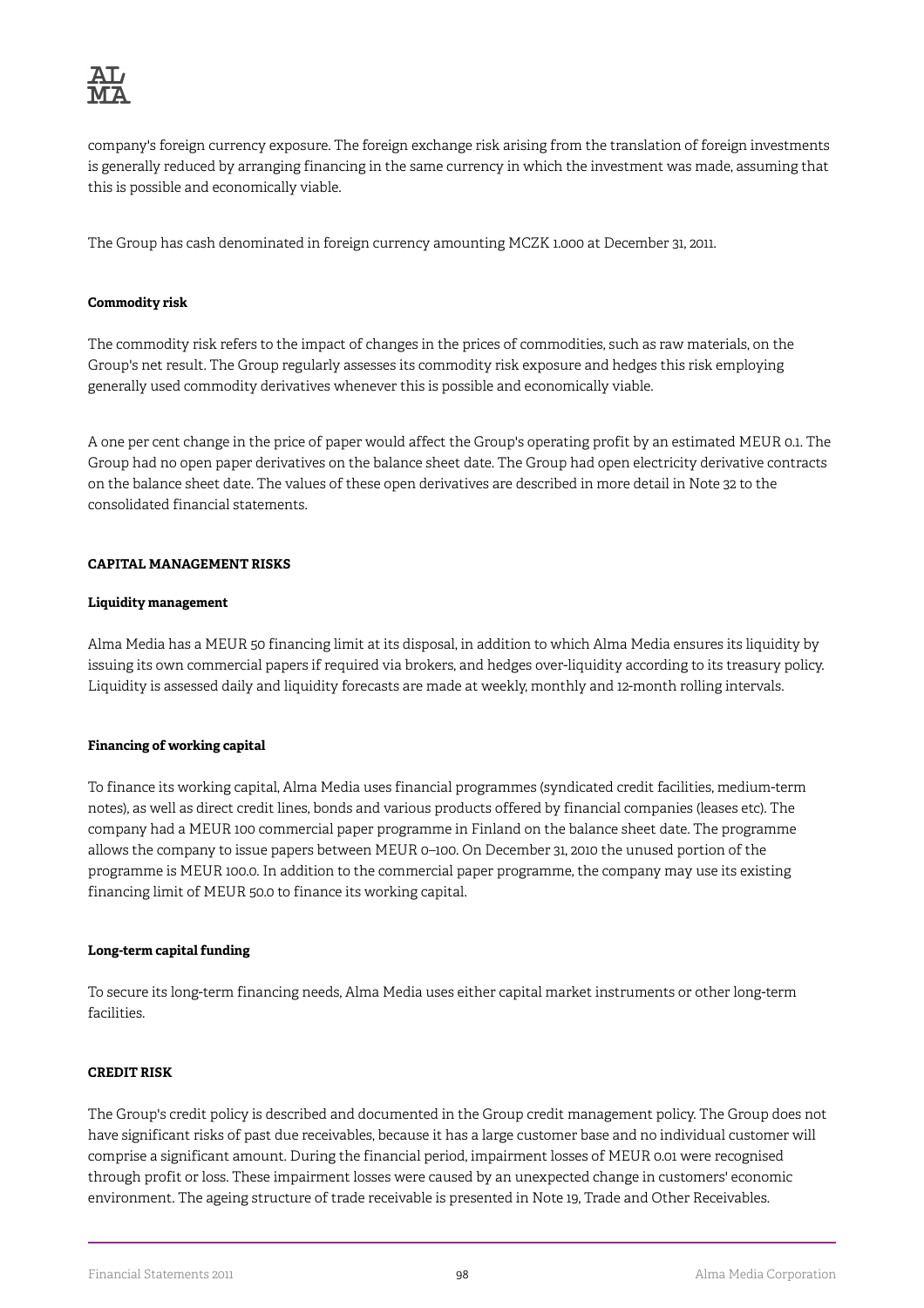

company's foreign currency exposure. The foreign exchange risk arising from the translation of foreign investments is generally reduced by arranging financing in the same currency in which the investment was made, assuming that this is possible and economically viable.

The Group has cash denominated in foreign currency amounting MCZK 1.000 at December 31, 2011.

### **Commodity risk**

The commodity risk refers to the impact of changes in the prices of commodities, such as raw materials, on the Group's net result. The Group regularly assesses its commodity risk exposure and hedges this risk employing generally used commodity derivatives whenever this is possible and economically viable.

A one per cent change in the price of paper would affect the Group's operating profit by an estimated MEUR 0.1. The Group had no open paper derivatives on the balance sheet date. The Group had open electricity derivative contracts on the balance sheet date. The values of these open derivatives are described in more detail in Note 32 to the consolidated financial statements.

### **CAPITAL MANAGEMENT RISKS**

### **Liquidity management**

Alma Media has a MEUR 50 financing limit at its disposal, in addition to which Alma Media ensures its liquidity by issuing its own commercial papers if required via brokers, and hedges over-liquidity according to its treasury policy. Liquidity is assessed daily and liquidity forecasts are made at weekly, monthly and 12-month rolling intervals.

## **Financing of working capital**

To finance its working capital, Alma Media uses financial programmes (syndicated credit facilities, medium-term notes), as well as direct credit lines, bonds and various products offered by financial companies (leases etc). The company had a MEUR 100 commercial paper programme in Finland on the balance sheet date. The programme allows the company to issue papers between MEUR 0–100. On December 31, 2010 the unused portion of the programme is MEUR 100.0. In addition to the commercial paper programme, the company may use its existing financing limit of MEUR 50.0 to finance its working capital.

## **Long-term capital funding**

To secure its long-term financing needs, Alma Media uses either capital market instruments or other long-term facilities.

### **CREDIT RISK**

The Group's credit policy is described and documented in the Group credit management policy. The Group does not have significant risks of past due receivables, because it has a large customer base and no individual customer will comprise a significant amount. During the financial period, impairment losses of MEUR 0.01 were recognised through profit or loss. These impairment losses were caused by an unexpected change in customers' economic environment. The ageing structure of trade receivable is presented in Note 19, Trade and Other Receivables.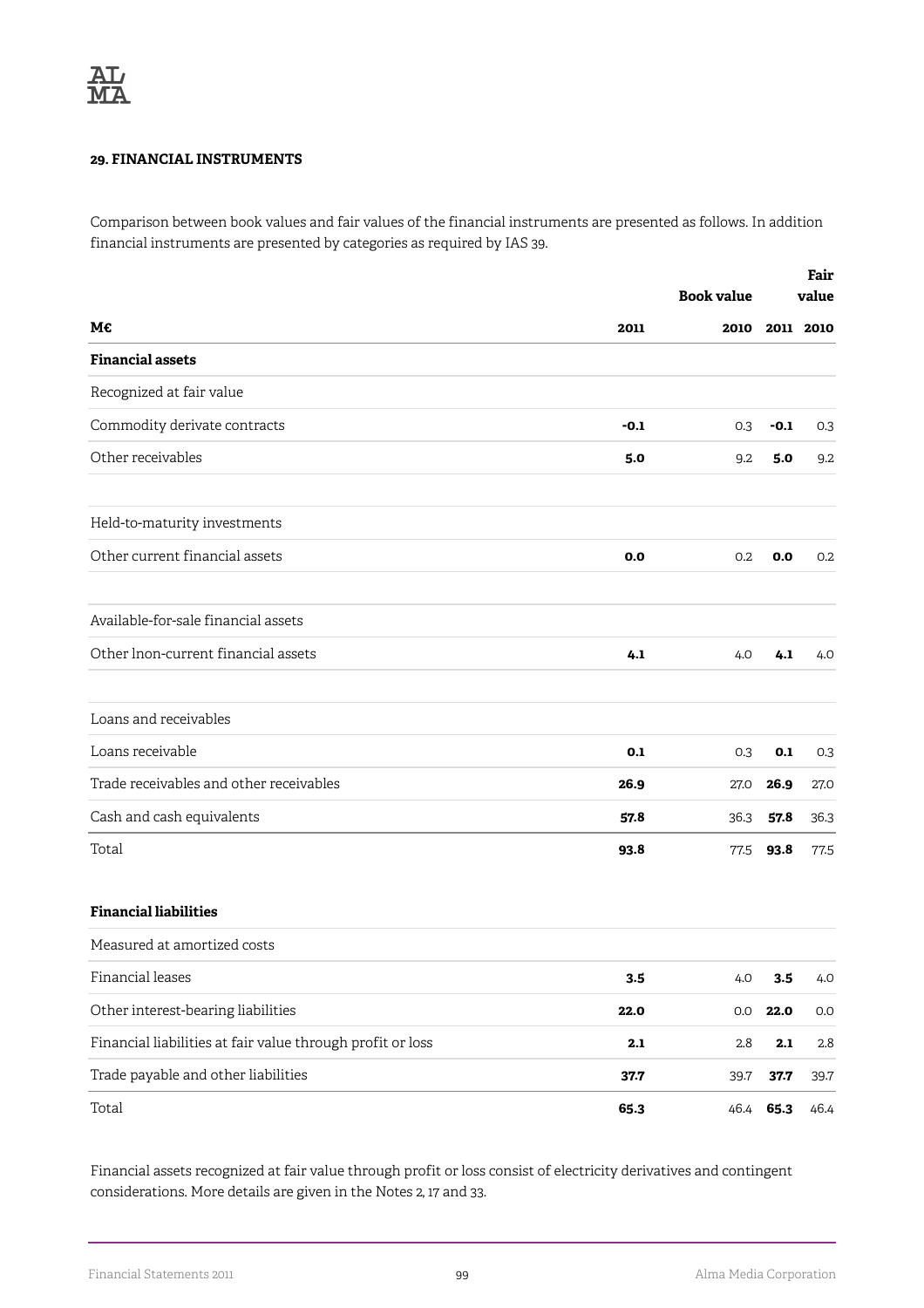## **29. FINANCIAL INSTRUMENTS**

Comparison between book values and fair values of the financial instruments are presented as follows. In addition financial instruments are presented by categories as required by IAS 39.

|                                                            |        | <b>Book value</b> |        | Fair<br>value |  |
|------------------------------------------------------------|--------|-------------------|--------|---------------|--|
| М€                                                         | 2011   | 2010              |        | 2011 2010     |  |
| <b>Financial assets</b>                                    |        |                   |        |               |  |
| Recognized at fair value                                   |        |                   |        |               |  |
| Commodity derivate contracts                               | $-0.1$ | 0.3               | $-0.1$ | 0.3           |  |
| Other receivables                                          | 5.0    | 9.2               | 5.0    | 9.2           |  |
| Held-to-maturity investments                               |        |                   |        |               |  |
| Other current financial assets                             | 0.0    | 0.2               | 0.0    | 0.2           |  |
| Available-for-sale financial assets                        |        |                   |        |               |  |
| Other lnon-current financial assets                        | 4.1    | 4.0               | 4.1    | 4.0           |  |
| Loans and receivables                                      |        |                   |        |               |  |
| Loans receivable                                           | 0.1    | 0.3               | 0.1    | 0.3           |  |
| Trade receivables and other receivables                    | 26.9   | 27.0              | 26.9   | 27.0          |  |
| Cash and cash equivalents                                  | 57.8   | 36.3              | 57.8   | 36.3          |  |
| Total                                                      | 93.8   | 77.5              | 93.8   | 77.5          |  |
| <b>Financial liabilities</b>                               |        |                   |        |               |  |
| Measured at amortized costs                                |        |                   |        |               |  |
| Financial leases                                           | 3.5    | 4.0               | 3.5    | 4.0           |  |
| Other interest-bearing liabilities                         | 22.0   | 0.0               | 22.0   | 0.0           |  |
| Financial liabilities at fair value through profit or loss | 2.1    | 2.8               | 2.1    | 2.8           |  |
| Trade payable and other liabilities                        | 37.7   | 39.7              | 37.7   | 39.7          |  |
| Total                                                      | 65.3   | 46.4              | 65.3   | 46.4          |  |

Financial assets recognized at fair value through profit or loss consist of electricity derivatives and contingent considerations. More details are given in the Notes 2, 17 and 33.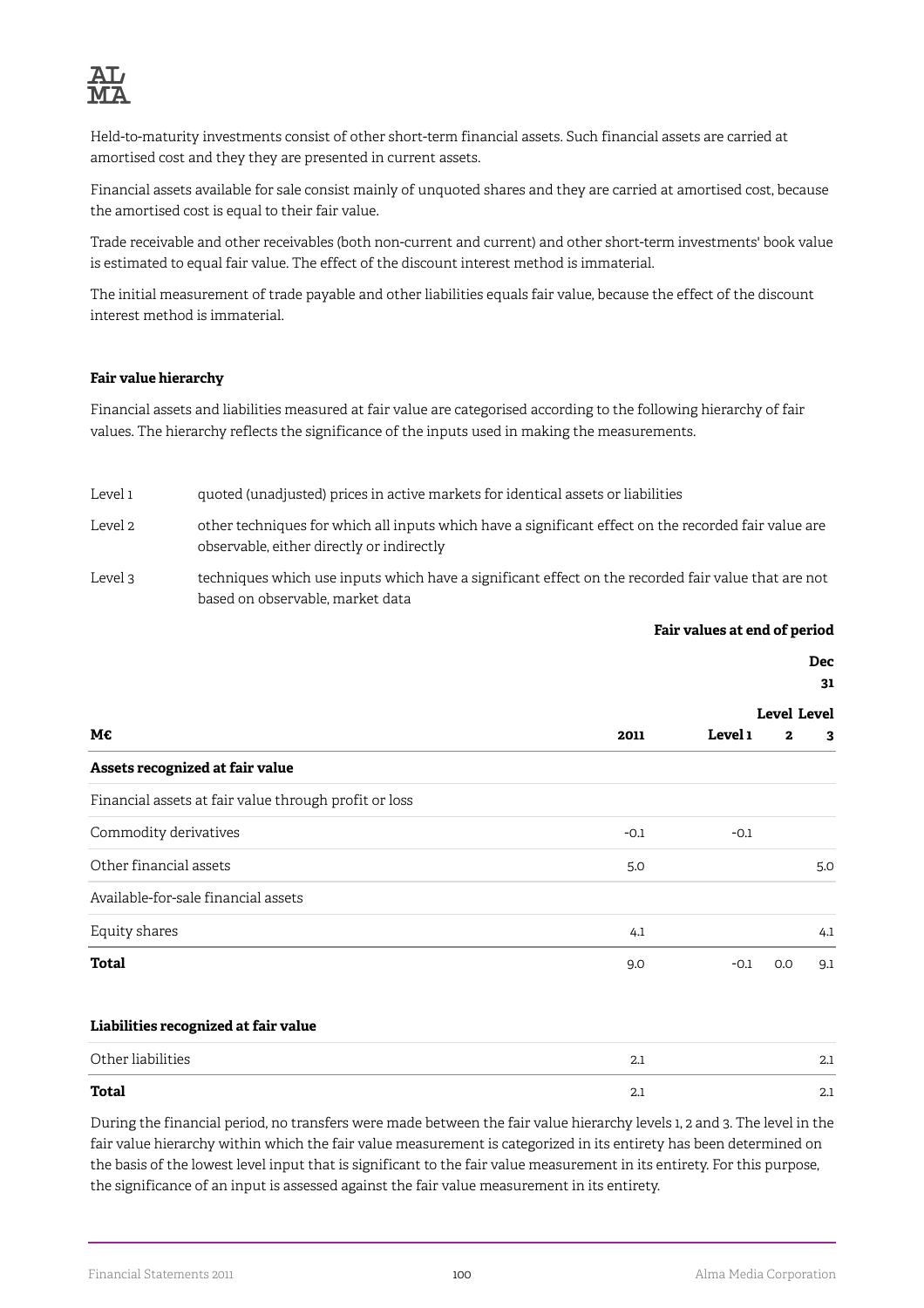

Held-to-maturity investments consist of other short-term financial assets. Such financial assets are carried at amortised cost and they they are presented in current assets.

Financial assets available for sale consist mainly of unquoted shares and they are carried at amortised cost, because the amortised cost is equal to their fair value.

Trade receivable and other receivables (both non-current and current) and other short-term investments' book value is estimated to equal fair value. The effect of the discount interest method is immaterial.

The initial measurement of trade payable and other liabilities equals fair value, because the effect of the discount interest method is immaterial.

#### **Fair value hierarchy**

Financial assets and liabilities measured at fair value are categorised according to the following hierarchy of fair values. The hierarchy reflects the significance of the inputs used in making the measurements.

Level 1 quoted (unadjusted) prices in active markets for identical assets or liabilities

- Level 2 other techniques for which all inputs which have a significant effect on the recorded fair value are observable, either directly or indirectly
- Level 3 techniques which use inputs which have a significant effect on the recorded fair value that are not based on observable, market data

| Fair values at end of period |  |  |
|------------------------------|--|--|
|------------------------------|--|--|

|                                                       |        |         |                    | <b>Dec</b><br>31 |
|-------------------------------------------------------|--------|---------|--------------------|------------------|
|                                                       |        |         | <b>Level Level</b> |                  |
| М€                                                    | 2011   | Level 1 | $\mathbf{z}$       | 3                |
| Assets recognized at fair value                       |        |         |                    |                  |
| Financial assets at fair value through profit or loss |        |         |                    |                  |
| Commodity derivatives                                 | $-0.1$ | $-0.1$  |                    |                  |
| Other financial assets                                | 5.0    |         |                    | 5.0              |
| Available-for-sale financial assets                   |        |         |                    |                  |
| Equity shares                                         | 4.1    |         |                    | 4.1              |
| <b>Total</b>                                          | 9.0    | $-0.1$  | 0.0                | 9.1              |
| Liabilities recognized at fair value                  |        |         |                    |                  |
| Other liabilities                                     | 2.1    |         |                    | 2.1              |
| <b>Total</b>                                          | 2.1    |         |                    | 2.1              |

During the financial period, no transfers were made between the fair value hierarchy levels 1, 2 and 3. The level in the fair value hierarchy within which the fair value measurement is categorized in its entirety has been determined on the basis of the lowest level input that is significant to the fair value measurement in its entirety. For this purpose, the significance of an input is assessed against the fair value measurement in its entirety.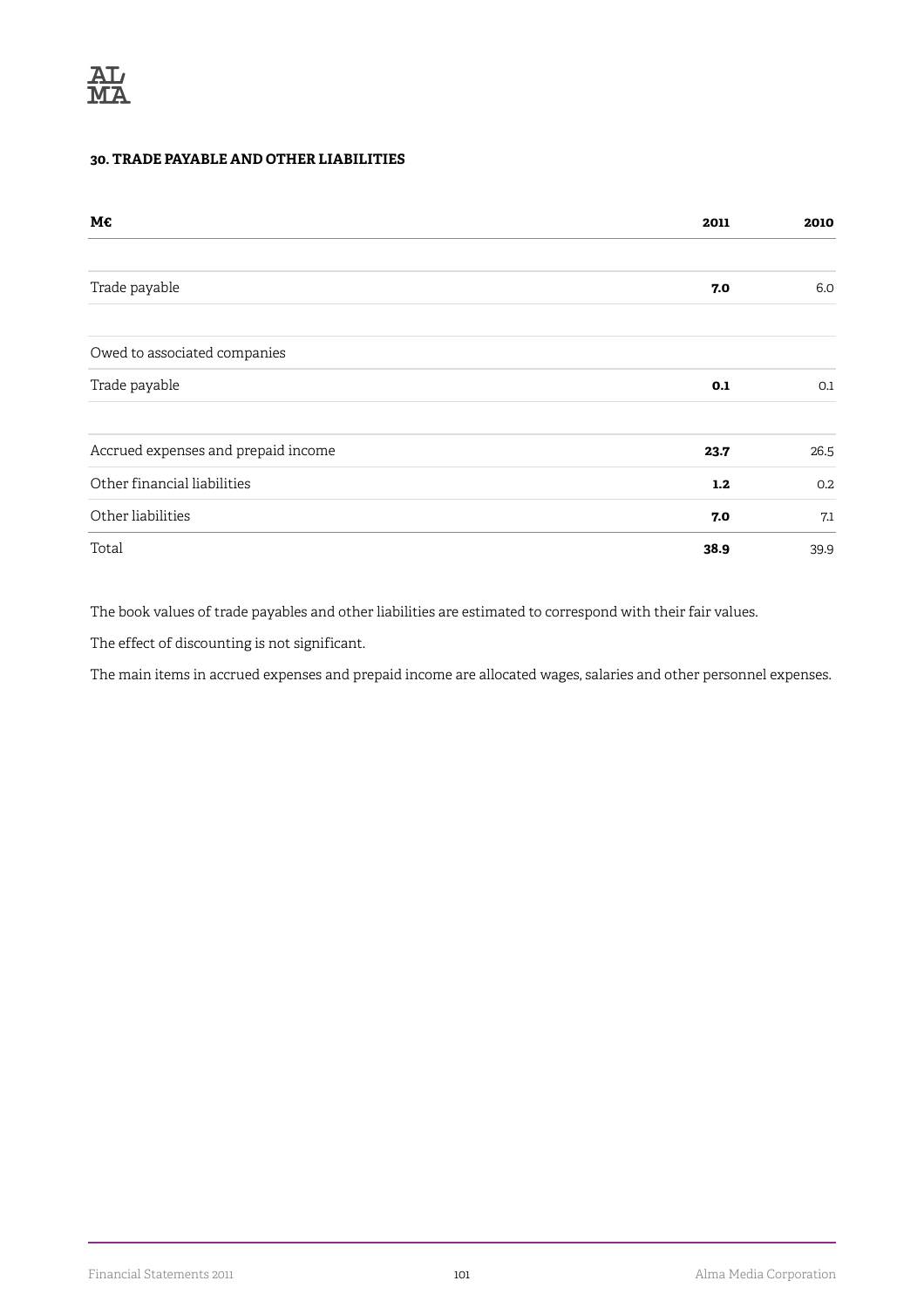## **30. TRADE PAYABLE AND OTHER LIABILITIES**

| M€                                  | 2011 | 2010 |
|-------------------------------------|------|------|
|                                     |      |      |
| Trade payable                       | 7.0  | 6.0  |
| Owed to associated companies        |      |      |
| Trade payable                       | 0.1  | 0.1  |
| Accrued expenses and prepaid income | 23.7 | 26.5 |
| Other financial liabilities         | 1.2  | 0.2  |
| Other liabilities                   | 7.0  | 7.1  |
| Total                               | 38.9 | 39.9 |

The book values of trade payables and other liabilities are estimated to correspond with their fair values.

The effect of discounting is not significant.

The main items in accrued expenses and prepaid income are allocated wages, salaries and other personnel expenses.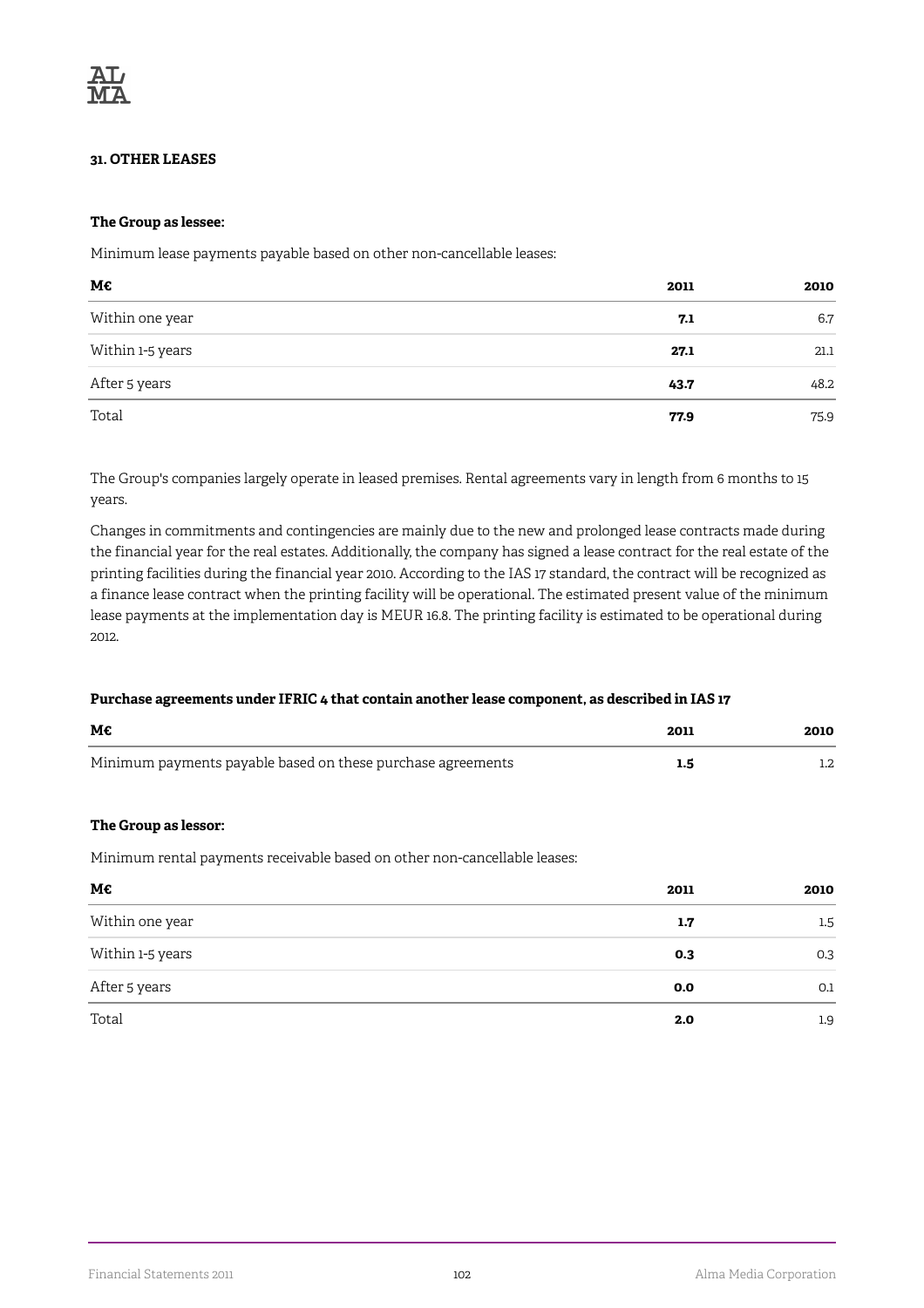### **31. OTHER LEASES**

### **The Group as lessee:**

Minimum lease payments payable based on other non-cancellable leases:

| М€               | 2011 | 2010 |
|------------------|------|------|
| Within one year  | 7.1  | 6.7  |
| Within 1-5 years | 27.1 | 21.1 |
| After 5 years    | 43.7 | 48.2 |
| Total            | 77.9 | 75.9 |

The Group's companies largely operate in leased premises. Rental agreements vary in length from 6 months to 15 years.

Changes in commitments and contingencies are mainly due to the new and prolonged lease contracts made during the financial year for the real estates. Additionally, the company has signed a lease contract for the real estate of the printing facilities during the financial year 2010. According to the IAS 17 standard, the contract will be recognized as a finance lease contract when the printing facility will be operational. The estimated present value of the minimum lease payments at the implementation day is MEUR 16.8. The printing facility is estimated to be operational during 2012.

### **Purchase agreements under IFRIC 4 that contain another lease component, as described in IAS 17**

| M€                                                          | 2011 | 2010 |
|-------------------------------------------------------------|------|------|
| Minimum payments payable based on these purchase agreements |      |      |

### **The Group as lessor:**

Minimum rental payments receivable based on other non-cancellable leases:

| М€               | 2011 | 2010 |
|------------------|------|------|
| Within one year  | 1.7  | 1.5  |
| Within 1-5 years | 0.3  | 0.3  |
| After 5 years    | 0.0  | 0.1  |
| Total            | 2.0  | 1.9  |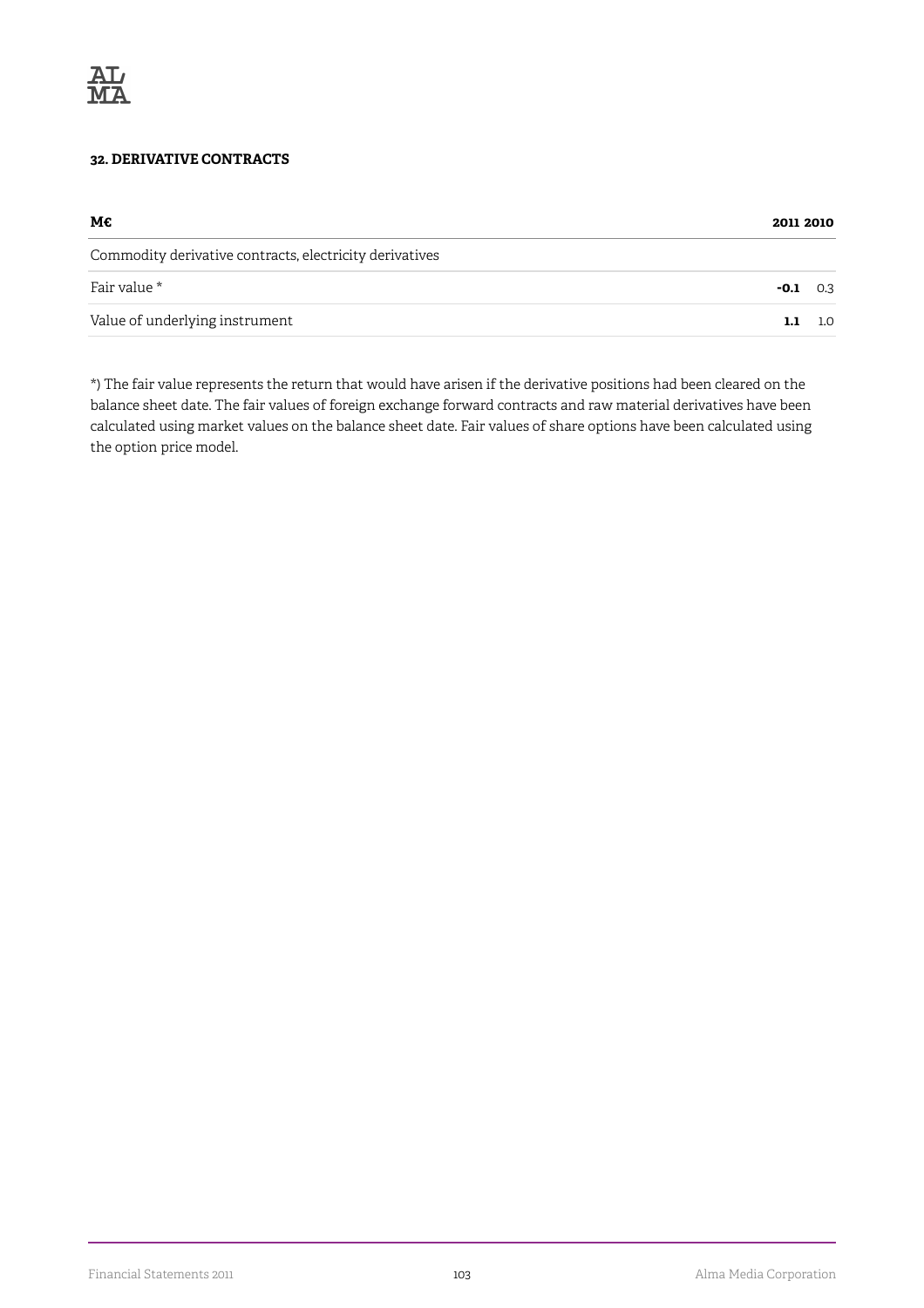

## **32. DERIVATIVE CONTRACTS**

|                                                         |        | 2011 2010 |  |
|---------------------------------------------------------|--------|-----------|--|
| Commodity derivative contracts, electricity derivatives |        |           |  |
| Fair value *                                            | $-0.1$ | 0.3       |  |
| Value of underlying instrument                          | 1.1    | 1.0       |  |

\*) The fair value represents the return that would have arisen if the derivative positions had been cleared on the balance sheet date. The fair values of foreign exchange forward contracts and raw material derivatives have been calculated using market values on the balance sheet date. Fair values of share options have been calculated using the option price model.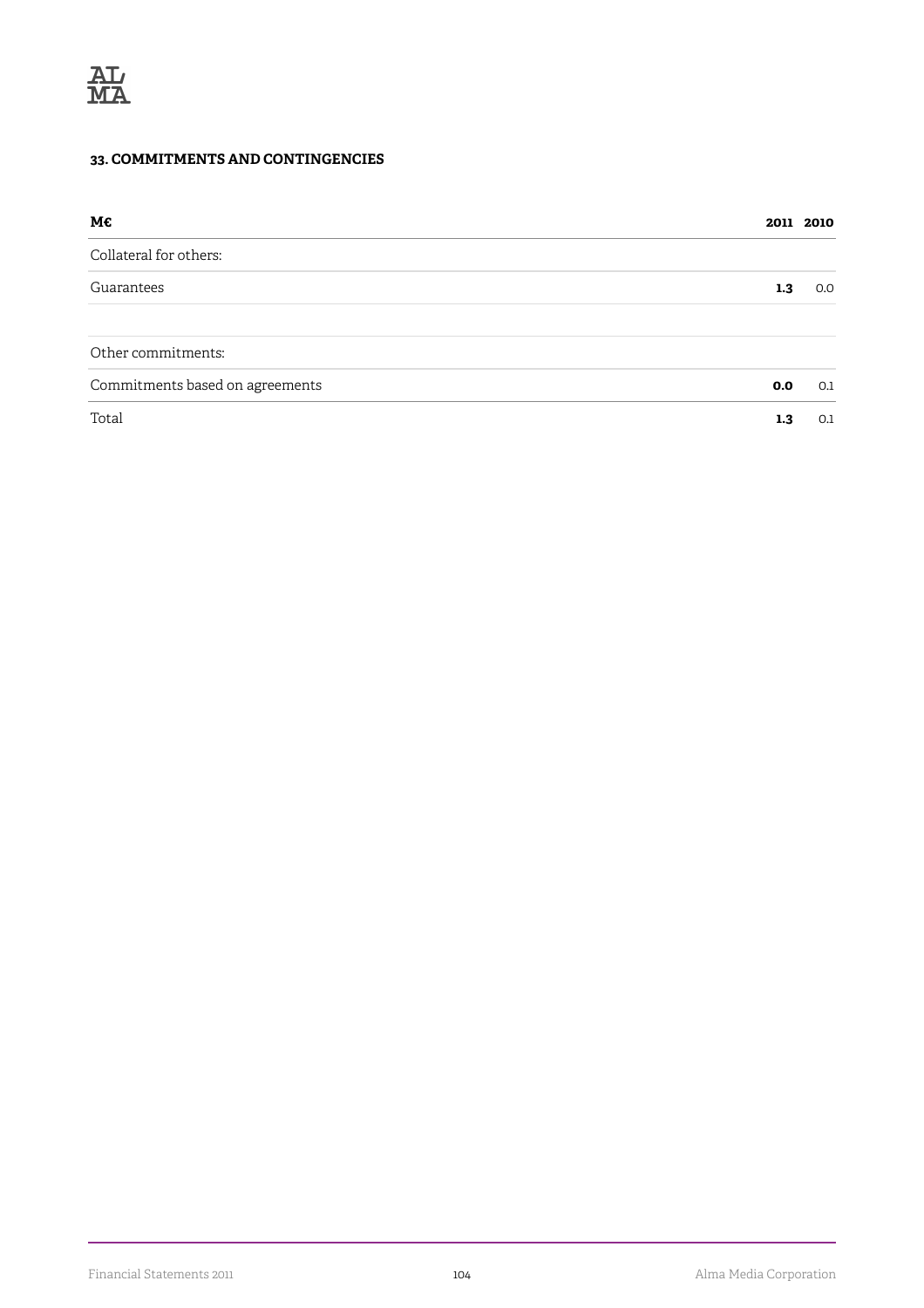## **33. COMMITMENTS AND CONTINGENCIES**

| М€                              |     | 2011 2010 |
|---------------------------------|-----|-----------|
| Collateral for others:          |     |           |
| Guarantees                      | 1.3 | 0.0       |
| Other commitments:              |     |           |
| Commitments based on agreements | 0.0 | 0.1       |
| Total                           | 1.3 | 0.1       |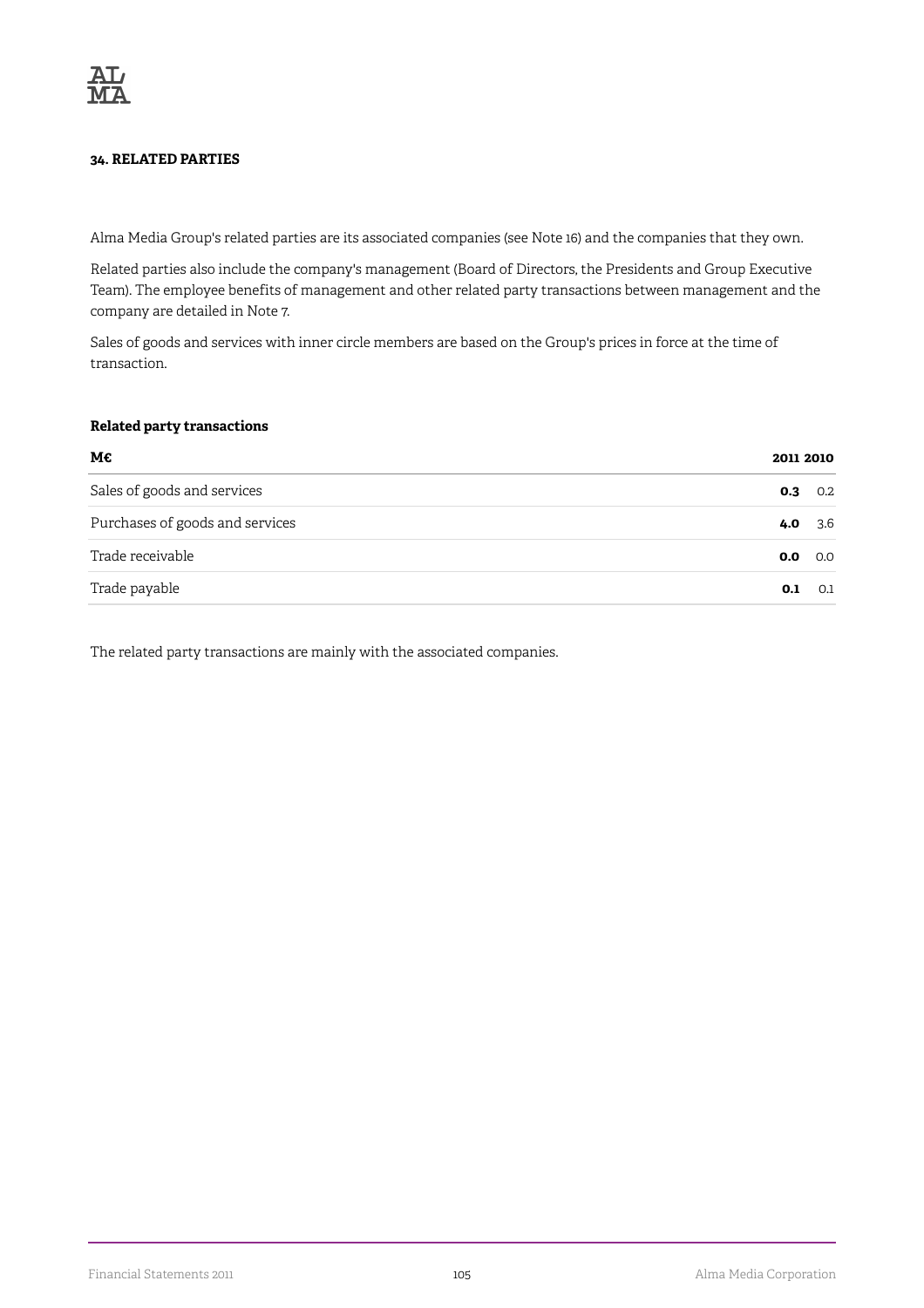### **34. RELATED PARTIES**

Alma Media Group's related parties are its associated companies (see Note 16) and the companies that they own.

Related parties also include the company's management (Board of Directors, the Presidents and Group Executive Team). The employee benefits of management and other related party transactions between management and the company are detailed in Note 7.

Sales of goods and services with inner circle members are based on the Group's prices in force at the time of transaction.

#### **Related party transactions**

| М€                              |     | 2011 2010 |  |
|---------------------------------|-----|-----------|--|
| Sales of goods and services     | 0.3 | 0.2       |  |
| Purchases of goods and services | 4.0 | 3.6       |  |
| Trade receivable                | 0.0 | 0.0       |  |
| Trade payable                   | 0.1 | 0.1       |  |

The related party transactions are mainly with the associated companies.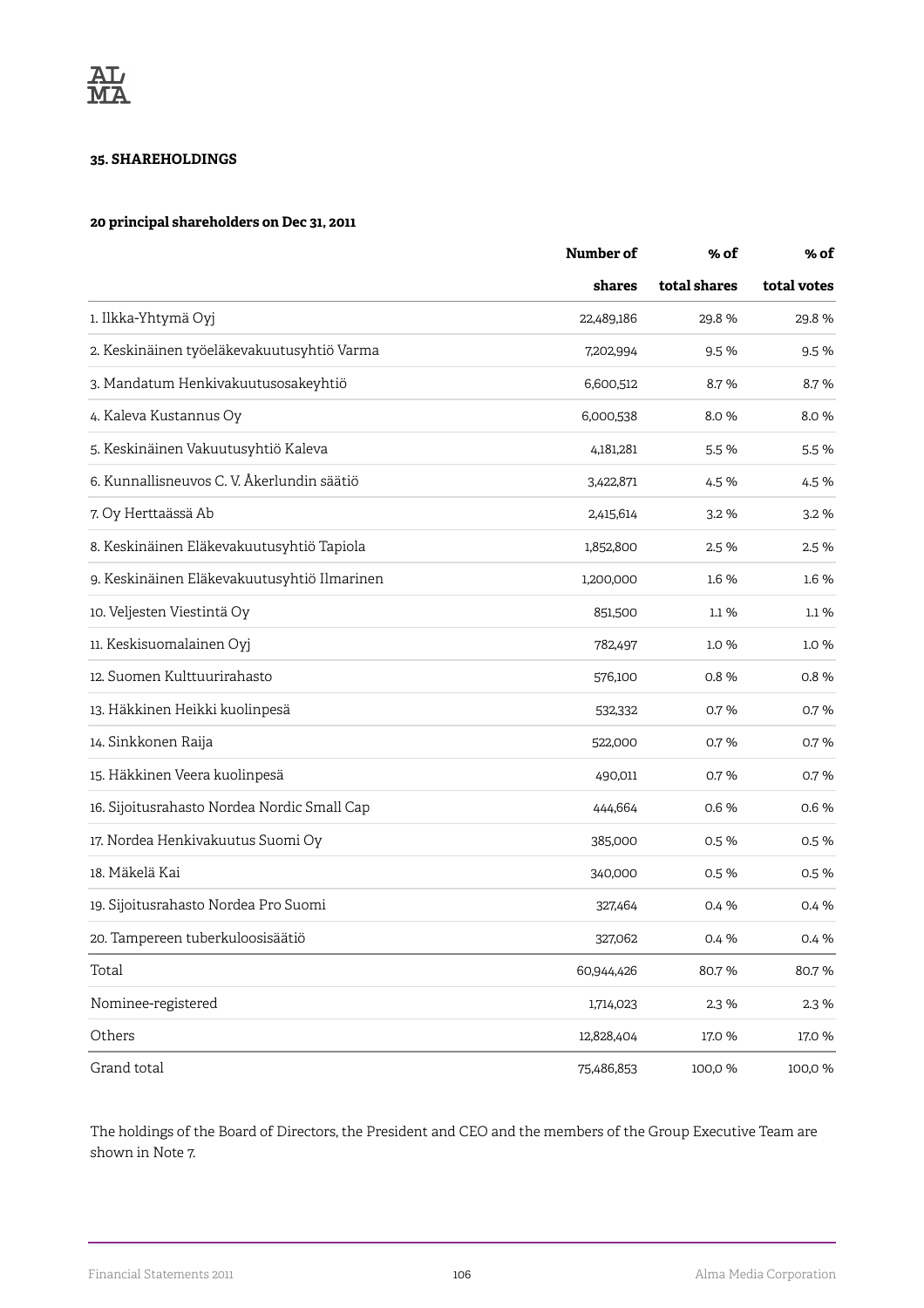#### **35. SHAREHOLDINGS**

#### **20 principal shareholders on Dec 31, 2011**

|                                             | Number of  | % of<br>total shares | % of<br>total votes |
|---------------------------------------------|------------|----------------------|---------------------|
|                                             | shares     |                      |                     |
| 1. Ilkka-Yhtymä Oyj                         | 22,489,186 | 29.8%                | 29.8%               |
| 2. Keskinäinen työeläkevakuutusyhtiö Varma  | 7,202,994  | 9.5%                 | 9.5%                |
| 3. Mandatum Henkivakuutusosakeyhtiö         | 6,600,512  | 8.7%                 | 8.7%                |
| 4. Kaleva Kustannus Oy                      | 6,000,538  | 8.0%                 | 8.0%                |
| 5. Keskinäinen Vakuutusyhtiö Kaleva         | 4,181,281  | 5.5 %                | 5.5%                |
| 6. Kunnallisneuvos C. V. Åkerlundin säätiö  | 3,422,871  | 4.5 %                | 4.5%                |
| 7. Oy Herttaässä Ab                         | 2,415,614  | 3.2 %                | 3.2%                |
| 8. Keskinäinen Eläkevakuutusyhtiö Tapiola   | 1,852,800  | 2.5 %                | 2.5 %               |
| 9. Keskinäinen Eläkevakuutusyhtiö Ilmarinen | 1,200,000  | 1.6 %                | 1.6 %               |
| 10. Veljesten Viestintä Oy                  | 851,500    | 1.1%                 | 1.1%                |
| 11. Keskisuomalainen Oyj                    | 782,497    | 1.0%                 | 1.0%                |
| 12. Suomen Kulttuurirahasto                 | 576,100    | 0.8%                 | 0.8%                |
| 13. Häkkinen Heikki kuolinpesä              | 532,332    | 0.7%                 | 0.7%                |
| 14. Sinkkonen Raija                         | 522,000    | 0.7%                 | 0.7%                |
| 15. Häkkinen Veera kuolinpesä               | 490,011    | 0.7%                 | 0.7%                |
| 16. Sijoitusrahasto Nordea Nordic Small Cap | 444,664    | 0.6%                 | 0.6%                |
| 17. Nordea Henkivakuutus Suomi Oy           | 385,000    | 0.5 %                | 0.5%                |
| 18. Mäkelä Kai                              | 340,000    | 0.5 %                | 0.5%                |
| 19. Sijoitusrahasto Nordea Pro Suomi        | 327,464    | 0.4 %                | 0.4 %               |
| 20. Tampereen tuberkuloosisäätiö            | 327,062    | 0.4 %                | 0.4 %               |
| Total                                       | 60,944,426 | 80.7%                | 80.7%               |
| Nominee-registered                          | 1,714,023  | 2.3 %                | 2.3 %               |
| Others                                      | 12,828,404 | 17.0 %               | 17.0 %              |
| Grand total                                 | 75,486,853 | 100,0%               | 100,0 %             |

The holdings of the Board of Directors, the President and CEO and the members of the Group Executive Team are shown in Note 7.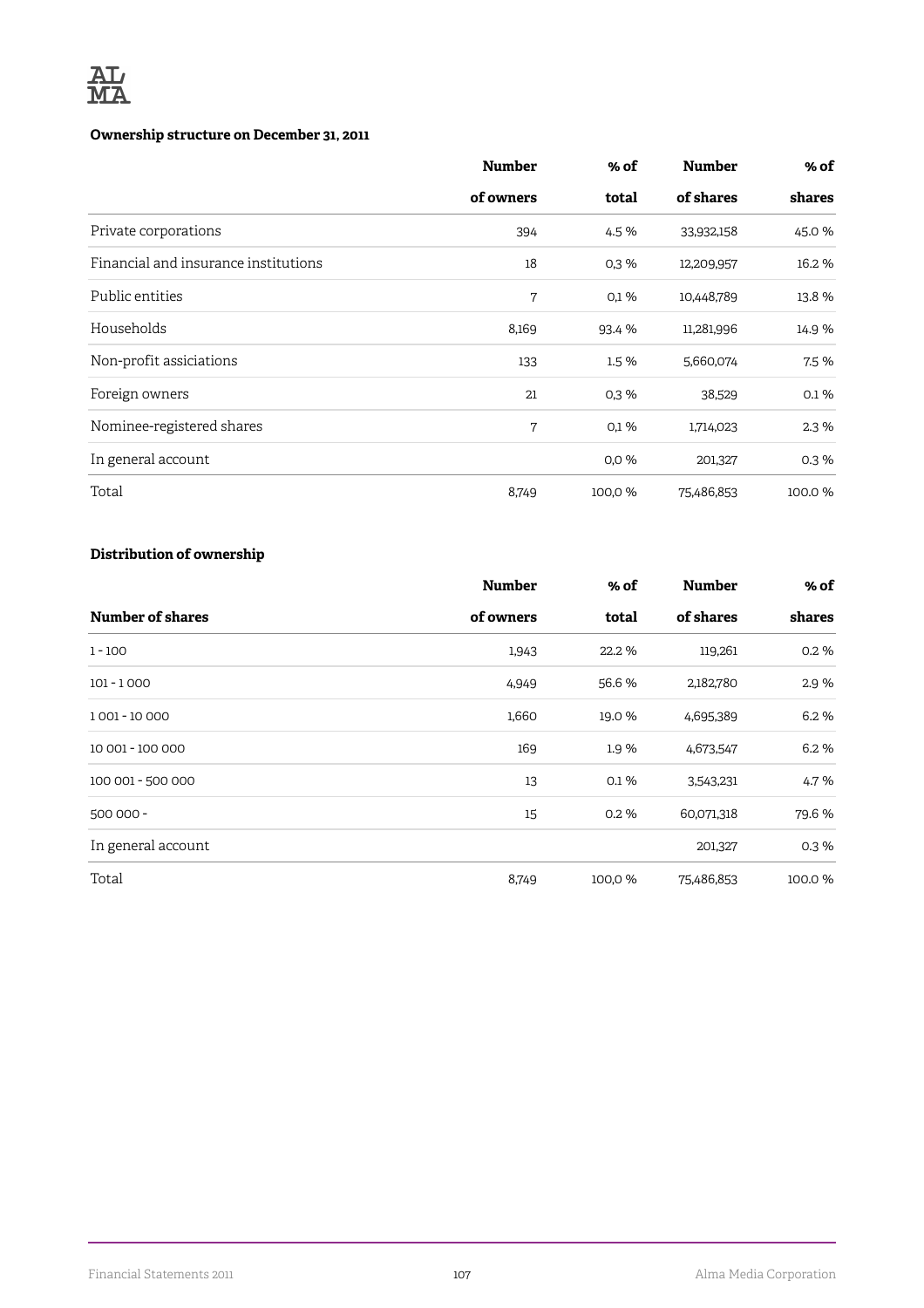

### **Ownership structure on December 31, 2011**

|                                      | <b>Number</b> | % of    | <b>Number</b> | % of   |
|--------------------------------------|---------------|---------|---------------|--------|
|                                      | of owners     | total   | of shares     | shares |
| Private corporations                 | 394           | 4.5 %   | 33,932,158    | 45.0 % |
| Financial and insurance institutions | 18            | 0,3%    | 12,209,957    | 16.2%  |
| Public entities                      | 7             | 0,1%    | 10,448,789    | 13.8 % |
| Households                           | 8,169         | 93.4 %  | 11,281,996    | 14.9 % |
| Non-profit assiciations              | 133           | 1.5 %   | 5,660,074     | 7.5 %  |
| Foreign owners                       | 21            | 0,3%    | 38,529        | 0.1%   |
| Nominee-registered shares            | 7             | 0,1%    | 1,714,023     | 2.3%   |
| In general account                   |               | 0.0%    | 201,327       | 0.3%   |
| Total                                | 8,749         | 100,0 % | 75,486,853    | 100.0% |

### **Distribution of ownership**

|                    | <b>Number</b> | % of    | <b>Number</b> | % of   |
|--------------------|---------------|---------|---------------|--------|
| Number of shares   | of owners     | total   | of shares     | shares |
| $1 - 100$          | 1,943         | 22.2 %  | 119,261       | 0.2%   |
| $101 - 1000$       | 4,949         | 56.6 %  | 2,182,780     | 2.9%   |
| 1001 - 10 000      | 1,660         | 19.0 %  | 4,695,389     | 6.2%   |
| 10 001 - 100 000   | 169           | 1.9%    | 4,673,547     | 6.2%   |
| 100 001 - 500 000  | 13            | 0.1%    | 3,543,231     | 4.7%   |
| 500 000 -          | 15            | 0.2%    | 60,071,318    | 79.6%  |
| In general account |               |         | 201,327       | 0.3%   |
| Total              | 8,749         | 100,0 % | 75,486,853    | 100.0% |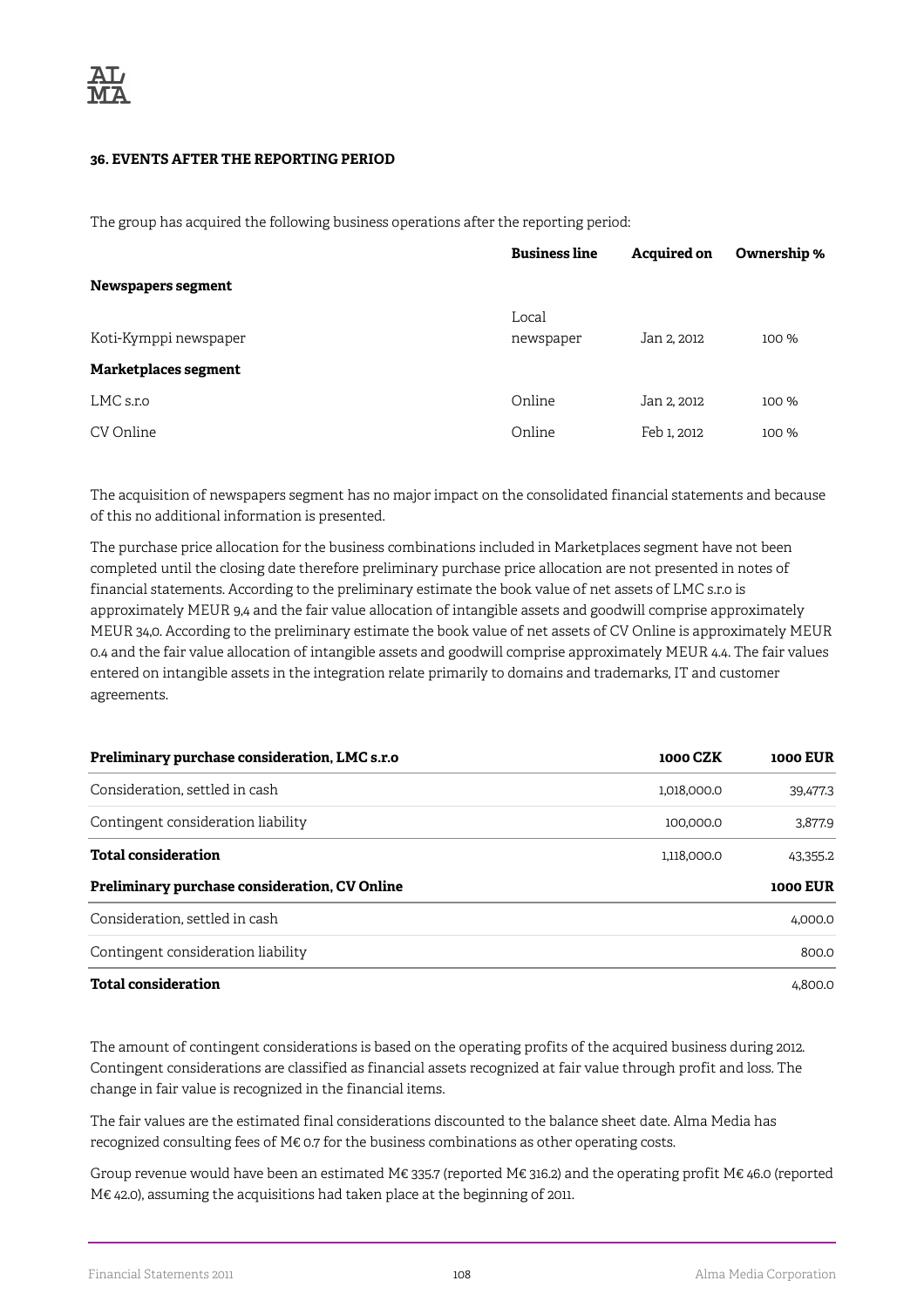#### **36. EVENTS AFTER THE REPORTING PERIOD**

The group has acquired the following business operations after the reporting period:

|                       | <b>Business line</b> | <b>Acquired on</b> | Ownership % |
|-----------------------|----------------------|--------------------|-------------|
| Newspapers segment    |                      |                    |             |
| Koti-Kymppi newspaper | Local<br>newspaper   | Jan 2, 2012        | 100 %       |
| Marketplaces segment  |                      |                    |             |
| LMC s.r.o             | Online               | Jan 2, 2012        | 100 %       |
| CV Online             | Online               | Feb 1, 2012        | 100 %       |

The acquisition of newspapers segment has no major impact on the consolidated financial statements and because of this no additional information is presented.

The purchase price allocation for the business combinations included in Marketplaces segment have not been completed until the closing date therefore preliminary purchase price allocation are not presented in notes of financial statements. According to the preliminary estimate the book value of net assets of LMC s.r.o is approximately MEUR 9,4 and the fair value allocation of intangible assets and goodwill comprise approximately MEUR 34,0. According to the preliminary estimate the book value of net assets of CV Online is approximately MEUR 0.4 and the fair value allocation of intangible assets and goodwill comprise approximately MEUR 4.4. The fair values entered on intangible assets in the integration relate primarily to domains and trademarks, IT and customer agreements.

| Preliminary purchase consideration, LMC s.r.o | <b>1000 CZK</b> | <b>1000 EUR</b> |
|-----------------------------------------------|-----------------|-----------------|
| Consideration, settled in cash                | 1.018.000.0     | 39,477.3        |
| Contingent consideration liability            | 100.000.0       | 3.877.9         |
| <b>Total consideration</b>                    | 1.118.000.0     | 43.355.2        |
| Preliminary purchase consideration, CV Online |                 | 1000 EUR        |
| Consideration, settled in cash                |                 | 4.000.0         |
| Contingent consideration liability            |                 | 800.0           |
| <b>Total consideration</b>                    |                 | 4.800.0         |

The amount of contingent considerations is based on the operating profits of the acquired business during 2012. Contingent considerations are classified as financial assets recognized at fair value through profit and loss. The change in fair value is recognized in the financial items.

The fair values are the estimated final considerations discounted to the balance sheet date. Alma Media has recognized consulting fees of M€ 0.7 for the business combinations as other operating costs.

Group revenue would have been an estimated M€ 335.7 (reported M€ 316.2) and the operating profit M€ 46.0 (reported M€ 42.0), assuming the acquisitions had taken place at the beginning of 2011.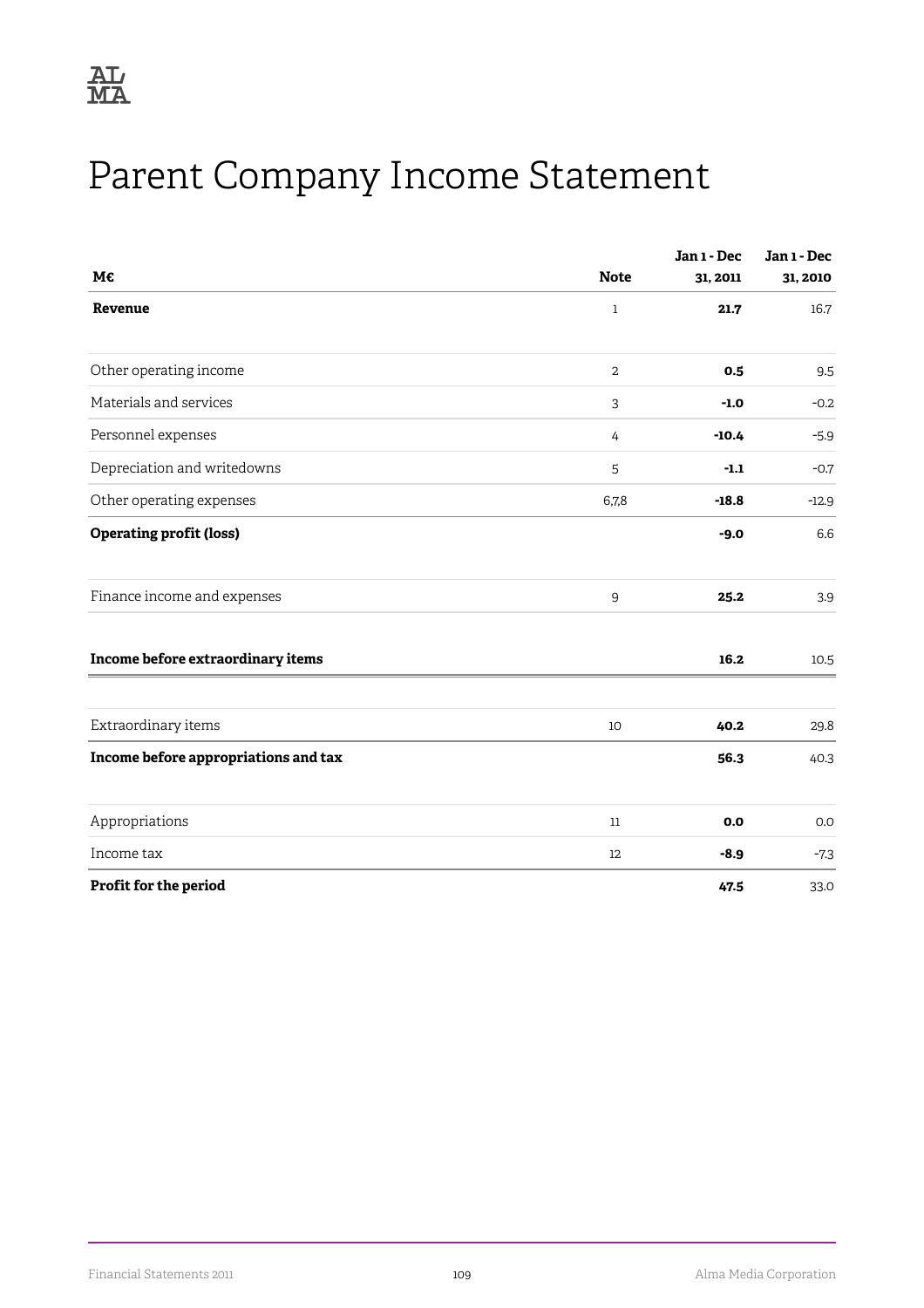

# Parent Company Income Statement

| М€                                   | <b>Note</b> | Jan 1 - Dec<br>31, 2011 | Jan 1 - Dec<br>31, 2010 |
|--------------------------------------|-------------|-------------------------|-------------------------|
| Revenue                              | $\mathbf 1$ | 21.7                    | 16.7                    |
| Other operating income               | 2           | 0.5                     | 9.5                     |
| Materials and services               | 3           | $-1.0$                  | $-0.2$                  |
| Personnel expenses                   | 4           | $-10.4$                 | $-5.9$                  |
| Depreciation and writedowns          | 5           | $-1.1$                  | $-0.7$                  |
| Other operating expenses             | 6,7,8       | $-18.8$                 | $-12.9$                 |
| <b>Operating profit (loss)</b>       |             | $-9.0$                  | 6.6                     |
| Finance income and expenses          | 9           | 25.2                    | 3.9                     |
| Income before extraordinary items    |             | 16.2                    | 10.5                    |
| Extraordinary items                  | 10          | 40.2                    | 29.8                    |
| Income before appropriations and tax |             | 56.3                    | 40.3                    |
| Appropriations                       | $11\,$      | 0.0                     | 0.0                     |
| Income tax                           | 12          | $-8.9$                  | $-7.3$                  |
| Profit for the period                |             | 47.5                    | 33.0                    |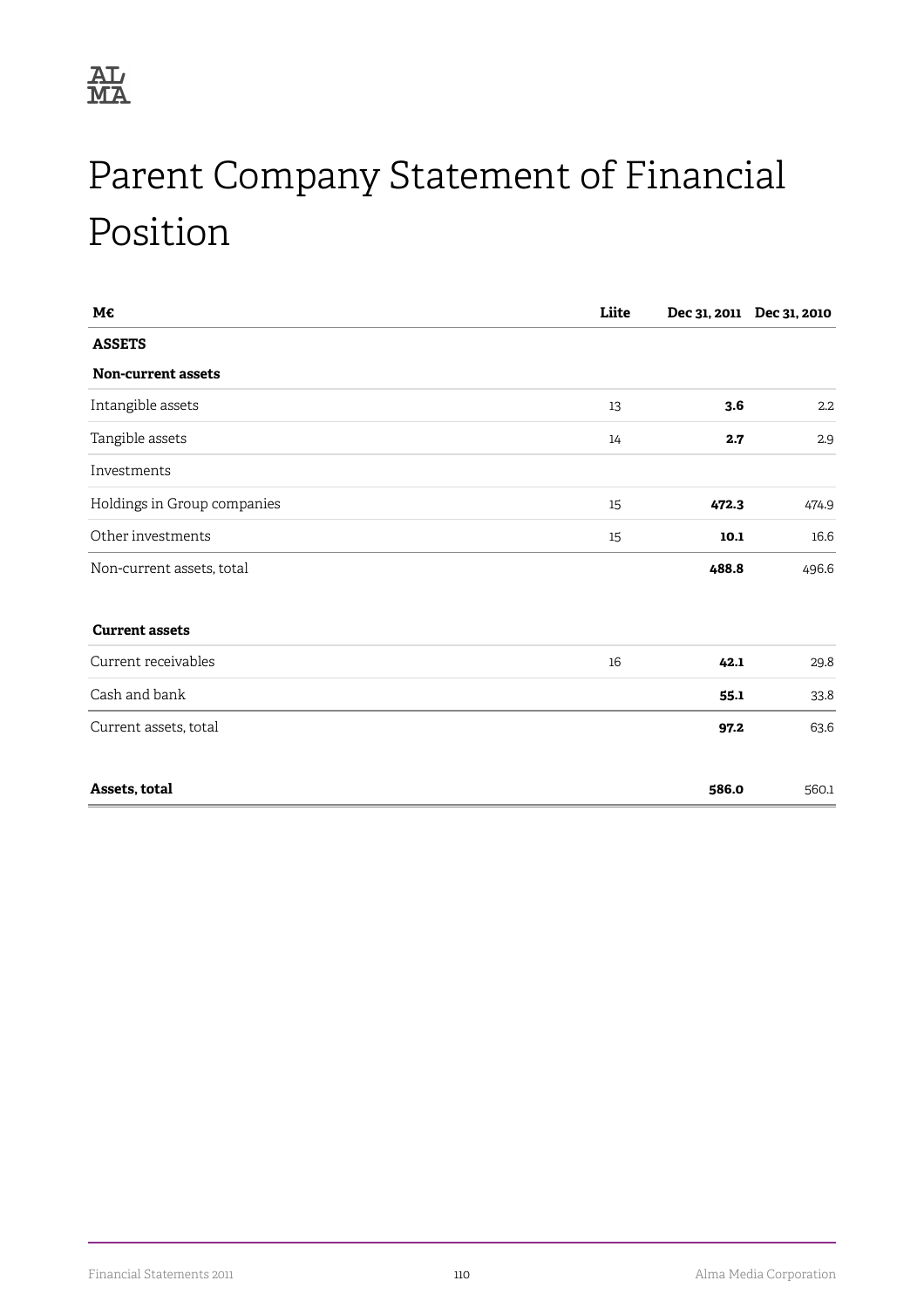

# Parent Company Statement of Financial Position

| M€                          | Liite |       | Dec 31, 2011 Dec 31, 2010 |
|-----------------------------|-------|-------|---------------------------|
| <b>ASSETS</b>               |       |       |                           |
| Non-current assets          |       |       |                           |
| Intangible assets           | 13    | 3.6   | $2.2\phantom{0}$          |
| Tangible assets             | 14    | 2.7   | 2.9                       |
| Investments                 |       |       |                           |
| Holdings in Group companies | 15    | 472.3 | 474.9                     |
| Other investments           | 15    | 10.1  | 16.6                      |
| Non-current assets, total   |       | 488.8 | 496.6                     |
| <b>Current assets</b>       |       |       |                           |
| Current receivables         | 16    | 42.1  | 29.8                      |
| Cash and bank               |       | 55.1  | 33.8                      |
| Current assets, total       |       | 97.2  | 63.6                      |
| Assets, total               |       | 586.0 | 560.1                     |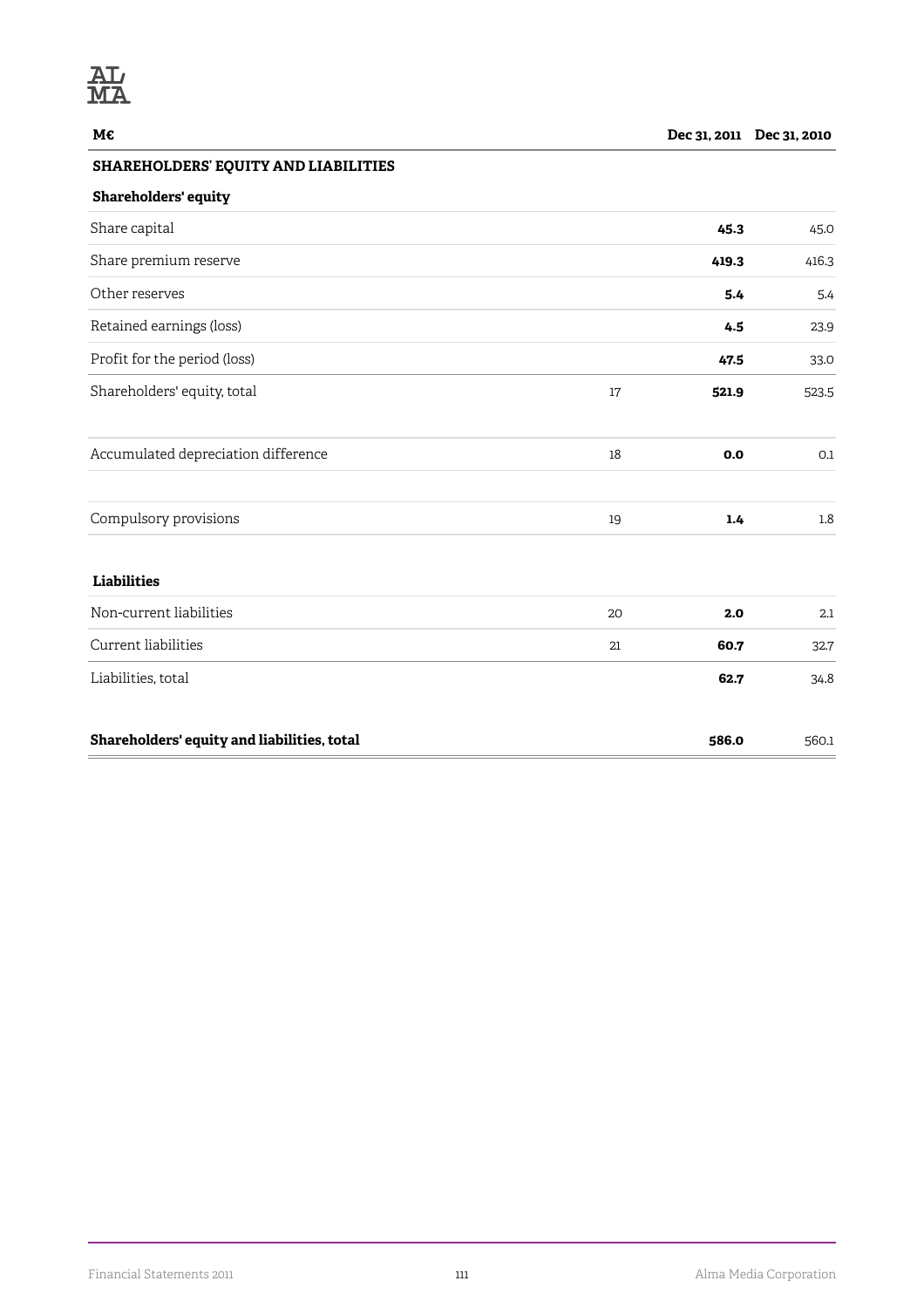### **SHAREHOLDERS' EQUITY AND LIABILITIES**

### **Shareholders' equity**

| Share capital                               |        | 45.3  | 45.0  |
|---------------------------------------------|--------|-------|-------|
| Share premium reserve                       |        | 419.3 | 416.3 |
| Other reserves                              |        | 5.4   | 5.4   |
| Retained earnings (loss)                    |        | 4.5   | 23.9  |
| Profit for the period (loss)                |        | 47.5  | 33.0  |
| Shareholders' equity, total                 | 17     | 521.9 | 523.5 |
| Accumulated depreciation difference         | $18\,$ | 0.0   | 0.1   |
| Compulsory provisions                       | 19     | 1.4   | 1.8   |
| <b>Liabilities</b>                          |        |       |       |
| Non-current liabilities                     | 20     | 2.0   | 2.1   |
| Current liabilities                         | 21     | 60.7  | 32.7  |
| Liabilities, total                          |        | 62.7  | 34.8  |
| Shareholders' equity and liabilities, total |        | 586.0 | 560.1 |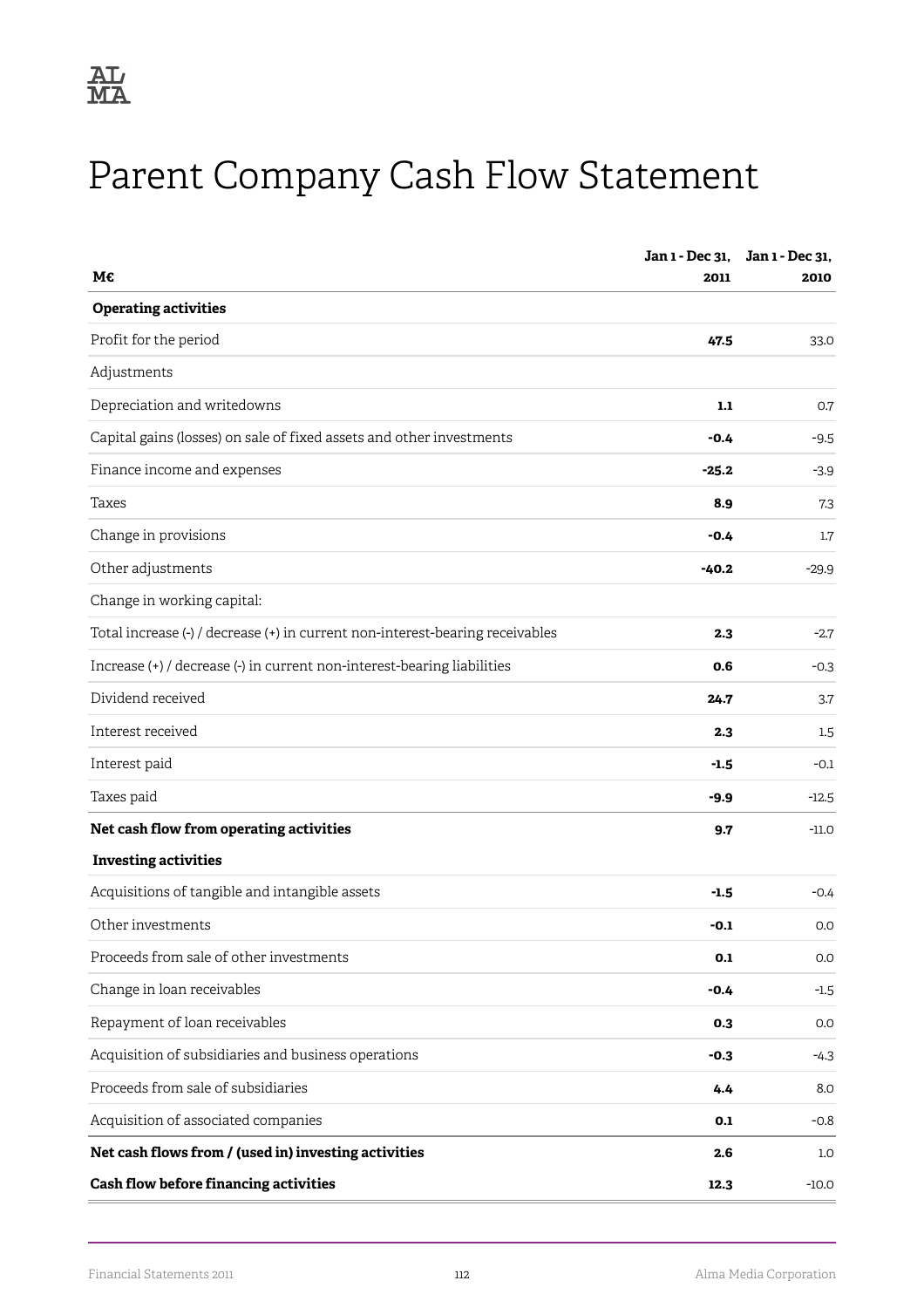

# Parent Company Cash Flow Statement

|                                                                               | Jan 1 - Dec 31, | Jan 1 - Dec 31. |
|-------------------------------------------------------------------------------|-----------------|-----------------|
| М€                                                                            | 2011            | 2010            |
| <b>Operating activities</b>                                                   |                 |                 |
| Profit for the period                                                         | 47.5            | 33.0            |
| Adjustments                                                                   |                 |                 |
| Depreciation and writedowns                                                   | 1.1             | 0.7             |
| Capital gains (losses) on sale of fixed assets and other investments          | $-0.4$          | $-9.5$          |
| Finance income and expenses                                                   | $-25.2$         | $-3.9$          |
| Taxes                                                                         | 8.9             | 7.3             |
| Change in provisions                                                          | $-0.4$          | 1.7             |
| Other adjustments                                                             | $-40.2$         | $-29.9$         |
| Change in working capital:                                                    |                 |                 |
| Total increase (-) / decrease (+) in current non-interest-bearing receivables | 2.3             | $-2.7$          |
| Increase (+) / decrease (-) in current non-interest-bearing liabilities       | 0.6             | $-0.3$          |
| Dividend received                                                             | 24.7            | 3.7             |
| Interest received                                                             | 2.3             | 1.5             |
| Interest paid                                                                 | $-1.5$          | $-0.1$          |
| Taxes paid                                                                    | $-9.9$          | $-12.5$         |
| Net cash flow from operating activities                                       | 9.7             | $-11.0$         |
| <b>Investing activities</b>                                                   |                 |                 |
| Acquisitions of tangible and intangible assets                                | $-1.5$          | $-0.4$          |
| Other investments                                                             | -0.1            | 0.0             |
| Proceeds from sale of other investments                                       | 0.1             | 0.0             |
| Change in loan receivables                                                    | $-0.4$          | $-1.5$          |
| Repayment of loan receivables                                                 | 0.3             | 0.0             |
| Acquisition of subsidiaries and business operations                           | $-0.3$          | $-4.3$          |
| Proceeds from sale of subsidiaries                                            | 4.4             | 8.0             |
| Acquisition of associated companies                                           | 0.1             | $-0.8$          |
| Net cash flows from / (used in) investing activities                          | 2.6             | 1.0             |
| Cash flow before financing activities                                         | 12.3            | $-10.0$         |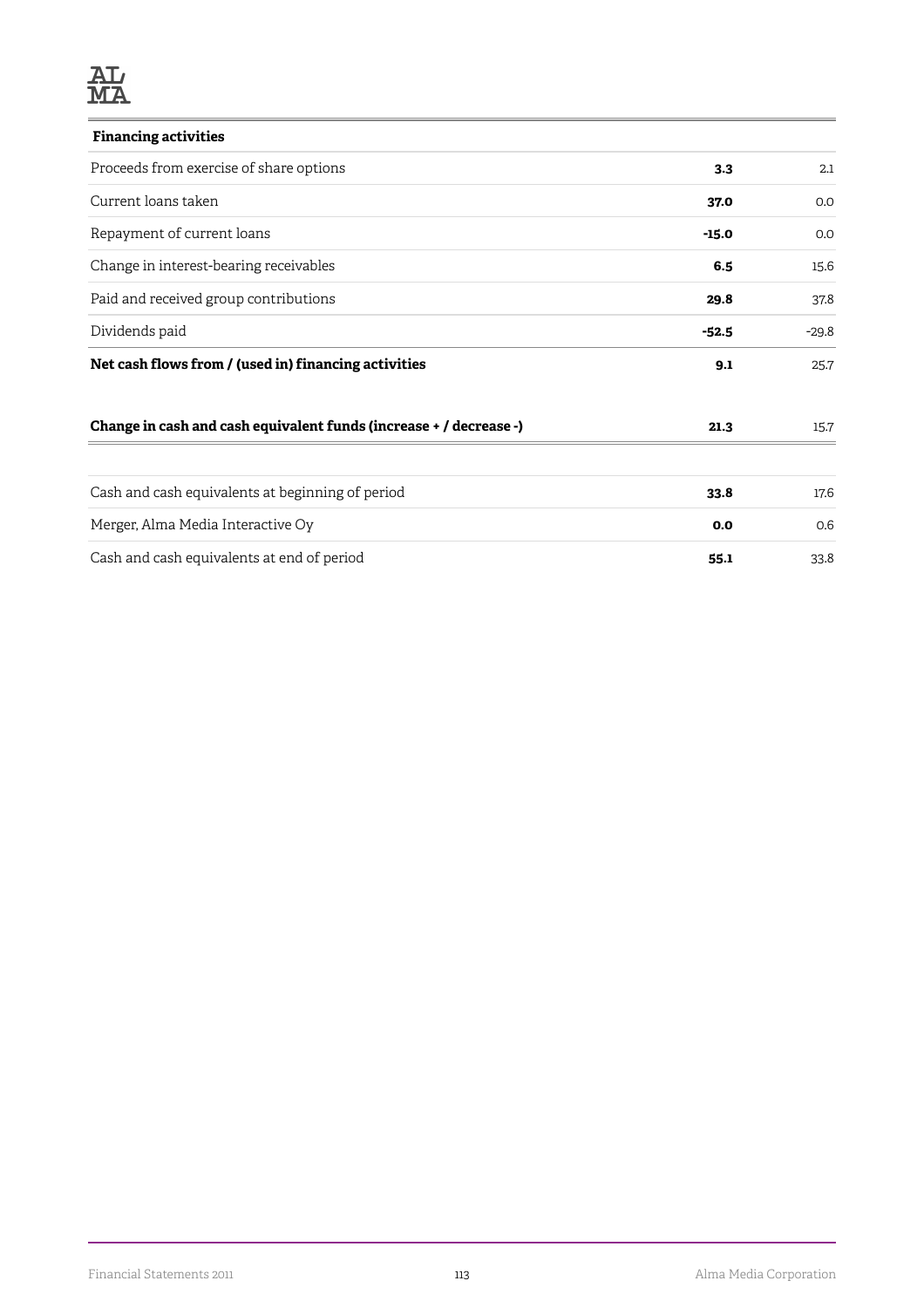| <b>Financing activities</b>                                        |         |         |
|--------------------------------------------------------------------|---------|---------|
| Proceeds from exercise of share options                            | 3.3     | 2.1     |
| Current loans taken                                                | 37.0    | 0.0     |
| Repayment of current loans                                         | $-15.0$ | 0.0     |
| Change in interest-bearing receivables                             | 6.5     | 15.6    |
| Paid and received group contributions                              | 29.8    | 37.8    |
| Dividends paid                                                     | $-52.5$ | $-29.8$ |
| Net cash flows from / (used in) financing activities               | 9.1     | 25.7    |
| Change in cash and cash equivalent funds (increase + / decrease -) | 21.3    | 15.7    |
| Cash and cash equivalents at beginning of period                   | 33.8    | 17.6    |
| Merger, Alma Media Interactive Oy                                  | 0.0     | 0.6     |
| Cash and cash equivalents at end of period                         | 55.1    | 33.8    |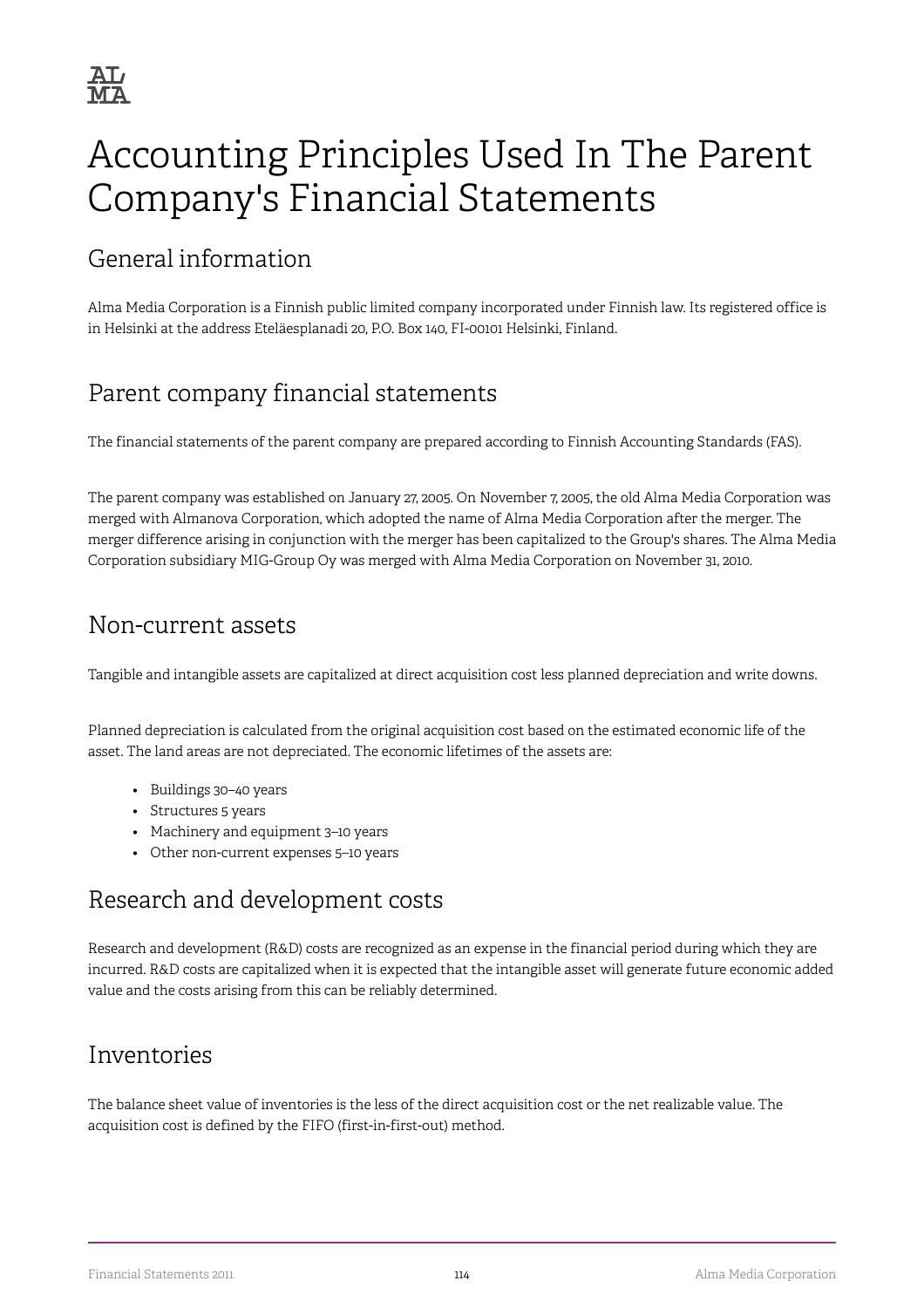# Accounting Principles Used In The Parent Company's Financial Statements

## General information

Alma Media Corporation is a Finnish public limited company incorporated under Finnish law. Its registered office is in Helsinki at the address Eteläesplanadi 20, P.O. Box 140, FI-00101 Helsinki, Finland.

## Parent company financial statements

The financial statements of the parent company are prepared according to Finnish Accounting Standards (FAS).

The parent company was established on January 27, 2005. On November 7, 2005, the old Alma Media Corporation was merged with Almanova Corporation, which adopted the name of Alma Media Corporation after the merger. The merger difference arising in conjunction with the merger has been capitalized to the Group's shares. The Alma Media Corporation subsidiary MIG-Group Oy was merged with Alma Media Corporation on November 31, 2010.

## Non-current assets

Tangible and intangible assets are capitalized at direct acquisition cost less planned depreciation and write downs.

Planned depreciation is calculated from the original acquisition cost based on the estimated economic life of the asset. The land areas are not depreciated. The economic lifetimes of the assets are:

- Buildings 30–40 years
- Structures 5 years
- Machinery and equipment 3–10 years
- Other non-current expenses 5–10 years

## Research and development costs

Research and development (R&D) costs are recognized as an expense in the financial period during which they are incurred. R&D costs are capitalized when it is expected that the intangible asset will generate future economic added value and the costs arising from this can be reliably determined.

## Inventories

The balance sheet value of inventories is the less of the direct acquisition cost or the net realizable value. The acquisition cost is defined by the FIFO (first-in-first-out) method.

Financial Statements 2011 114 Alma Media Corporation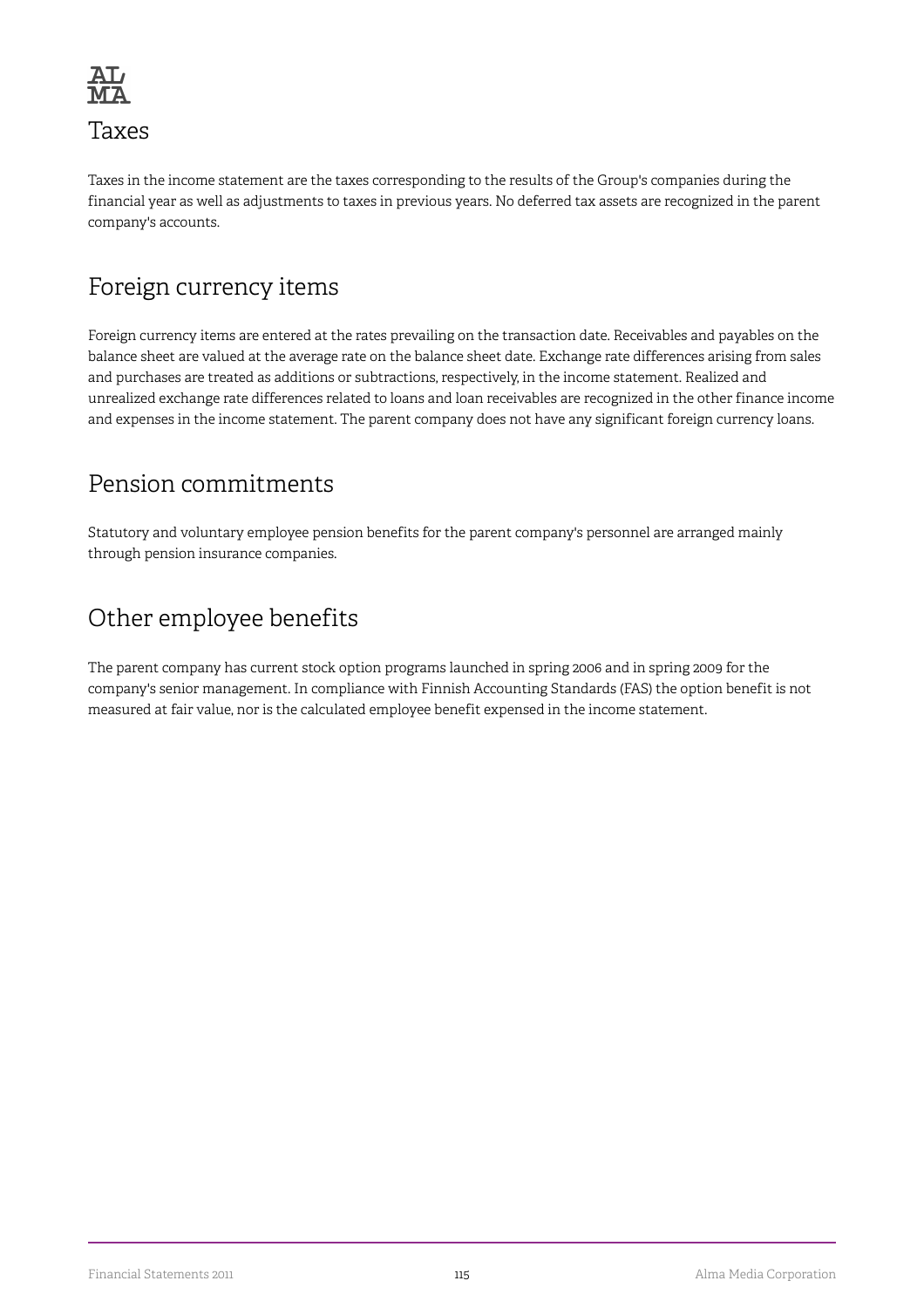

## Taxes

Taxes in the income statement are the taxes corresponding to the results of the Group's companies during the financial year as well as adjustments to taxes in previous years. No deferred tax assets are recognized in the parent company's accounts.

## Foreign currency items

Foreign currency items are entered at the rates prevailing on the transaction date. Receivables and payables on the balance sheet are valued at the average rate on the balance sheet date. Exchange rate differences arising from sales and purchases are treated as additions or subtractions, respectively, in the income statement. Realized and unrealized exchange rate differences related to loans and loan receivables are recognized in the other finance income and expenses in the income statement. The parent company does not have any significant foreign currency loans.

## Pension commitments

Statutory and voluntary employee pension benefits for the parent company's personnel are arranged mainly through pension insurance companies.

## Other employee benefits

The parent company has current stock option programs launched in spring 2006 and in spring 2009 for the company's senior management. In compliance with Finnish Accounting Standards (FAS) the option benefit is not measured at fair value, nor is the calculated employee benefit expensed in the income statement.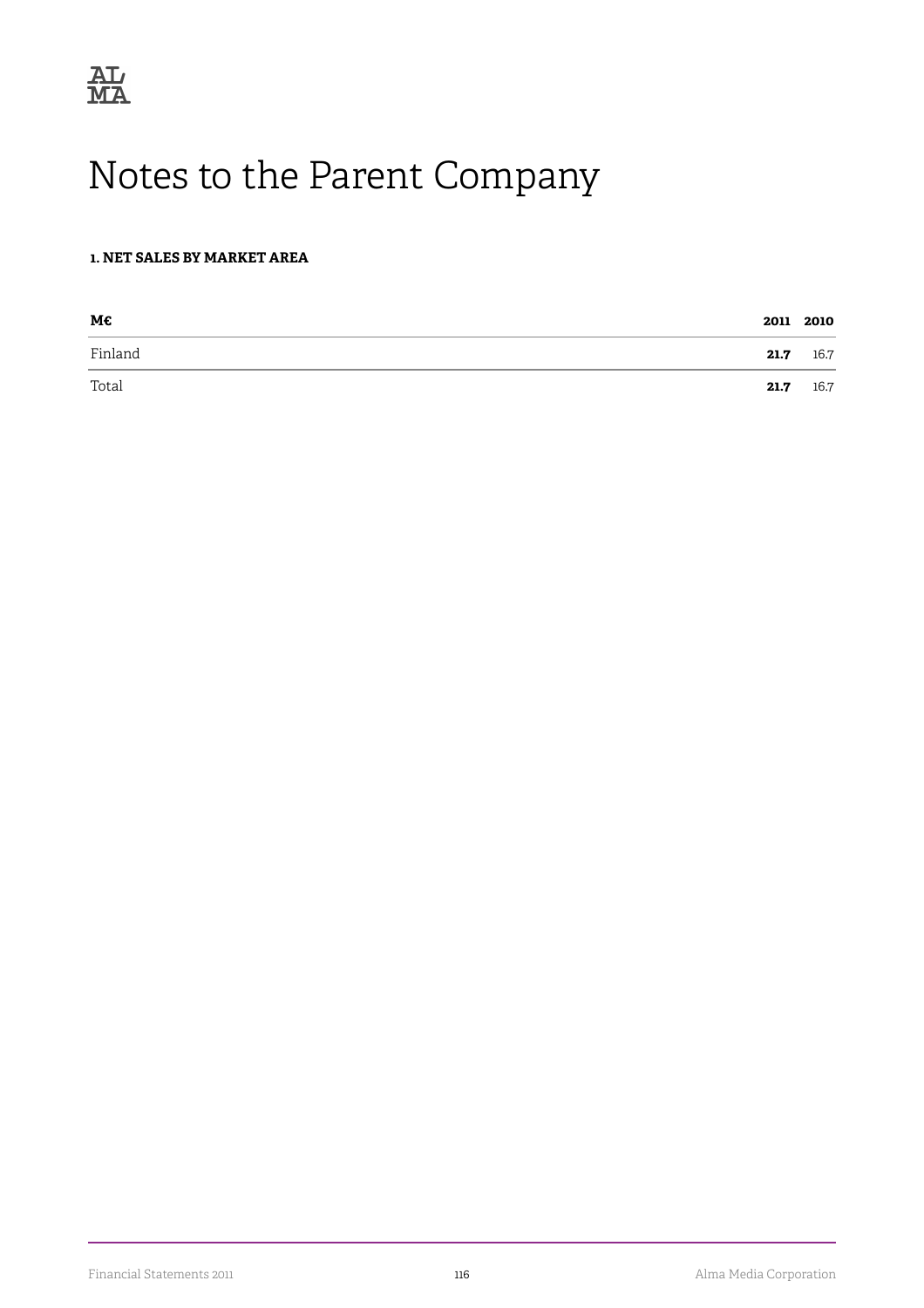

# Notes to the Parent Company

#### **1. NET SALES BY MARKET AREA**

| M€      |      | 2011 2010 |
|---------|------|-----------|
| Finland | 21.7 | 16.7      |
| Total   | 21.7 | 16.7      |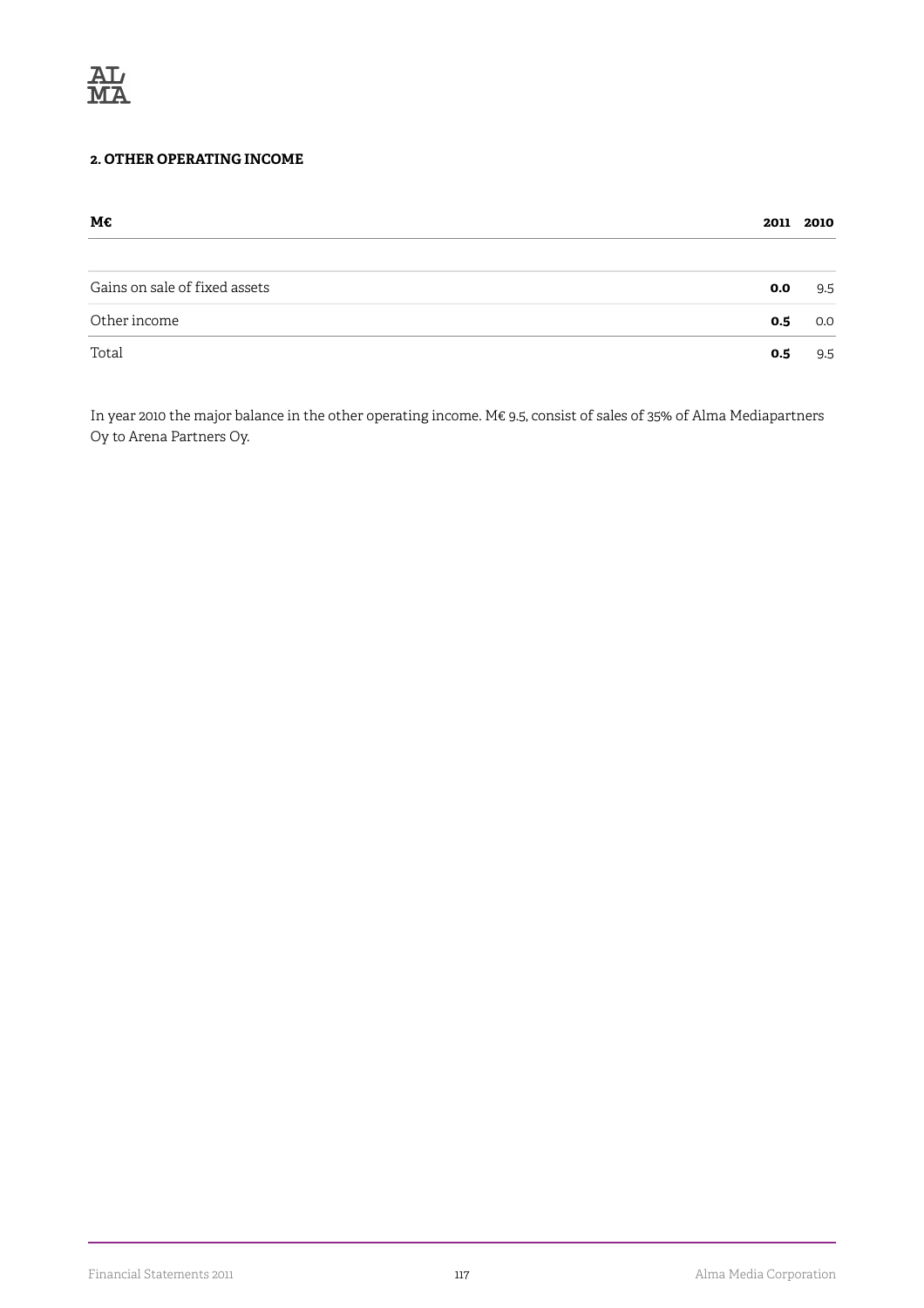

#### **2. OTHER OPERATING INCOME**

| М€                            |     | 2011 2010 |
|-------------------------------|-----|-----------|
| Gains on sale of fixed assets | 0.0 | 9.5       |
| Other income                  | 0.5 | 0.0       |
| Total                         | 0.5 | 9.5       |

In year 2010 the major balance in the other operating income. M€ 9.5, consist of sales of 35% of Alma Mediapartners Oy to Arena Partners Oy.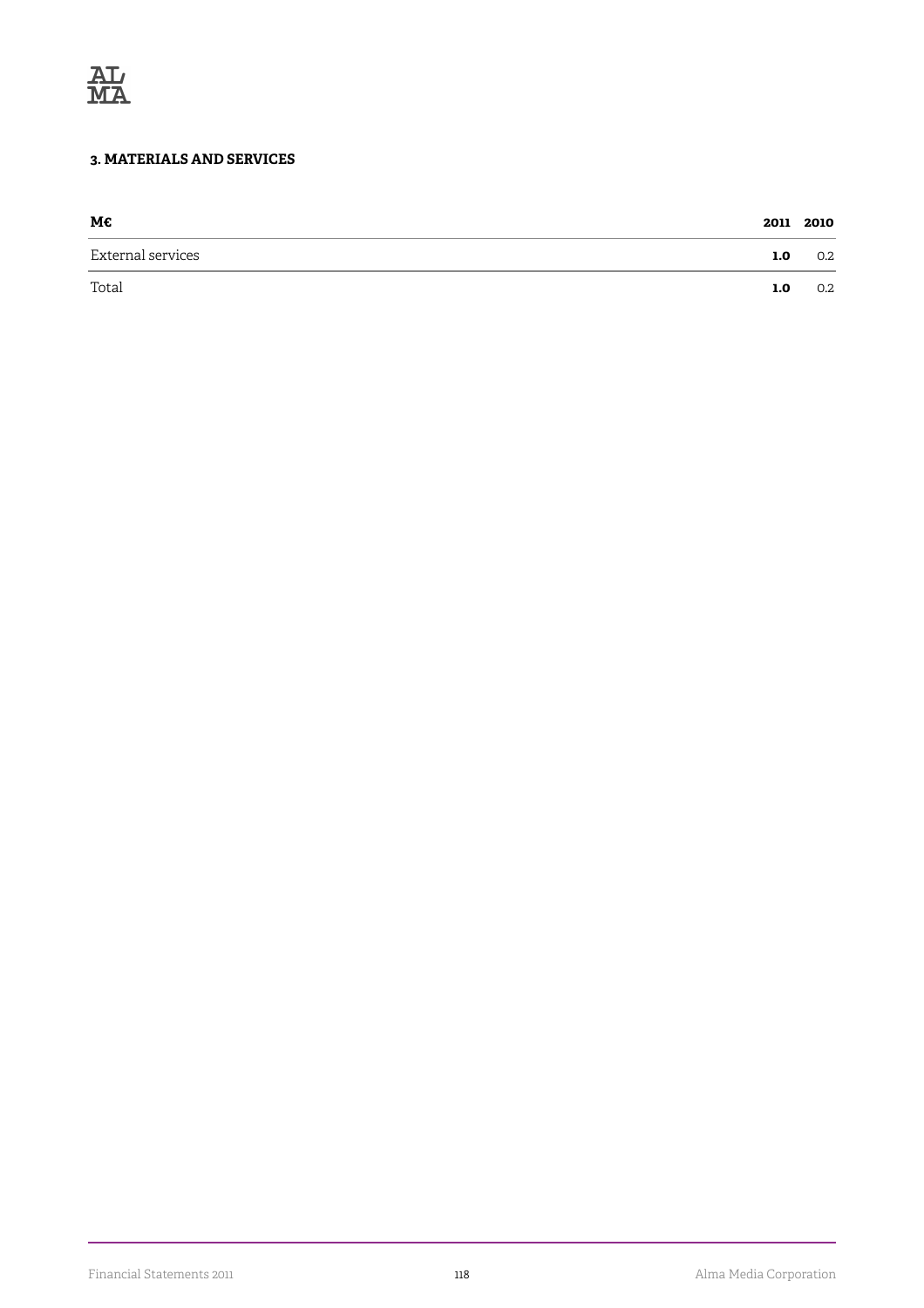

#### **3. MATERIALS AND SERVICES**

| М€                |     | 2011 2010 |
|-------------------|-----|-----------|
| External services | 1.0 | 0.2       |
| Total             | 1.0 | 0.2       |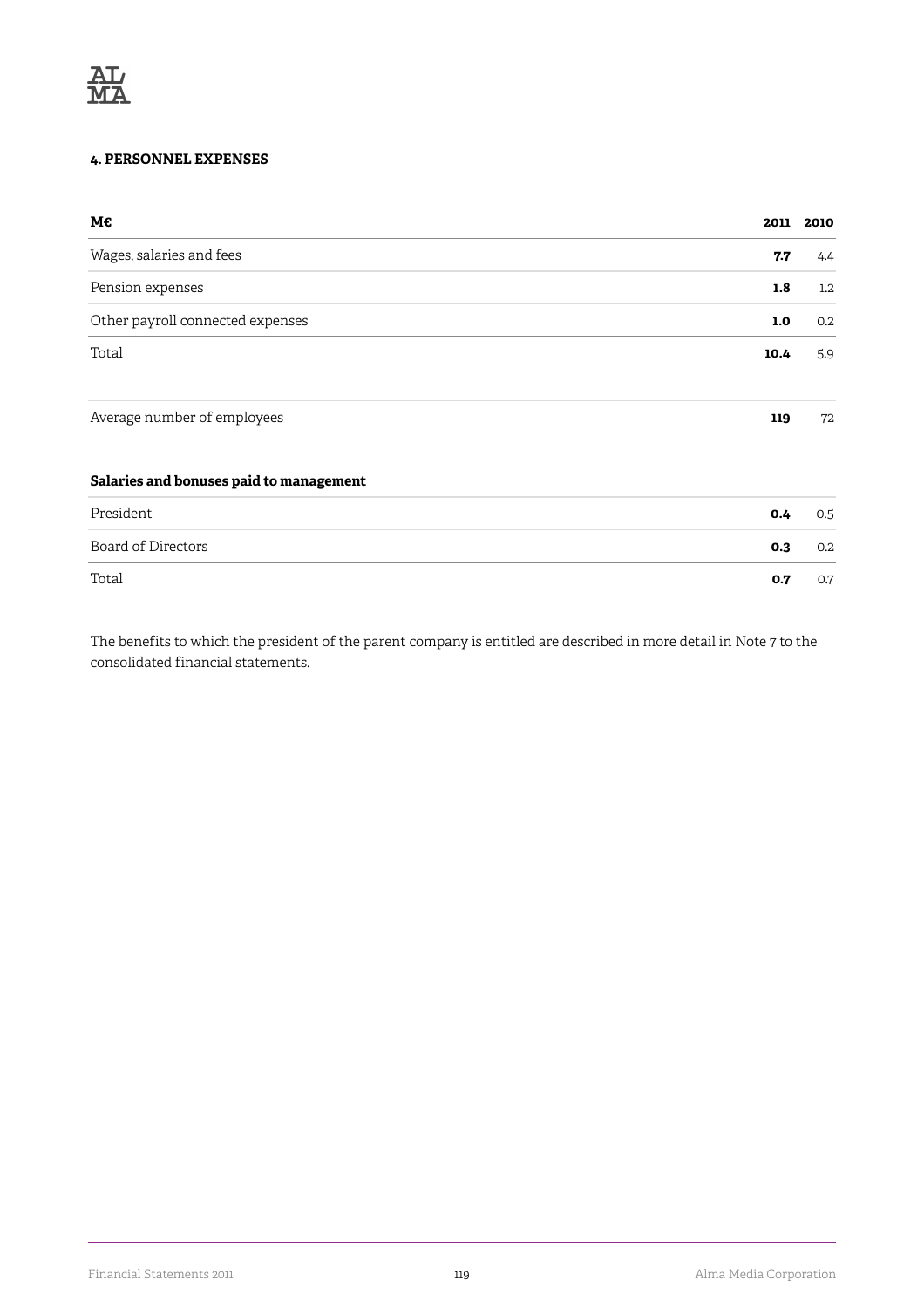#### **4. PERSONNEL EXPENSES**

| M€                                      | 2011 | 2010    |
|-----------------------------------------|------|---------|
| Wages, salaries and fees                | 7.7  | 4.4     |
| Pension expenses                        | 1.8  | $1.2\,$ |
| Other payroll connected expenses        | 1.0  | 0.2     |
| Total                                   | 10.4 | 5.9     |
| Average number of employees             | 119  | 72      |
| Salaries and bonuses paid to management |      |         |

| President          | 0.4 | 0.5 |
|--------------------|-----|-----|
| Board of Directors | 0.3 | 0.2 |
| Total              | 0.7 | 0.7 |

The benefits to which the president of the parent company is entitled are described in more detail in Note 7 to the consolidated financial statements.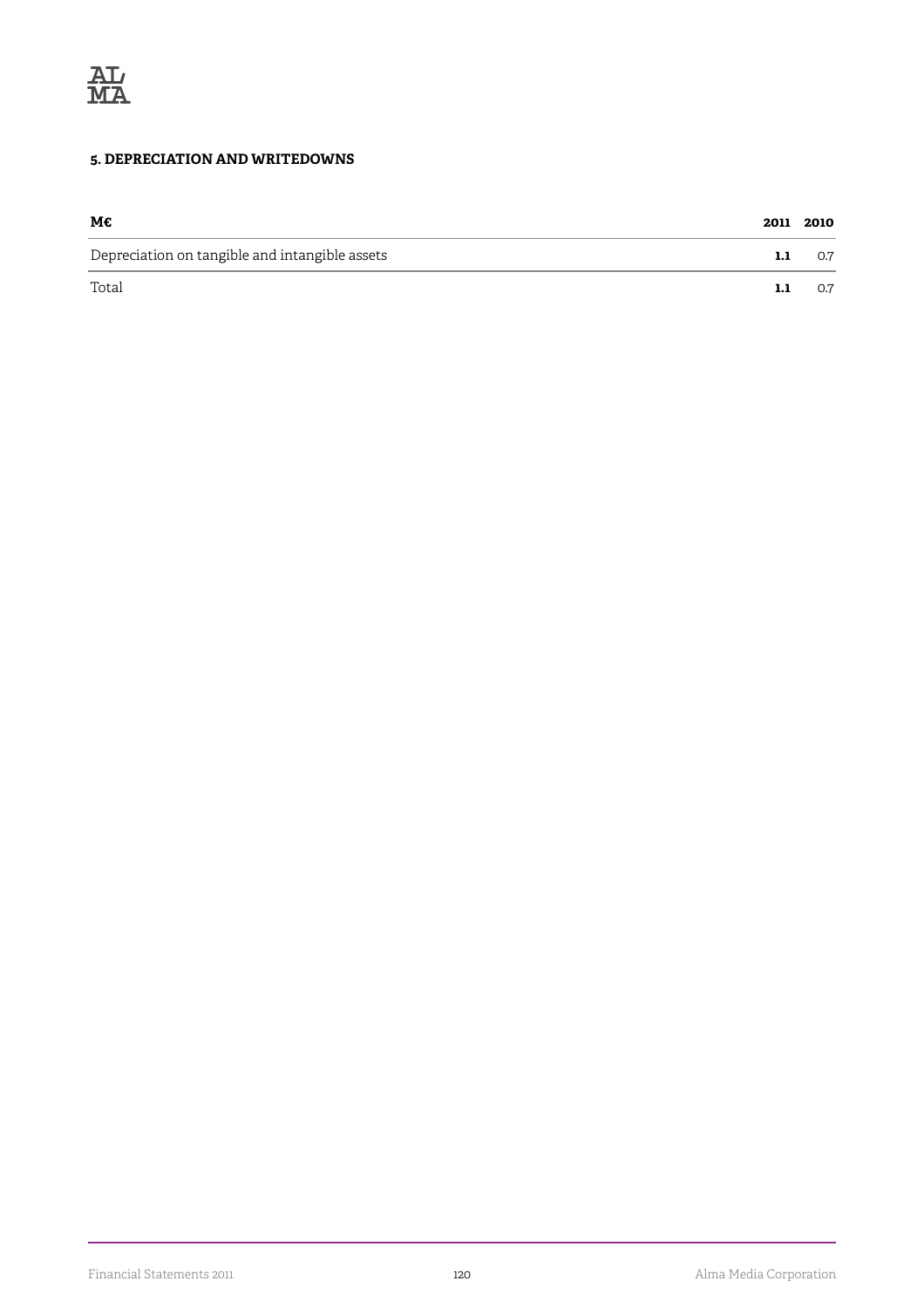

#### **5. DEPRECIATION AND WRITEDOWNS**

| M€                                             |     | 2011 2010 |
|------------------------------------------------|-----|-----------|
| Depreciation on tangible and intangible assets | 1.1 | 0.7       |
| Total                                          | 1.1 | 0.7       |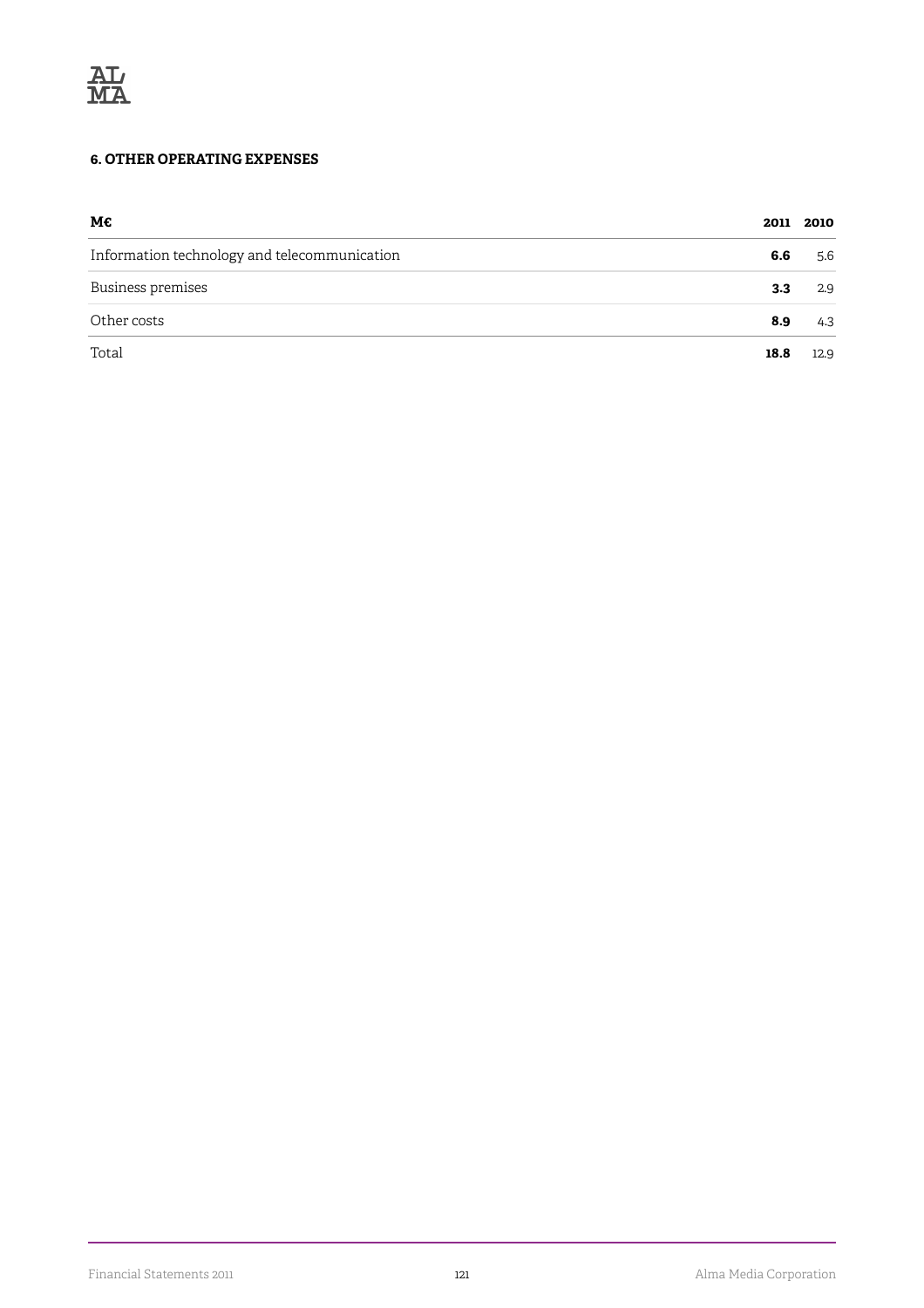#### **6. OTHER OPERATING EXPENSES**

| М€                                           |      | 2011 2010 |
|----------------------------------------------|------|-----------|
| Information technology and telecommunication | 6.6  | 5.6       |
| Business premises                            | 3.3  | 2.9       |
| Other costs                                  | 8.9  | 4.3       |
| Total                                        | 18.8 | 12.9      |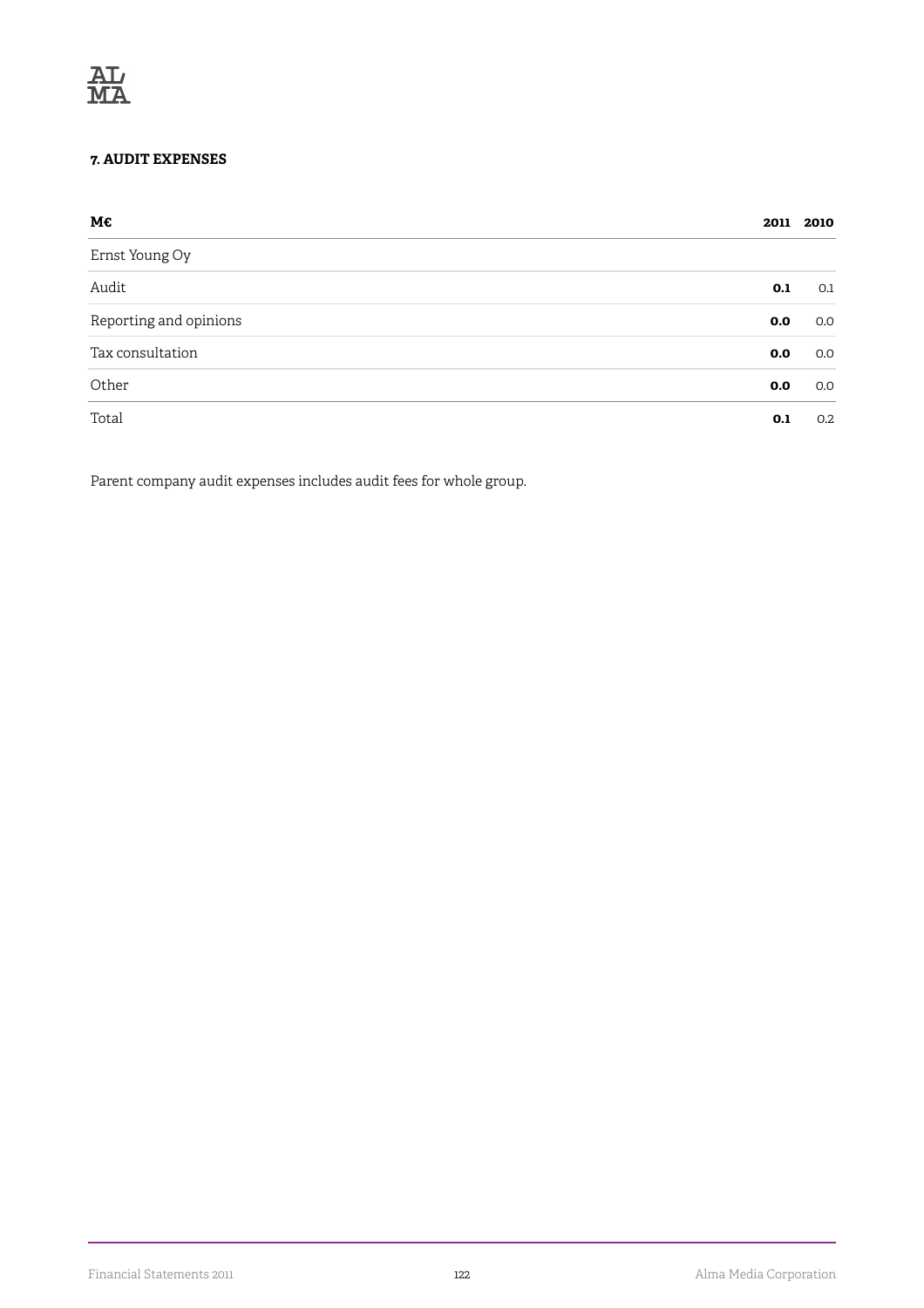#### **7. AUDIT EXPENSES**

| М€                     |     | 2011 2010 |
|------------------------|-----|-----------|
| Ernst Young Oy         |     |           |
| Audit                  | 0.1 | 0.1       |
| Reporting and opinions | 0.0 | 0.0       |
| Tax consultation       | 0.0 | 0.0       |
| Other                  | 0.0 | 0.0       |
| Total                  | 0.1 | 0.2       |

Parent company audit expenses includes audit fees for whole group.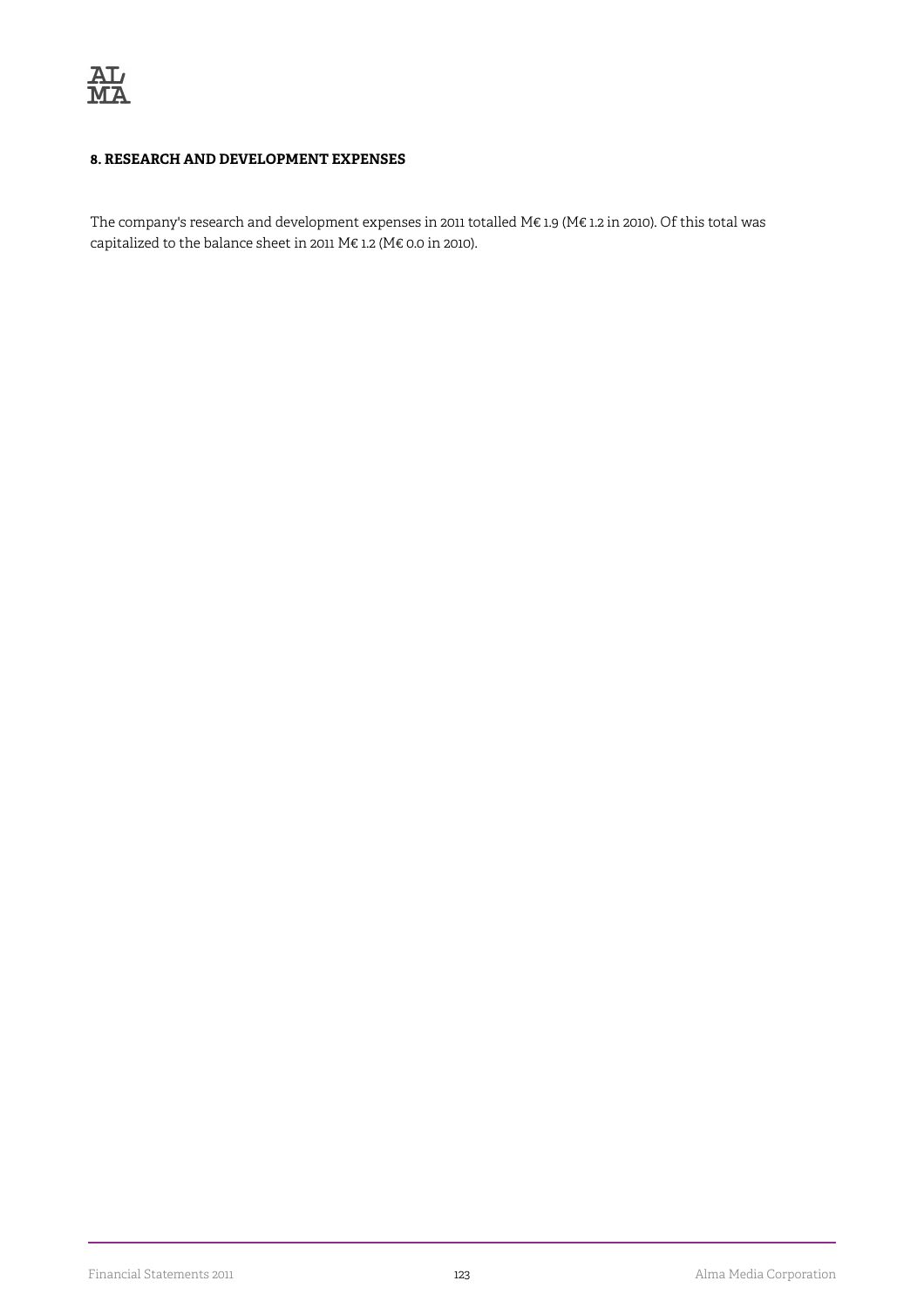#### **8. RESEARCH AND DEVELOPMENT EXPENSES**

The company's research and development expenses in 2011 totalled M€ 1.9 (M€ 1.2 in 2010). Of this total was capitalized to the balance sheet in 2011 M€ 1.2 (M€ 0.0 in 2010).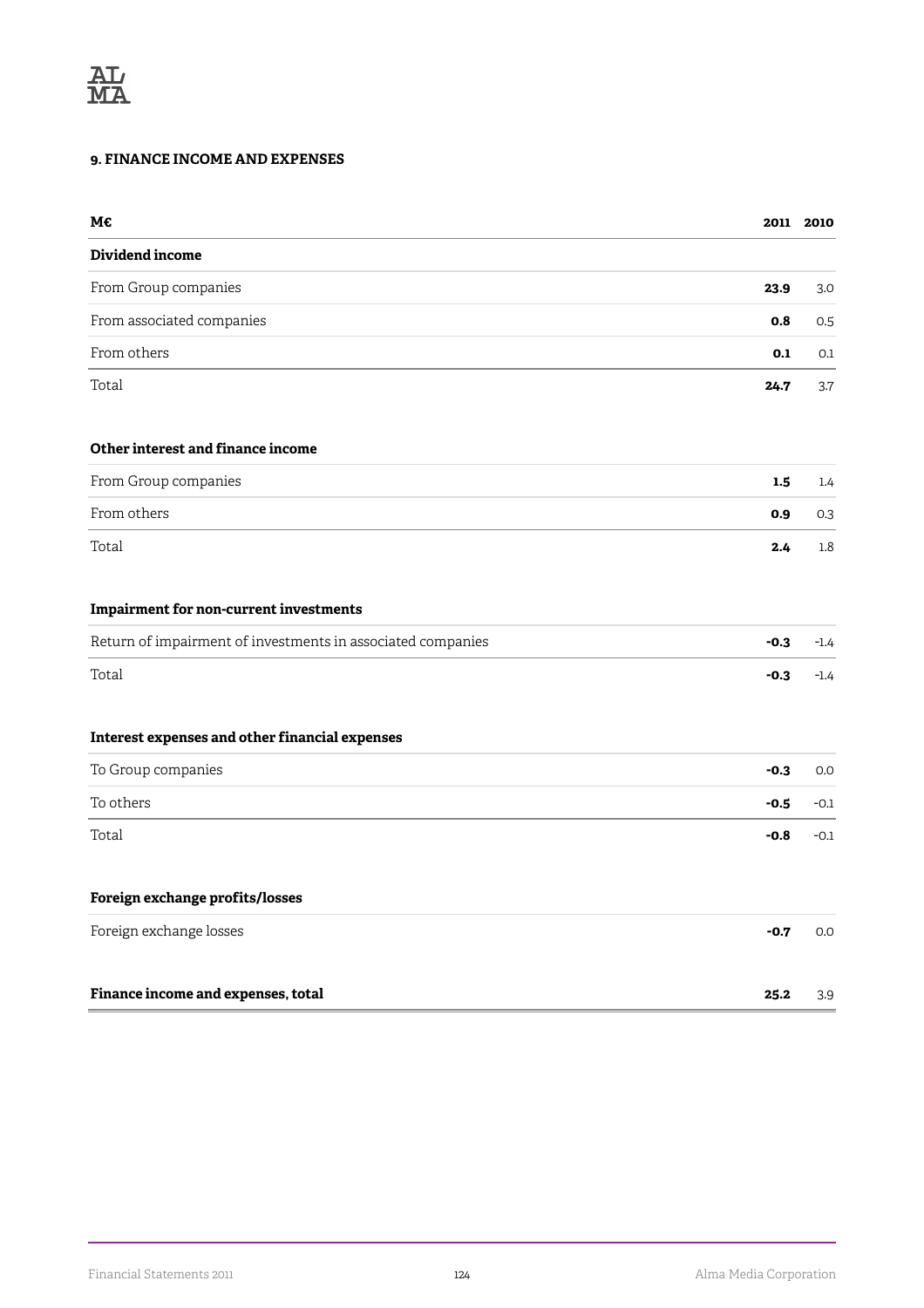#### **9. FINANCE INCOME AND EXPENSES**

| М€                                                          |        | 2011 2010 |
|-------------------------------------------------------------|--------|-----------|
| Dividend income                                             |        |           |
| From Group companies                                        | 23.9   | 3.0       |
| From associated companies                                   | 0.8    | 0.5       |
| From others                                                 | 0.1    | 0.1       |
| Total                                                       | 24.7   | 3.7       |
| Other interest and finance income                           |        |           |
| From Group companies                                        | 1.5    | 1.4       |
| From others                                                 | 0.9    | 0.3       |
| Total                                                       | 2.4    | 1.8       |
| <b>Impairment for non-current investments</b>               |        |           |
| Return of impairment of investments in associated companies | $-0.3$ | $-1.4$    |
| Total                                                       | $-0.3$ | $-1.4$    |
| Interest expenses and other financial expenses              |        |           |
| To Group companies                                          | $-0.3$ | 0.0       |
| To others                                                   | $-0.5$ | $-0.1$    |
| Total                                                       | $-0.8$ | $-0.1$    |
| Foreign exchange profits/losses                             |        |           |
| Foreign exchange losses                                     | $-0.7$ | 0.0       |
| Finance income and expenses, total                          | 25.2   | 3.9       |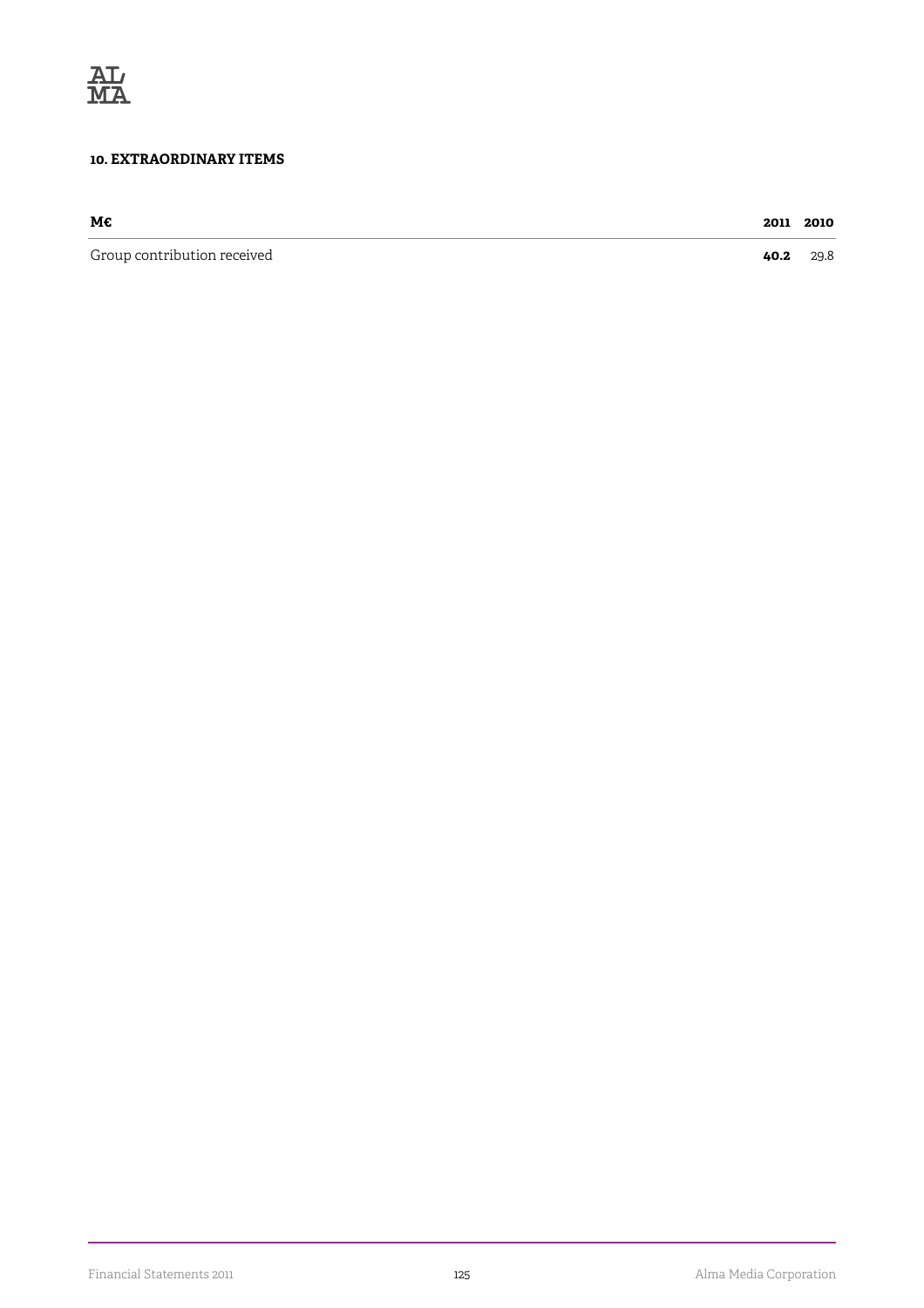

#### **10. EXTRAORDINARY ITEMS**

| мс                          | 2011 | 2010 |
|-----------------------------|------|------|
| Group contribution received | 40.2 | 29.8 |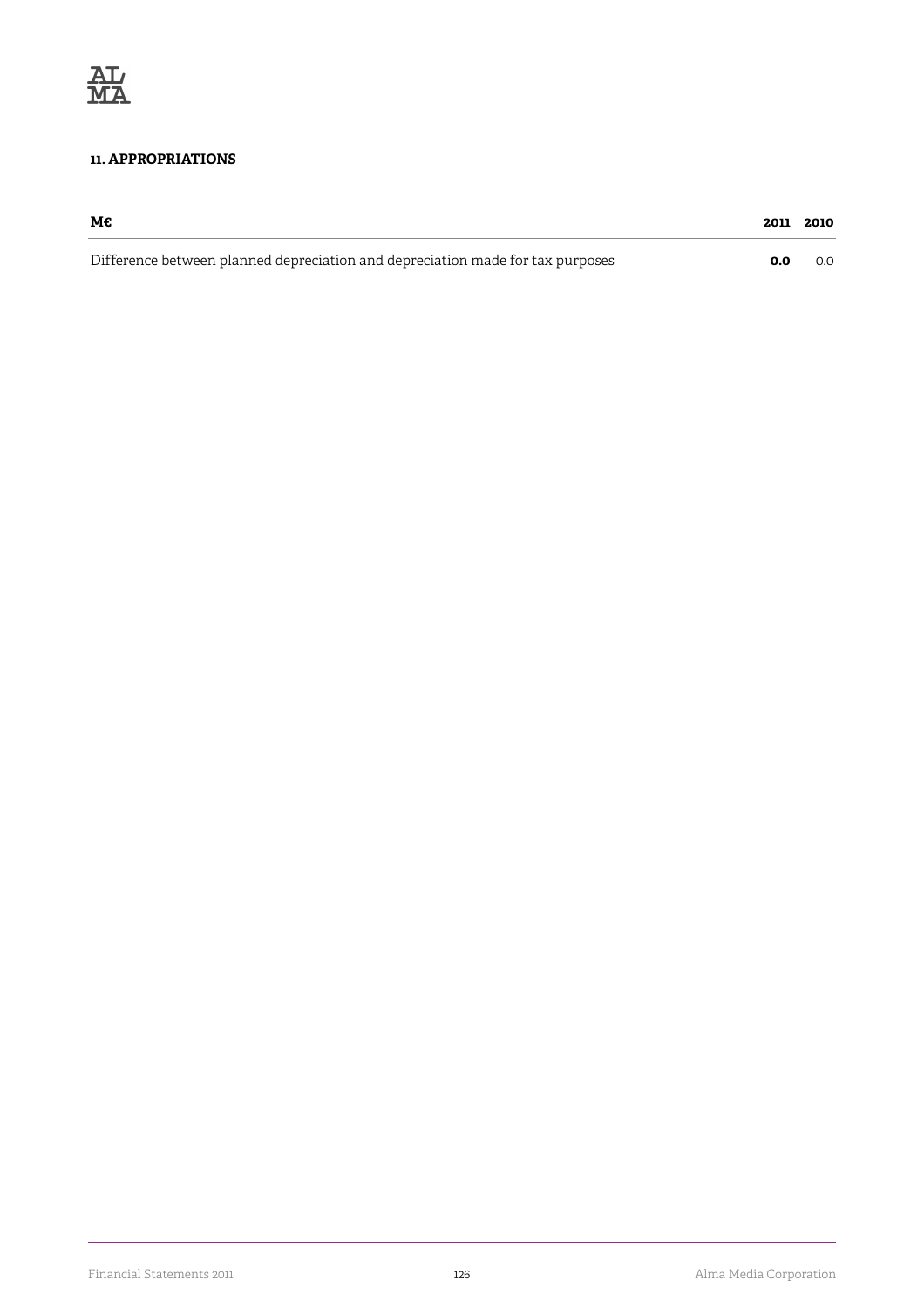#### **11. APPROPRIATIONS**

| М€                                                                             | 2011 2010 |     |
|--------------------------------------------------------------------------------|-----------|-----|
| Difference between planned depreciation and depreciation made for tax purposes | 0.0       | 0.0 |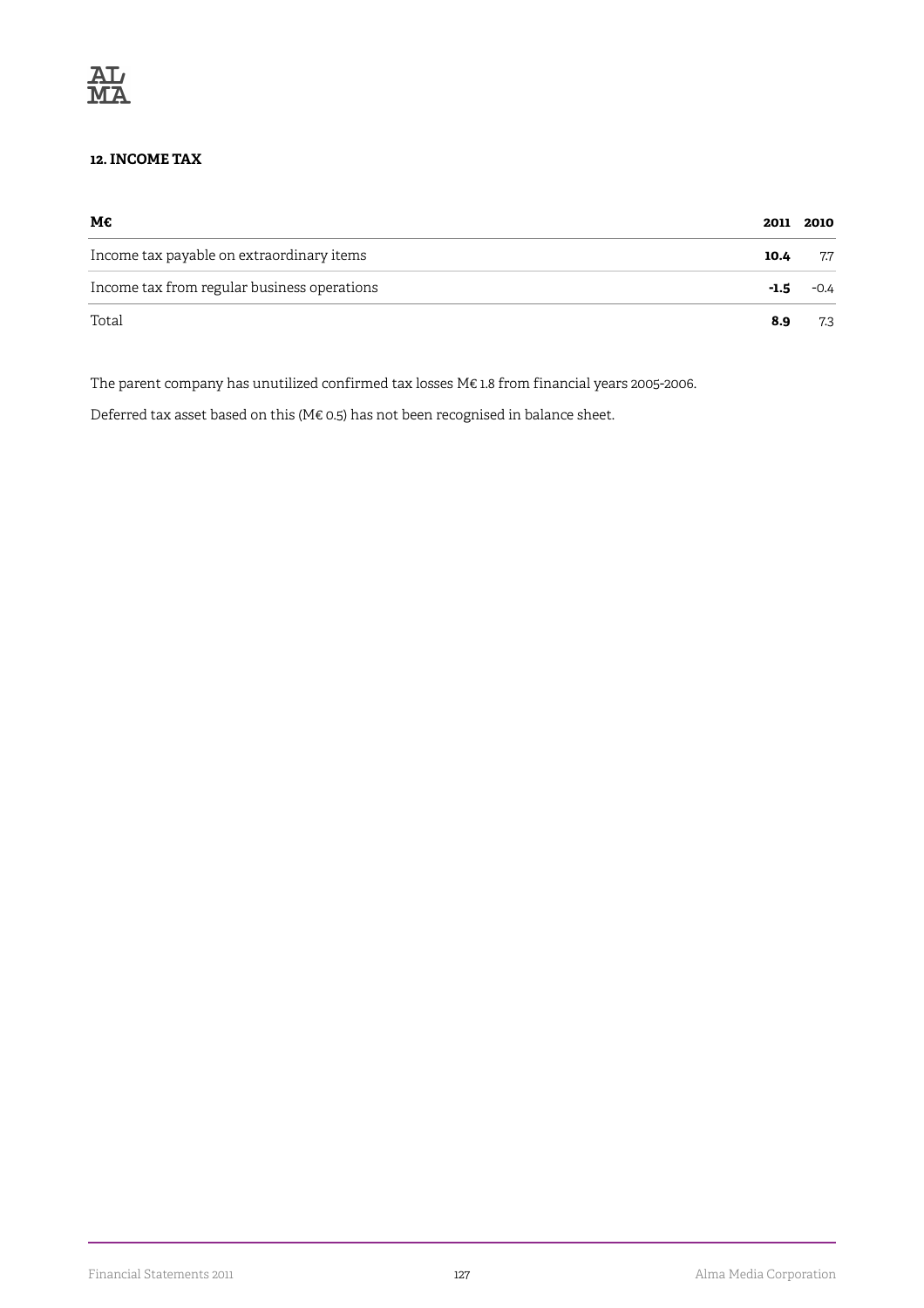

#### **12. INCOME TAX**

| М€                                          | 2011 | 2010   |
|---------------------------------------------|------|--------|
| Income tax payable on extraordinary items   | 10.4 | 7.7    |
| Income tax from regular business operations | -1.5 | $-0.4$ |
| Total                                       | 8.9  | 7.3    |

The parent company has unutilized confirmed tax losses M€ 1.8 from financial years 2005-2006.

Deferred tax asset based on this (M€ 0.5) has not been recognised in balance sheet.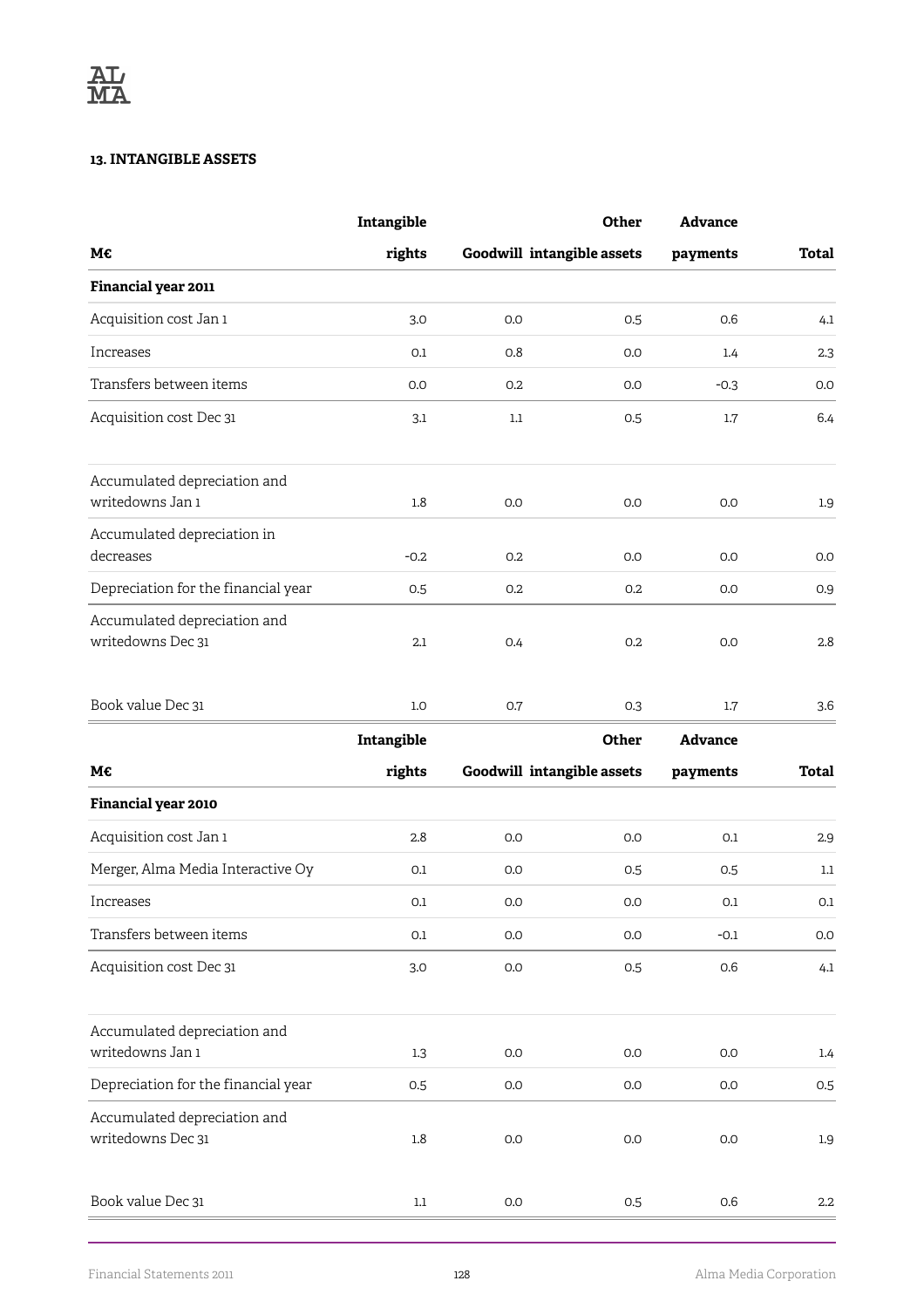#### **13. INTANGIBLE ASSETS**

|                                                   | Intangible |                            | <b>Other</b> | <b>Advance</b> |              |
|---------------------------------------------------|------------|----------------------------|--------------|----------------|--------------|
| М€                                                | rights     | Goodwill intangible assets |              | payments       | <b>Total</b> |
| Financial year 2011                               |            |                            |              |                |              |
| Acquisition cost Jan 1                            | 3.0        | 0.0                        | 0.5          | 0.6            | 4.1          |
| Increases                                         | 0.1        | 0.8                        | 0.0          | 1.4            | 2.3          |
| Transfers between items                           | 0.0        | 0.2                        | 0.0          | $-0.3$         | 0.0          |
| Acquisition cost Dec 31                           | 3.1        | 1.1                        | 0.5          | 1.7            | 6.4          |
| Accumulated depreciation and                      |            |                            |              |                |              |
| writedowns Jan 1                                  | 1.8        | 0.0                        | 0.0          | 0.0            | 1.9          |
| Accumulated depreciation in<br>decreases          | $-0.2$     | 0.2                        | 0.0          | 0.0            | 0.0          |
| Depreciation for the financial year               | 0.5        | 0.2                        | 0.2          | 0.0            | 0.9          |
| Accumulated depreciation and<br>writedowns Dec 31 | 2.1        | 0.4                        | 0.2          | 0.0            | 2.8          |
| Book value Dec 31                                 | 1.0        | 0.7                        | 0.3          | $1.7\,$        | 3.6          |
|                                                   | Intangible |                            | Other        | <b>Advance</b> |              |
| М€                                                | rights     | Goodwill intangible assets |              | payments       | Total        |
| Financial year 2010                               |            |                            |              |                |              |
| Acquisition cost Jan 1                            | 2.8        | 0.0                        | 0.0          | 0.1            | 2.9          |
| Merger, Alma Media Interactive Oy                 | 0.1        | 0.0                        | 0.5          | 0.5            | 1.1          |
| Increases                                         | 0.1        | 0.0                        | 0.0          | 0.1            | 0.1          |
| Transfers between items                           | 0.1        | 0.0                        | 0.0          | $-0.1$         | $0.0\,$      |
| Acquisition cost Dec 31                           | 3.0        | 0.0                        | 0.5          | 0.6            | 4.1          |
| Accumulated depreciation and<br>writedowns Jan 1  | 1.3        | $0.0\,$                    | 0.0          | 0.0            | 1.4          |
| Depreciation for the financial year               | 0.5        | 0.0                        | 0.0          | 0.0            | 0.5          |
| Accumulated depreciation and<br>writedowns Dec 31 | $1.8\,$    | $0.0\,$                    | 0.0          | 0.0            | $1.9\,$      |
|                                                   |            |                            |              |                |              |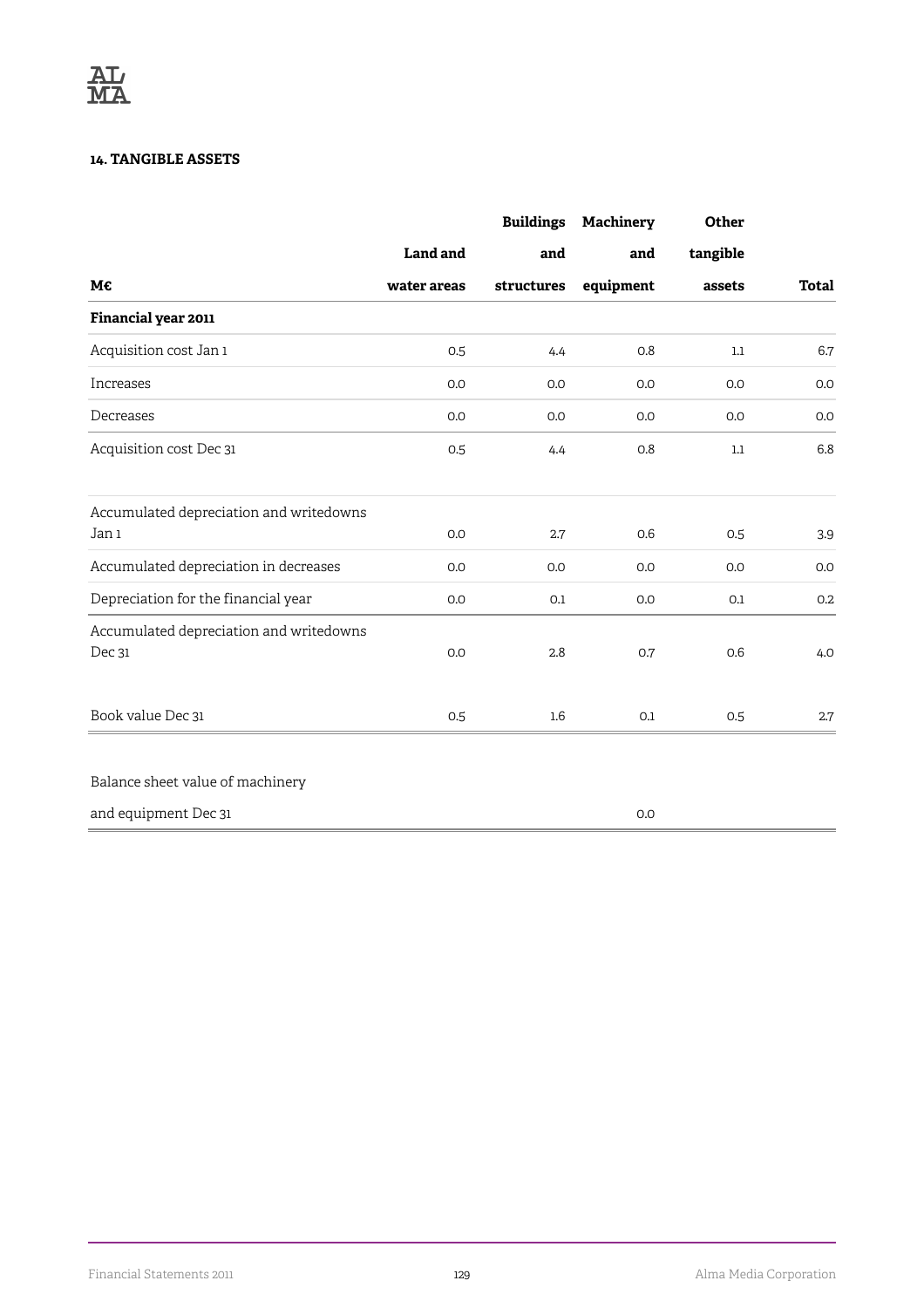#### **14. TANGIBLE ASSETS**

|                                                   |                 | <b>Buildings</b> | Machinery | Other    |              |
|---------------------------------------------------|-----------------|------------------|-----------|----------|--------------|
|                                                   | <b>Land and</b> | and              | and       | tangible |              |
| М€                                                | water areas     | structures       | equipment | assets   | <b>Total</b> |
| Financial year 2011                               |                 |                  |           |          |              |
| Acquisition cost Jan 1                            | 0.5             | 4.4              | 0.8       | $1.1\,$  | 6.7          |
| Increases                                         | 0.0             | 0.0              | 0.0       | 0.0      | 0.0          |
| Decreases                                         | 0.0             | 0.0              | 0.0       | 0.0      | 0.0          |
| Acquisition cost Dec 31                           | 0.5             | 4.4              | 0.8       | $1.1\,$  | 6.8          |
| Accumulated depreciation and writedowns<br>Jan 1  | 0.0             | 2.7              | 0.6       | 0.5      | 3.9          |
| Accumulated depreciation in decreases             | 0.0             | 0.0              | 0.0       | 0.0      | 0.0          |
| Depreciation for the financial year               | 0.0             | 0.1              | 0.0       | 0.1      | 0.2          |
| Accumulated depreciation and writedowns<br>Dec 31 | 0.0             | 2.8              | 0.7       | 0.6      | 4.0          |
| Book value Dec 31                                 | 0.5             | $1.6\phantom{0}$ | 0.1       | 0.5      | 2.7          |
| Balance sheet value of machinery                  |                 |                  |           |          |              |
| and equipment Dec 31                              |                 |                  | 0.0       |          |              |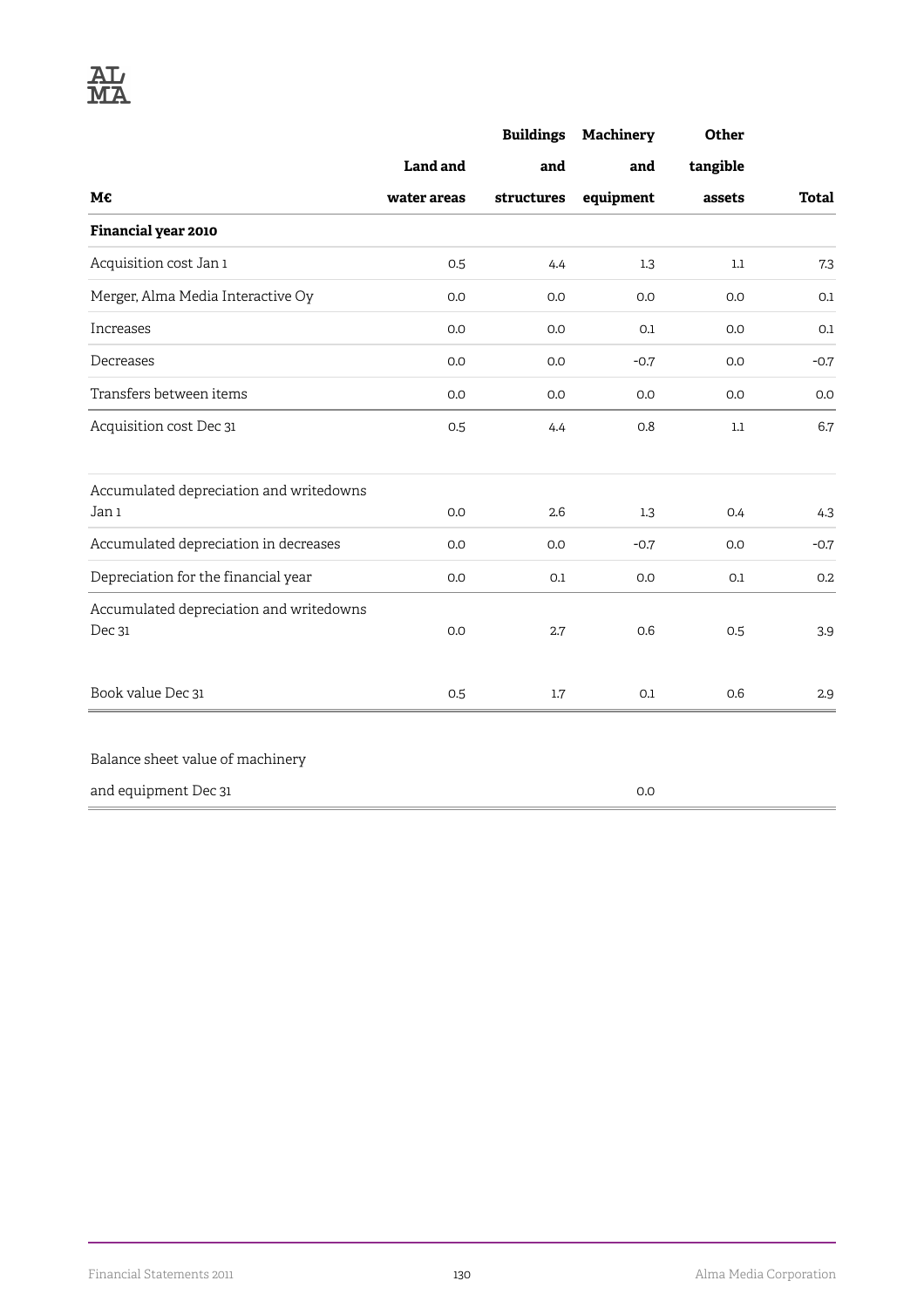|                                                   |             | <b>Buildings</b> | Machinery | Other    |              |
|---------------------------------------------------|-------------|------------------|-----------|----------|--------------|
|                                                   | Land and    | and              | and       | tangible |              |
| М€                                                | water areas | structures       | equipment | assets   | <b>Total</b> |
| Financial year 2010                               |             |                  |           |          |              |
| Acquisition cost Jan 1                            | 0.5         | 4.4              | 1.3       | $1.1\,$  | 7.3          |
| Merger, Alma Media Interactive Oy                 | 0.0         | 0.0              | 0.0       | 0.0      | 0.1          |
| Increases                                         | 0.0         | 0.0              | 0.1       | 0.0      | 0.1          |
| Decreases                                         | 0.0         | 0.0              | $-0.7$    | 0.0      | $-0.7$       |
| Transfers between items                           | 0.0         | 0.0              | 0.0       | 0.0      | 0.0          |
| Acquisition cost Dec 31                           | 0.5         | 4.4              | 0.8       | $1.1\,$  | 6.7          |
| Accumulated depreciation and writedowns           |             |                  |           |          |              |
| Jan 1                                             | 0.0         | 2.6              | 1.3       | 0.4      | 4.3          |
| Accumulated depreciation in decreases             | 0.0         | 0.0              | $-0.7$    | 0.0      | $-0.7$       |
| Depreciation for the financial year               | 0.0         | 0.1              | 0.0       | 0.1      | 0.2          |
| Accumulated depreciation and writedowns<br>Dec 31 | 0.0         | 2.7              | 0.6       | 0.5      | 3.9          |
| Book value Dec 31                                 | 0.5         | $1.7\,$          | 0.1       | 0.6      | 2.9          |
| Balance sheet value of machinery                  |             |                  |           |          |              |
| and equipment Dec 31                              |             |                  | 0.0       |          |              |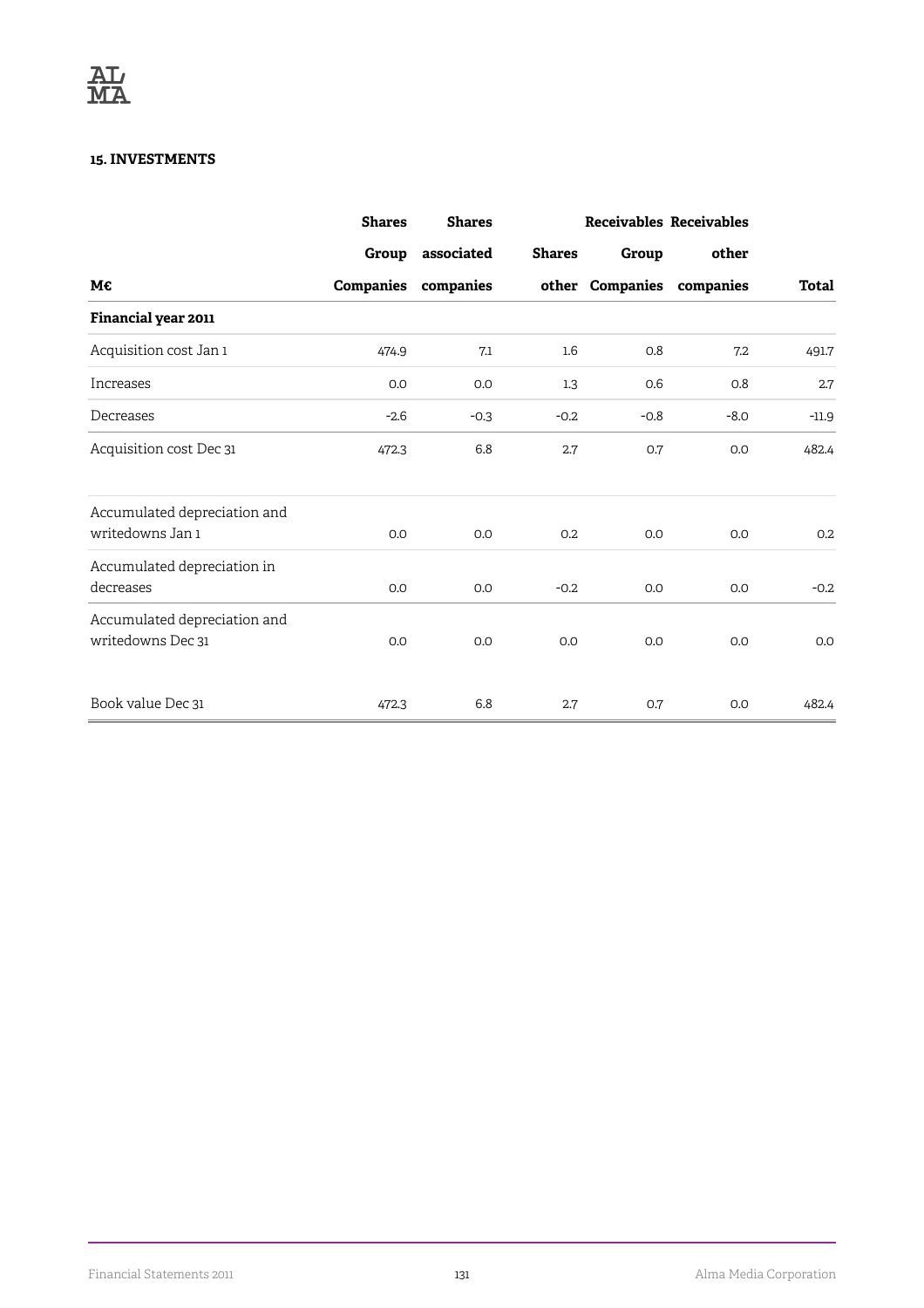#### **15. INVESTMENTS**

|                              | <b>Shares</b> | <b>Shares</b> |                  |        | Receivables Receivables   |         |
|------------------------------|---------------|---------------|------------------|--------|---------------------------|---------|
|                              | Group         | associated    | <b>Shares</b>    | Group  | other                     |         |
| M€                           | Companies     | companies     |                  |        | other Companies companies | Total   |
| Financial year 2011          |               |               |                  |        |                           |         |
| Acquisition cost Jan 1       | 474.9         | 7.1           | $1.6\phantom{0}$ | 0.8    | 7.2                       | 491.7   |
| Increases                    | 0.0           | 0.0           | 1.3              | 0.6    | 0.8                       | 2.7     |
| Decreases                    | $-2.6$        | $-0.3$        | $-0.2$           | $-0.8$ | $-8.0$                    | $-11.9$ |
| Acquisition cost Dec 31      | 472.3         | 6.8           | 2.7              | 0.7    | 0.0                       | 482.4   |
| Accumulated depreciation and |               |               |                  |        |                           |         |
| writedowns Jan 1             | 0.0           | 0.0           | 0.2              | 0.0    | 0.0                       | 0.2     |
| Accumulated depreciation in  |               |               |                  |        |                           |         |
| decreases                    | 0.0           | 0.0           | $-0.2$           | 0.0    | 0.0                       | $-0.2$  |
| Accumulated depreciation and |               |               |                  |        |                           |         |
| writedowns Dec 31            | 0.0           | 0.0           | 0.0              | 0.0    | 0.0                       | 0.0     |
| Book value Dec 31            | 472.3         | 6.8           | 2.7              | 0.7    | 0.0                       | 482.4   |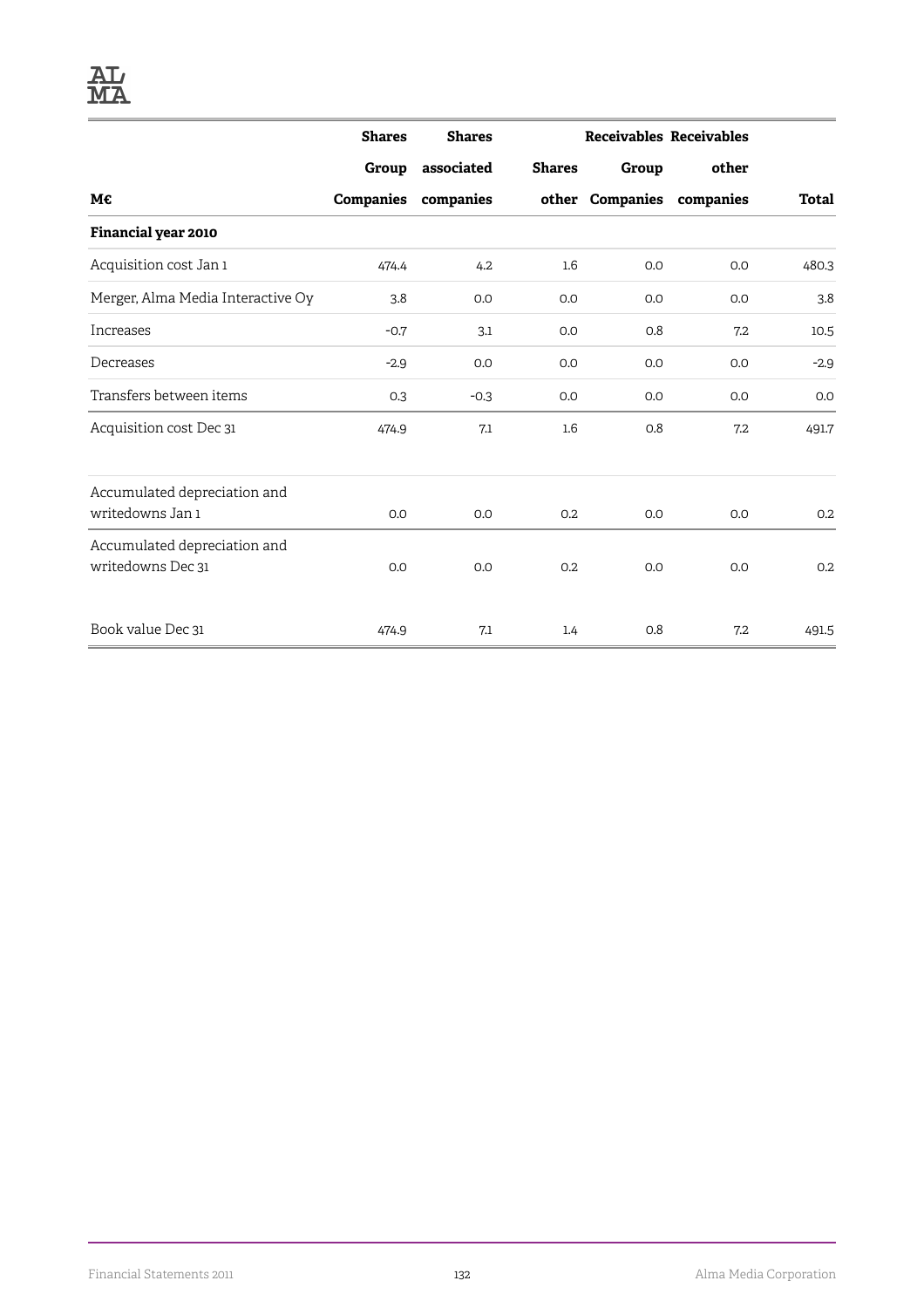|                                                   | <b>Shares</b>    | <b>Shares</b> |                  |       | <b>Receivables Receivables</b> |              |
|---------------------------------------------------|------------------|---------------|------------------|-------|--------------------------------|--------------|
|                                                   | Group            | associated    | <b>Shares</b>    | Group | other                          |              |
| М€                                                | <b>Companies</b> | companies     |                  |       | other Companies companies      | <b>Total</b> |
| Financial year 2010                               |                  |               |                  |       |                                |              |
| Acquisition cost Jan 1                            | 474.4            | 4.2           | $1.6\phantom{0}$ | 0.0   | 0.0                            | 480.3        |
| Merger, Alma Media Interactive Oy                 | 3.8              | 0.0           | 0.0              | 0.0   | 0.0                            | 3.8          |
| Increases                                         | $-0.7$           | 3.1           | 0.0              | 0.8   | 7.2                            | 10.5         |
| Decreases                                         | $-2.9$           | 0.0           | 0.0              | 0.0   | 0.0                            | $-2.9$       |
| Transfers between items                           | 0.3              | $-0.3$        | 0.0              | 0.0   | 0.0                            | 0.0          |
| Acquisition cost Dec 31                           | 474.9            | 7.1           | 1.6              | 0.8   | 7.2                            | 491.7        |
| Accumulated depreciation and                      |                  |               |                  |       |                                |              |
| writedowns Jan 1                                  | 0.0              | 0.0           | 0.2              | 0.0   | 0.0                            | 0.2          |
| Accumulated depreciation and<br>writedowns Dec 31 | 0.0              | 0.0           | 0.2              | 0.0   | 0.0                            | 0.2          |
| Book value Dec 31                                 | 474.9            | 7.1           | 1.4              | 0.8   | 7.2                            | 491.5        |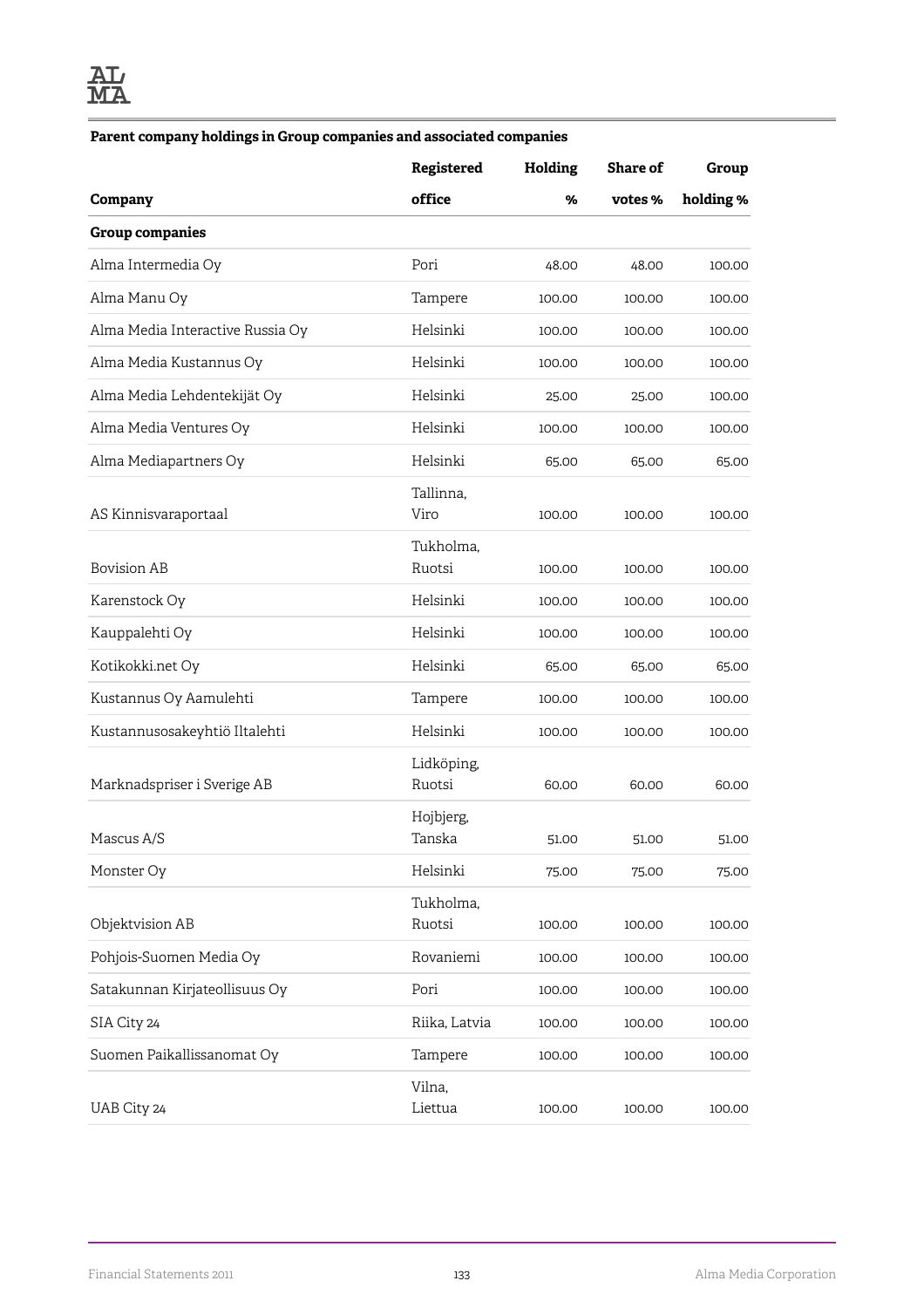#### **Parent company holdings in Group companies and associated companies**

|                                  | Registered           | Holding | Share of | Group     |
|----------------------------------|----------------------|---------|----------|-----------|
| Company                          | office               | %       | votes %  | holding % |
| <b>Group companies</b>           |                      |         |          |           |
| Alma Intermedia Oy               | Pori                 | 48.00   | 48.00    | 100.00    |
| Alma Manu Oy                     | Tampere              | 100.00  | 100.00   | 100.00    |
| Alma Media Interactive Russia Oy | Helsinki             | 100.00  | 100.00   | 100.00    |
| Alma Media Kustannus Oy          | Helsinki             | 100.00  | 100.00   | 100.00    |
| Alma Media Lehdentekijät Oy      | Helsinki             | 25.00   | 25.00    | 100.00    |
| Alma Media Ventures Oy           | Helsinki             | 100.00  | 100.00   | 100.00    |
| Alma Mediapartners Oy            | Helsinki             | 65.00   | 65.00    | 65.00     |
| AS Kinnisvaraportaal             | Tallinna,<br>Viro    | 100.00  | 100.00   | 100.00    |
| <b>Bovision AB</b>               | Tukholma,<br>Ruotsi  | 100.00  | 100.00   | 100.00    |
| Karenstock Oy                    | Helsinki             | 100.00  | 100.00   | 100.00    |
| Kauppalehti Oy                   | Helsinki             | 100.00  | 100.00   | 100.00    |
| Kotikokki.net Oy                 | Helsinki             | 65.00   | 65.00    | 65.00     |
| Kustannus Oy Aamulehti           | Tampere              | 100.00  | 100.00   | 100.00    |
| Kustannusosakeyhtiö Iltalehti    | Helsinki             | 100.00  | 100.00   | 100.00    |
| Marknadspriser i Sverige AB      | Lidköping,<br>Ruotsi | 60.00   | 60.00    | 60.00     |
| Mascus A/S                       | Hojbjerg,<br>Tanska  | 51.00   | 51.00    | 51.00     |
| Monster Oy                       | Helsinki             | 75.00   | 75.00    | 75.00     |
| Objektvision AB                  | Tukholma,<br>Ruotsi  | 100.00  | 100.00   | 100.00    |
| Pohjois-Suomen Media Oy          | Rovaniemi            | 100.00  | 100.00   | 100.00    |
| Satakunnan Kirjateollisuus Oy    | Pori                 | 100.00  | 100.00   | 100.00    |
| SIA City 24                      | Riika, Latvia        | 100.00  | 100.00   | 100.00    |
| Suomen Paikallissanomat Oy       | Tampere              | 100.00  | 100.00   | 100.00    |
| UAB City 24                      | Vilna,<br>Liettua    | 100.00  | 100.00   | 100.00    |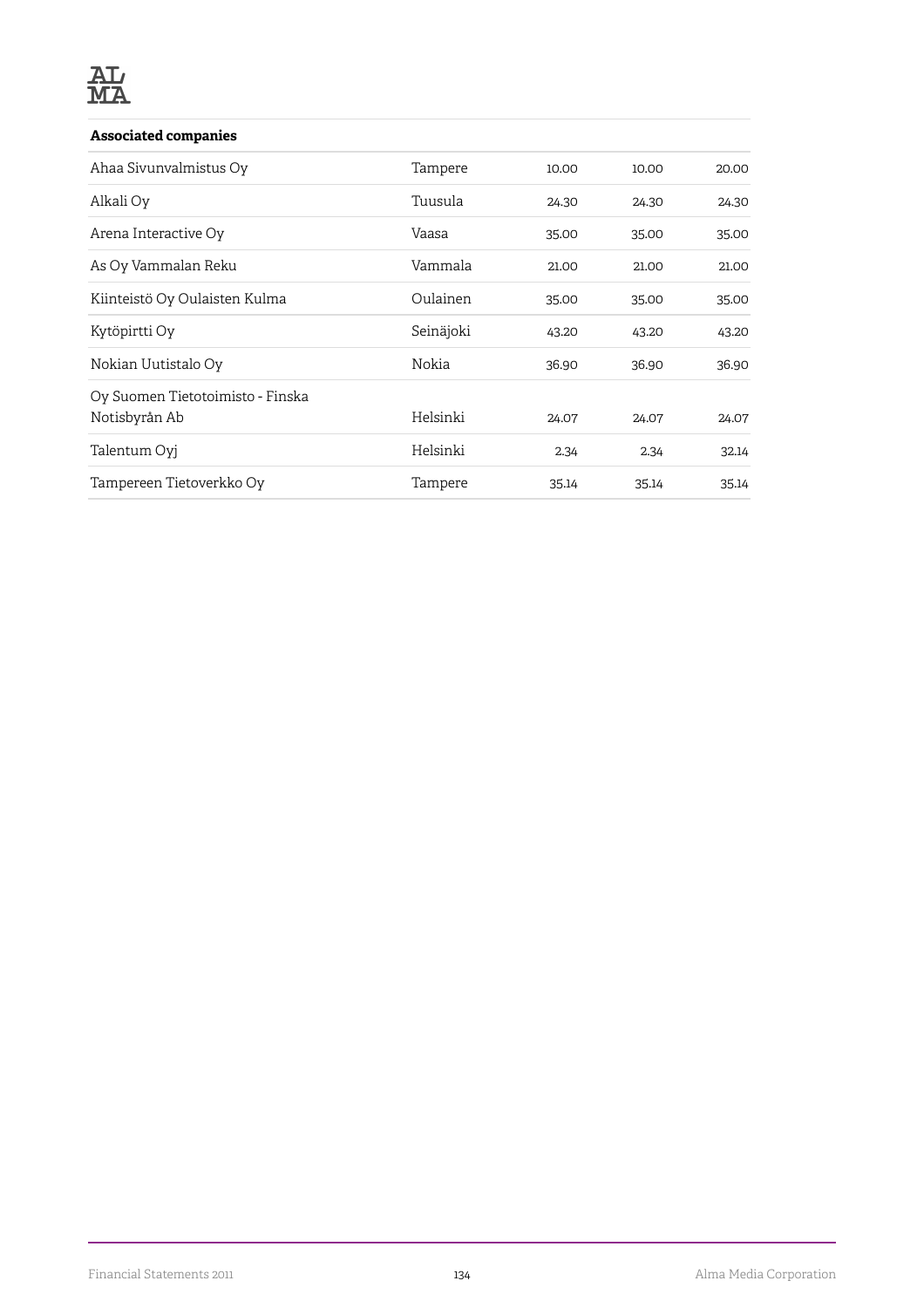#### **Associated companies**

| Ahaa Sivunvalmistus Oy                            | Tampere   | 10.00 | 10.00 | 20.00 |
|---------------------------------------------------|-----------|-------|-------|-------|
| Alkali Oy                                         | Tuusula   | 24.30 | 24.30 | 24.30 |
| Arena Interactive Oy                              | Vaasa     | 35.00 | 35.00 | 35.00 |
| As Oy Vammalan Reku                               | Vammala   | 21.00 | 21.00 | 21.00 |
| Kiinteistö Oy Oulaisten Kulma                     | Oulainen  | 35.00 | 35.00 | 35.00 |
| Kytöpirtti Oy                                     | Seinäjoki | 43.20 | 43.20 | 43.20 |
| Nokian Uutistalo Oy                               | Nokia     | 36.90 | 36.90 | 36.90 |
| Oy Suomen Tietotoimisto - Finska<br>Notisbyrån Ab | Helsinki  | 24.07 | 24.07 | 24.07 |
| Talentum Oyj                                      | Helsinki  | 2.34  | 2.34  | 32.14 |
| Tampereen Tietoverkko Oy                          | Tampere   | 35.14 | 35.14 | 35.14 |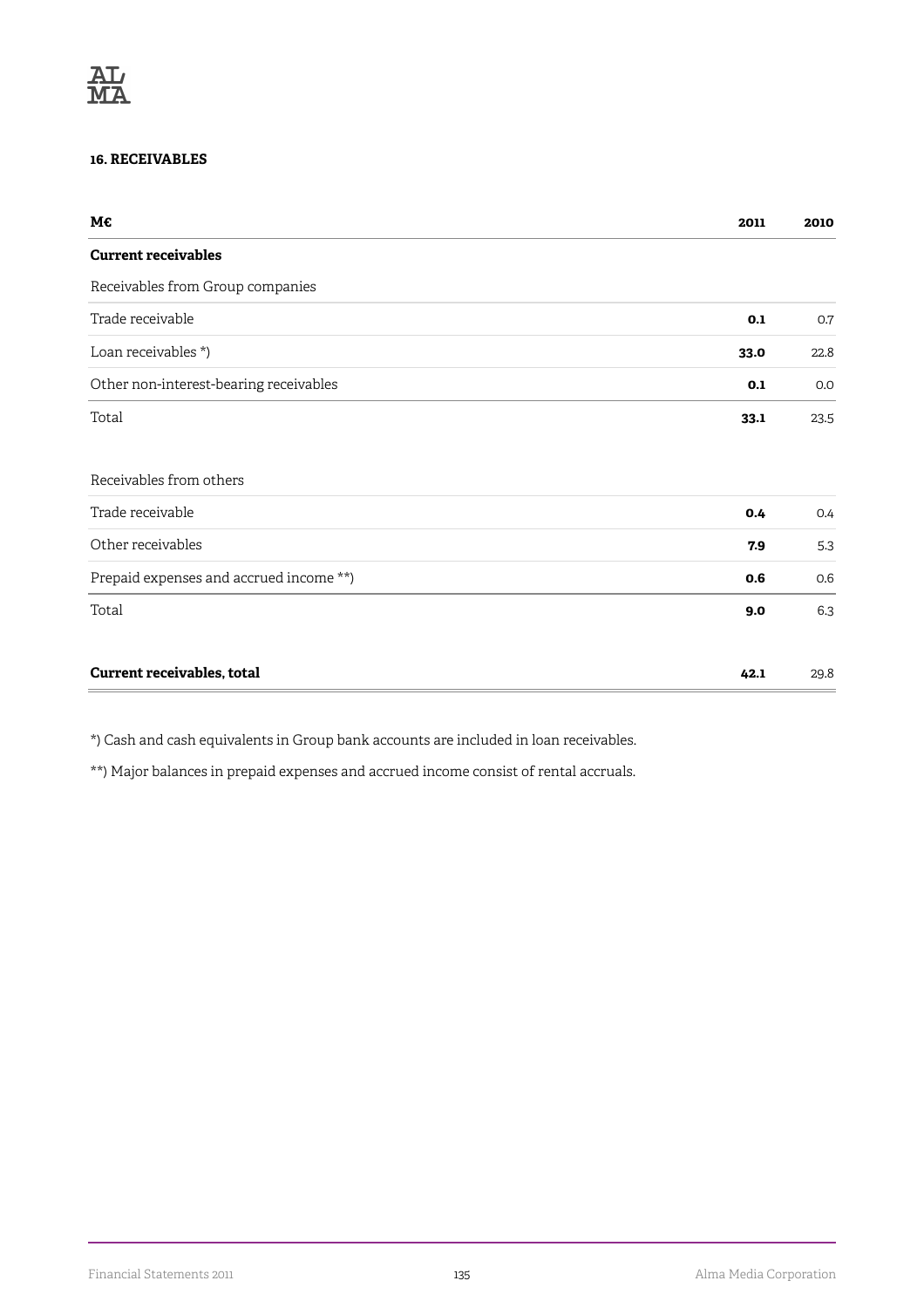#### **16. RECEIVABLES**

| M€                                      | 2011 | 2010 |
|-----------------------------------------|------|------|
| <b>Current receivables</b>              |      |      |
| Receivables from Group companies        |      |      |
| Trade receivable                        | 0.1  | 0.7  |
| Loan receivables *)                     | 33.0 | 22.8 |
| Other non-interest-bearing receivables  | 0.1  | 0.0  |
| Total                                   | 33.1 | 23.5 |
|                                         |      |      |
| Receivables from others                 |      |      |
| Trade receivable                        | 0.4  | 0.4  |
| Other receivables                       | 7.9  | 5.3  |
| Prepaid expenses and accrued income **) | 0.6  | 0.6  |
| Total                                   | 9.0  | 6.3  |
| Current receivables, total              | 42.1 | 29.8 |

\*) Cash and cash equivalents in Group bank accounts are included in loan receivables.

\*\*) Major balances in prepaid expenses and accrued income consist of rental accruals.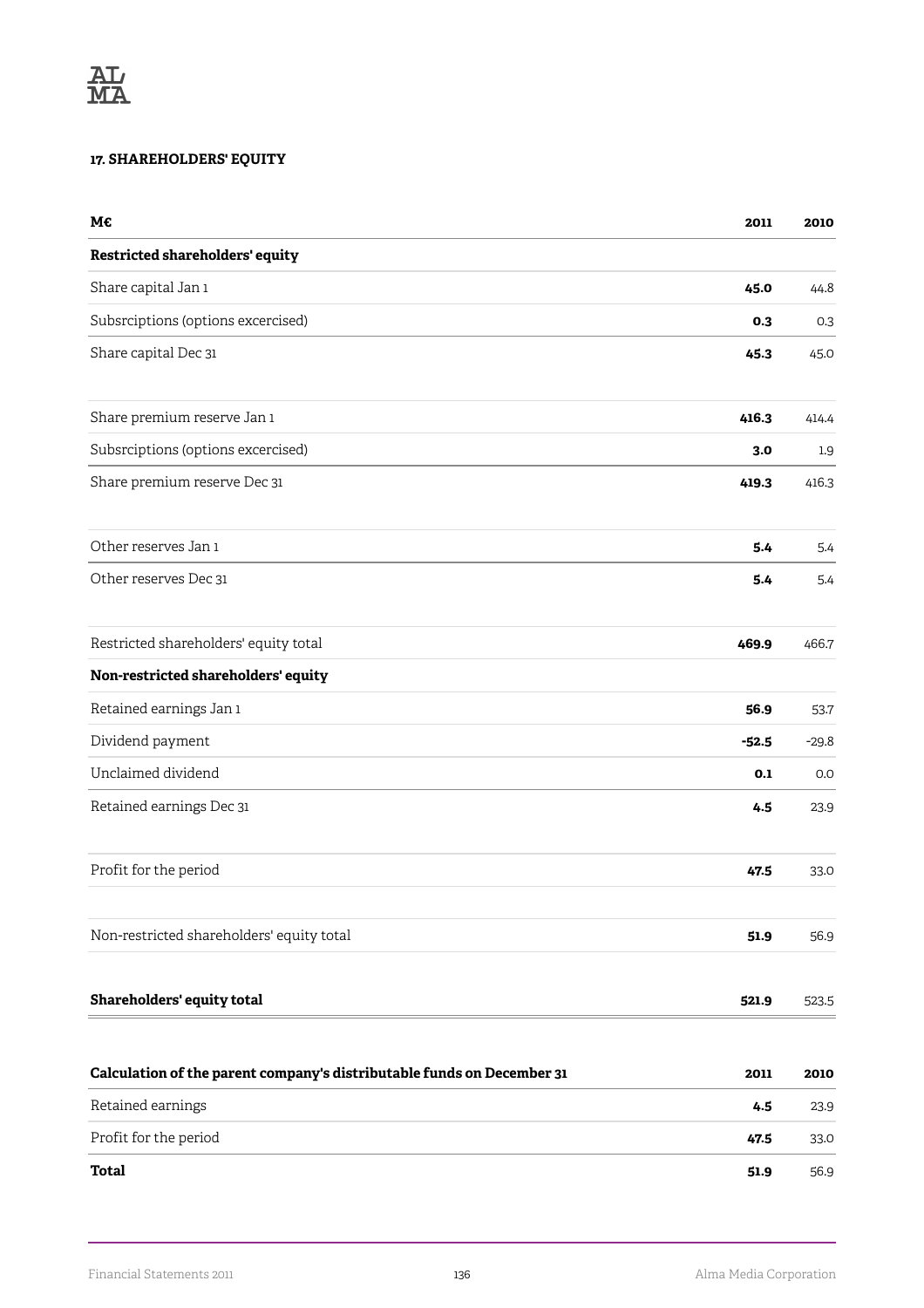### **17. SHAREHOLDERS' EQUITY**

| M€                                                                     | 2011    | 2010    |
|------------------------------------------------------------------------|---------|---------|
| Restricted shareholders' equity                                        |         |         |
| Share capital Jan 1                                                    | 45.0    | 44.8    |
| Subsrciptions (options excercised)                                     | 0.3     | 0.3     |
| Share capital Dec 31                                                   | 45.3    | 45.0    |
| Share premium reserve Jan 1                                            | 416.3   | 414.4   |
| Subsrciptions (options excercised)                                     | 3.0     | 1.9     |
| Share premium reserve Dec 31                                           | 419.3   | 416.3   |
| Other reserves Jan 1                                                   | 5.4     | 5.4     |
| Other reserves Dec 31                                                  | 5.4     | 5.4     |
| Restricted shareholders' equity total                                  | 469.9   | 466.7   |
| Non-restricted shareholders' equity                                    |         |         |
| Retained earnings Jan 1                                                | 56.9    | 53.7    |
| Dividend payment                                                       | $-52.5$ | $-29.8$ |
| Unclaimed dividend                                                     | 0.1     | 0.0     |
| Retained earnings Dec 31                                               | 4.5     | 23.9    |
| Profit for the period                                                  | 47.5    | 33.0    |
| Non-restricted shareholders' equity total                              | 51.9    | 56.9    |
| Shareholders' equity total                                             | 521.9   | 523.5   |
| Calculation of the parent company's distributable funds on December 31 | 2011    | 2010    |
| Retained earnings                                                      | 4.5     | 23.9    |
| Profit for the period                                                  | 47.5    | 33.0    |
| <b>Total</b>                                                           | 51.9    | 56.9    |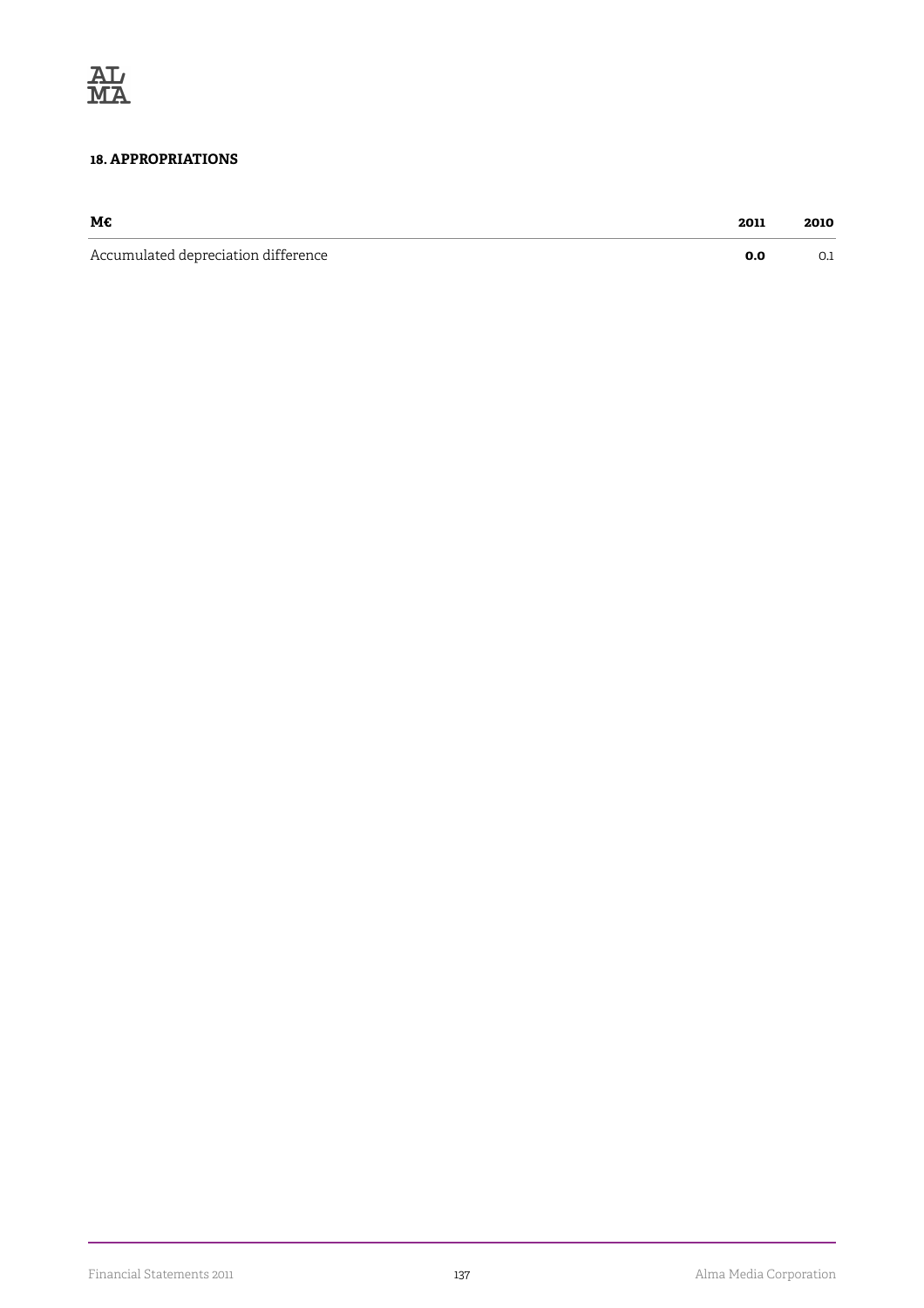

#### **18. APPROPRIATIONS**

| М€                                  | 2011 | 2010 |
|-------------------------------------|------|------|
| Accumulated depreciation difference |      | ◡…   |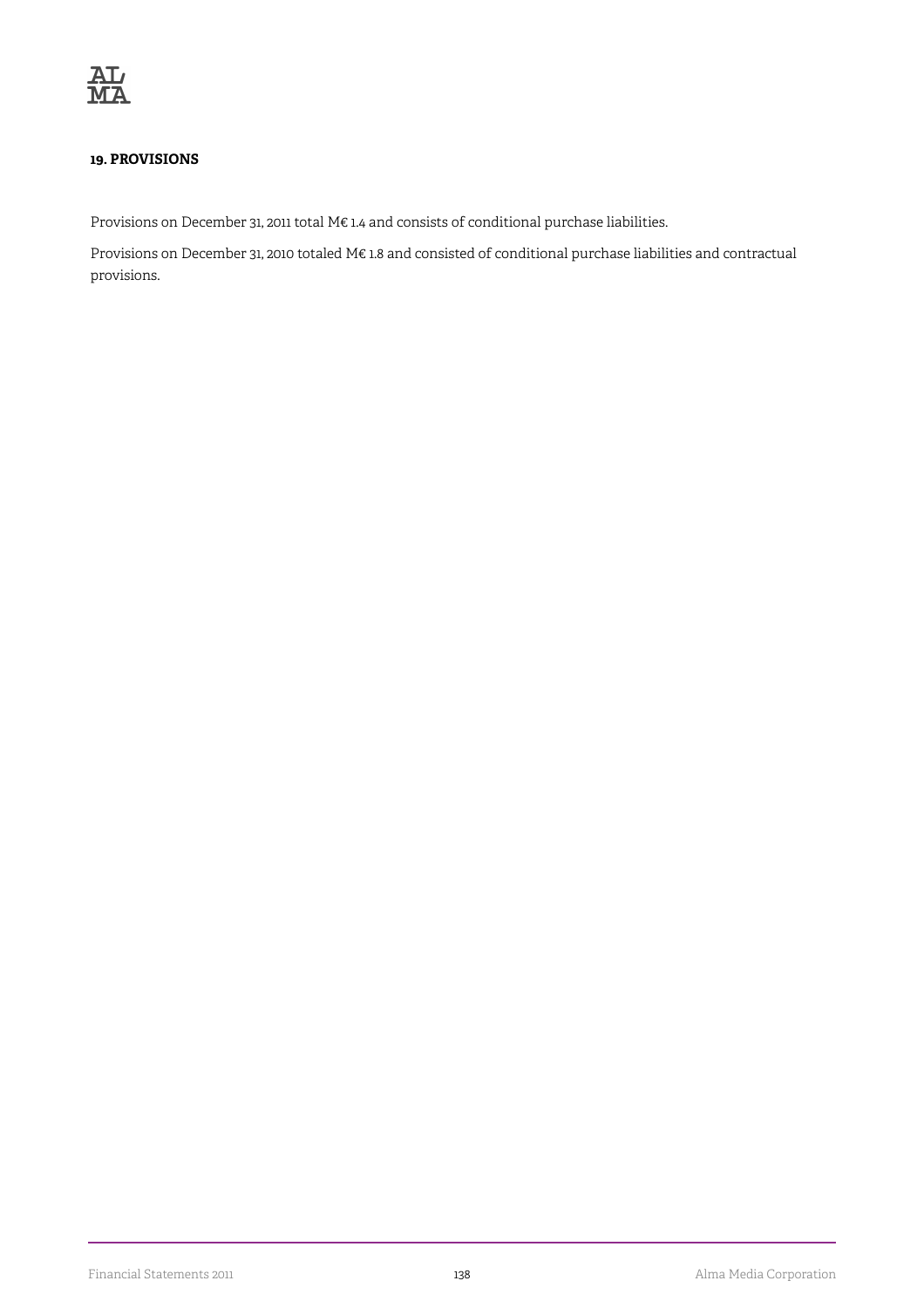

#### **19. PROVISIONS**

Provisions on December 31, 2011 total M€ 1.4 and consists of conditional purchase liabilities.

Provisions on December 31, 2010 totaled M€ 1.8 and consisted of conditional purchase liabilities and contractual provisions.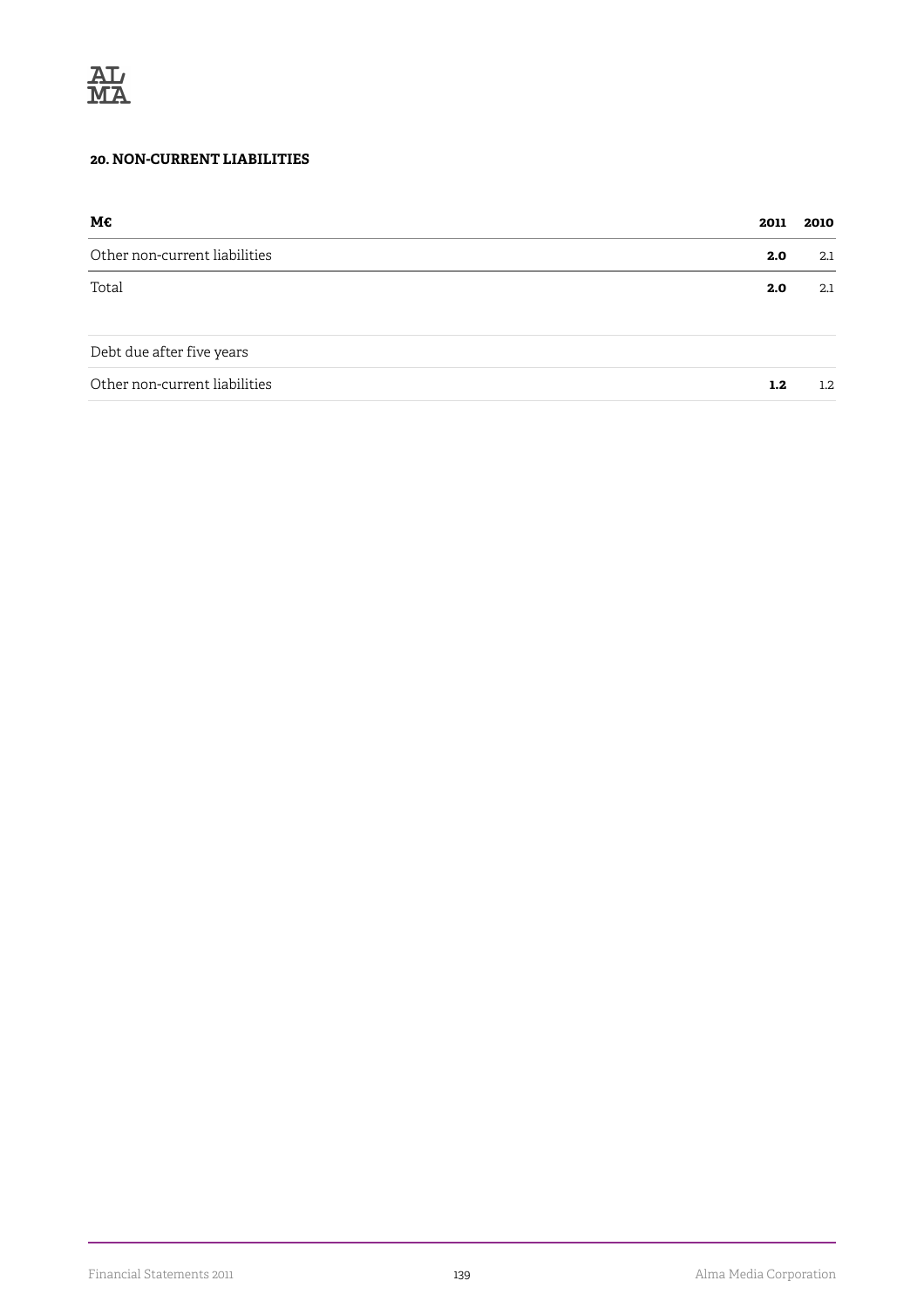

#### **20. NON-CURRENT LIABILITIES**

| М€                            | 2011 | 2010             |
|-------------------------------|------|------------------|
| Other non-current liabilities | 2.0  | 2.1              |
| Total                         | 2.0  | 2.1              |
| Debt due after five years     |      |                  |
| Other non-current liabilities | 1.2  | $1.2\phantom{0}$ |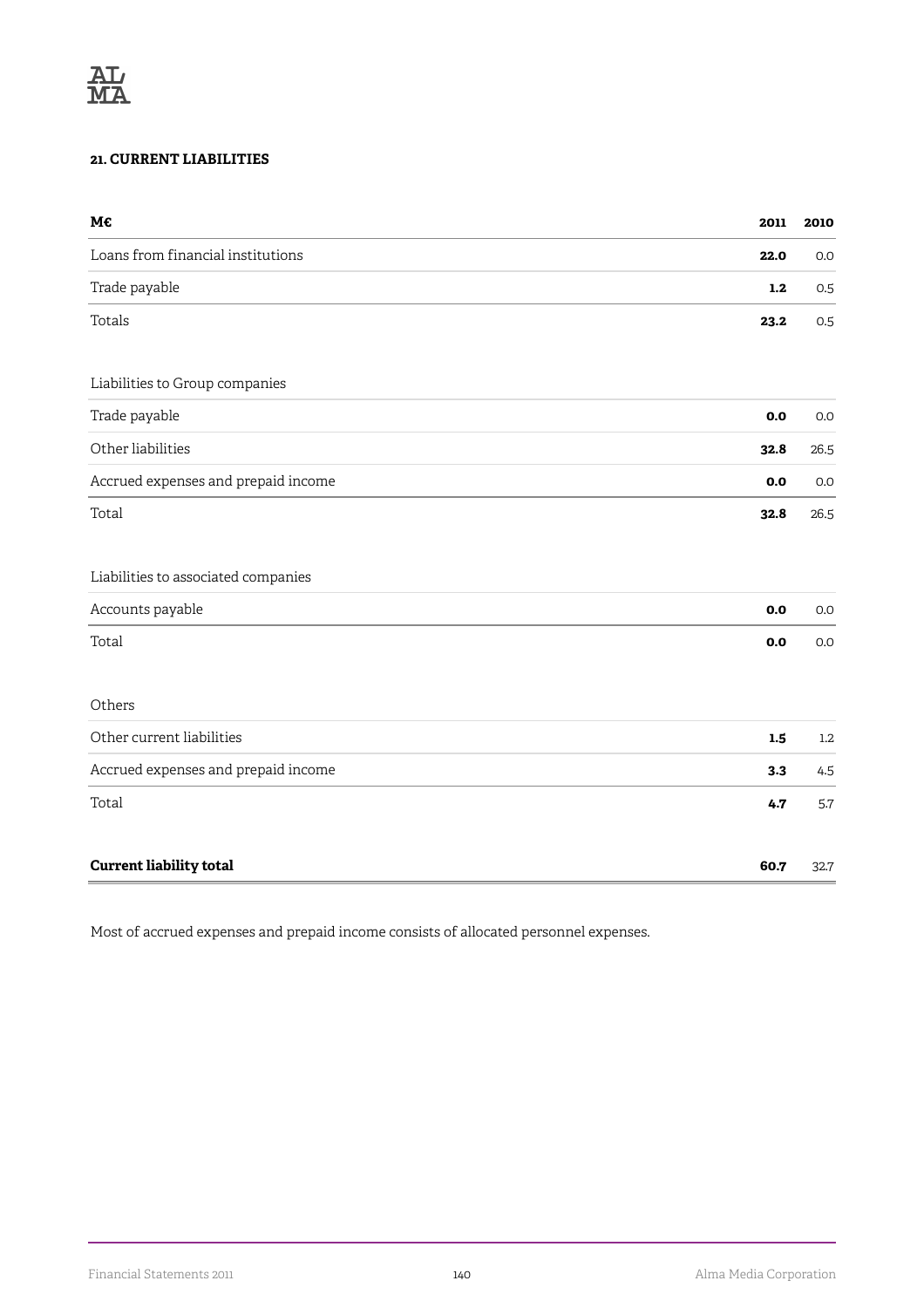#### **21. CURRENT LIABILITIES**

| М€                                  | 2011 | 2010    |
|-------------------------------------|------|---------|
| Loans from financial institutions   | 22.0 | $0.0\,$ |
| Trade payable                       | 1.2  | 0.5     |
| Totals                              | 23.2 | 0.5     |
| Liabilities to Group companies      |      |         |
| Trade payable                       | 0.0  | 0.0     |
| Other liabilities                   | 32.8 | 26.5    |
| Accrued expenses and prepaid income | 0.0  | 0.0     |
| Total                               | 32.8 | 26.5    |
| Liabilities to associated companies |      |         |
| Accounts payable                    | 0.0  | 0.0     |
| Total                               | 0.0  | 0.0     |
| Others                              |      |         |
| Other current liabilities           | 1.5  | 1.2     |
| Accrued expenses and prepaid income | 3.3  | 4.5     |
| Total                               | 4.7  | 5.7     |
| <b>Current liability total</b>      | 60.7 | 32.7    |

Most of accrued expenses and prepaid income consists of allocated personnel expenses.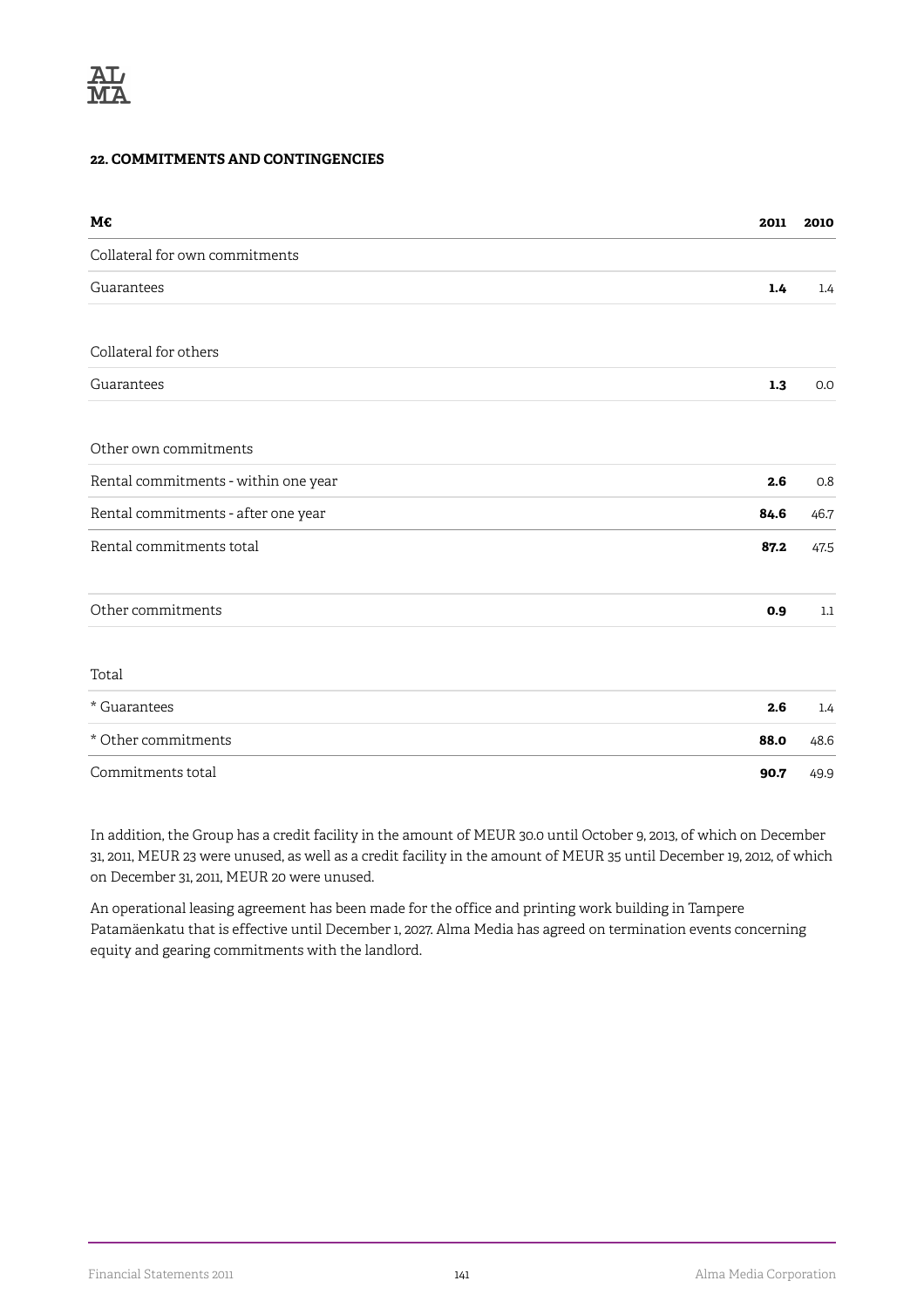#### **22. COMMITMENTS AND CONTINGENCIES**

| М€                                   | 2011 | 2010    |
|--------------------------------------|------|---------|
| Collateral for own commitments       |      |         |
| Guarantees                           | 1.4  | 1.4     |
| Collateral for others                |      |         |
| Guarantees                           | 1.3  | 0.0     |
| Other own commitments                |      |         |
| Rental commitments - within one year | 2.6  | 0.8     |
| Rental commitments - after one year  | 84.6 | 46.7    |
| Rental commitments total             | 87.2 | 47.5    |
| Other commitments                    | 0.9  | $1.1\,$ |
| Total                                |      |         |
| * Guarantees                         | 2.6  | 1.4     |
| * Other commitments                  | 88.0 | 48.6    |
| Commitments total                    | 90.7 | 49.9    |

In addition, the Group has a credit facility in the amount of MEUR 30.0 until October 9, 2013, of which on December 31, 2011, MEUR 23 were unused, as well as a credit facility in the amount of MEUR 35 until December 19, 2012, of which on December 31, 2011, MEUR 20 were unused.

An operational leasing agreement has been made for the office and printing work building in Tampere Patamäenkatu that is effective until December 1, 2027. Alma Media has agreed on termination events concerning equity and gearing commitments with the landlord.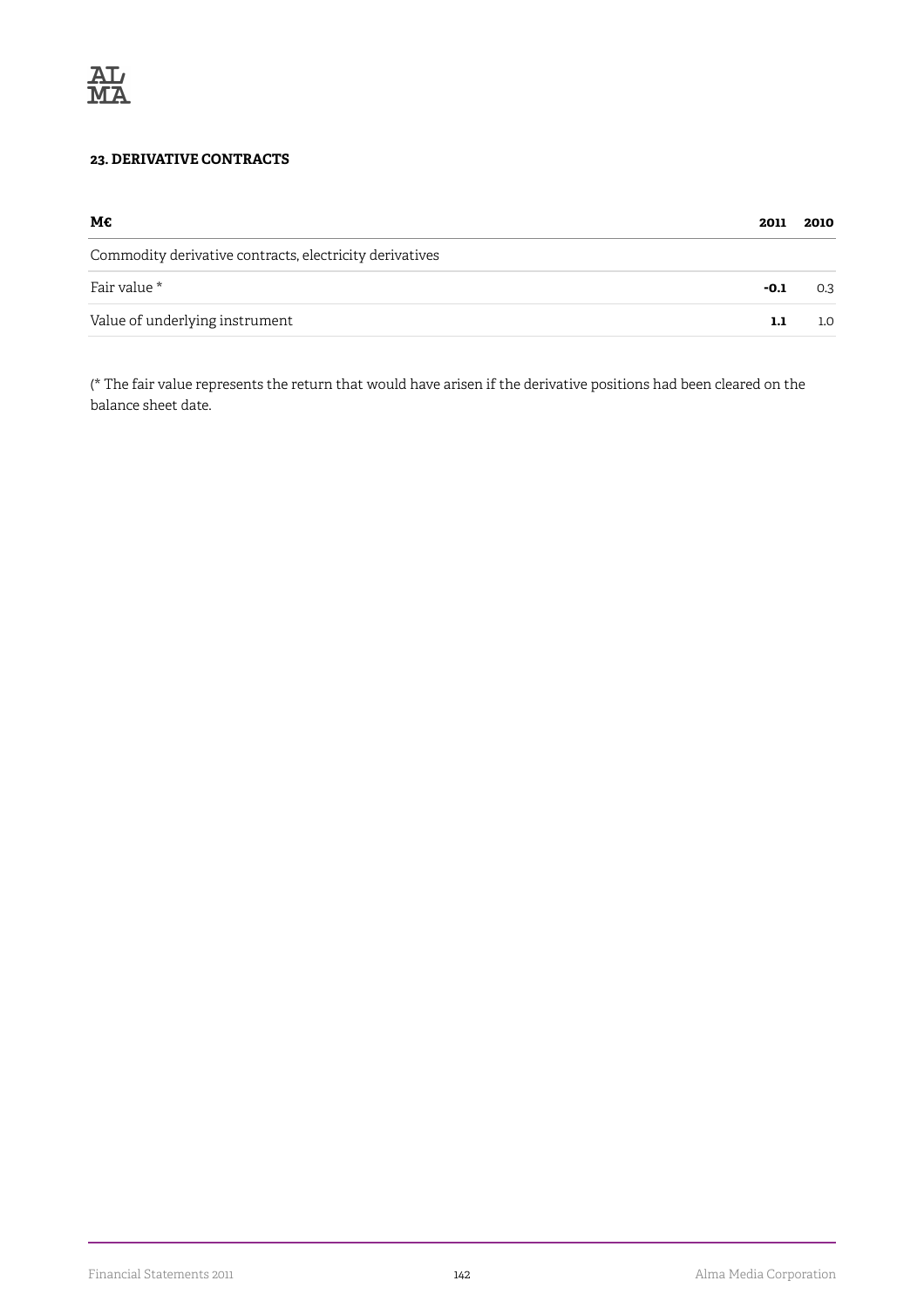

#### **23. DERIVATIVE CONTRACTS**

| М€                                                      | 2011   | 2010             |
|---------------------------------------------------------|--------|------------------|
| Commodity derivative contracts, electricity derivatives |        |                  |
| Fair value *                                            | $-0.1$ | 0.3              |
| Value of underlying instrument                          | 1.1    | 1.0 <sub>1</sub> |

(\* The fair value represents the return that would have arisen if the derivative positions had been cleared on the balance sheet date.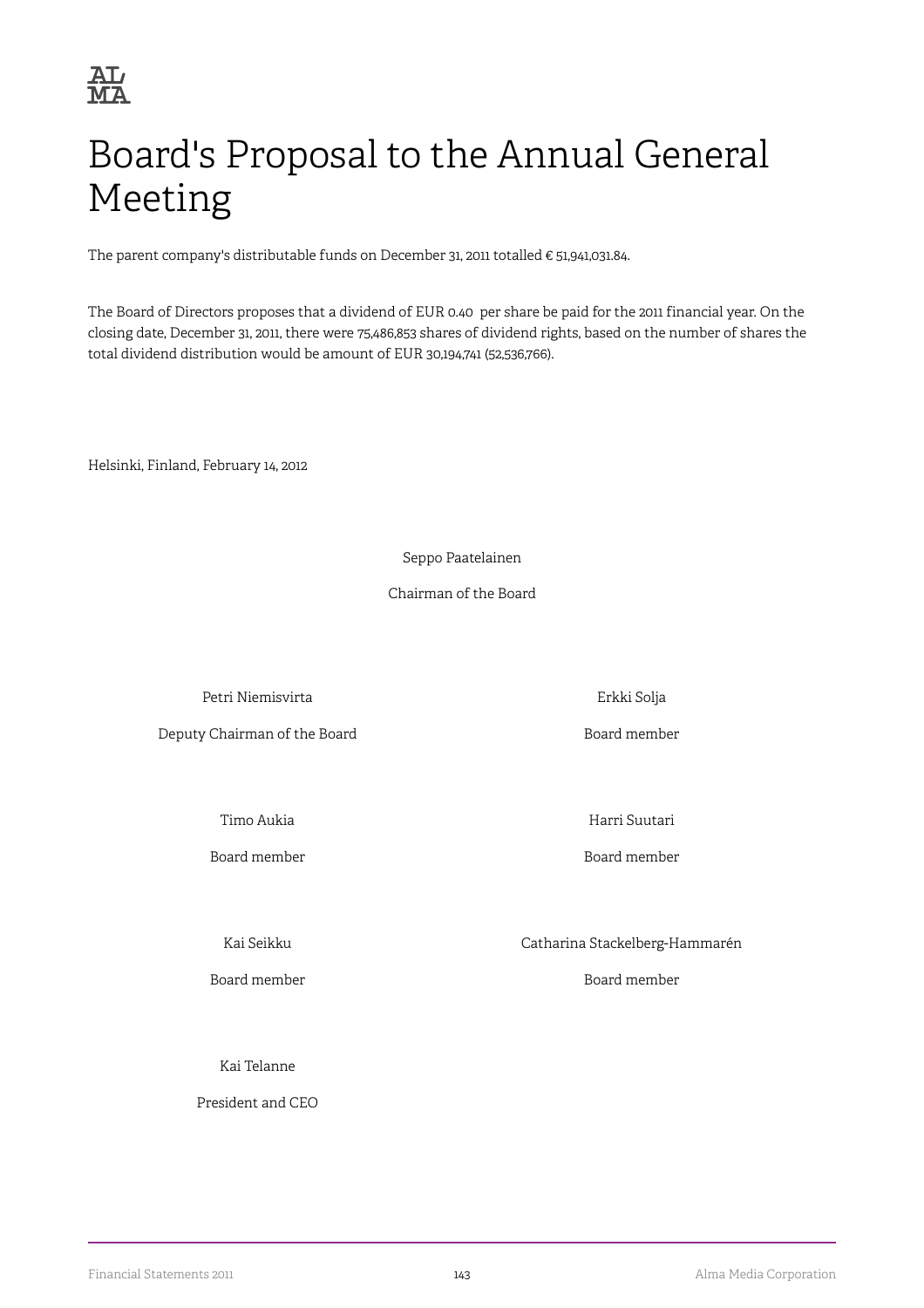

# Board's Proposal to the Annual General Meeting

The parent company's distributable funds on December 31, 2011 totalled € 51,941,031.84.

The Board of Directors proposes that a dividend of EUR 0.40 per share be paid for the 2011 financial year. On the closing date, December 31, 2011, there were 75,486,853 shares of dividend rights, based on the number of shares the total dividend distribution would be amount of EUR 30,194,741 (52,536,766).

Helsinki, Finland, February 14, 2012

Seppo Paatelainen

Chairman of the Board

Petri Niemisvirta and and a state of the Erkki Solja

Deputy Chairman of the Board **Board Container and Solution** Board member

Board member Board member

Timo Aukia **Harri Suutari** 

Kai Seikku Catharina Stackelberg-Hammarén

Board member Board member

Kai Telanne

President and CEO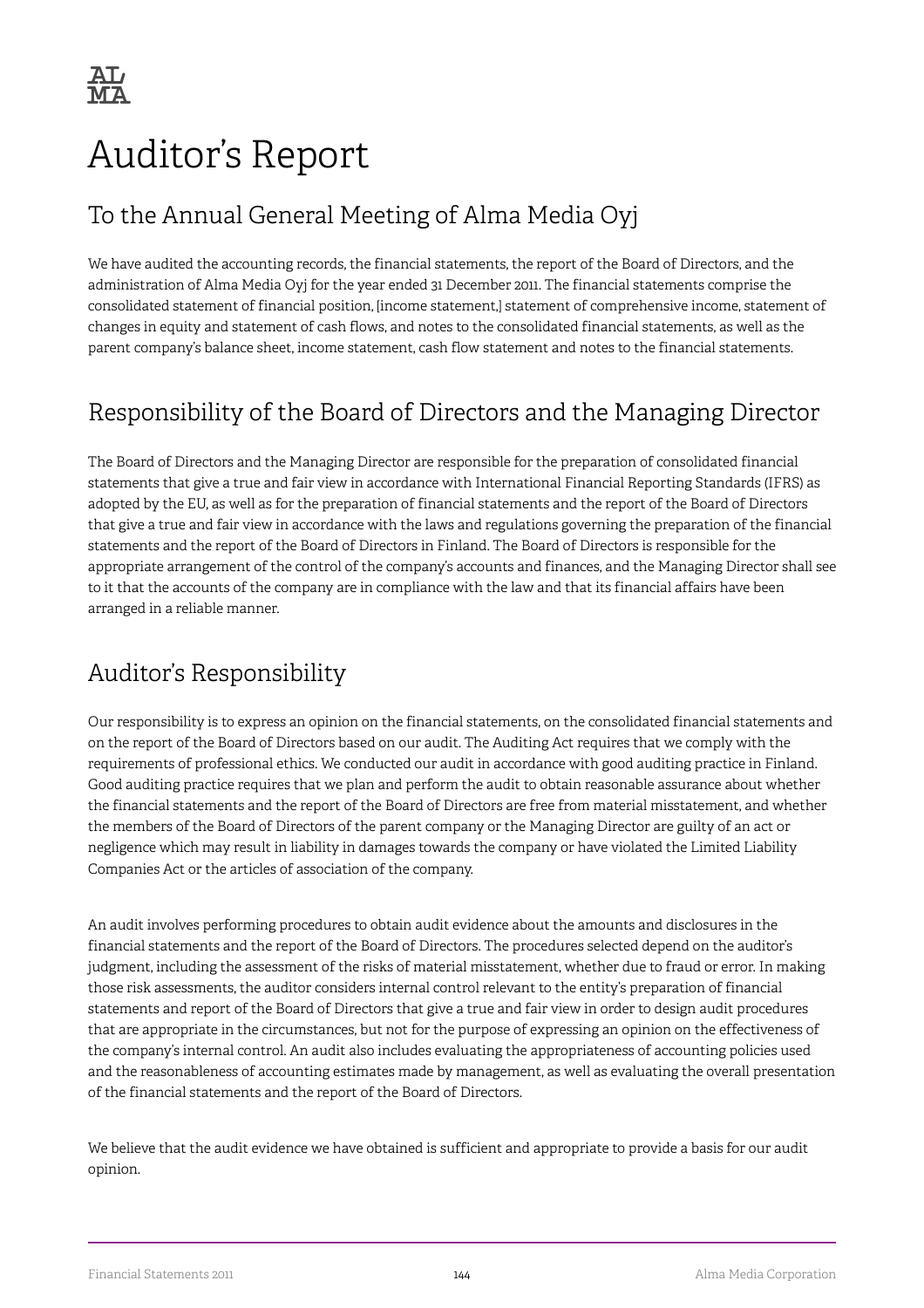# Auditor's Report

## To the Annual General Meeting of Alma Media Oyj

We have audited the accounting records, the financial statements, the report of the Board of Directors, and the administration of Alma Media Oyj for the year ended 31 December 2011. The financial statements comprise the consolidated statement of financial position, [income statement,] statement of comprehensive income, statement of changes in equity and statement of cash flows, and notes to the consolidated financial statements, as well as the parent company's balance sheet, income statement, cash flow statement and notes to the financial statements.

## Responsibility of the Board of Directors and the Managing Director

The Board of Directors and the Managing Director are responsible for the preparation of consolidated financial statements that give a true and fair view in accordance with International Financial Reporting Standards (IFRS) as adopted by the EU, as well as for the preparation of financial statements and the report of the Board of Directors that give a true and fair view in accordance with the laws and regulations governing the preparation of the financial statements and the report of the Board of Directors in Finland. The Board of Directors is responsible for the appropriate arrangement of the control of the company's accounts and finances, and the Managing Director shall see to it that the accounts of the company are in compliance with the law and that its financial affairs have been arranged in a reliable manner.

## Auditor's Responsibility

Our responsibility is to express an opinion on the financial statements, on the consolidated financial statements and on the report of the Board of Directors based on our audit. The Auditing Act requires that we comply with the requirements of professional ethics. We conducted our audit in accordance with good auditing practice in Finland. Good auditing practice requires that we plan and perform the audit to obtain reasonable assurance about whether the financial statements and the report of the Board of Directors are free from material misstatement, and whether the members of the Board of Directors of the parent company or the Managing Director are guilty of an act or negligence which may result in liability in damages towards the company or have violated the Limited Liability Companies Act or the articles of association of the company.

An audit involves performing procedures to obtain audit evidence about the amounts and disclosures in the financial statements and the report of the Board of Directors. The procedures selected depend on the auditor's judgment, including the assessment of the risks of material misstatement, whether due to fraud or error. In making those risk assessments, the auditor considers internal control relevant to the entity's preparation of financial statements and report of the Board of Directors that give a true and fair view in order to design audit procedures that are appropriate in the circumstances, but not for the purpose of expressing an opinion on the effectiveness of the company's internal control. An audit also includes evaluating the appropriateness of accounting policies used and the reasonableness of accounting estimates made by management, as well as evaluating the overall presentation of the financial statements and the report of the Board of Directors.

We believe that the audit evidence we have obtained is sufficient and appropriate to provide a basis for our audit opinion.